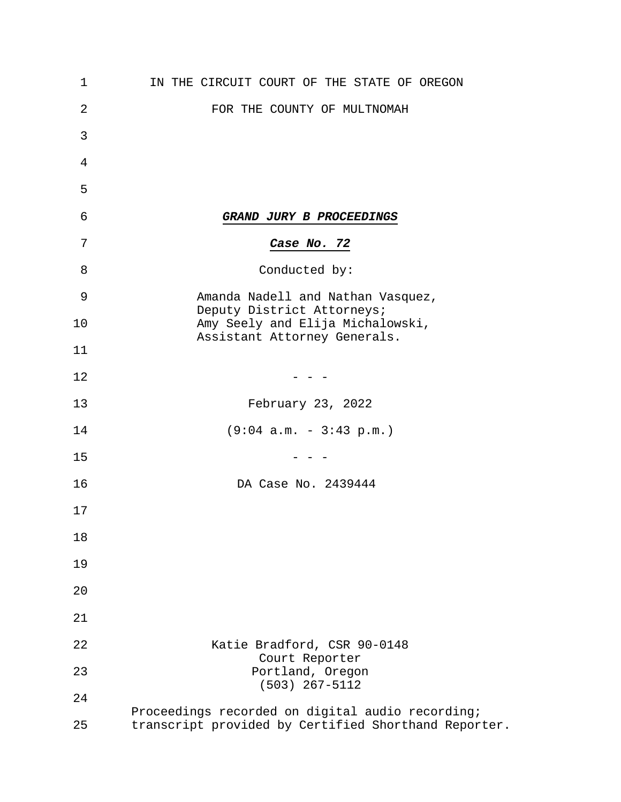| 1  | IN THE CIRCUIT COURT OF THE STATE OF OREGON                                                              |
|----|----------------------------------------------------------------------------------------------------------|
| 2  | FOR THE COUNTY OF MULTNOMAH                                                                              |
| 3  |                                                                                                          |
| 4  |                                                                                                          |
| 5  |                                                                                                          |
| 6  | GRAND JURY B PROCEEDINGS                                                                                 |
| 7  | Case No. 72                                                                                              |
| 8  | Conducted by:                                                                                            |
| 9  | Amanda Nadell and Nathan Vasquez,                                                                        |
| 10 | Deputy District Attorneys;<br>Amy Seely and Elija Michalowski,<br>Assistant Attorney Generals.           |
| 11 |                                                                                                          |
| 12 |                                                                                                          |
| 13 | February 23, 2022                                                                                        |
| 14 | $(9:04 a.m. - 3:43 p.m.)$                                                                                |
| 15 |                                                                                                          |
| 16 | DA Case No. 2439444                                                                                      |
| 17 |                                                                                                          |
| 18 |                                                                                                          |
| 19 |                                                                                                          |
| 20 |                                                                                                          |
| 21 |                                                                                                          |
| 22 | Katie Bradford, CSR 90-0148                                                                              |
| 23 | Court Reporter<br>Portland, Oregon<br>$(503)$ 267-5112                                                   |
| 24 |                                                                                                          |
| 25 | Proceedings recorded on digital audio recording;<br>transcript provided by Certified Shorthand Reporter. |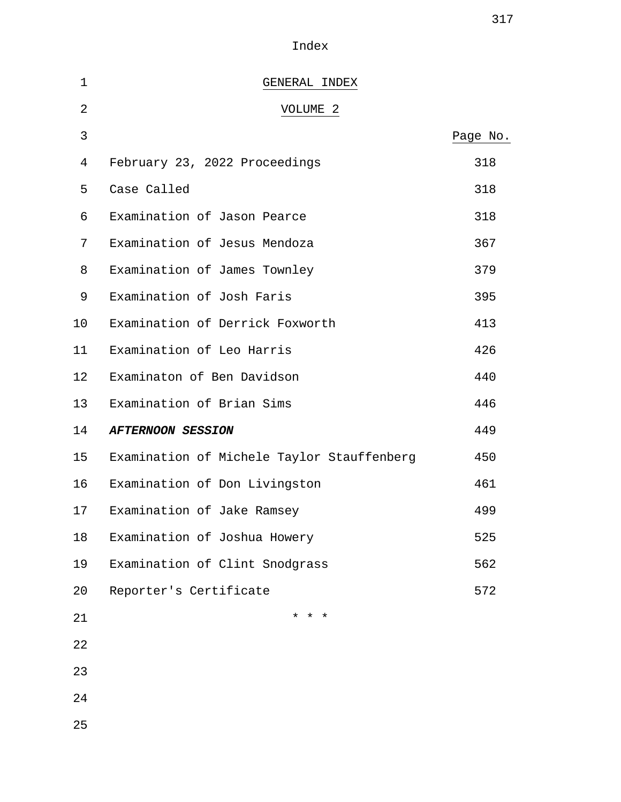Index

| $\mathbf 1$ | GENERAL INDEX                              |          |
|-------------|--------------------------------------------|----------|
| 2           | VOLUME 2                                   |          |
| 3           |                                            | Page No. |
| 4           | February 23, 2022 Proceedings              | 318      |
| 5           | Case Called                                | 318      |
| 6           | Examination of Jason Pearce                | 318      |
| 7           | Examination of Jesus Mendoza               | 367      |
| 8           | Examination of James Townley               | 379      |
| 9           | Examination of Josh Faris                  | 395      |
| 10          | Examination of Derrick Foxworth            | 413      |
| 11          | Examination of Leo Harris                  | 426      |
| 12          | Examinaton of Ben Davidson                 | 440      |
| 13          | Examination of Brian Sims                  | 446      |
| 14          | <b>AFTERNOON SESSION</b>                   | 449      |
| 15          | Examination of Michele Taylor Stauffenberg | 450      |
| 16          | Examination of Don Livingston              | 461      |
| 17          | Examination of Jake Ramsey                 | 499      |
| 18          | Examination of Joshua Howery               | 525      |
| 19          | Examination of Clint Snodgrass             | 562      |
| 20          | Reporter's Certificate                     | 572      |
| 21          | $\star$<br>$\star$ $\star$                 |          |
| 22          |                                            |          |
| 23          |                                            |          |
| 24          |                                            |          |
| 25          |                                            |          |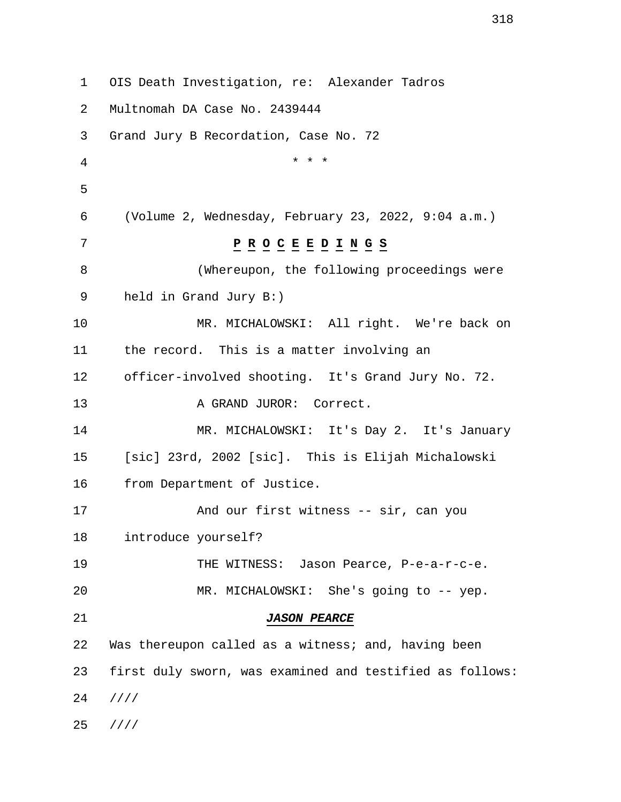1 OIS Death Investigation, re: Alexander Tadros 2 Multnomah DA Case No. 2439444 3 Grand Jury B Recordation, Case No. 72 4 \* \* \* 5 6 (Volume 2, Wednesday, February 23, 2022, 9:04 a.m.) 7 **P R O C E E D I N G S** 8 (Whereupon, the following proceedings were 9 held in Grand Jury B:) 10 MR. MICHALOWSKI: All right. We're back on 11 the record. This is a matter involving an 12 officer-involved shooting. It's Grand Jury No. 72. 13 A GRAND JUROR: Correct. 14 MR. MICHALOWSKI: It's Day 2. It's January 15 [sic] 23rd, 2002 [sic]. This is Elijah Michalowski 16 from Department of Justice. 17 And our first witness -- sir, can you 18 introduce yourself? 19 THE WITNESS: Jason Pearce, P-e-a-r-c-e. 20 MR. MICHALOWSKI: She's going to -- yep. 21 **JASON PEARCE** 22 Was thereupon called as a witness; and, having been 23 first duly sworn, was examined and testified as follows: 24 //// 25 ////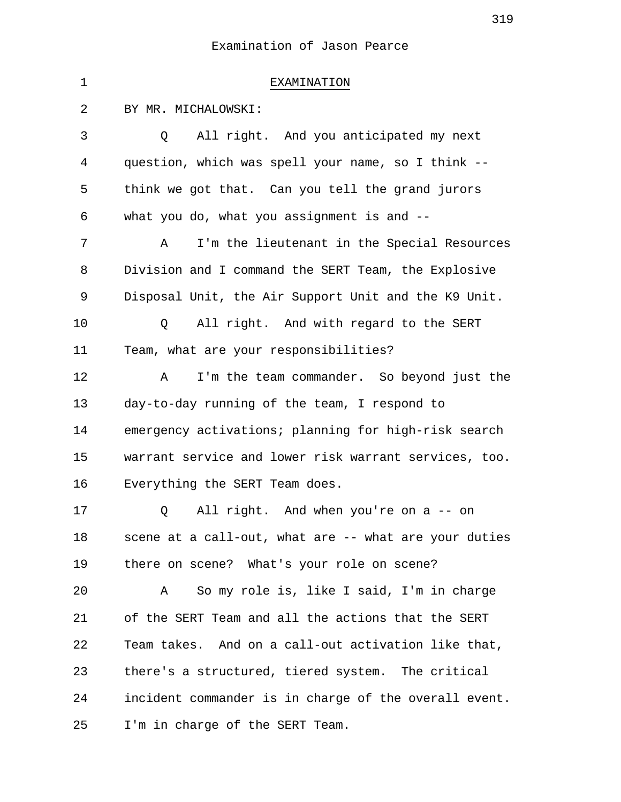| $\mathbf 1$ | EXAMINATION                                           |
|-------------|-------------------------------------------------------|
| 2           | BY MR. MICHALOWSKI:                                   |
| 3           | All right. And you anticipated my next<br>Q           |
| 4           | question, which was spell your name, so I think --    |
| 5           | think we got that. Can you tell the grand jurors      |
| 6           | what you do, what you assignment is and $-$ -         |
| 7           | I'm the lieutenant in the Special Resources<br>Α      |
| 8           | Division and I command the SERT Team, the Explosive   |
| 9           | Disposal Unit, the Air Support Unit and the K9 Unit.  |
| 10          | All right. And with regard to the SERT<br>Q           |
| 11          | Team, what are your responsibilities?                 |
| 12          | I'm the team commander. So beyond just the<br>Α       |
| 13          | day-to-day running of the team, I respond to          |
| 14          | emergency activations; planning for high-risk search  |
| 15          | warrant service and lower risk warrant services, too. |
| 16          | Everything the SERT Team does.                        |
| 17          | All right. And when you're on a -- on<br>Q            |
| 18          | scene at a call-out, what are -- what are your duties |
| 19          | there on scene? What's your role on scene?            |
| 20          | So my role is, like I said, I'm in charge<br>Α        |
| 21          | of the SERT Team and all the actions that the SERT    |
| 22          | Team takes. And on a call-out activation like that,   |
| 23          | there's a structured, tiered system. The critical     |
| 24          | incident commander is in charge of the overall event. |
| 25          | I'm in charge of the SERT Team.                       |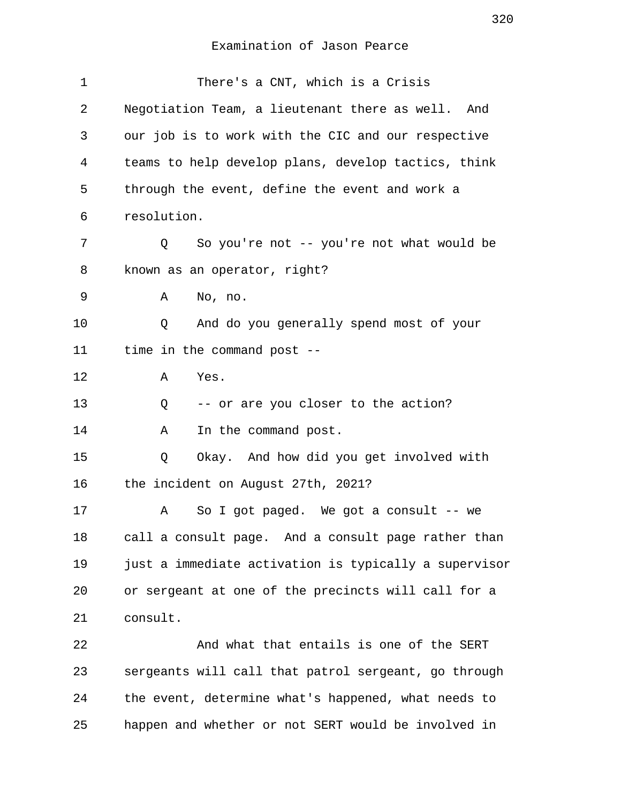| 1  | There's a CNT, which is a Crisis                      |
|----|-------------------------------------------------------|
| 2  | Negotiation Team, a lieutenant there as well.<br>And  |
| 3  | our job is to work with the CIC and our respective    |
| 4  | teams to help develop plans, develop tactics, think   |
| 5  | through the event, define the event and work a        |
| 6  | resolution.                                           |
| 7  | So you're not -- you're not what would be<br>Q        |
| 8  | known as an operator, right?                          |
| 9  | Α<br>No, no.                                          |
| 10 | And do you generally spend most of your<br>Q          |
| 11 | time in the command post --                           |
| 12 | Yes.<br>Α                                             |
| 13 | -- or are you closer to the action?<br>Q              |
| 14 | In the command post.<br>Α                             |
| 15 | Okay. And how did you get involved with<br>Q          |
| 16 | the incident on August 27th, 2021?                    |
| 17 | So I got paged. We got a consult -- we<br>Α           |
| 18 | call a consult page. And a consult page rather than   |
| 19 | just a immediate activation is typically a supervisor |
| 20 | or sergeant at one of the precincts will call for a   |
| 21 | consult.                                              |
| 22 | And what that entails is one of the SERT              |
| 23 | sergeants will call that patrol sergeant, go through  |
| 24 | the event, determine what's happened, what needs to   |
| 25 | happen and whether or not SERT would be involved in   |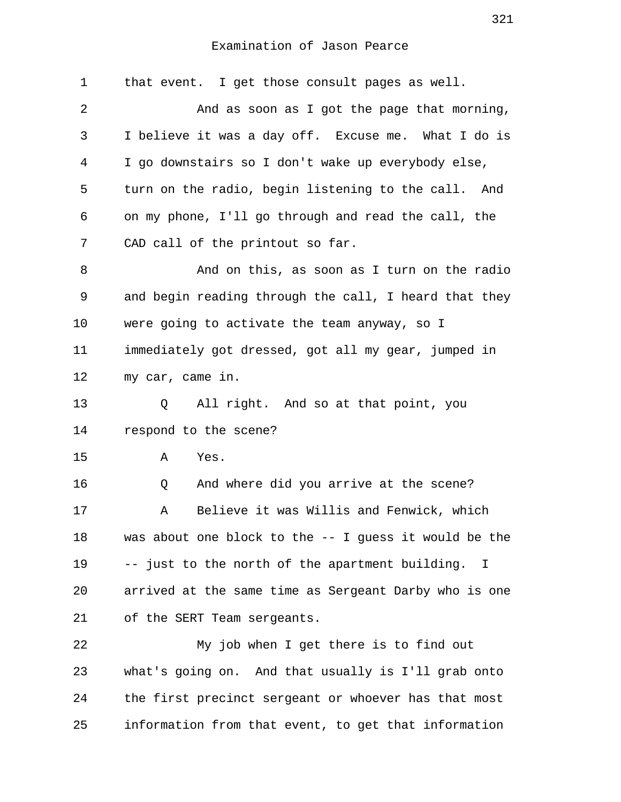| 1  | that event. I get those consult pages as well.           |
|----|----------------------------------------------------------|
| 2  | And as soon as I got the page that morning,              |
| 3  | I believe it was a day off. Excuse me. What I do is      |
| 4  | I go downstairs so I don't wake up everybody else,       |
| 5  | turn on the radio, begin listening to the call. And      |
| 6  | on my phone, I'll go through and read the call, the      |
| 7  | CAD call of the printout so far.                         |
| 8  | And on this, as soon as I turn on the radio              |
| 9  | and begin reading through the call, I heard that they    |
| 10 | were going to activate the team anyway, so I             |
| 11 | immediately got dressed, got all my gear, jumped in      |
| 12 | my car, came in.                                         |
| 13 | All right. And so at that point, you<br>Q                |
| 14 | respond to the scene?                                    |
| 15 | Yes.<br>Α                                                |
| 16 | And where did you arrive at the scene?<br>Q              |
| 17 | Believe it was Willis and Fenwick, which<br>Α            |
| 18 | was about one block to the $-$ - I guess it would be the |
| 19 | -- just to the north of the apartment building. I        |
| 20 | arrived at the same time as Sergeant Darby who is one    |
| 21 | of the SERT Team sergeants.                              |
| 22 | My job when I get there is to find out                   |
| 23 | what's going on. And that usually is I'll grab onto      |
| 24 | the first precinct sergeant or whoever has that most     |
| 25 | information from that event, to get that information     |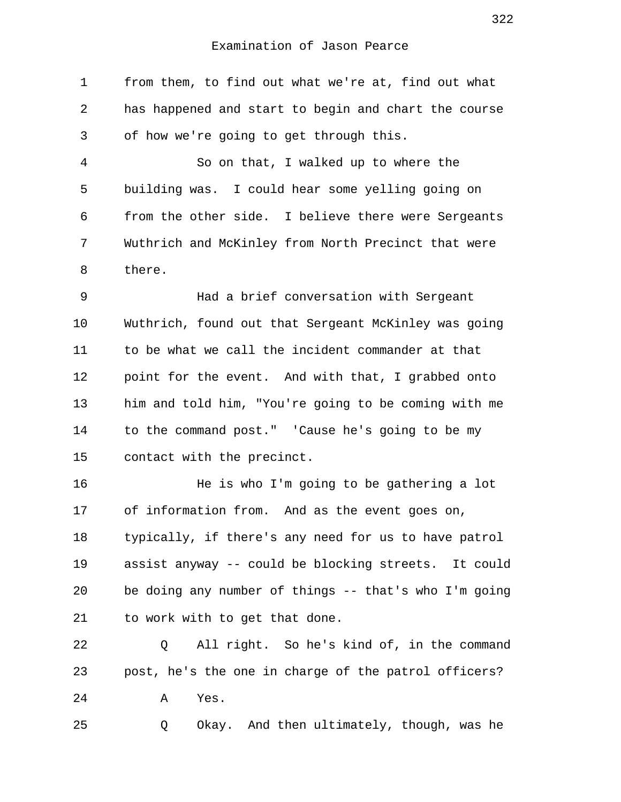1 from them, to find out what we're at, find out what 2 has happened and start to begin and chart the course 3 of how we're going to get through this.

 4 So on that, I walked up to where the 5 building was. I could hear some yelling going on 6 from the other side. I believe there were Sergeants 7 Wuthrich and McKinley from North Precinct that were 8 there.

 9 Had a brief conversation with Sergeant 10 Wuthrich, found out that Sergeant McKinley was going 11 to be what we call the incident commander at that 12 point for the event. And with that, I grabbed onto 13 him and told him, "You're going to be coming with me 14 to the command post." 'Cause he's going to be my 15 contact with the precinct.

16 He is who I'm going to be gathering a lot 17 of information from. And as the event goes on, 18 typically, if there's any need for us to have patrol 19 assist anyway -- could be blocking streets. It could 20 be doing any number of things -- that's who I'm going 21 to work with to get that done.

22 Q All right. So he's kind of, in the command 23 post, he's the one in charge of the patrol officers? 24 A Yes.

25 Q Okay. And then ultimately, though, was he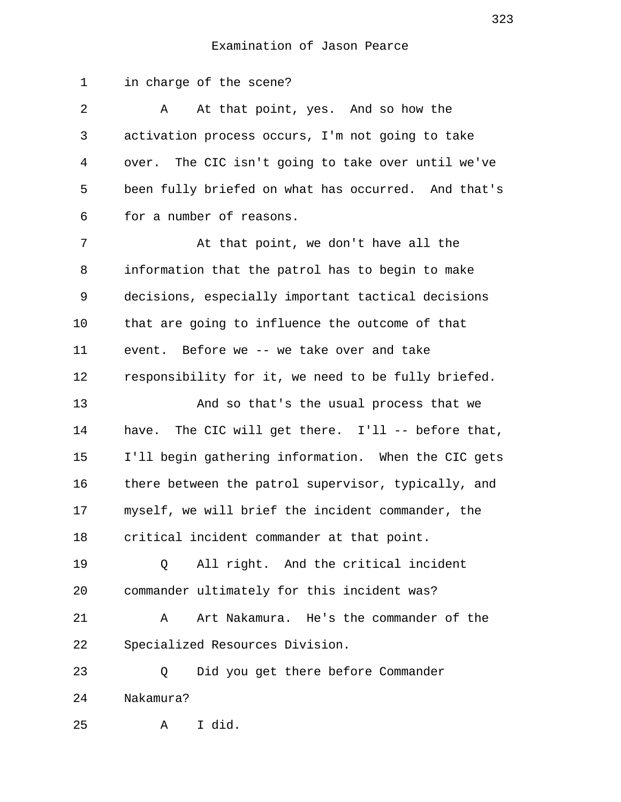1 in charge of the scene? 2 A At that point, yes. And so how the 3 activation process occurs, I'm not going to take 4 over. The CIC isn't going to take over until we've 5 been fully briefed on what has occurred. And that's 6 for a number of reasons. 7 At that point, we don't have all the 8 information that the patrol has to begin to make 9 decisions, especially important tactical decisions 10 that are going to influence the outcome of that 11 event. Before we -- we take over and take 12 responsibility for it, we need to be fully briefed. 13 And so that's the usual process that we 14 have. The CIC will get there. I'll -- before that, 15 I'll begin gathering information. When the CIC gets 16 there between the patrol supervisor, typically, and 17 myself, we will brief the incident commander, the 18 critical incident commander at that point. 19 Q All right. And the critical incident 20 commander ultimately for this incident was? 21 A Art Nakamura. He's the commander of the 22 Specialized Resources Division. 23 Q Did you get there before Commander 24 Nakamura? 25 A I did.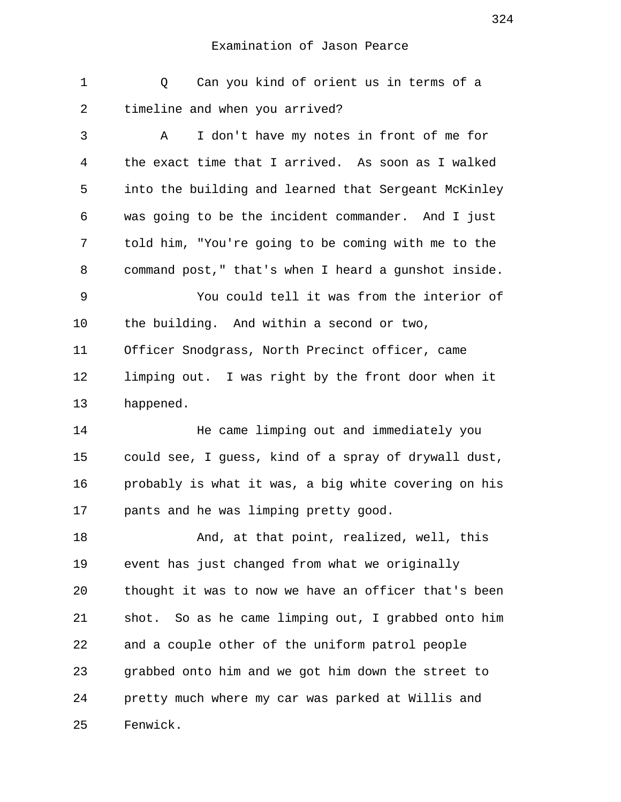1 a Can you kind of orient us in terms of a 2 timeline and when you arrived?

 3 A I don't have my notes in front of me for 4 the exact time that I arrived. As soon as I walked 5 into the building and learned that Sergeant McKinley 6 was going to be the incident commander. And I just 7 told him, "You're going to be coming with me to the 8 command post," that's when I heard a gunshot inside. 9 You could tell it was from the interior of 10 the building. And within a second or two,

11 Officer Snodgrass, North Precinct officer, came 12 limping out. I was right by the front door when it 13 happened.

14 He came limping out and immediately you 15 could see, I guess, kind of a spray of drywall dust, 16 probably is what it was, a big white covering on his 17 pants and he was limping pretty good.

18 And, at that point, realized, well, this 19 event has just changed from what we originally 20 thought it was to now we have an officer that's been 21 shot. So as he came limping out, I grabbed onto him 22 and a couple other of the uniform patrol people 23 grabbed onto him and we got him down the street to 24 pretty much where my car was parked at Willis and 25 Fenwick.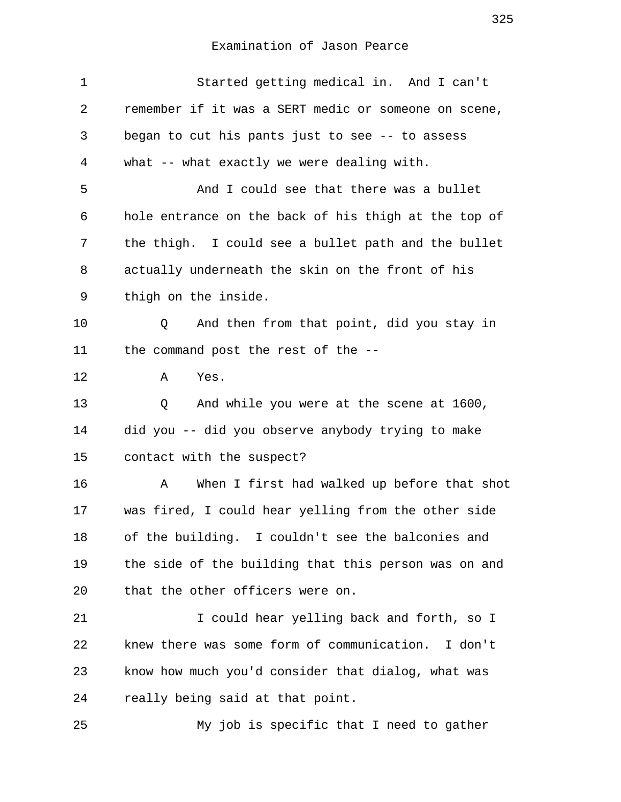| 1  | Started getting medical in. And I can't              |
|----|------------------------------------------------------|
| 2  | remember if it was a SERT medic or someone on scene, |
| 3  | began to cut his pants just to see -- to assess      |
| 4  | what -- what exactly we were dealing with.           |
| 5  | And I could see that there was a bullet              |
| 6  | hole entrance on the back of his thigh at the top of |
| 7  | the thigh. I could see a bullet path and the bullet  |
| 8  | actually underneath the skin on the front of his     |
| 9  | thigh on the inside.                                 |
| 10 | And then from that point, did you stay in<br>Q       |
| 11 | the command post the rest of the --                  |
| 12 | Yes.<br>Α                                            |
| 13 | And while you were at the scene at 1600,<br>Q        |
| 14 | did you -- did you observe anybody trying to make    |
| 15 | contact with the suspect?                            |
| 16 | When I first had walked up before that shot<br>Α     |
| 17 | was fired, I could hear yelling from the other side  |
| 18 | of the building. I couldn't see the balconies and    |
| 19 | the side of the building that this person was on and |
| 20 | that the other officers were on.                     |
| 21 | I could hear yelling back and forth, so I            |
| 22 | knew there was some form of communication. I don't   |
| 23 | know how much you'd consider that dialog, what was   |
| 24 | really being said at that point.                     |
| 25 | My job is specific that I need to gather             |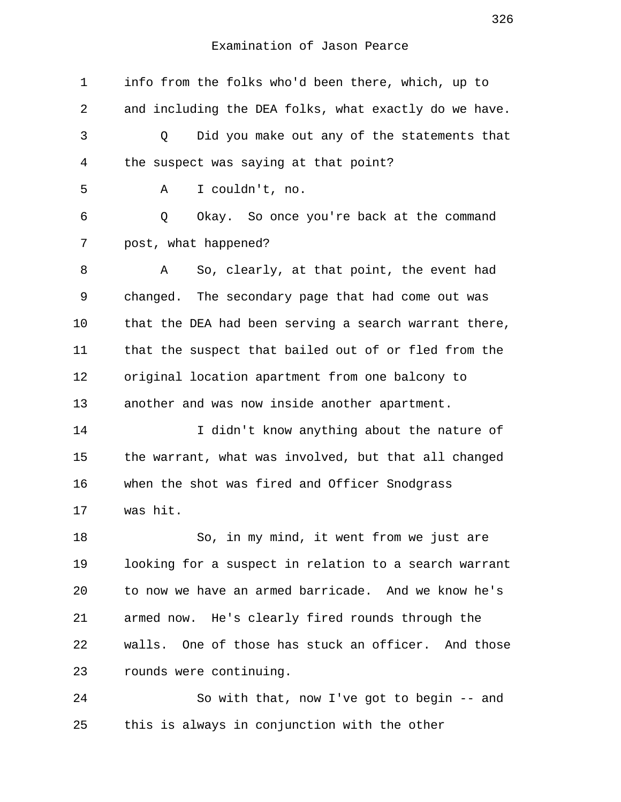1 info from the folks who'd been there, which, up to 2 and including the DEA folks, what exactly do we have. 3 Q Did you make out any of the statements that 4 the suspect was saying at that point? 5 A I couldn't, no. 6 Q Okay. So once you're back at the command 7 post, what happened? 8 A So, clearly, at that point, the event had 9 changed. The secondary page that had come out was 10 that the DEA had been serving a search warrant there, 11 that the suspect that bailed out of or fled from the 12 original location apartment from one balcony to 13 another and was now inside another apartment. 14 I didn't know anything about the nature of 15 the warrant, what was involved, but that all changed 16 when the shot was fired and Officer Snodgrass 17 was hit. 18 So, in my mind, it went from we just are 19 looking for a suspect in relation to a search warrant 20 to now we have an armed barricade. And we know he's 21 armed now. He's clearly fired rounds through the 22 walls. One of those has stuck an officer. And those 23 rounds were continuing. 24 So with that, now I've got to begin -- and

25 this is always in conjunction with the other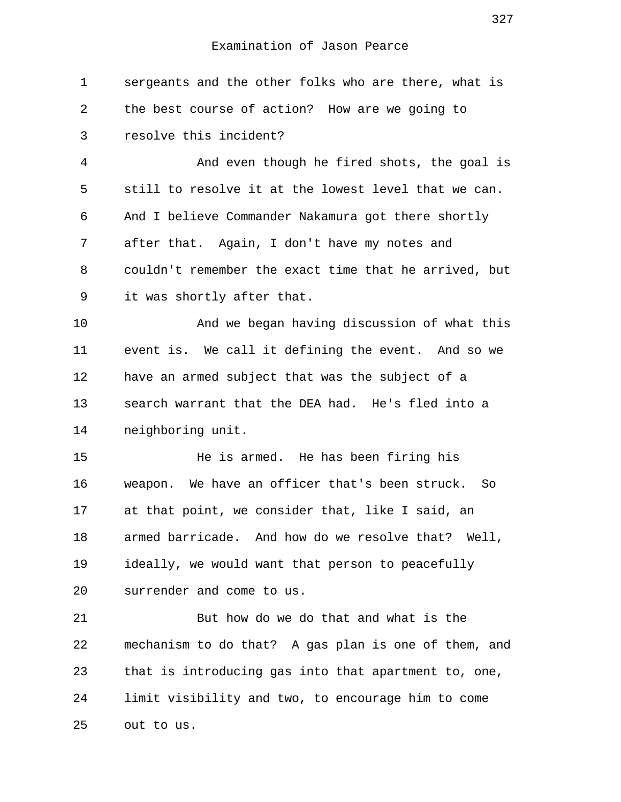1 sergeants and the other folks who are there, what is 2 the best course of action? How are we going to 3 resolve this incident? 4 And even though he fired shots, the goal is 5 still to resolve it at the lowest level that we can. 6 And I believe Commander Nakamura got there shortly 7 after that. Again, I don't have my notes and 8 couldn't remember the exact time that he arrived, but 9 it was shortly after that. 10 And we began having discussion of what this 11 event is. We call it defining the event. And so we 12 have an armed subject that was the subject of a 13 search warrant that the DEA had. He's fled into a 14 neighboring unit. 15 He is armed. He has been firing his 16 weapon. We have an officer that's been struck. So 17 at that point, we consider that, like I said, an 18 armed barricade. And how do we resolve that? Well, 19 ideally, we would want that person to peacefully 20 surrender and come to us. 21 But how do we do that and what is the 22 mechanism to do that? A gas plan is one of them, and 23 that is introducing gas into that apartment to, one, 24 limit visibility and two, to encourage him to come 25 out to us.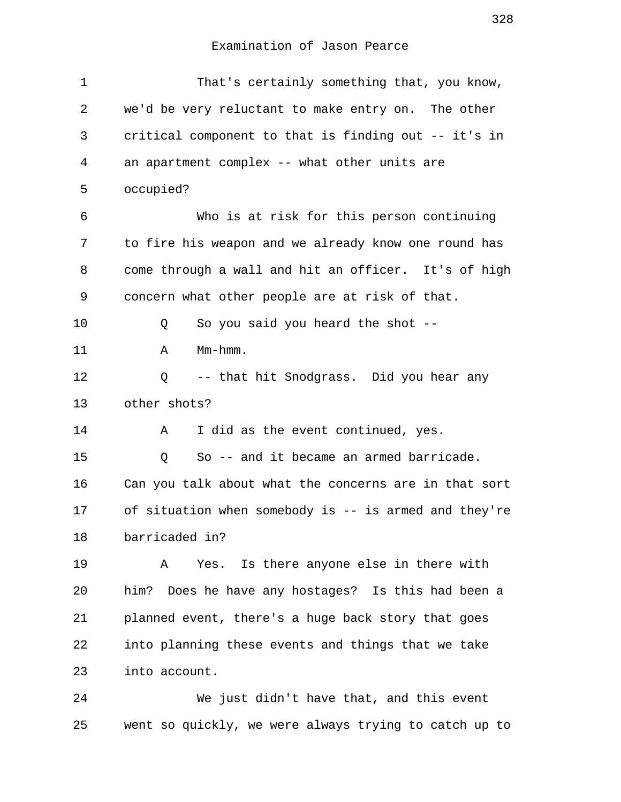| 1  | That's certainly something that, you know,            |
|----|-------------------------------------------------------|
| 2  | we'd be very reluctant to make entry on. The other    |
| 3  | critical component to that is finding out -- it's in  |
| 4  | an apartment complex -- what other units are          |
| 5  | occupied?                                             |
| 6  | Who is at risk for this person continuing             |
| 7  | to fire his weapon and we already know one round has  |
| 8  | come through a wall and hit an officer. It's of high  |
| 9  | concern what other people are at risk of that.        |
| 10 | So you said you heard the shot --<br>Q                |
| 11 | Mm-hmm.<br>Α                                          |
| 12 | -- that hit Snodgrass. Did you hear any<br>Q          |
| 13 | other shots?                                          |
| 14 | I did as the event continued, yes.<br>Α               |
| 15 | So -- and it became an armed barricade.<br>Q          |
| 16 | Can you talk about what the concerns are in that sort |
| 17 | of situation when somebody is -- is armed and they're |
| 18 | barricaded in?                                        |
| 19 | Yes. Is there anyone else in there with<br>A          |
| 20 | him? Does he have any hostages? Is this had been a    |
| 21 | planned event, there's a huge back story that goes    |
| 22 | into planning these events and things that we take    |
| 23 | into account.                                         |
|    |                                                       |

24 We just didn't have that, and this event 25 went so quickly, we were always trying to catch up to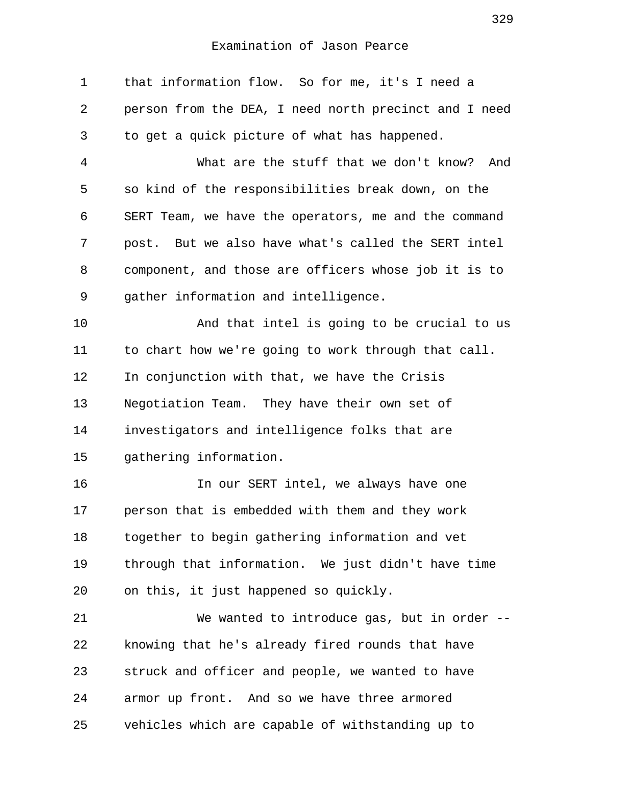1 that information flow. So for me, it's I need a 2 person from the DEA, I need north precinct and I need 3 to get a quick picture of what has happened. 4 What are the stuff that we don't know? And 5 so kind of the responsibilities break down, on the 6 SERT Team, we have the operators, me and the command 7 post. But we also have what's called the SERT intel 8 component, and those are officers whose job it is to 9 gather information and intelligence. 10 And that intel is going to be crucial to us 11 to chart how we're going to work through that call. 12 In conjunction with that, we have the Crisis 13 Negotiation Team. They have their own set of 14 investigators and intelligence folks that are 15 gathering information. 16 In our SERT intel, we always have one 17 person that is embedded with them and they work 18 together to begin gathering information and vet 19 through that information. We just didn't have time 20 on this, it just happened so quickly. 21 We wanted to introduce gas, but in order -- 22 knowing that he's already fired rounds that have 23 struck and officer and people, we wanted to have 24 armor up front. And so we have three armored 25 vehicles which are capable of withstanding up to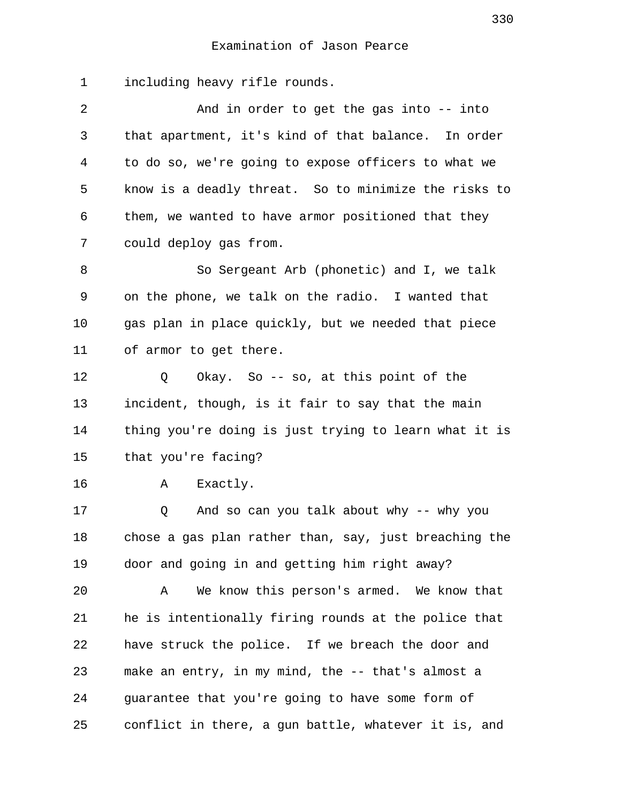1 including heavy rifle rounds.

 2 And in order to get the gas into -- into 3 that apartment, it's kind of that balance. In order 4 to do so, we're going to expose officers to what we 5 know is a deadly threat. So to minimize the risks to 6 them, we wanted to have armor positioned that they 7 could deploy gas from.

 8 So Sergeant Arb (phonetic) and I, we talk 9 on the phone, we talk on the radio. I wanted that 10 gas plan in place quickly, but we needed that piece 11 of armor to get there.

12 Q Okay. So -- so, at this point of the 13 incident, though, is it fair to say that the main 14 thing you're doing is just trying to learn what it is 15 that you're facing?

16 A Exactly.

17 Q And so can you talk about why -- why you 18 chose a gas plan rather than, say, just breaching the 19 door and going in and getting him right away?

20 A We know this person's armed. We know that 21 he is intentionally firing rounds at the police that 22 have struck the police. If we breach the door and 23 make an entry, in my mind, the -- that's almost a 24 guarantee that you're going to have some form of 25 conflict in there, a gun battle, whatever it is, and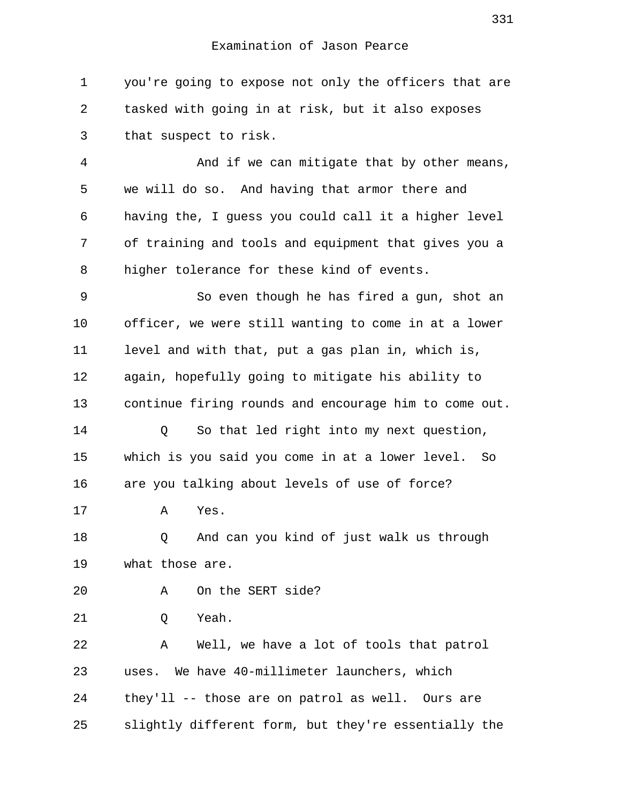1 you're going to expose not only the officers that are 2 tasked with going in at risk, but it also exposes 3 that suspect to risk.

 4 And if we can mitigate that by other means, 5 we will do so. And having that armor there and 6 having the, I guess you could call it a higher level 7 of training and tools and equipment that gives you a 8 higher tolerance for these kind of events.

 9 So even though he has fired a gun, shot an 10 officer, we were still wanting to come in at a lower 11 level and with that, put a gas plan in, which is, 12 again, hopefully going to mitigate his ability to 13 continue firing rounds and encourage him to come out.

14 Q So that led right into my next question, 15 which is you said you come in at a lower level. So 16 are you talking about levels of use of force?

17 A Yes.

18 Q And can you kind of just walk us through 19 what those are.

20 A On the SERT side?

21 Q Yeah.

22 A Well, we have a lot of tools that patrol 23 uses. We have 40-millimeter launchers, which 24 they'll -- those are on patrol as well. Ours are 25 slightly different form, but they're essentially the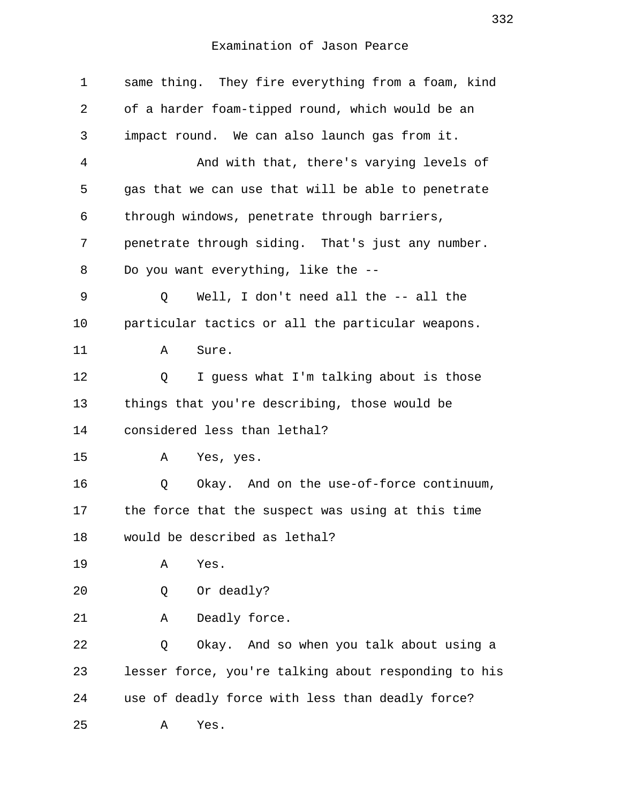| $\mathbf 1$ | same thing. They fire everything from a foam, kind   |
|-------------|------------------------------------------------------|
| 2           | of a harder foam-tipped round, which would be an     |
| 3           | impact round. We can also launch gas from it.        |
| 4           | And with that, there's varying levels of             |
| 5           | gas that we can use that will be able to penetrate   |
| 6           | through windows, penetrate through barriers,         |
| 7           | penetrate through siding. That's just any number.    |
| 8           | Do you want everything, like the --                  |
| 9           | Well, I don't need all the -- all the<br>Q           |
| 10          | particular tactics or all the particular weapons.    |
| 11          | Sure.<br>Α                                           |
| 12          | I guess what I'm talking about is those<br>Q         |
| 13          | things that you're describing, those would be        |
| 14          | considered less than lethal?                         |
| 15          | Yes, yes.<br>А                                       |
| 16          | Okay. And on the use-of-force continuum,<br>Q        |
| 17          | the force that the suspect was using at this time    |
| 18          | would be described as lethal?                        |
| 19          | Yes.<br>Α                                            |
| 20          | Or deadly?<br>Q                                      |
| 21          | Deadly force.<br>Α                                   |
| 22          | Okay. And so when you talk about using a<br>Q        |
| 23          | lesser force, you're talking about responding to his |
| 24          | use of deadly force with less than deadly force?     |
| 25          | Yes.<br>Α                                            |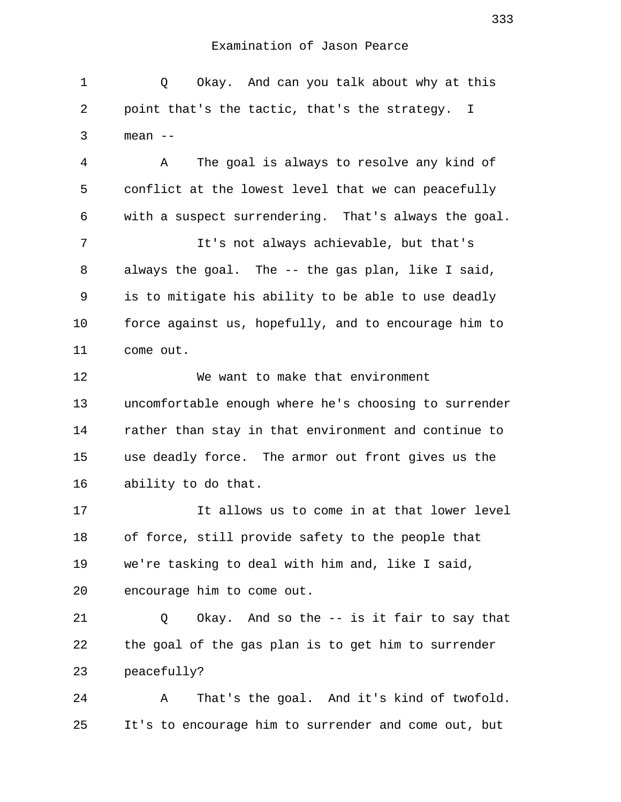| $\mathbf 1$ | Okay. And can you talk about why at this<br>Q         |
|-------------|-------------------------------------------------------|
| 2           | point that's the tactic, that's the strategy. I       |
| 3           | mean --                                               |
| 4           | The goal is always to resolve any kind of<br>Α        |
| 5           | conflict at the lowest level that we can peacefully   |
| 6           | with a suspect surrendering. That's always the goal.  |
| 7           | It's not always achievable, but that's                |
| 8           | always the goal. The -- the gas plan, like I said,    |
| 9           | is to mitigate his ability to be able to use deadly   |
| 10          | force against us, hopefully, and to encourage him to  |
| 11          | come out.                                             |
| 12          | We want to make that environment                      |
| 13          | uncomfortable enough where he's choosing to surrender |
| 14          | rather than stay in that environment and continue to  |
| 15          | use deadly force. The armor out front gives us the    |
| 16          | ability to do that.                                   |
| 17          | It allows us to come in at that lower level           |
| 18          | of force, still provide safety to the people that     |
| 19          | we're tasking to deal with him and, like I said,      |
| 20          | encourage him to come out.                            |
| 21          | Okay. And so the -- is it fair to say that<br>Q       |
| 22          | the goal of the gas plan is to get him to surrender   |
| 23          | peacefully?                                           |
| 24          | That's the goal. And it's kind of twofold.<br>Α       |
| 25          | It's to encourage him to surrender and come out, but  |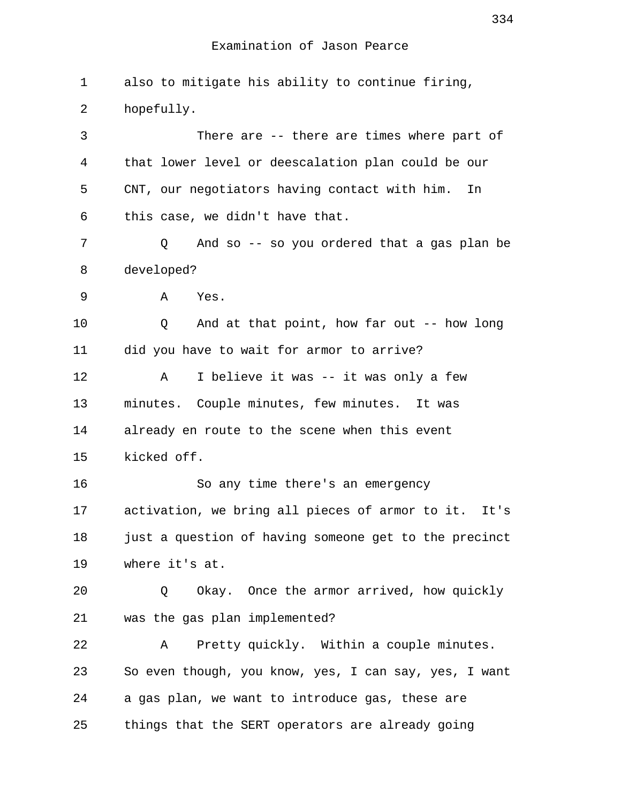1 also to mitigate his ability to continue firing, 2 hopefully. 3 There are -- there are times where part of 4 that lower level or deescalation plan could be our 5 CNT, our negotiators having contact with him. In 6 this case, we didn't have that. 7 Q And so -- so you ordered that a gas plan be 8 developed? 9 A Yes. 10 Q And at that point, how far out -- how long 11 did you have to wait for armor to arrive? 12 A I believe it was -- it was only a few 13 minutes. Couple minutes, few minutes. It was 14 already en route to the scene when this event 15 kicked off. 16 So any time there's an emergency 17 activation, we bring all pieces of armor to it. It's 18 just a question of having someone get to the precinct 19 where it's at. 20 Q Okay. Once the armor arrived, how quickly 21 was the gas plan implemented? 22 A Pretty quickly. Within a couple minutes. 23 So even though, you know, yes, I can say, yes, I want 24 a gas plan, we want to introduce gas, these are 25 things that the SERT operators are already going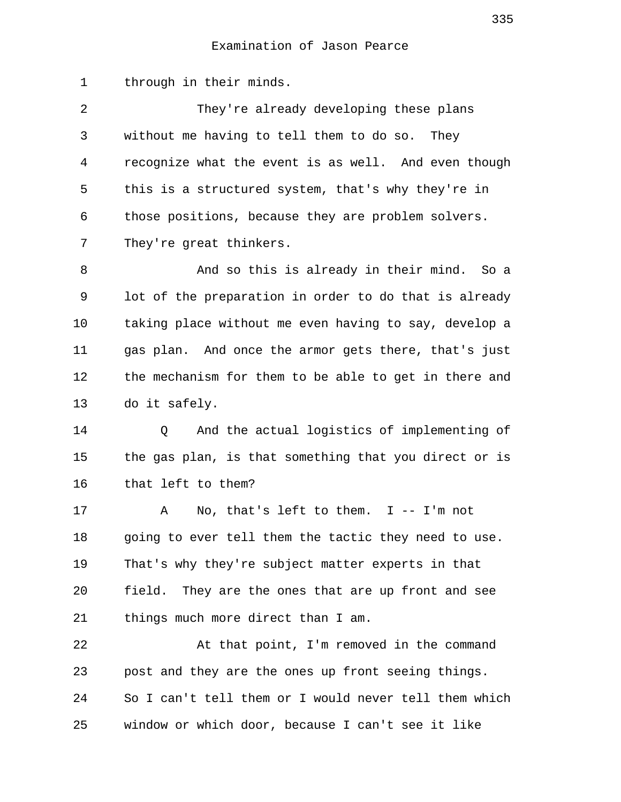1 through in their minds.

 2 They're already developing these plans 3 without me having to tell them to do so. They 4 recognize what the event is as well. And even though 5 this is a structured system, that's why they're in 6 those positions, because they are problem solvers. 7 They're great thinkers.

 8 And so this is already in their mind. So a 9 lot of the preparation in order to do that is already 10 taking place without me even having to say, develop a 11 gas plan. And once the armor gets there, that's just 12 the mechanism for them to be able to get in there and 13 do it safely.

14 Q And the actual logistics of implementing of 15 the gas plan, is that something that you direct or is 16 that left to them?

17 A No, that's left to them. I -- I'm not 18 going to ever tell them the tactic they need to use. 19 That's why they're subject matter experts in that 20 field. They are the ones that are up front and see 21 things much more direct than I am.

22 At that point, I'm removed in the command 23 post and they are the ones up front seeing things. 24 So I can't tell them or I would never tell them which 25 window or which door, because I can't see it like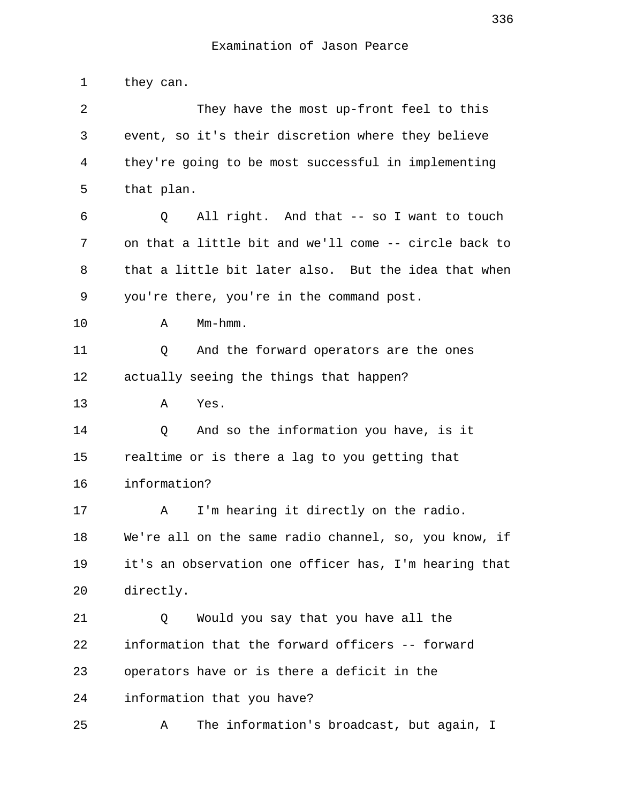1 they can.

| 2  | They have the most up-front feel to this              |
|----|-------------------------------------------------------|
| 3  | event, so it's their discretion where they believe    |
| 4  | they're going to be most successful in implementing   |
| 5  | that plan.                                            |
| 6  | All right. And that -- so I want to touch<br>Q        |
| 7  | on that a little bit and we'll come -- circle back to |
| 8  | that a little bit later also. But the idea that when  |
| 9  | you're there, you're in the command post.             |
| 10 | Mm-hmm.<br>Α                                          |
| 11 | And the forward operators are the ones<br>Q           |
| 12 | actually seeing the things that happen?               |
| 13 | Yes.<br>Α                                             |
| 14 | And so the information you have, is it<br>Q           |
| 15 | realtime or is there a lag to you getting that        |
| 16 | information?                                          |
| 17 | I'm hearing it directly on the radio.<br>A            |
| 18 | We're all on the same radio channel, so, you know, if |
| 19 | it's an observation one officer has, I'm hearing that |
| 20 | directly.                                             |
| 21 | Would you say that you have all the<br>Q              |
| 22 | information that the forward officers -- forward      |
| 23 | operators have or is there a deficit in the           |
| 24 | information that you have?                            |
| 25 | The information's broadcast, but again, I<br>Α        |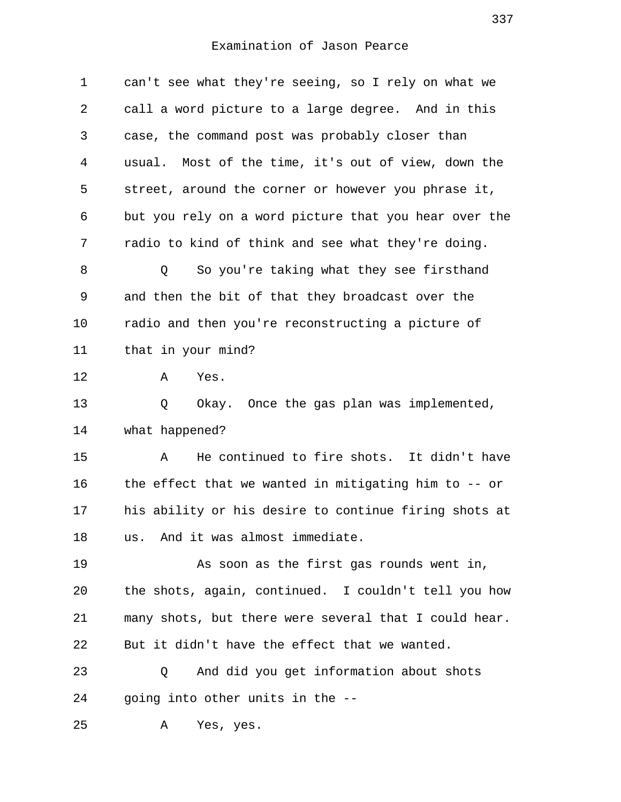| 1  | can't see what they're seeing, so I rely on what we     |
|----|---------------------------------------------------------|
| 2  | call a word picture to a large degree. And in this      |
| 3  | case, the command post was probably closer than         |
| 4  | usual. Most of the time, it's out of view, down the     |
| 5  | street, around the corner or however you phrase it,     |
| 6  | but you rely on a word picture that you hear over the   |
| 7  | radio to kind of think and see what they're doing.      |
| 8  | So you're taking what they see firsthand<br>Q           |
| 9  | and then the bit of that they broadcast over the        |
| 10 | radio and then you're reconstructing a picture of       |
| 11 | that in your mind?                                      |
| 12 | Yes.<br>Α                                               |
| 13 | Okay. Once the gas plan was implemented,<br>Q           |
| 14 | what happened?                                          |
| 15 | He continued to fire shots. It didn't have<br>Α         |
| 16 | the effect that we wanted in mitigating him to $-$ - or |
| 17 | his ability or his desire to continue firing shots at   |
| 18 | And it was almost immediate.<br>us.                     |
| 19 | As soon as the first gas rounds went in,                |
| 20 | the shots, again, continued. I couldn't tell you how    |
| 21 | many shots, but there were several that I could hear.   |
| 22 | But it didn't have the effect that we wanted.           |
| 23 | And did you get information about shots<br>Q            |
| 24 | going into other units in the --                        |
| 25 | Yes, yes.<br>Α                                          |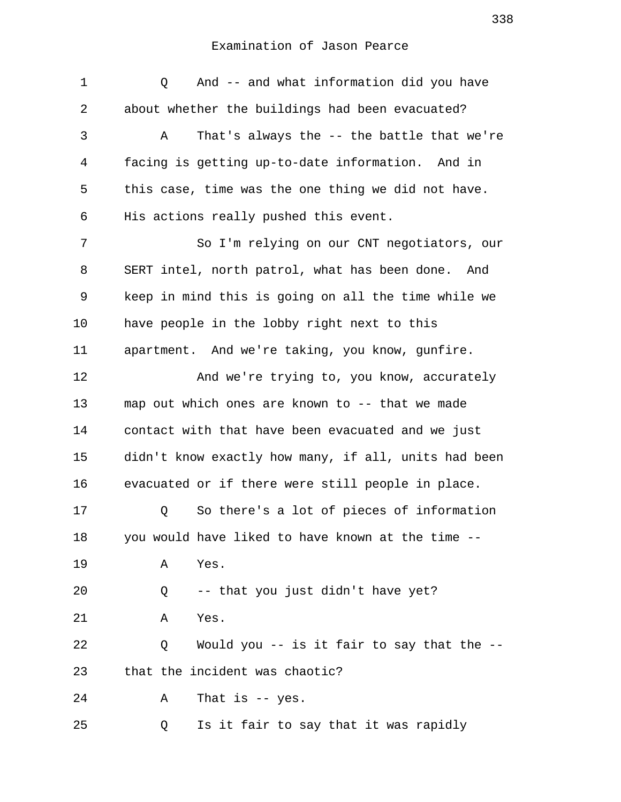| 1  | And -- and what information did you have<br>Q        |
|----|------------------------------------------------------|
| 2  | about whether the buildings had been evacuated?      |
| 3  | That's always the -- the battle that we're<br>Α      |
| 4  | facing is getting up-to-date information. And in     |
| 5  | this case, time was the one thing we did not have.   |
| 6  | His actions really pushed this event.                |
| 7  | So I'm relying on our CNT negotiators, our           |
| 8  | SERT intel, north patrol, what has been done. And    |
| 9  | keep in mind this is going on all the time while we  |
| 10 | have people in the lobby right next to this          |
| 11 | apartment. And we're taking, you know, gunfire.      |
| 12 | And we're trying to, you know, accurately            |
| 13 | map out which ones are known to -- that we made      |
| 14 | contact with that have been evacuated and we just    |
| 15 | didn't know exactly how many, if all, units had been |
| 16 | evacuated or if there were still people in place.    |
| 17 | So there's a lot of pieces of information<br>Q       |
| 18 | you would have liked to have known at the time --    |
| 19 | Yes.<br>Α                                            |
| 20 | -- that you just didn't have yet?<br>Q               |
| 21 | Yes.<br>Α                                            |
| 22 | Would you -- is it fair to say that the --<br>Q      |
| 23 | that the incident was chaotic?                       |
| 24 | That is $-$ yes.<br>Α                                |
| 25 | Is it fair to say that it was rapidly<br>Q           |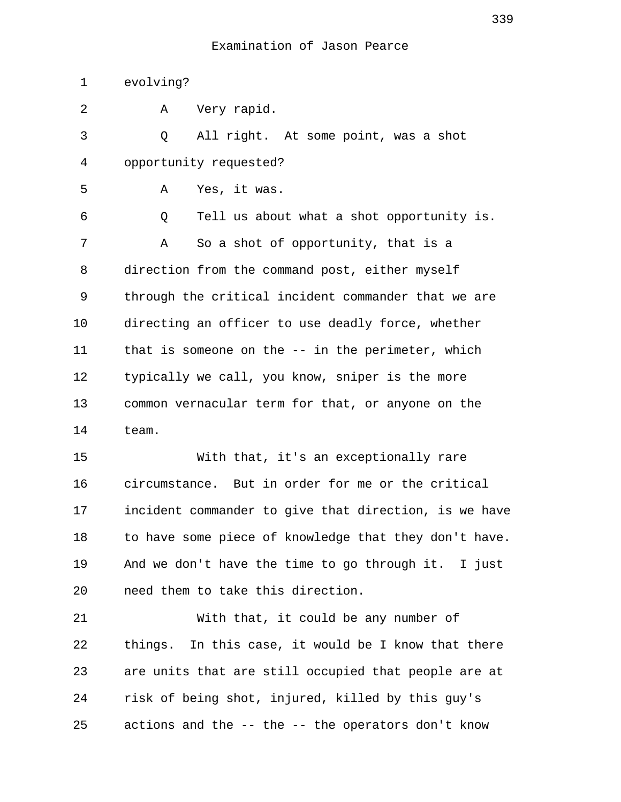1 evolving? 2 A Very rapid. 3 Q All right. At some point, was a shot 4 opportunity requested? 5 A Yes, it was. 6 Q Tell us about what a shot opportunity is. 7 A So a shot of opportunity, that is a 8 direction from the command post, either myself 9 through the critical incident commander that we are 10 directing an officer to use deadly force, whether 11 that is someone on the -- in the perimeter, which 12 typically we call, you know, sniper is the more 13 common vernacular term for that, or anyone on the 14 team. 15 With that, it's an exceptionally rare 16 circumstance. But in order for me or the critical 17 incident commander to give that direction, is we have 18 to have some piece of knowledge that they don't have. 19 And we don't have the time to go through it. I just 20 need them to take this direction. 21 With that, it could be any number of 22 things. In this case, it would be I know that there 23 are units that are still occupied that people are at 24 risk of being shot, injured, killed by this guy's 25 actions and the -- the -- the operators don't know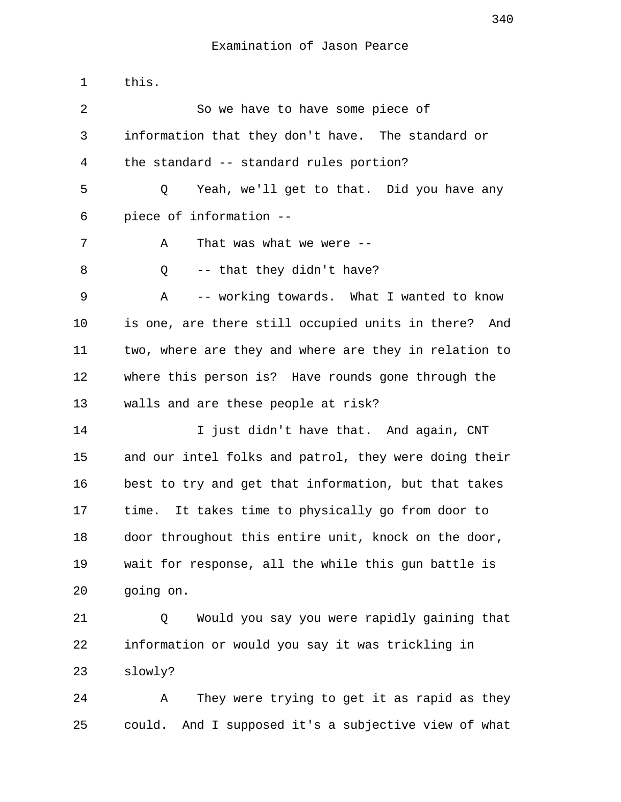| $\mathbf 1$ | this.                                                   |
|-------------|---------------------------------------------------------|
| 2           | So we have to have some piece of                        |
| 3           | information that they don't have. The standard or       |
| 4           | the standard -- standard rules portion?                 |
| 5           | Yeah, we'll get to that. Did you have any<br>Q          |
| 6           | piece of information --                                 |
| 7           | That was what we were --<br>Α                           |
| 8           | -- that they didn't have?<br>Q                          |
| 9           | -- working towards. What I wanted to know<br>A          |
| 10          | is one, are there still occupied units in there?<br>And |
| 11          | two, where are they and where are they in relation to   |
| 12          | where this person is? Have rounds gone through the      |
| 13          | walls and are these people at risk?                     |
| 14          | I just didn't have that. And again, CNT                 |
| 15          | and our intel folks and patrol, they were doing their   |
| 16          | best to try and get that information, but that takes    |
| 17          | It takes time to physically go from door to<br>time.    |
| 18          | door throughout this entire unit, knock on the door,    |
| 19          | wait for response, all the while this gun battle is     |
| 20          | going on.                                               |
| 21          | Would you say you were rapidly gaining that<br>Q        |
| 22          | information or would you say it was trickling in        |
| 23          | slowly?                                                 |
| 24          | They were trying to get it as rapid as they<br>Α        |
| 25          | And I supposed it's a subjective view of what<br>could. |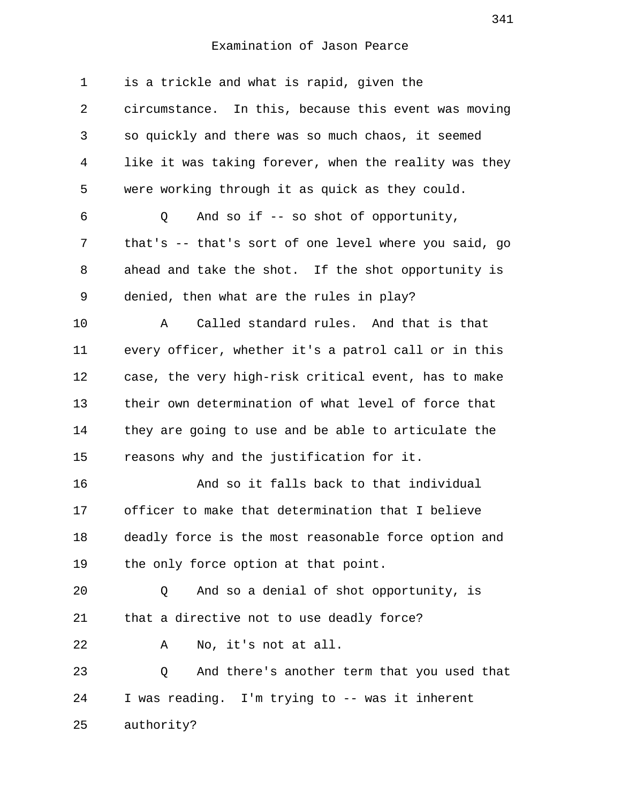| 1              | is a trickle and what is rapid, given the             |
|----------------|-------------------------------------------------------|
| 2              | circumstance. In this, because this event was moving  |
| 3              | so quickly and there was so much chaos, it seemed     |
| $\overline{4}$ | like it was taking forever, when the reality was they |
| 5              | were working through it as quick as they could.       |
| 6              | And so if $-$ so shot of opportunity,<br>Q            |
| 7              | that's -- that's sort of one level where you said, go |
| 8              | ahead and take the shot. If the shot opportunity is   |
| 9              | denied, then what are the rules in play?              |
| 10             | Called standard rules. And that is that<br>Α          |
| 11             | every officer, whether it's a patrol call or in this  |
| 12             | case, the very high-risk critical event, has to make  |
| 13             | their own determination of what level of force that   |
| 14             | they are going to use and be able to articulate the   |
| 15             | reasons why and the justification for it.             |
| 16             | And so it falls back to that individual               |
| 17             | officer to make that determination that I believe     |
| 18             | deadly force is the most reasonable force option and  |
| 19             | the only force option at that point.                  |
| 20             | And so a denial of shot opportunity, is<br>Q          |
| 21             | that a directive not to use deadly force?             |
| 22             | No, it's not at all.<br>Α                             |
| 23             | And there's another term that you used that<br>Q      |
| 24             | I was reading. I'm trying to -- was it inherent       |
| 25             | authority?                                            |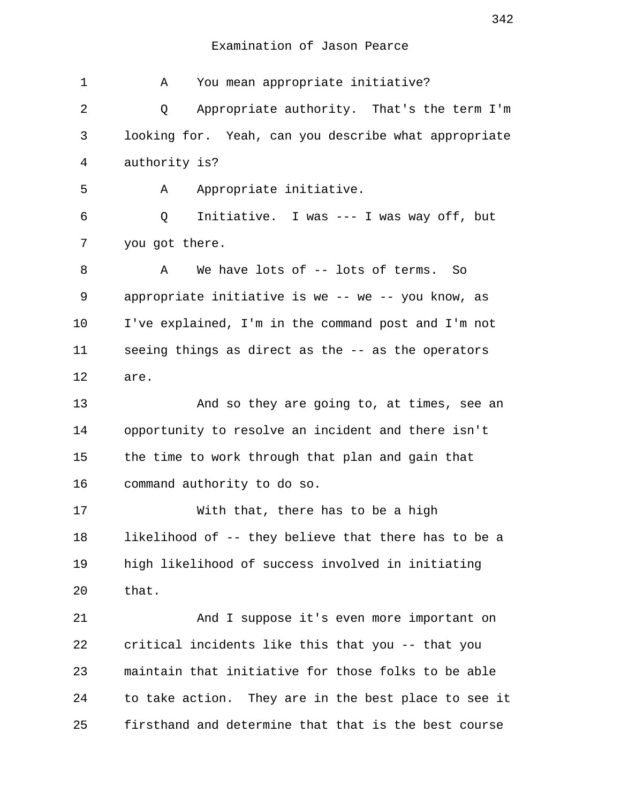1 A You mean appropriate initiative? 2 Q Appropriate authority. That's the term I'm 3 looking for. Yeah, can you describe what appropriate 4 authority is? 5 A Appropriate initiative. 6 Q Initiative. I was --- I was way off, but 7 you got there. 8 A We have lots of -- lots of terms. So 9 appropriate initiative is we -- we -- you know, as 10 I've explained, I'm in the command post and I'm not 11 seeing things as direct as the -- as the operators 12 are. 13 And so they are going to, at times, see an 14 opportunity to resolve an incident and there isn't 15 the time to work through that plan and gain that 16 command authority to do so. 17 With that, there has to be a high 18 likelihood of -- they believe that there has to be a 19 high likelihood of success involved in initiating 20 that. 21 And I suppose it's even more important on 22 critical incidents like this that you -- that you 23 maintain that initiative for those folks to be able 24 to take action. They are in the best place to see it 25 firsthand and determine that that is the best course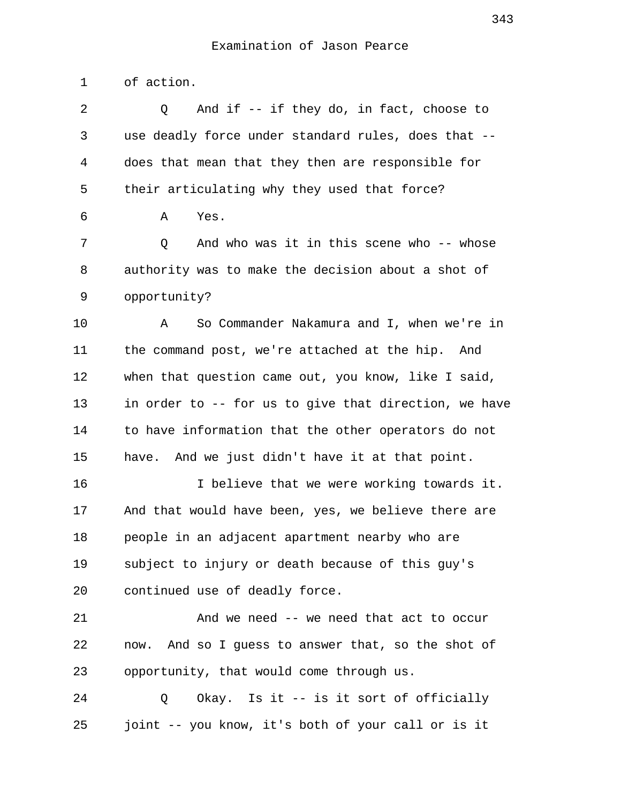1 of action. 2 Q And if -- if they do, in fact, choose to 3 use deadly force under standard rules, does that --

 5 their articulating why they used that force? 6 A Yes.

4 does that mean that they then are responsible for

 7 Q And who was it in this scene who -- whose 8 authority was to make the decision about a shot of 9 opportunity?

10 A So Commander Nakamura and I, when we're in 11 the command post, we're attached at the hip. And 12 when that question came out, you know, like I said, 13 in order to -- for us to give that direction, we have 14 to have information that the other operators do not 15 have. And we just didn't have it at that point.

16 16 I believe that we were working towards it. 17 And that would have been, yes, we believe there are 18 people in an adjacent apartment nearby who are 19 subject to injury or death because of this guy's 20 continued use of deadly force.

21 And we need -- we need that act to occur 22 now. And so I guess to answer that, so the shot of 23 opportunity, that would come through us.

24 0 Okay. Is it -- is it sort of officially 25 joint -- you know, it's both of your call or is it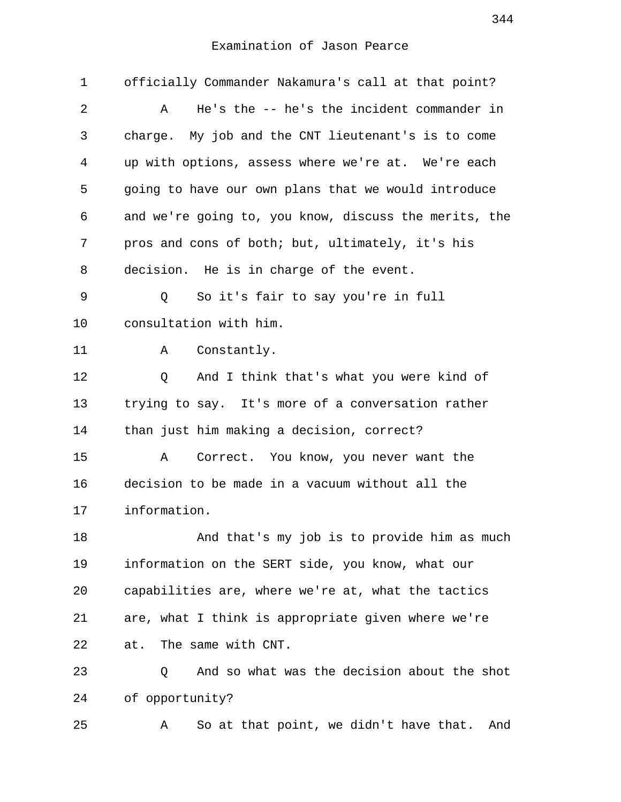| 1  | officially Commander Nakamura's call at that point?   |
|----|-------------------------------------------------------|
| 2  | He's the -- he's the incident commander in<br>Α       |
| 3  | charge. My job and the CNT lieutenant's is to come    |
| 4  | up with options, assess where we're at. We're each    |
| 5  | going to have our own plans that we would introduce   |
| 6  | and we're going to, you know, discuss the merits, the |
| 7  | pros and cons of both; but, ultimately, it's his      |
| 8  | decision. He is in charge of the event.               |
| 9  | So it's fair to say you're in full<br>Q               |
| 10 | consultation with him.                                |
| 11 | Constantly.<br>Α                                      |
| 12 | Q<br>And I think that's what you were kind of         |
| 13 | trying to say. It's more of a conversation rather     |
| 14 | than just him making a decision, correct?             |
| 15 | Α<br>Correct. You know, you never want the            |
| 16 | decision to be made in a vacuum without all the       |
| 17 | information.                                          |
| 18 | And that's my job is to provide him as much           |
| 19 | information on the SERT side, you know, what our      |
| 20 | capabilities are, where we're at, what the tactics    |
| 21 | are, what I think is appropriate given where we're    |
| 22 | The same with CNT.<br>at.                             |
| 23 | And so what was the decision about the shot<br>Q      |
| 24 | of opportunity?                                       |
| 25 | So at that point, we didn't have that.<br>And<br>Α    |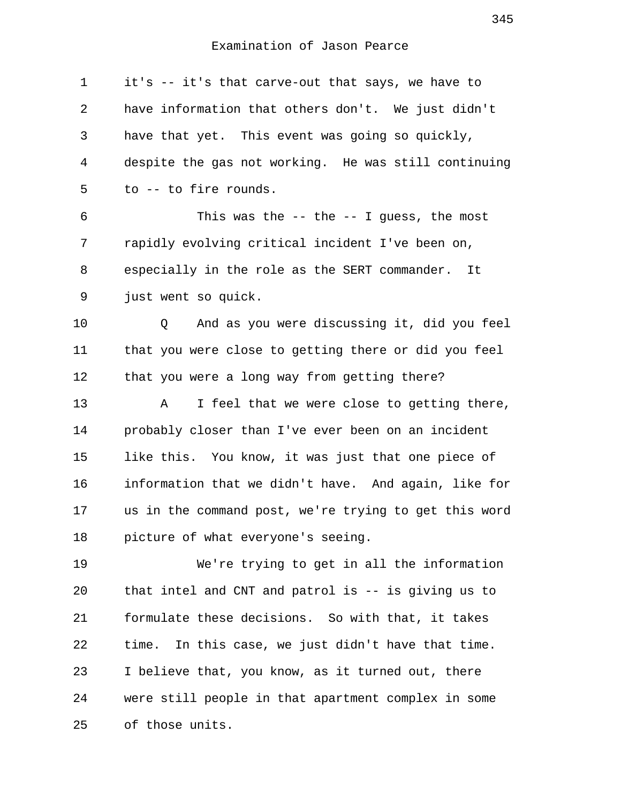| $\mathbf 1$ | it's -- it's that carve-out that says, we have to     |
|-------------|-------------------------------------------------------|
| 2           | have information that others don't. We just didn't    |
| 3           | have that yet. This event was going so quickly,       |
| 4           | despite the gas not working. He was still continuing  |
| 5           | to -- to fire rounds.                                 |
| 6           | This was the $-$ - the $-$ - I guess, the most        |
| 7           | rapidly evolving critical incident I've been on,      |
| 8           | especially in the role as the SERT commander.<br>It   |
| 9           | just went so quick.                                   |
| 10          | And as you were discussing it, did you feel<br>Q      |
| 11          | that you were close to getting there or did you feel  |
| 12          | that you were a long way from getting there?          |
| 13          | Α<br>I feel that we were close to getting there,      |
| 14          | probably closer than I've ever been on an incident    |
| 15          | like this. You know, it was just that one piece of    |
| 16          | information that we didn't have. And again, like for  |
| 17          | us in the command post, we're trying to get this word |
| 18          | picture of what everyone's seeing.                    |
| 19          | We're trying to get in all the information            |
| 20          | that intel and CNT and patrol is -- is giving us to   |
| 21          | formulate these decisions. So with that, it takes     |
| 22          | In this case, we just didn't have that time.<br>time. |
| 23          | I believe that, you know, as it turned out, there     |
| 24          | were still people in that apartment complex in some   |
| 25          | of those units.                                       |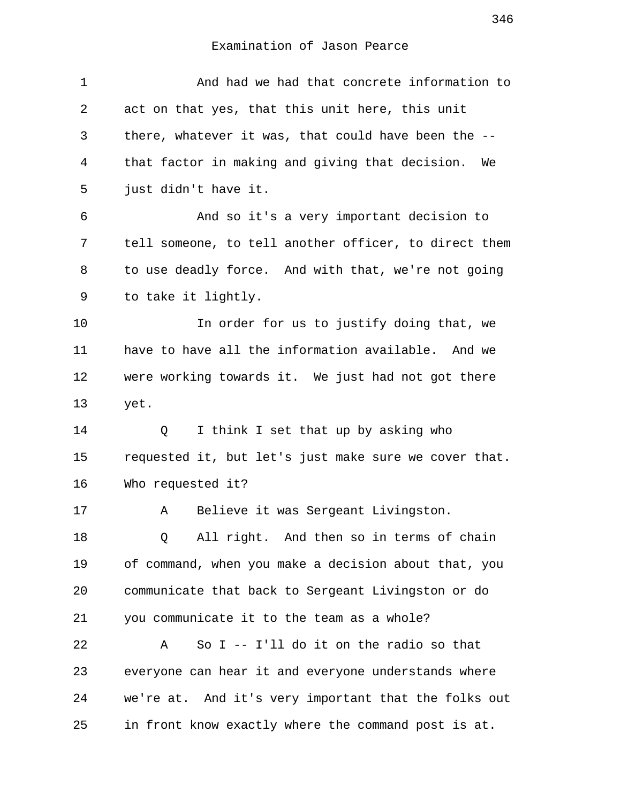| $\mathbf 1$ | And had we had that concrete information to           |
|-------------|-------------------------------------------------------|
| 2           | act on that yes, that this unit here, this unit       |
| 3           | there, whatever it was, that could have been the --   |
| 4           | that factor in making and giving that decision.<br>We |
| 5           | just didn't have it.                                  |
| 6           | And so it's a very important decision to              |
| 7           | tell someone, to tell another officer, to direct them |
| 8           | to use deadly force. And with that, we're not going   |
| 9           | to take it lightly.                                   |
| 10          | In order for us to justify doing that, we             |
| 11          | have to have all the information available. And we    |
| 12          | were working towards it. We just had not got there    |
| 13          | yet.                                                  |
| 14          | I think I set that up by asking who<br>Q              |
| 15          | requested it, but let's just make sure we cover that. |
| 16          | Who requested it?                                     |
| 17          | Α<br>Believe it was Sergeant Livingston.              |
| 18          | All right. And then so in terms of chain<br>Q         |
| 19          | of command, when you make a decision about that, you  |
| 20          | communicate that back to Sergeant Livingston or do    |
| 21          | you communicate it to the team as a whole?            |
| 22          | So $I$ -- I'll do it on the radio so that<br>Α        |
| 23          | everyone can hear it and everyone understands where   |
| 24          | we're at. And it's very important that the folks out  |
| 25          | in front know exactly where the command post is at.   |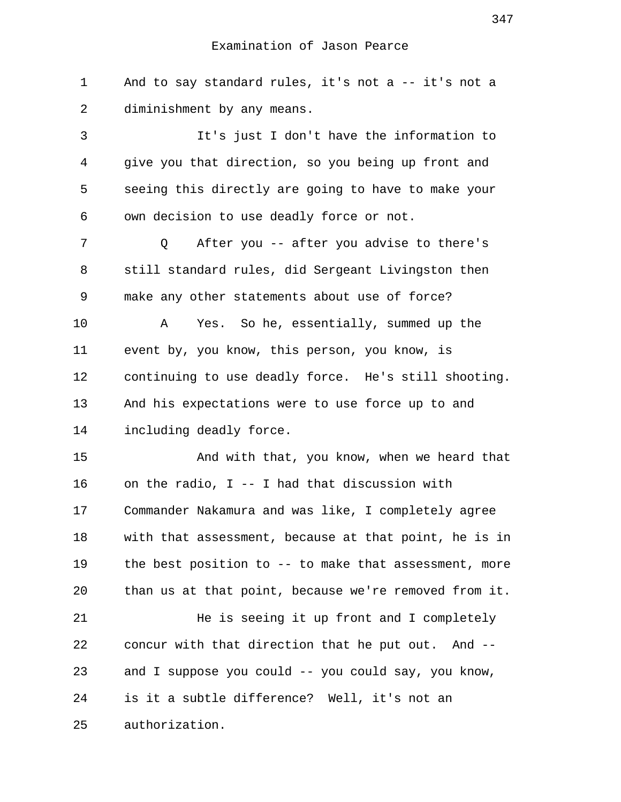1 And to say standard rules, it's not a -- it's not a 2 diminishment by any means.

 3 It's just I don't have the information to 4 give you that direction, so you being up front and 5 seeing this directly are going to have to make your 6 own decision to use deadly force or not.

 7 Q After you -- after you advise to there's 8 still standard rules, did Sergeant Livingston then 9 make any other statements about use of force?

10 A Yes. So he, essentially, summed up the 11 event by, you know, this person, you know, is 12 continuing to use deadly force. He's still shooting. 13 And his expectations were to use force up to and 14 including deadly force.

15 And with that, you know, when we heard that 16 on the radio, I -- I had that discussion with 17 Commander Nakamura and was like, I completely agree 18 with that assessment, because at that point, he is in 19 the best position to -- to make that assessment, more 20 than us at that point, because we're removed from it.

21 He is seeing it up front and I completely 22 concur with that direction that he put out. And -- 23 and I suppose you could -- you could say, you know, 24 is it a subtle difference? Well, it's not an 25 authorization.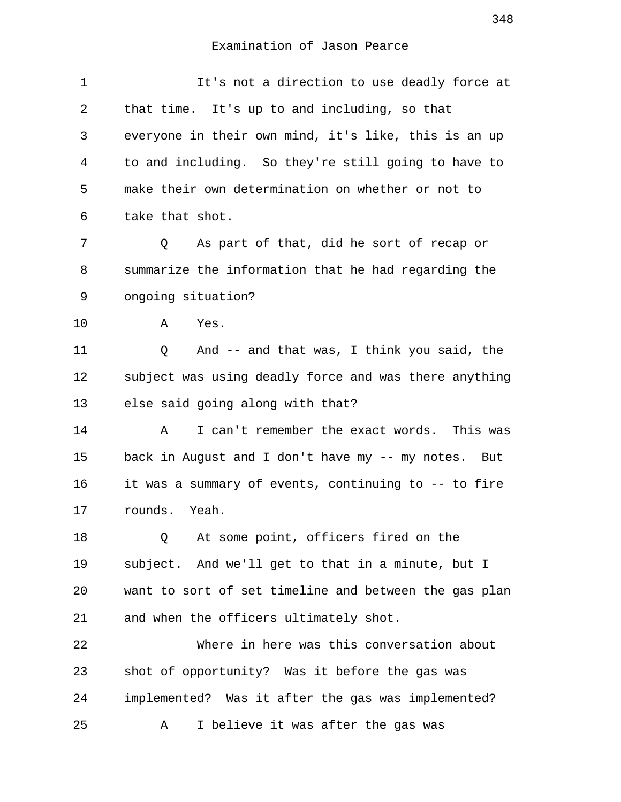| 1  | It's not a direction to use deadly force at           |
|----|-------------------------------------------------------|
| 2  | that time. It's up to and including, so that          |
| 3  | everyone in their own mind, it's like, this is an up  |
| 4  | to and including. So they're still going to have to   |
| 5  | make their own determination on whether or not to     |
| 6  | take that shot.                                       |
| 7  | As part of that, did he sort of recap or<br>Q         |
| 8  | summarize the information that he had regarding the   |
| 9  | ongoing situation?                                    |
| 10 | Α<br>Yes.                                             |
| 11 | And -- and that was, I think you said, the<br>Q       |
| 12 | subject was using deadly force and was there anything |
| 13 | else said going along with that?                      |
| 14 | I can't remember the exact words. This was<br>Α       |
| 15 | back in August and I don't have my -- my notes. But   |
| 16 | it was a summary of events, continuing to -- to fire  |
| 17 | rounds. Yeah.                                         |
| 18 | At some point, officers fired on the<br>Q             |
| 19 | subject. And we'll get to that in a minute, but I     |
| 20 | want to sort of set timeline and between the gas plan |
| 21 | and when the officers ultimately shot.                |
| 22 | Where in here was this conversation about             |
| 23 | shot of opportunity? Was it before the gas was        |
| 24 | implemented? Was it after the gas was implemented?    |
| 25 | I believe it was after the gas was<br>Α               |
|    |                                                       |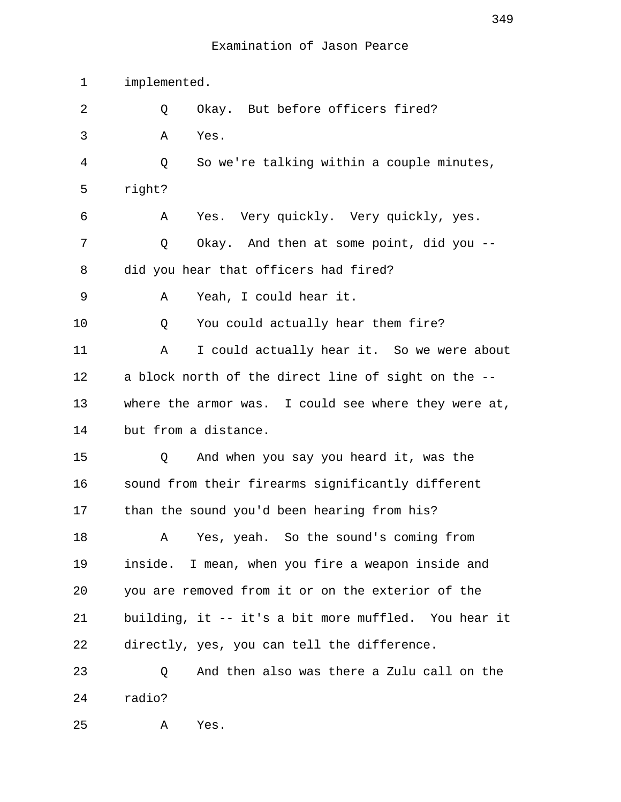1 implemented. 2 0 Okay. But before officers fired? 3 A Yes. 4 Q So we're talking within a couple minutes, 5 right? 6 A Yes. Very quickly. Very quickly, yes. 7 Q Okay. And then at some point, did you -- 8 did you hear that officers had fired? 9 A Yeah, I could hear it. 10 0 You could actually hear them fire? 11 A I could actually hear it. So we were about 12 a block north of the direct line of sight on the -- 13 where the armor was. I could see where they were at, 14 but from a distance. 15 Q And when you say you heard it, was the 16 sound from their firearms significantly different 17 than the sound you'd been hearing from his? 18 A Yes, yeah. So the sound's coming from 19 inside. I mean, when you fire a weapon inside and 20 you are removed from it or on the exterior of the 21 building, it -- it's a bit more muffled. You hear it 22 directly, yes, you can tell the difference. 23 Q And then also was there a Zulu call on the 24 radio? 25 A Yes.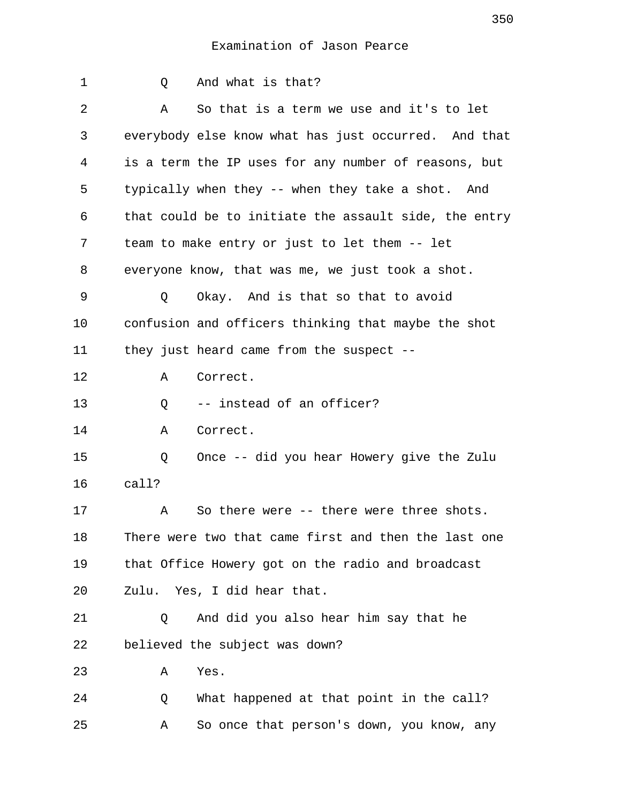| $\mathbf{1}$ | And what is that?<br>Q                                |
|--------------|-------------------------------------------------------|
| 2            | So that is a term we use and it's to let<br>Α         |
| 3            | everybody else know what has just occurred. And that  |
| 4            | is a term the IP uses for any number of reasons, but  |
| 5            | typically when they -- when they take a shot. And     |
| 6            | that could be to initiate the assault side, the entry |
| 7            | team to make entry or just to let them -- let         |
| 8            | everyone know, that was me, we just took a shot.      |
| 9            | Okay. And is that so that to avoid<br>Q               |
| $10 \,$      | confusion and officers thinking that maybe the shot   |
| 11           | they just heard came from the suspect $-$             |
| 12           | Correct.<br>Α                                         |
| 13           | -- instead of an officer?<br>Q                        |
| 14           | Α<br>Correct.                                         |
| 15           | Once -- did you hear Howery give the Zulu<br>Q        |
| 16           | call?                                                 |
| 17           | So there were -- there were three shots.<br>Α         |
| 18           | There were two that came first and then the last one  |
| 19           | that Office Howery got on the radio and broadcast     |
| 20           | Zulu. Yes, I did hear that.                           |
| 21           | And did you also hear him say that he<br>Q            |
| 22           | believed the subject was down?                        |
| 23           | Yes.<br>Α                                             |
| 24           | What happened at that point in the call?<br>Q         |
| 25           | So once that person's down, you know, any<br>Α        |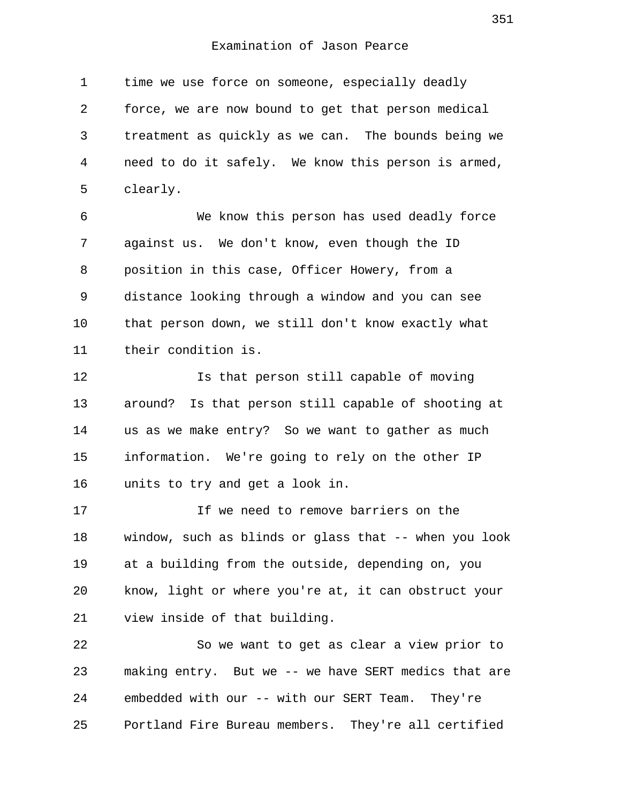1 time we use force on someone, especially deadly 2 force, we are now bound to get that person medical 3 treatment as quickly as we can. The bounds being we 4 need to do it safely. We know this person is armed, 5 clearly.

 6 We know this person has used deadly force 7 against us. We don't know, even though the ID 8 position in this case, Officer Howery, from a 9 distance looking through a window and you can see 10 that person down, we still don't know exactly what 11 their condition is.

12 Is that person still capable of moving 13 around? Is that person still capable of shooting at 14 us as we make entry? So we want to gather as much 15 information. We're going to rely on the other IP 16 units to try and get a look in.

17 If we need to remove barriers on the 18 window, such as blinds or glass that -- when you look 19 at a building from the outside, depending on, you 20 know, light or where you're at, it can obstruct your 21 view inside of that building.

22 So we want to get as clear a view prior to 23 making entry. But we -- we have SERT medics that are 24 embedded with our -- with our SERT Team. They're 25 Portland Fire Bureau members. They're all certified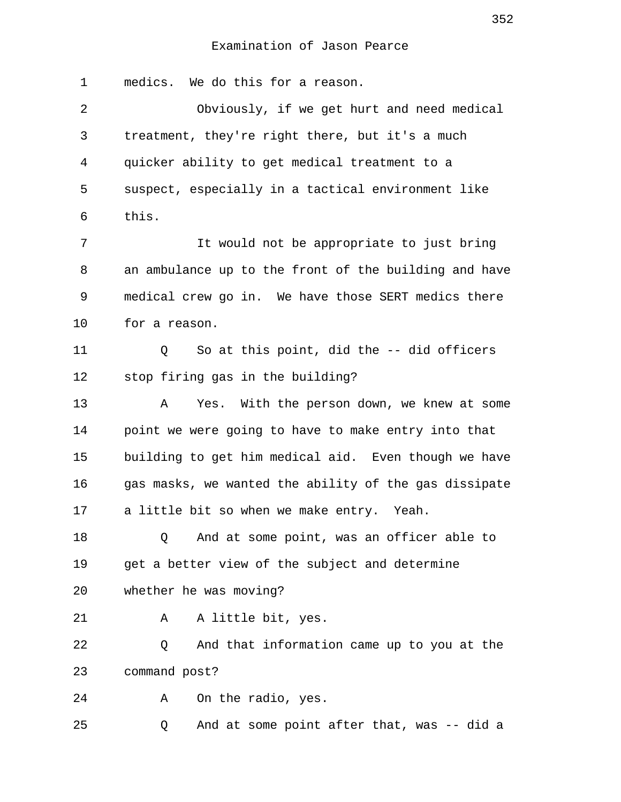1 medics. We do this for a reason. 2 Obviously, if we get hurt and need medical 3 treatment, they're right there, but it's a much 4 quicker ability to get medical treatment to a 5 suspect, especially in a tactical environment like 6 this. 7 It would not be appropriate to just bring 8 an ambulance up to the front of the building and have 9 medical crew go in. We have those SERT medics there 10 for a reason. 11 Q So at this point, did the -- did officers 12 stop firing gas in the building? 13 A Yes. With the person down, we knew at some 14 point we were going to have to make entry into that 15 building to get him medical aid. Even though we have 16 gas masks, we wanted the ability of the gas dissipate 17 a little bit so when we make entry. Yeah. 18 Q And at some point, was an officer able to 19 get a better view of the subject and determine 20 whether he was moving? 21 A A little bit, yes. 22 Q And that information came up to you at the 23 command post? 24 A On the radio, yes. 25 Q And at some point after that, was -- did a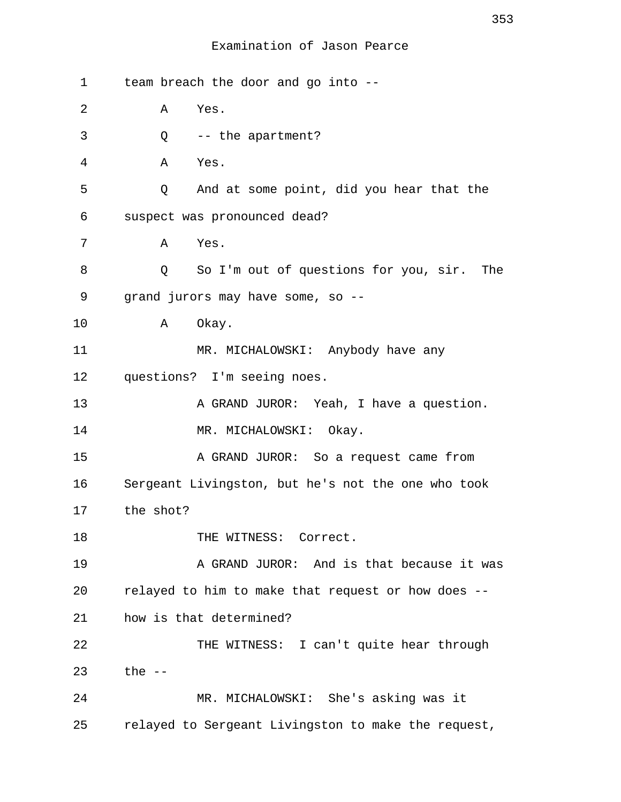| $\mathbf 1$ | team breach the door and go into --                     |
|-------------|---------------------------------------------------------|
| 2           | Α<br>Yes.                                               |
| 3           | $Q$ -- the apartment?                                   |
| 4           | A<br>Yes.                                               |
| 5           | And at some point, did you hear that the<br>Q           |
| 6           | suspect was pronounced dead?                            |
| 7           | Yes.<br>A                                               |
| 8           | So I'm out of questions for you, sir.<br>The<br>$\circ$ |
| 9           | grand jurors may have some, so --                       |
| 10          | Okay.<br>$\mathbf{A}$                                   |
| 11          | MR. MICHALOWSKI: Anybody have any                       |
| 12          | questions? I'm seeing noes.                             |
| 13          | A GRAND JUROR: Yeah, I have a question.                 |
| 14          | MR. MICHALOWSKI: Okay.                                  |
| 15          | A GRAND JUROR: So a request came from                   |
| 16          | Sergeant Livingston, but he's not the one who took      |
| 17          | the shot?                                               |
| 18          | THE WITNESS: Correct.                                   |
| 19          | A GRAND JUROR: And is that because it was               |
| 20          | relayed to him to make that request or how does --      |
| 21          | how is that determined?                                 |
| 22          | THE WITNESS: I can't quite hear through                 |
| 23          | the $-$                                                 |
| 24          | MR. MICHALOWSKI: She's asking was it                    |
| 25          | relayed to Sergeant Livingston to make the request,     |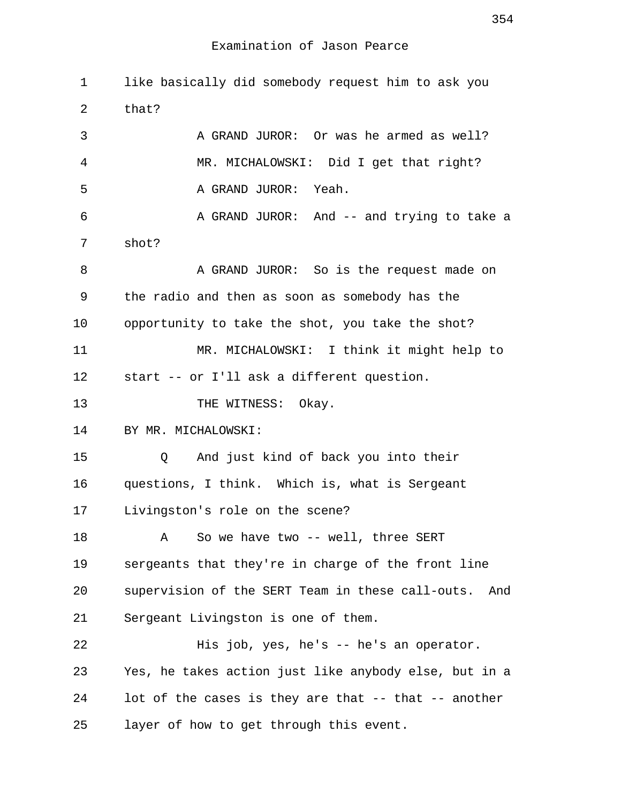1 like basically did somebody request him to ask you 2 that? 3 A GRAND JUROR: Or was he armed as well? 4 MR. MICHALOWSKI: Did I get that right? 5 A GRAND JUROR: Yeah. 6 A GRAND JUROR: And -- and trying to take a 7 shot? 8 A GRAND JUROR: So is the request made on 9 the radio and then as soon as somebody has the 10 opportunity to take the shot, you take the shot? 11 MR. MICHALOWSKI: I think it might help to 12 start -- or I'll ask a different question. 13 THE WITNESS: Okay. 14 BY MR. MICHALOWSKI: 15 Q And just kind of back you into their 16 questions, I think. Which is, what is Sergeant 17 Livingston's role on the scene? 18 A So we have two -- well, three SERT 19 sergeants that they're in charge of the front line 20 supervision of the SERT Team in these call-outs. And 21 Sergeant Livingston is one of them. 22 His job, yes, he's -- he's an operator. 23 Yes, he takes action just like anybody else, but in a 24 lot of the cases is they are that -- that -- another 25 layer of how to get through this event.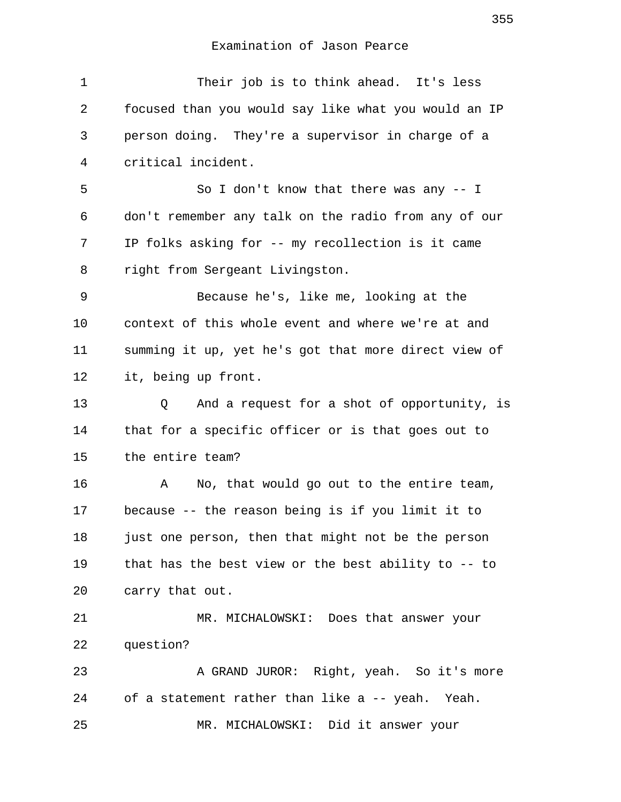| $\mathbf 1$ | Their job is to think ahead. It's less                 |
|-------------|--------------------------------------------------------|
| 2           | focused than you would say like what you would an IP   |
| 3           | person doing. They're a supervisor in charge of a      |
| 4           | critical incident.                                     |
| 5           | So I don't know that there was any $-$ I               |
| 6           | don't remember any talk on the radio from any of our   |
| 7           | IP folks asking for -- my recollection is it came      |
| 8           | right from Sergeant Livingston.                        |
| 9           | Because he's, like me, looking at the                  |
| 10          | context of this whole event and where we're at and     |
| 11          | summing it up, yet he's got that more direct view of   |
| 12          | it, being up front.                                    |
| 13          | And a request for a shot of opportunity, is<br>Q       |
| 14          | that for a specific officer or is that goes out to     |
| 15          | the entire team?                                       |
| 16          | No, that would go out to the entire team,<br>Α         |
| 17          | because -- the reason being is if you limit it to      |
| 18          | just one person, then that might not be the person     |
| 19          | that has the best view or the best ability to $-$ - to |
| 20          | carry that out.                                        |
| 21          | MR. MICHALOWSKI: Does that answer your                 |
| 22          | question?                                              |
| 23          | A GRAND JUROR: Right, yeah. So it's more               |
| 24          | of a statement rather than like a -- yeah. Yeah.       |
| 25          | MR. MICHALOWSKI: Did it answer your                    |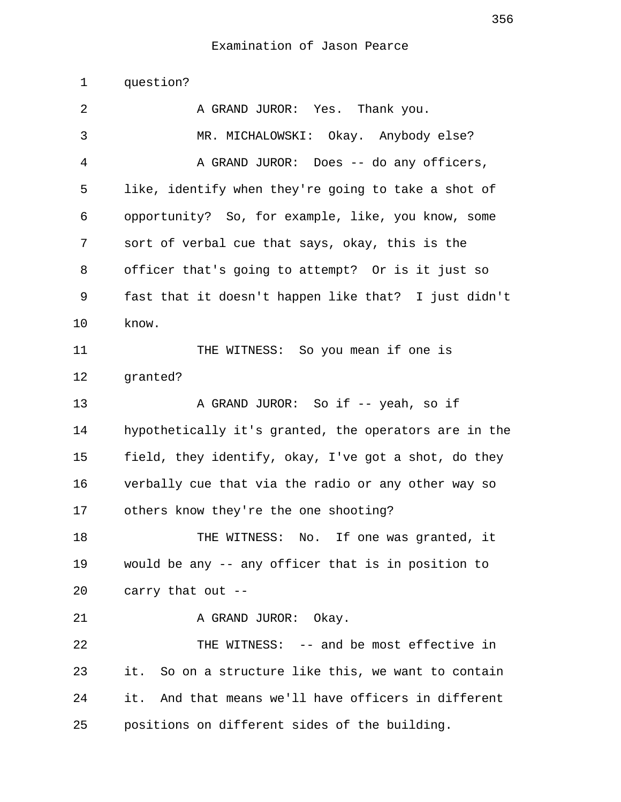1 question?

2 A GRAND JUROR: Yes. Thank you. 3 MR. MICHALOWSKI: Okay. Anybody else? 4 A GRAND JUROR: Does -- do any officers, 5 like, identify when they're going to take a shot of 6 opportunity? So, for example, like, you know, some 7 sort of verbal cue that says, okay, this is the 8 officer that's going to attempt? Or is it just so 9 fast that it doesn't happen like that? I just didn't 10 know. 11 THE WITNESS: So you mean if one is 12 granted? 13 A GRAND JUROR: So if -- yeah, so if 14 hypothetically it's granted, the operators are in the 15 field, they identify, okay, I've got a shot, do they 16 verbally cue that via the radio or any other way so 17 others know they're the one shooting? 18 THE WITNESS: No. If one was granted, it 19 would be any -- any officer that is in position to 20 carry that out -- 21 A GRAND JUROR: Okay. 22 THE WITNESS: -- and be most effective in 23 it. So on a structure like this, we want to contain 24 it. And that means we'll have officers in different 25 positions on different sides of the building.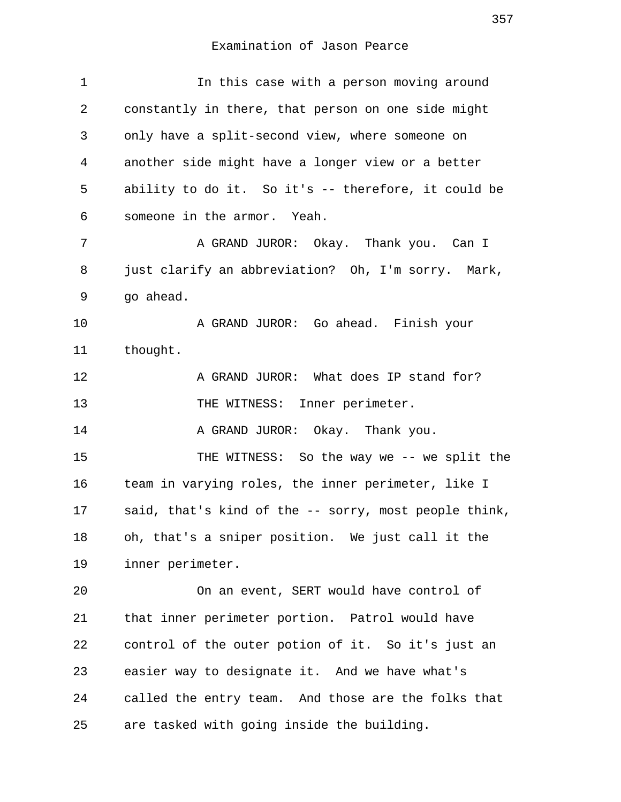| 1  | In this case with a person moving around              |
|----|-------------------------------------------------------|
| 2  | constantly in there, that person on one side might    |
| 3  | only have a split-second view, where someone on       |
| 4  | another side might have a longer view or a better     |
| 5  | ability to do it. So it's -- therefore, it could be   |
| 6  | someone in the armor. Yeah.                           |
| 7  | A GRAND JUROR: Okay. Thank you. Can I                 |
| 8  | just clarify an abbreviation? Oh, I'm sorry. Mark,    |
| 9  | go ahead.                                             |
| 10 | A GRAND JUROR: Go ahead. Finish your                  |
| 11 | thought.                                              |
| 12 | A GRAND JUROR: What does IP stand for?                |
| 13 | THE WITNESS: Inner perimeter.                         |
| 14 | A GRAND JUROR: Okay. Thank you.                       |
| 15 | THE WITNESS: So the way we -- we split the            |
| 16 | team in varying roles, the inner perimeter, like I    |
| 17 | said, that's kind of the -- sorry, most people think, |
| 18 | oh, that's a sniper position. We just call it the     |
| 19 | inner perimeter.                                      |
| 20 | On an event, SERT would have control of               |
| 21 | that inner perimeter portion. Patrol would have       |
| 22 | control of the outer potion of it. So it's just an    |
| 23 | easier way to designate it. And we have what's        |
| 24 | called the entry team. And those are the folks that   |
| 25 | are tasked with going inside the building.            |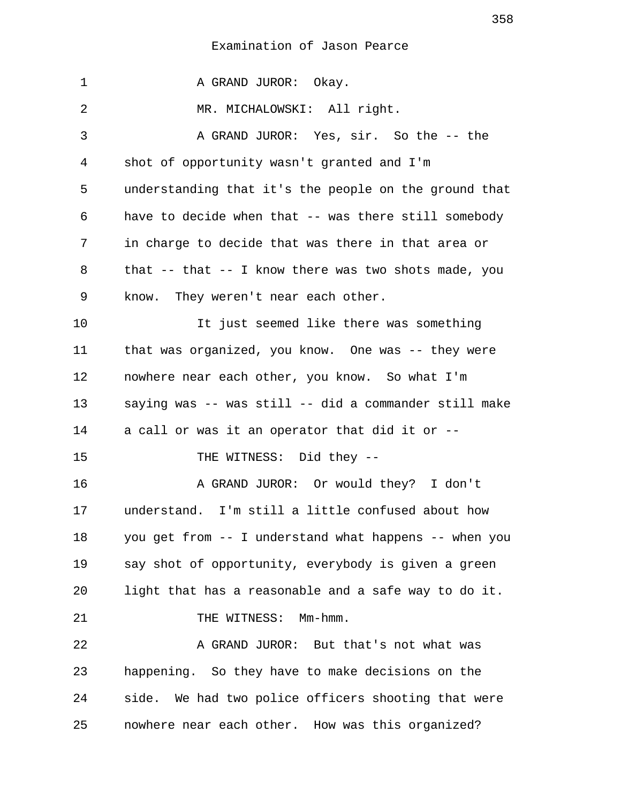1 A GRAND JUROR: Okay. 2 MR. MICHALOWSKI: All right. 3 A GRAND JUROR: Yes, sir. So the -- the 4 shot of opportunity wasn't granted and I'm 5 understanding that it's the people on the ground that 6 have to decide when that -- was there still somebody 7 in charge to decide that was there in that area or 8 that -- that -- I know there was two shots made, you 9 know. They weren't near each other. 10 It just seemed like there was something 11 that was organized, you know. One was -- they were 12 nowhere near each other, you know. So what I'm 13 saying was -- was still -- did a commander still make 14 a call or was it an operator that did it or -- 15 THE WITNESS: Did they --16 A GRAND JUROR: Or would they? I don't 17 understand. I'm still a little confused about how 18 you get from -- I understand what happens -- when you 19 say shot of opportunity, everybody is given a green 20 light that has a reasonable and a safe way to do it. 21 THE WITNESS: Mm-hmm. 22 A GRAND JUROR: But that's not what was 23 happening. So they have to make decisions on the 24 side. We had two police officers shooting that were 25 nowhere near each other. How was this organized?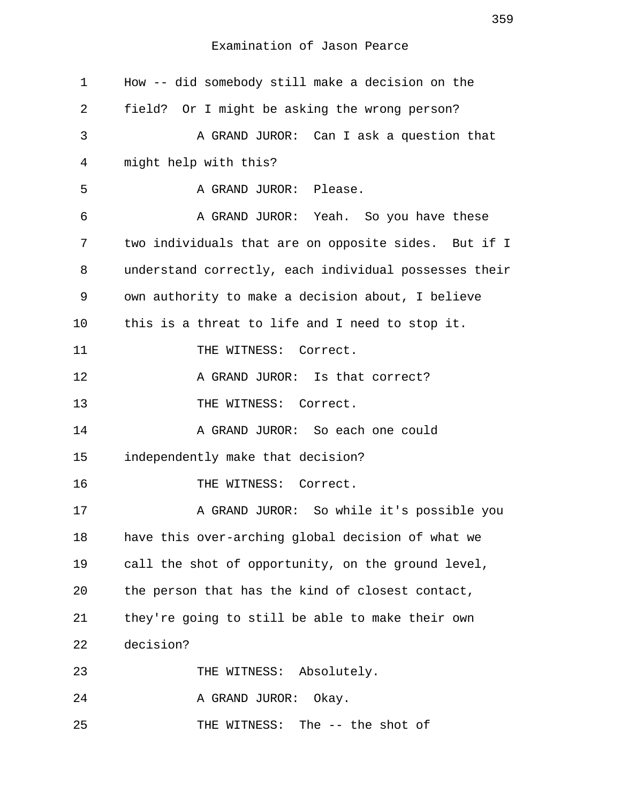| $\mathbf 1$ | How -- did somebody still make a decision on the      |
|-------------|-------------------------------------------------------|
| 2           | field? Or I might be asking the wrong person?         |
| 3           | A GRAND JUROR: Can I ask a question that              |
| 4           | might help with this?                                 |
| 5           | A GRAND JUROR: Please.                                |
| 6           | A GRAND JUROR: Yeah. So you have these                |
| 7           | two individuals that are on opposite sides. But if I  |
| 8           | understand correctly, each individual possesses their |
| 9           | own authority to make a decision about, I believe     |
| 10          | this is a threat to life and I need to stop it.       |
| 11          | THE WITNESS: Correct.                                 |
| 12          | A GRAND JUROR: Is that correct?                       |
| 13          | THE WITNESS: Correct.                                 |
| 14          | A GRAND JUROR: So each one could                      |
| 15          | independently make that decision?                     |
| 16          | THE WITNESS: Correct.                                 |
| 17          | A GRAND JUROR: So while it's possible you             |
| 18          | have this over-arching global decision of what we     |
| 19          | call the shot of opportunity, on the ground level,    |
| 20          | the person that has the kind of closest contact,      |
| 21          | they're going to still be able to make their own      |
| 22          | decision?                                             |
| 23          | THE WITNESS: Absolutely.                              |
| 24          | A GRAND JUROR:<br>Okay.                               |
| 25          | THE WITNESS: The -- the shot of                       |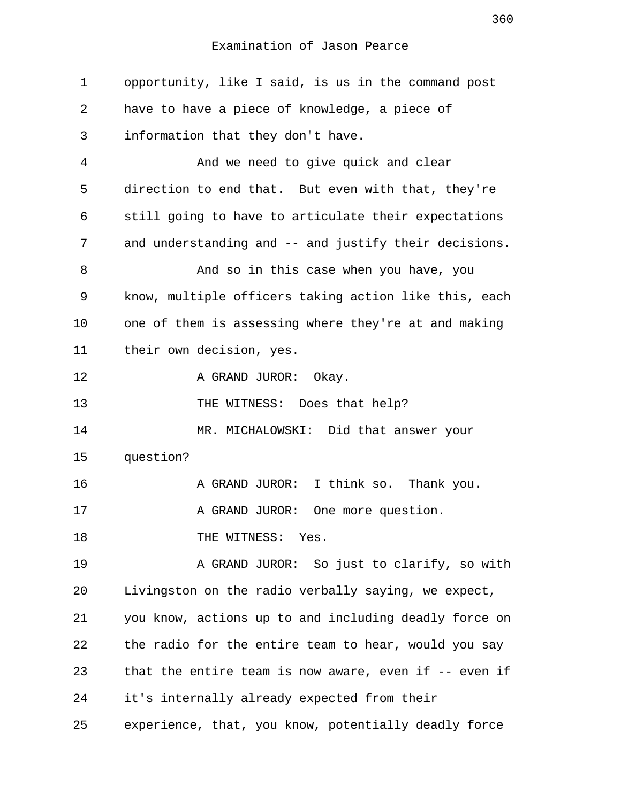1 opportunity, like I said, is us in the command post 2 have to have a piece of knowledge, a piece of 3 information that they don't have. 4 And we need to give quick and clear 5 direction to end that. But even with that, they're 6 still going to have to articulate their expectations 7 and understanding and -- and justify their decisions. 8 And so in this case when you have, you 9 know, multiple officers taking action like this, each 10 one of them is assessing where they're at and making 11 their own decision, yes. 12 A GRAND JUROR: Okay. 13 THE WITNESS: Does that help? 14 MR. MICHALOWSKI: Did that answer your 15 question? 16 **A GRAND JUROR:** I think so. Thank you. 17 A GRAND JUROR: One more question. 18 THE WITNESS: Yes. 19 A GRAND JUROR: So just to clarify, so with 20 Livingston on the radio verbally saying, we expect, 21 you know, actions up to and including deadly force on 22 the radio for the entire team to hear, would you say 23 that the entire team is now aware, even if -- even if 24 it's internally already expected from their 25 experience, that, you know, potentially deadly force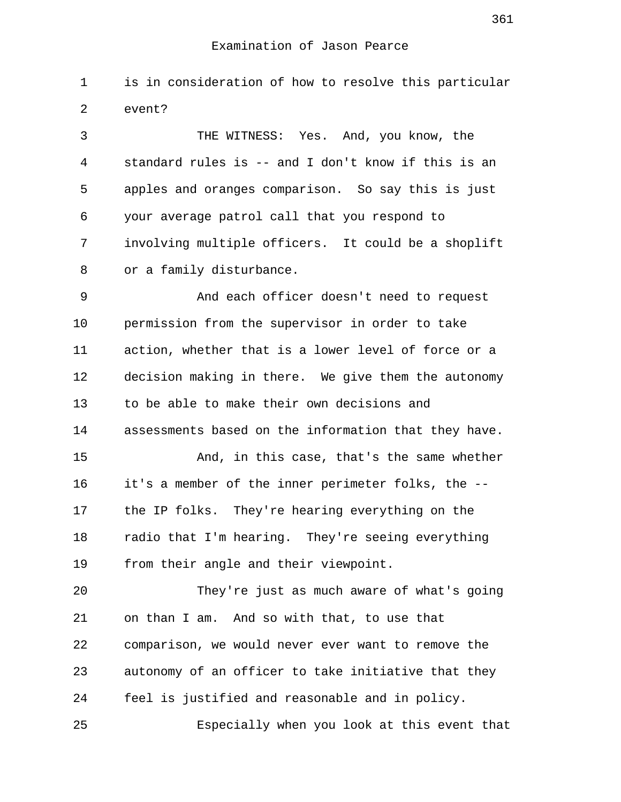1 is in consideration of how to resolve this particular 2 event?

 3 THE WITNESS: Yes. And, you know, the 4 standard rules is -- and I don't know if this is an 5 apples and oranges comparison. So say this is just 6 your average patrol call that you respond to 7 involving multiple officers. It could be a shoplift 8 or a family disturbance.

 9 And each officer doesn't need to request 10 permission from the supervisor in order to take 11 action, whether that is a lower level of force or a 12 decision making in there. We give them the autonomy 13 to be able to make their own decisions and 14 assessments based on the information that they have.

15 And, in this case, that's the same whether 16 it's a member of the inner perimeter folks, the -- 17 the IP folks. They're hearing everything on the 18 radio that I'm hearing. They're seeing everything 19 from their angle and their viewpoint.

20 They're just as much aware of what's going 21 on than I am. And so with that, to use that 22 comparison, we would never ever want to remove the 23 autonomy of an officer to take initiative that they 24 feel is justified and reasonable and in policy. 25 Especially when you look at this event that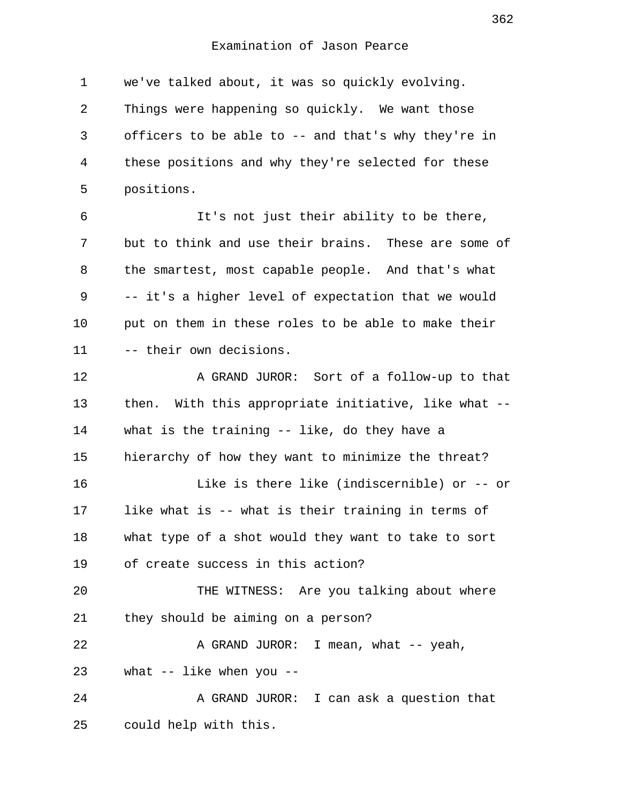1 we've talked about, it was so quickly evolving. 2 Things were happening so quickly. We want those 3 officers to be able to -- and that's why they're in 4 these positions and why they're selected for these 5 positions.

 6 It's not just their ability to be there, 7 but to think and use their brains. These are some of 8 the smartest, most capable people. And that's what 9 -- it's a higher level of expectation that we would 10 put on them in these roles to be able to make their 11 -- their own decisions.

12 A GRAND JUROR: Sort of a follow-up to that 13 then. With this appropriate initiative, like what -- 14 what is the training -- like, do they have a 15 hierarchy of how they want to minimize the threat? 16 Like is there like (indiscernible) or -- or 17 like what is -- what is their training in terms of 18 what type of a shot would they want to take to sort 19 of create success in this action? 20 THE WITNESS: Are you talking about where 21 they should be aiming on a person? 22 A GRAND JUROR: I mean, what -- yeah, 23 what -- like when you -- 24 A GRAND JUROR: I can ask a question that 25 could help with this.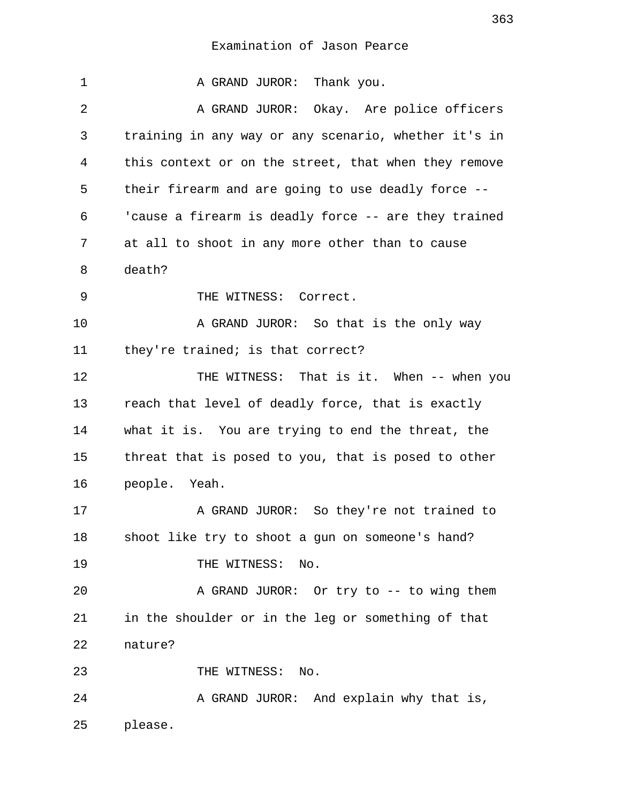| 1  | A GRAND JUROR: Thank you.                            |
|----|------------------------------------------------------|
| 2  | A GRAND JUROR: Okay. Are police officers             |
| 3  | training in any way or any scenario, whether it's in |
| 4  | this context or on the street, that when they remove |
| 5  | their firearm and are going to use deadly force --   |
| 6  | 'cause a firearm is deadly force -- are they trained |
| 7  | at all to shoot in any more other than to cause      |
| 8  | death?                                               |
| 9  | THE WITNESS: Correct.                                |
| 10 | A GRAND JUROR: So that is the only way               |
| 11 | they're trained; is that correct?                    |
| 12 | THE WITNESS: That is it. When -- when you            |
| 13 | reach that level of deadly force, that is exactly    |
| 14 | what it is. You are trying to end the threat, the    |
| 15 | threat that is posed to you, that is posed to other  |
| 16 | people. Yeah.                                        |
| 17 | A GRAND JUROR: So they're not trained to             |
| 18 | shoot like try to shoot a gun on someone's hand?     |
| 19 | THE WITNESS:<br>No.                                  |
| 20 | A GRAND JUROR: Or try to -- to wing them             |
| 21 | in the shoulder or in the leg or something of that   |
| 22 | nature?                                              |
| 23 | THE WITNESS: No.                                     |
| 24 | A GRAND JUROR: And explain why that is,              |
| 25 | please.                                              |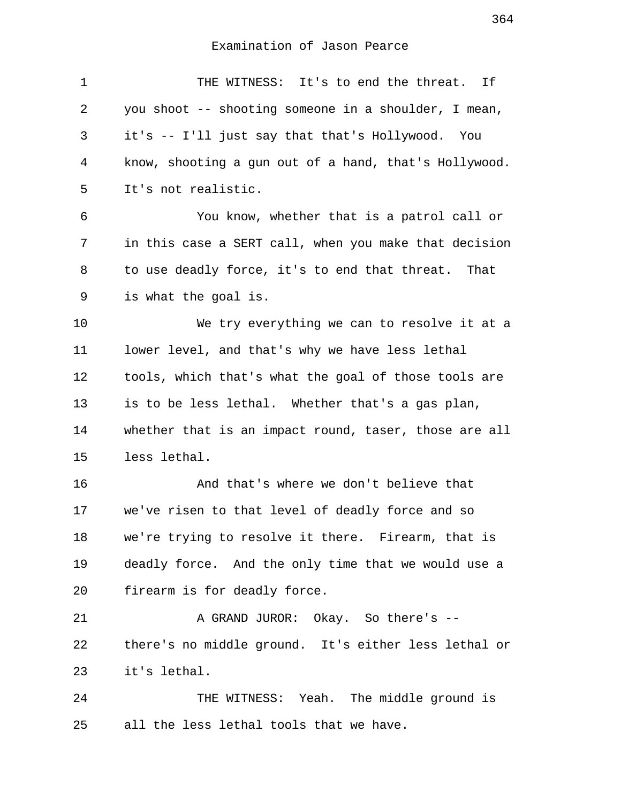| $\mathbf 1$ | THE WITNESS: It's to end the threat. If               |
|-------------|-------------------------------------------------------|
| 2           | you shoot -- shooting someone in a shoulder, I mean,  |
| 3           | it's -- I'll just say that that's Hollywood. You      |
| 4           | know, shooting a gun out of a hand, that's Hollywood. |
| 5           | It's not realistic.                                   |
| 6           | You know, whether that is a patrol call or            |
| 7           | in this case a SERT call, when you make that decision |
| 8           | to use deadly force, it's to end that threat. That    |
| 9           | is what the goal is.                                  |
| 10          | We try everything we can to resolve it at a           |
| 11          | lower level, and that's why we have less lethal       |
| 12          | tools, which that's what the goal of those tools are  |
| 13          | is to be less lethal. Whether that's a gas plan,      |
| 14          | whether that is an impact round, taser, those are all |
| 15          | less lethal.                                          |
| 16          | And that's where we don't believe that                |
| 17          | we've risen to that level of deadly force and so      |
| 18          | we're trying to resolve it there. Firearm, that is    |
| 19          | deadly force. And the only time that we would use a   |
| 20          | firearm is for deadly force.                          |
| 21          | A GRAND JUROR: Okay. So there's --                    |
| 22          | there's no middle ground. It's either less lethal or  |
| 23          | it's lethal.                                          |
| 24          | THE WITNESS: Yeah. The middle ground is               |
| 25          | all the less lethal tools that we have.               |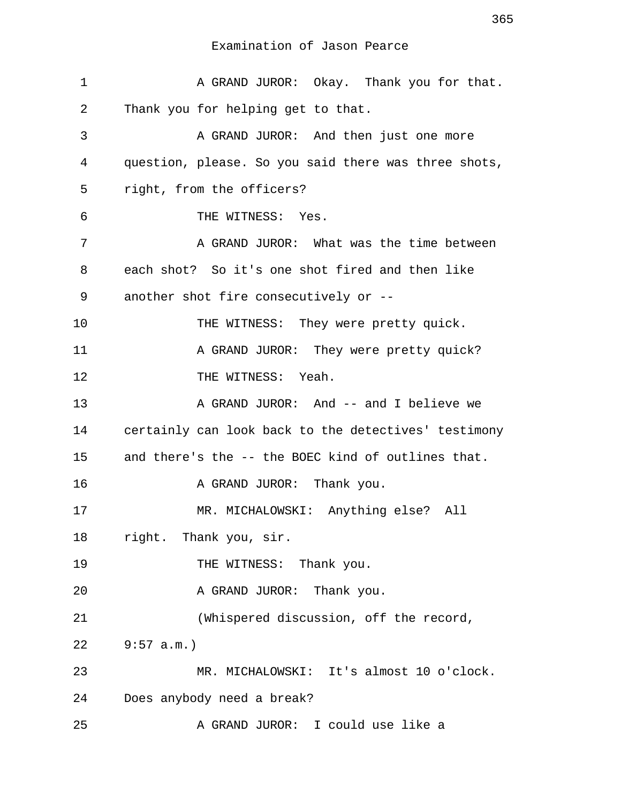1 A GRAND JUROR: Okay. Thank you for that. 2 Thank you for helping get to that. 3 A GRAND JUROR: And then just one more 4 question, please. So you said there was three shots, 5 right, from the officers? 6 THE WITNESS: Yes. 7 A GRAND JUROR: What was the time between 8 each shot? So it's one shot fired and then like 9 another shot fire consecutively or -- 10 THE WITNESS: They were pretty quick. 11 A GRAND JUROR: They were pretty quick? 12 THE WITNESS: Yeah. 13 A GRAND JUROR: And -- and I believe we 14 certainly can look back to the detectives' testimony 15 and there's the -- the BOEC kind of outlines that. 16 A GRAND JUROR: Thank you. 17 MR. MICHALOWSKI: Anything else? All 18 right. Thank you, sir. 19 THE WITNESS: Thank you. 20 A GRAND JUROR: Thank you. 21 (Whispered discussion, off the record, 22 9:57 a.m.) 23 MR. MICHALOWSKI: It's almost 10 o'clock. 24 Does anybody need a break? 25 A GRAND JUROR: I could use like a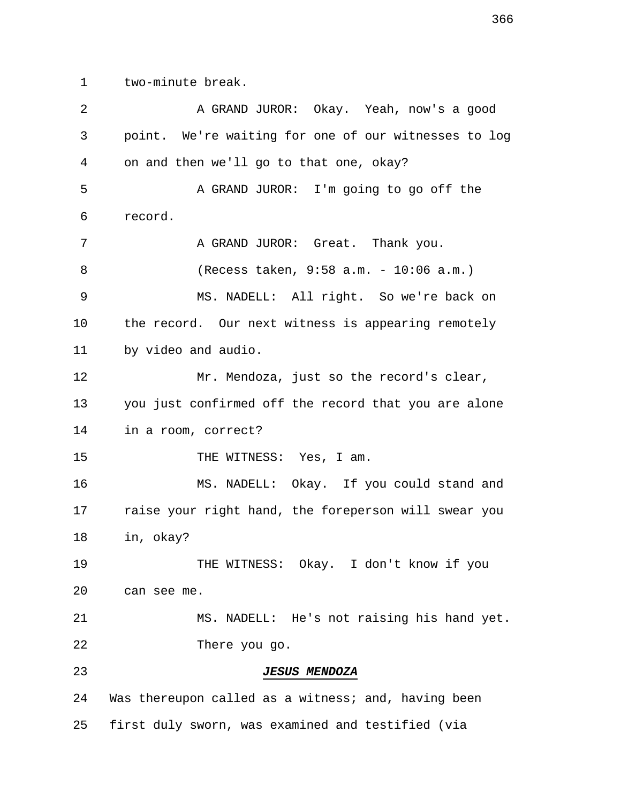1 two-minute break.

| 2  | A GRAND JUROR: Okay. Yeah, now's a good              |
|----|------------------------------------------------------|
| 3  | point. We're waiting for one of our witnesses to log |
| 4  | on and then we'll go to that one, okay?              |
| 5  | A GRAND JUROR: I'm going to go off the               |
| 6  | record.                                              |
| 7  | A GRAND JUROR: Great. Thank you.                     |
| 8  | (Recess taken, 9:58 a.m. - 10:06 a.m.)               |
| 9  | MS. NADELL: All right. So we're back on              |
| 10 | the record. Our next witness is appearing remotely   |
| 11 | by video and audio.                                  |
| 12 | Mr. Mendoza, just so the record's clear,             |
| 13 | you just confirmed off the record that you are alone |
| 14 | in a room, correct?                                  |
| 15 | THE WITNESS: Yes, I am.                              |
| 16 | MS. NADELL: Okay. If you could stand and             |
| 17 | raise your right hand, the foreperson will swear you |
| 18 | in, okay?                                            |
| 19 | THE WITNESS: Okay. I don't know if you               |
| 20 | can see me.                                          |
| 21 | MS. NADELL: He's not raising his hand yet.           |
| 22 | There you go.                                        |
| 23 | <b>JESUS MENDOZA</b>                                 |
| 24 | Was thereupon called as a witness; and, having been  |
| 25 | first duly sworn, was examined and testified (via    |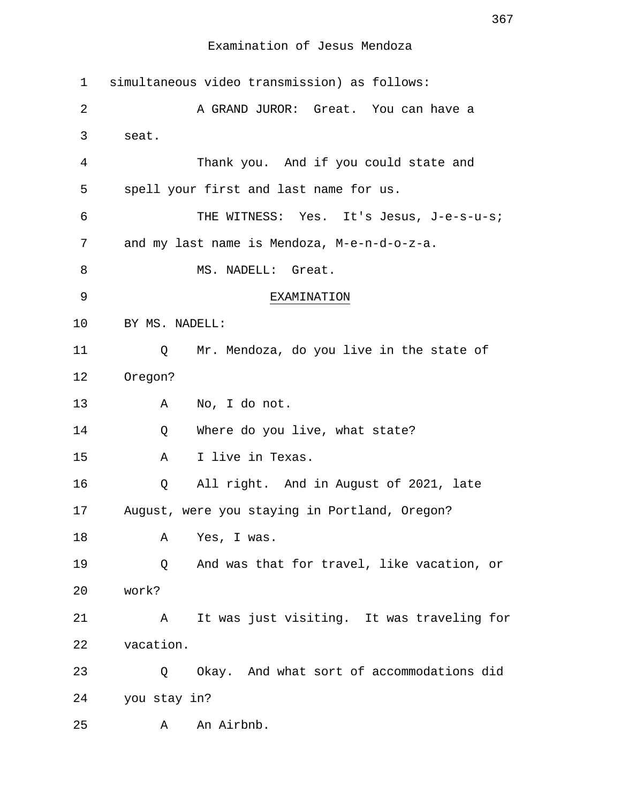| 1  | simultaneous video transmission) as follows:    |
|----|-------------------------------------------------|
| 2  | A GRAND JUROR: Great. You can have a            |
| 3  | seat.                                           |
| 4  | Thank you. And if you could state and           |
| 5  | spell your first and last name for us.          |
| 6  | THE WITNESS: Yes. It's Jesus, J-e-s-u-s;        |
| 7  | and my last name is Mendoza, M-e-n-d-o-z-a.     |
| 8  | MS. NADELL: Great.                              |
| 9  | EXAMINATION                                     |
| 10 | BY MS. NADELL:                                  |
| 11 | Mr. Mendoza, do you live in the state of<br>Q   |
| 12 | Oregon?                                         |
| 13 | Α<br>No, I do not.                              |
| 14 | Where do you live, what state?<br>Q             |
| 15 | I live in Texas.<br>Α                           |
| 16 | All right. And in August of 2021, late<br>Q     |
| 17 | August, were you staying in Portland, Oregon?   |
| 18 | Yes, I was.<br>Α                                |
| 19 | And was that for travel, like vacation, or<br>Q |
| 20 | work?                                           |
| 21 | It was just visiting. It was traveling for<br>A |
| 22 | vacation.                                       |
| 23 | Okay. And what sort of accommodations did<br>Q  |
| 24 | you stay in?                                    |
| 25 | An Airbnb.<br>Α                                 |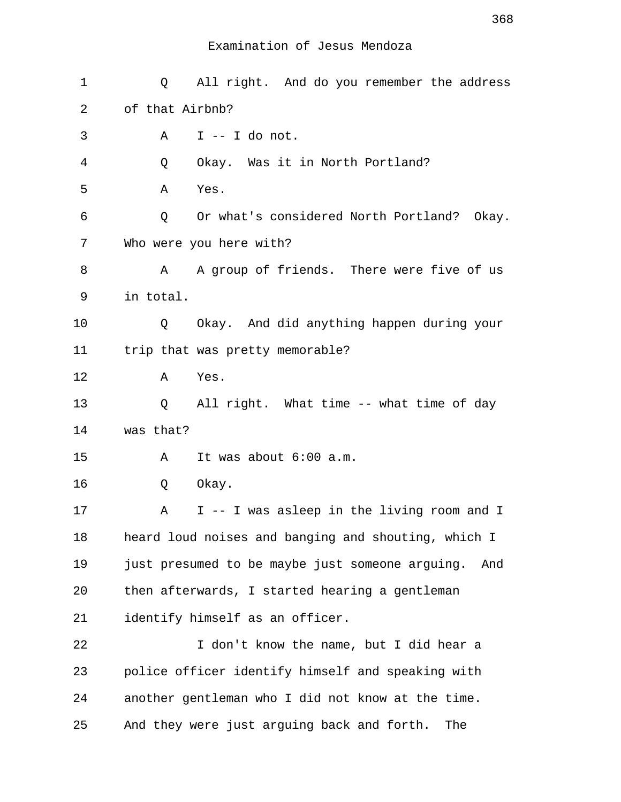| 1  | All right. And do you remember the address<br>Q        |
|----|--------------------------------------------------------|
| 2  | of that Airbnb?                                        |
| 3  | $I$ -- I do not.<br>Α                                  |
| 4  | Okay. Was it in North Portland?<br>Q                   |
| 5  | Α<br>Yes.                                              |
| 6  | Or what's considered North Portland? Okay.<br>Q        |
| 7  | Who were you here with?                                |
| 8  | A group of friends. There were five of us<br>Α         |
| 9  | in total.                                              |
| 10 | Okay. And did anything happen during your<br>Q         |
| 11 | trip that was pretty memorable?                        |
| 12 | Yes.<br>Α                                              |
| 13 | All right. What time -- what time of day<br>Q          |
| 14 | was that?                                              |
| 15 | It was about 6:00 a.m.<br>Α                            |
| 16 | Okay.<br>Q                                             |
| 17 | I -- I was asleep in the living room and I<br>Α        |
| 18 | heard loud noises and banging and shouting, which I    |
| 19 | just presumed to be maybe just someone arguing.<br>And |
| 20 | then afterwards, I started hearing a gentleman         |
| 21 | identify himself as an officer.                        |
| 22 | I don't know the name, but I did hear a                |
| 23 | police officer identify himself and speaking with      |
| 24 | another gentleman who I did not know at the time.      |
| 25 | And they were just arguing back and forth.<br>The      |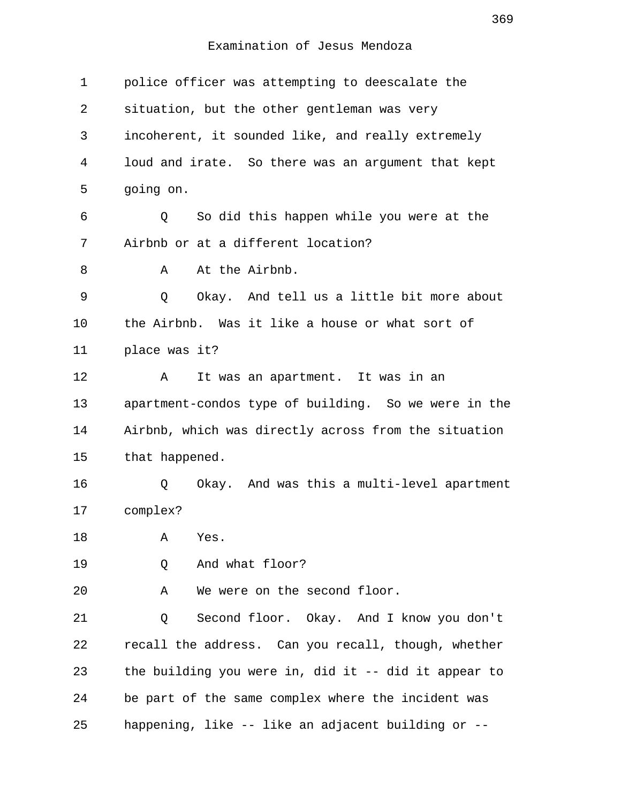| $\mathbf 1$ | police officer was attempting to deescalate the      |
|-------------|------------------------------------------------------|
| 2           | situation, but the other gentleman was very          |
| 3           | incoherent, it sounded like, and really extremely    |
| 4           | loud and irate. So there was an argument that kept   |
| 5           | going on.                                            |
| 6           | So did this happen while you were at the<br>Q        |
| 7           | Airbnb or at a different location?                   |
| 8           | At the Airbnb.<br>Α                                  |
| 9           | Okay. And tell us a little bit more about<br>Q       |
| 10          | the Airbnb. Was it like a house or what sort of      |
| 11          | place was it?                                        |
| 12          | It was an apartment. It was in an<br>A               |
| 13          | apartment-condos type of building. So we were in the |
| 14          | Airbnb, which was directly across from the situation |
| 15          | that happened.                                       |
| 16          | Okay. And was this a multi-level apartment<br>Q      |
| 17          | complex?                                             |
| 18          | Α<br>Yes.                                            |
| 19          | And what floor?<br>Q                                 |
| 20          | We were on the second floor.<br>Α                    |
| 21          | Second floor. Okay. And I know you don't<br>Q        |
| 22          | recall the address. Can you recall, though, whether  |
| 23          | the building you were in, did it -- did it appear to |
| 24          | be part of the same complex where the incident was   |
| 25          | happening, like -- like an adjacent building or --   |
|             |                                                      |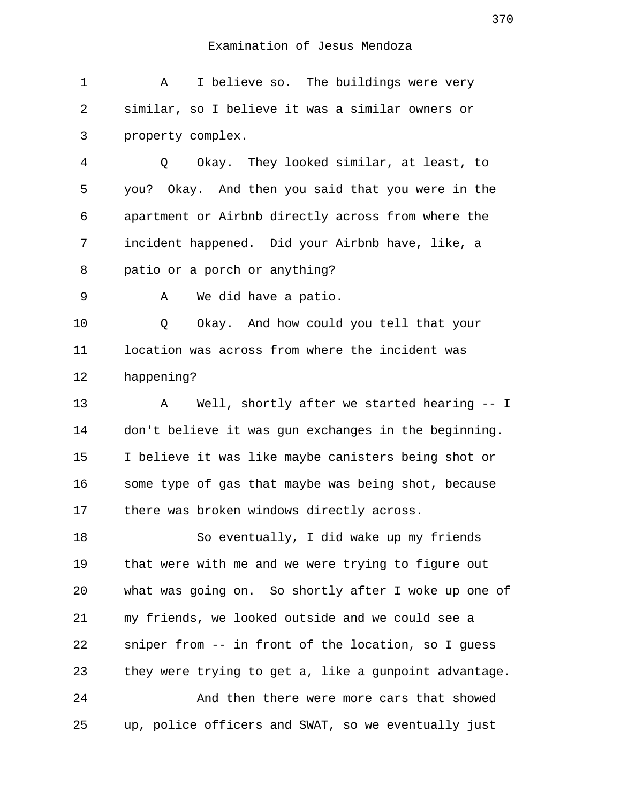1 A I believe so. The buildings were very 2 similar, so I believe it was a similar owners or 3 property complex.

 4 Q Okay. They looked similar, at least, to 5 you? Okay. And then you said that you were in the 6 apartment or Airbnb directly across from where the 7 incident happened. Did your Airbnb have, like, a 8 patio or a porch or anything?

9 A We did have a patio.

10 Q Okay. And how could you tell that your 11 location was across from where the incident was 12 happening?

13 A Well, shortly after we started hearing -- I 14 don't believe it was gun exchanges in the beginning. 15 I believe it was like maybe canisters being shot or 16 some type of gas that maybe was being shot, because 17 there was broken windows directly across.

18 So eventually, I did wake up my friends 19 that were with me and we were trying to figure out 20 what was going on. So shortly after I woke up one of 21 my friends, we looked outside and we could see a 22 sniper from -- in front of the location, so I guess 23 they were trying to get a, like a gunpoint advantage.

24 And then there were more cars that showed 25 up, police officers and SWAT, so we eventually just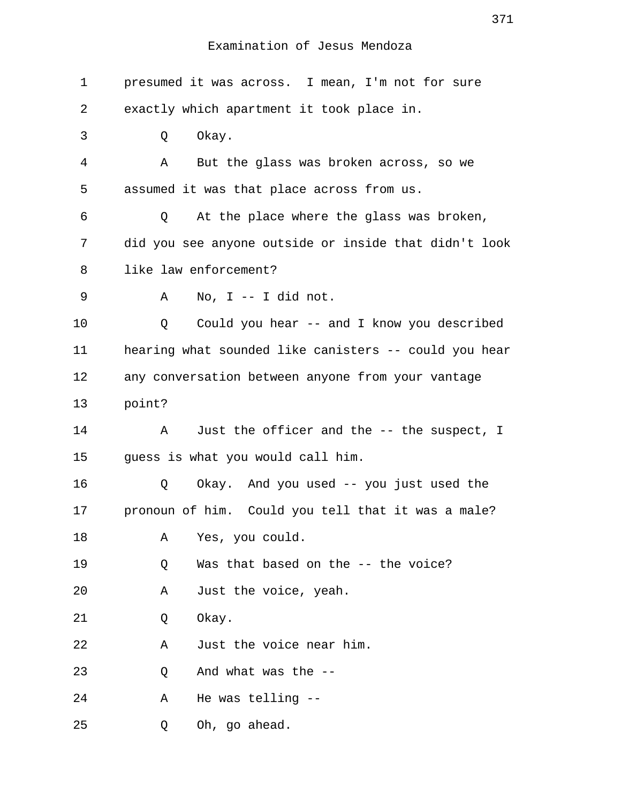| $\mathbf 1$ | presumed it was across. I mean, I'm not for sure      |
|-------------|-------------------------------------------------------|
| 2           | exactly which apartment it took place in.             |
| 3           | Okay.<br>Q                                            |
| 4           | Α<br>But the glass was broken across, so we           |
| 5           | assumed it was that place across from us.             |
| 6           | At the place where the glass was broken,<br>Q         |
| 7           | did you see anyone outside or inside that didn't look |
| 8           | like law enforcement?                                 |
| 9           | No, I -- I did not.<br>Α                              |
| 10          | Could you hear -- and I know you described<br>Q       |
| 11          | hearing what sounded like canisters -- could you hear |
| 12          | any conversation between anyone from your vantage     |
| 13          | point?                                                |
| 14          | Just the officer and the -- the suspect, I<br>Α       |
| 15          | guess is what you would call him.                     |
| 16          | Okay. And you used -- you just used the<br>Q          |
| 17          | pronoun of him. Could you tell that it was a male?    |
| 18          | Yes, you could.<br>Α                                  |
| 19          | Was that based on the -- the voice?<br>Q              |
| 20          | Just the voice, yeah.<br>Α                            |
| 21          | Okay.<br>Q                                            |
| 22          | Just the voice near him.<br>Α                         |
| 23          | And what was the --<br>Q                              |
| 24          | He was telling --<br>Α                                |
| 25          | Oh, go ahead.<br>Q                                    |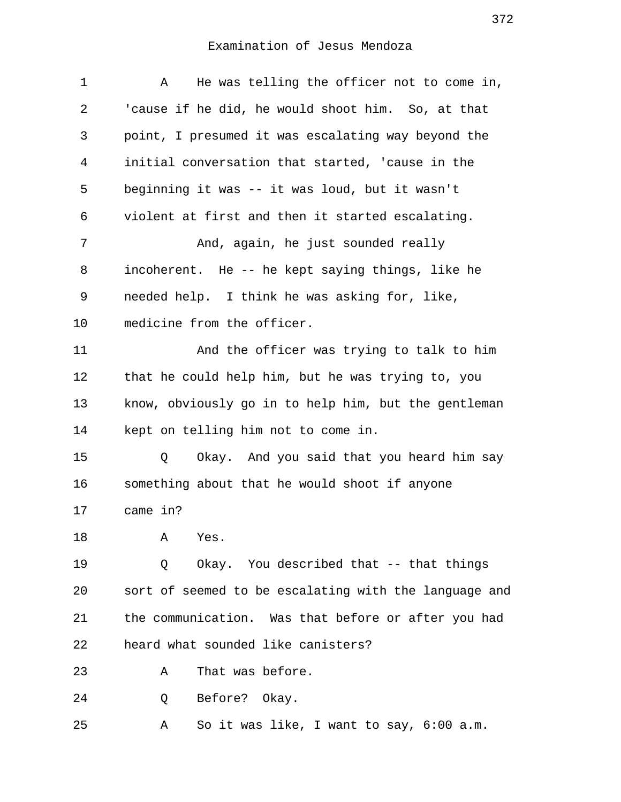| 1  | He was telling the officer not to come in,<br>Α       |
|----|-------------------------------------------------------|
| 2  | 'cause if he did, he would shoot him. So, at that     |
| 3  | point, I presumed it was escalating way beyond the    |
| 4  | initial conversation that started, 'cause in the      |
| 5  | beginning it was -- it was loud, but it wasn't        |
| 6  | violent at first and then it started escalating.      |
| 7  | And, again, he just sounded really                    |
| 8  | incoherent. He -- he kept saying things, like he      |
| 9  | needed help. I think he was asking for, like,         |
| 10 | medicine from the officer.                            |
| 11 | And the officer was trying to talk to him             |
| 12 | that he could help him, but he was trying to, you     |
| 13 | know, obviously go in to help him, but the gentleman  |
| 14 | kept on telling him not to come in.                   |
| 15 | Okay. And you said that you heard him say<br>Q        |
| 16 | something about that he would shoot if anyone         |
| 17 | came in?                                              |
| 18 | Α<br>Yes.                                             |
| 19 | Okay. You described that -- that things<br>Q          |
| 20 | sort of seemed to be escalating with the language and |
| 21 | the communication. Was that before or after you had   |
| 22 | heard what sounded like canisters?                    |
| 23 | That was before.<br>Α                                 |
| 24 | Before? Okay.<br>Q                                    |
| 25 | So it was like, I want to say, 6:00 a.m.<br>Α         |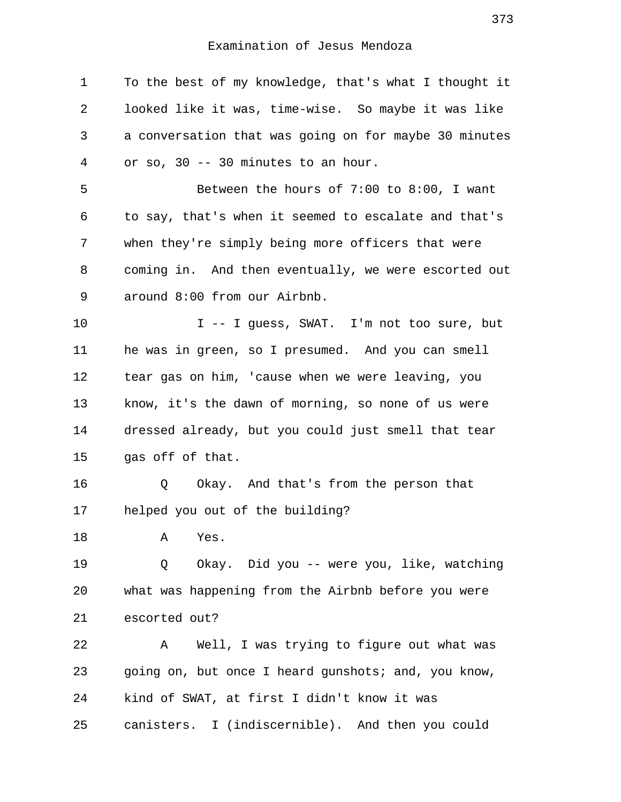1 To the best of my knowledge, that's what I thought it 2 looked like it was, time-wise. So maybe it was like 3 a conversation that was going on for maybe 30 minutes 4 or so, 30 -- 30 minutes to an hour. 5 Between the hours of 7:00 to 8:00, I want 6 to say, that's when it seemed to escalate and that's 7 when they're simply being more officers that were 8 coming in. And then eventually, we were escorted out 9 around 8:00 from our Airbnb. 10 I -- I guess, SWAT. I'm not too sure, but 11 he was in green, so I presumed. And you can smell 12 tear gas on him, 'cause when we were leaving, you 13 know, it's the dawn of morning, so none of us were 14 dressed already, but you could just smell that tear 15 gas off of that. 16 Q Okay. And that's from the person that 17 helped you out of the building? 18 A Yes. 19 Q Okay. Did you -- were you, like, watching 20 what was happening from the Airbnb before you were 21 escorted out? 22 A Well, I was trying to figure out what was 23 going on, but once I heard gunshots; and, you know, 24 kind of SWAT, at first I didn't know it was 25 canisters. I (indiscernible). And then you could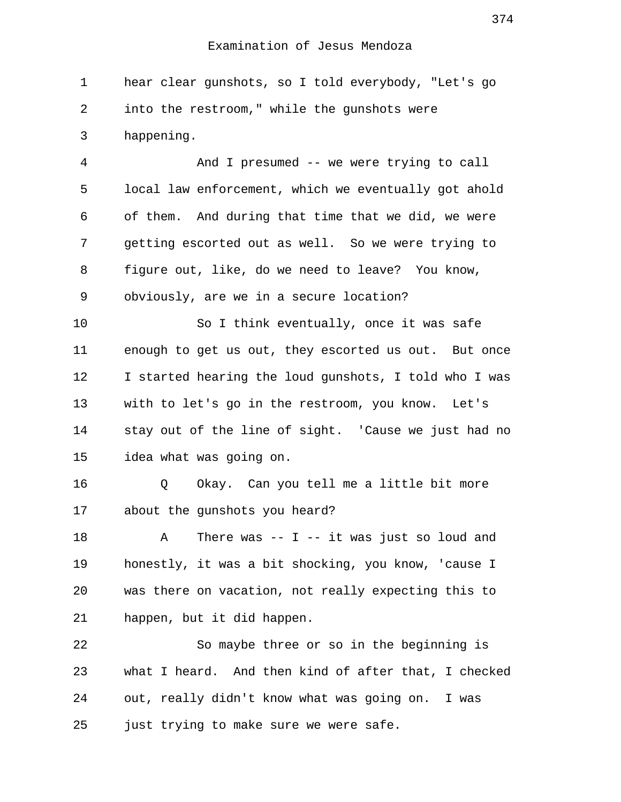1 hear clear gunshots, so I told everybody, "Let's go 2 into the restroom," while the gunshots were 3 happening.

 4 And I presumed -- we were trying to call 5 local law enforcement, which we eventually got ahold 6 of them. And during that time that we did, we were 7 getting escorted out as well. So we were trying to 8 figure out, like, do we need to leave? You know, 9 obviously, are we in a secure location?

10 So I think eventually, once it was safe 11 enough to get us out, they escorted us out. But once 12 I started hearing the loud gunshots, I told who I was 13 with to let's go in the restroom, you know. Let's 14 stay out of the line of sight. 'Cause we just had no 15 idea what was going on.

16 Q Okay. Can you tell me a little bit more 17 about the gunshots you heard?

18 A There was -- I -- it was just so loud and 19 honestly, it was a bit shocking, you know, 'cause I 20 was there on vacation, not really expecting this to 21 happen, but it did happen.

22 So maybe three or so in the beginning is 23 what I heard. And then kind of after that, I checked 24 out, really didn't know what was going on. I was 25 just trying to make sure we were safe.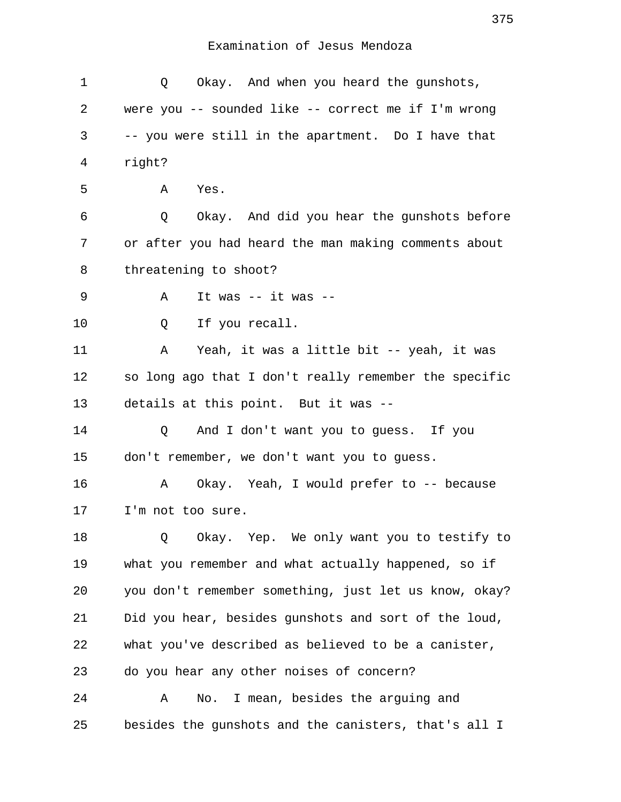| 1  | Okay. And when you heard the gunshots,<br>Q           |
|----|-------------------------------------------------------|
| 2  | were you -- sounded like -- correct me if I'm wrong   |
| 3  | -- you were still in the apartment. Do I have that    |
| 4  | right?                                                |
| 5  | Yes.<br>A                                             |
| 6  | Okay. And did you hear the gunshots before<br>Q       |
| 7  | or after you had heard the man making comments about  |
| 8  | threatening to shoot?                                 |
| 9  | It was -- it was --<br>Α                              |
| 10 | If you recall.<br>Q                                   |
| 11 | Yeah, it was a little bit -- yeah, it was<br>Α        |
| 12 | so long ago that I don't really remember the specific |
| 13 | details at this point. But it was --                  |
| 14 | And I don't want you to guess. If you<br>Q            |
| 15 | don't remember, we don't want you to guess.           |
| 16 | Okay. Yeah, I would prefer to -- because<br>Α         |
| 17 | I'm not too sure.                                     |
| 18 | Okay. Yep. We only want you to testify to<br>Q        |
| 19 | what you remember and what actually happened, so if   |
| 20 | you don't remember something, just let us know, okay? |
| 21 | Did you hear, besides gunshots and sort of the loud,  |
| 22 | what you've described as believed to be a canister,   |
| 23 | do you hear any other noises of concern?              |
| 24 | No. I mean, besides the arguing and<br>Α              |
| 25 | besides the gunshots and the canisters, that's all I  |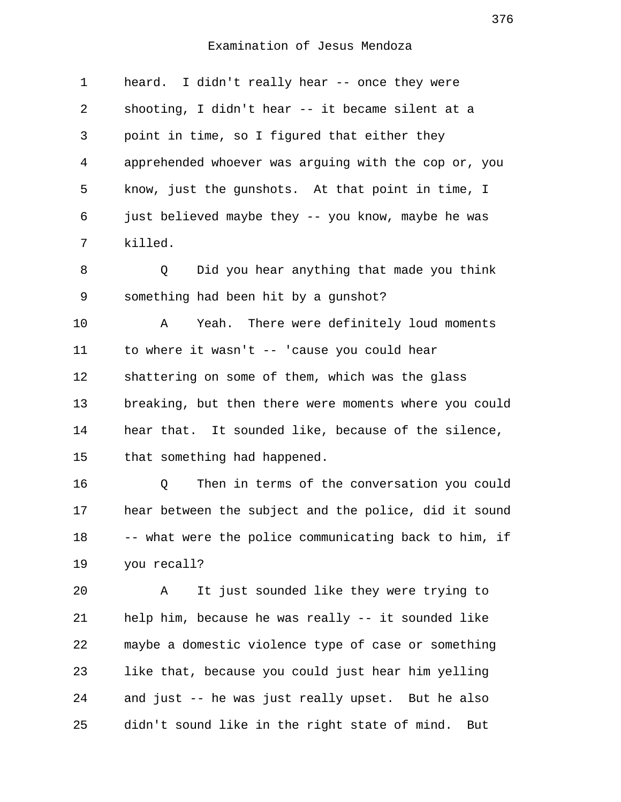| $\mathbf 1$ | heard. I didn't really hear -- once they were         |
|-------------|-------------------------------------------------------|
| 2           | shooting, I didn't hear -- it became silent at a      |
| 3           | point in time, so I figured that either they          |
| 4           | apprehended whoever was arguing with the cop or, you  |
| 5           | know, just the gunshots. At that point in time, I     |
| 6           | just believed maybe they -- you know, maybe he was    |
| 7           | killed.                                               |
| 8           | Did you hear anything that made you think<br>Q        |
| 9           | something had been hit by a gunshot?                  |
| 10          | Yeah. There were definitely loud moments<br>Α         |
| 11          | to where it wasn't -- 'cause you could hear           |
| 12          | shattering on some of them, which was the glass       |
| 13          | breaking, but then there were moments where you could |
| 14          | hear that. It sounded like, because of the silence,   |
| 15          | that something had happened.                          |
| 16          | Then in terms of the conversation you could<br>Q      |
| 17          | hear between the subject and the police, did it sound |
| 18          | -- what were the police communicating back to him, if |
| 19          | you recall?                                           |
| 20          | It just sounded like they were trying to<br>Α         |
| 21          | help him, because he was really -- it sounded like    |
| 22          | maybe a domestic violence type of case or something   |
| 23          | like that, because you could just hear him yelling    |
| 24          | and just -- he was just really upset. But he also     |
| 25          | didn't sound like in the right state of mind.<br>But  |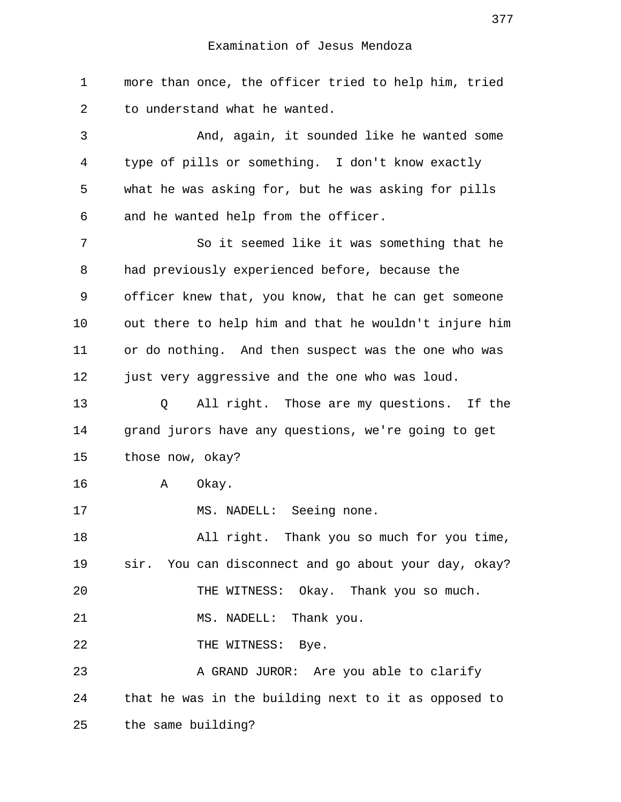1 more than once, the officer tried to help him, tried 2 to understand what he wanted. 3 And, again, it sounded like he wanted some 4 type of pills or something. I don't know exactly 5 what he was asking for, but he was asking for pills 6 and he wanted help from the officer. 7 So it seemed like it was something that he 8 had previously experienced before, because the 9 officer knew that, you know, that he can get someone 10 out there to help him and that he wouldn't injure him 11 or do nothing. And then suspect was the one who was 12 just very aggressive and the one who was loud. 13 Q All right. Those are my questions. If the 14 grand jurors have any questions, we're going to get 15 those now, okay? 16 A Okay. 17 MS. NADELL: Seeing none. 18 All right. Thank you so much for you time, 19 sir. You can disconnect and go about your day, okay? 20 THE WITNESS: Okay. Thank you so much. 21 MS. NADELL: Thank you. 22 THE WITNESS: Bye. 23 A GRAND JUROR: Are you able to clarify 24 that he was in the building next to it as opposed to 25 the same building?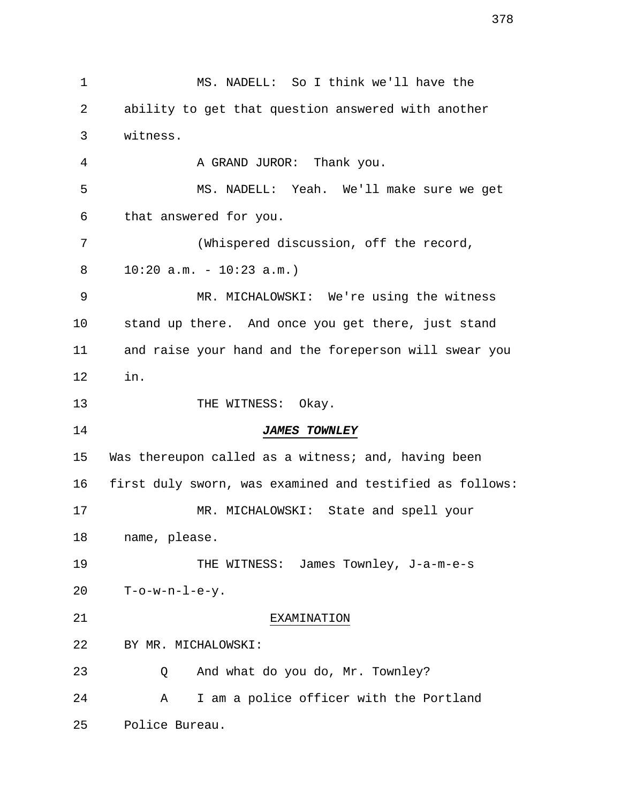1 MS. NADELL: So I think we'll have the 2 ability to get that question answered with another 3 witness. 4 A GRAND JUROR: Thank you. 5 MS. NADELL: Yeah. We'll make sure we get 6 that answered for you. 7 (Whispered discussion, off the record, 8 10:20 a.m. - 10:23 a.m.) 9 MR. MICHALOWSKI: We're using the witness 10 stand up there. And once you get there, just stand 11 and raise your hand and the foreperson will swear you 12 in. 13 THE WITNESS: Okay. 14 **JAMES TOWNLEY** 15 Was thereupon called as a witness; and, having been 16 first duly sworn, was examined and testified as follows: 17 MR. MICHALOWSKI: State and spell your 18 name, please. 19 THE WITNESS: James Townley, J-a-m-e-s 20 T-o-w-n-l-e-y. 21 EXAMINATION 22 BY MR. MICHALOWSKI: 23 Q And what do you do, Mr. Townley? 24 A I am a police officer with the Portland 25 Police Bureau.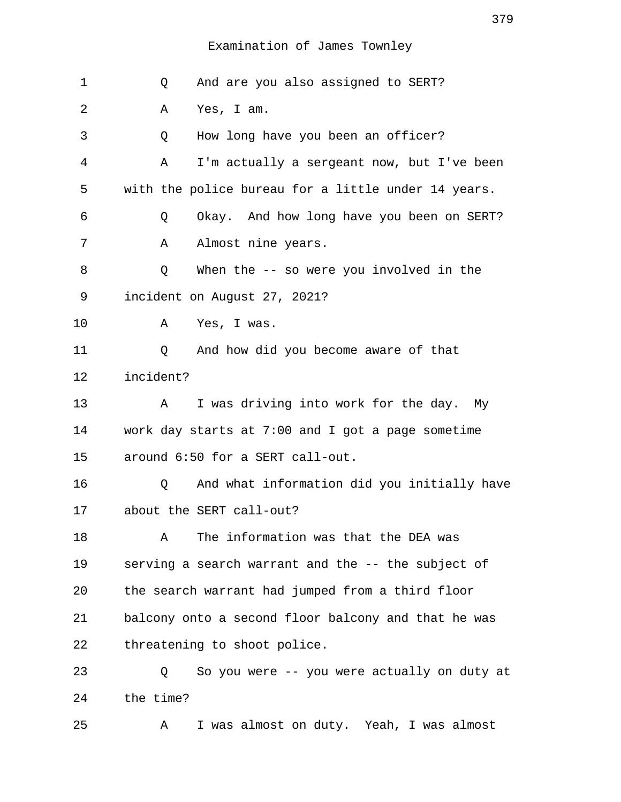| 1  | And are you also assigned to SERT?<br>Q             |
|----|-----------------------------------------------------|
| 2  | Yes, I am.<br>Α                                     |
| 3  | How long have you been an officer?<br>Q             |
| 4  | I'm actually a sergeant now, but I've been<br>Α     |
| 5  | with the police bureau for a little under 14 years. |
| 6  | Okay. And how long have you been on SERT?<br>Q      |
| 7  | Almost nine years.<br>Α                             |
| 8  | When the $-$ so were you involved in the<br>Q       |
| 9  | incident on August 27, 2021?                        |
| 10 | Yes, I was.<br>Α                                    |
| 11 | And how did you become aware of that<br>Q           |
| 12 | incident?                                           |
| 13 | I was driving into work for the day. My<br>A        |
| 14 | work day starts at 7:00 and I got a page sometime   |
| 15 | around 6:50 for a SERT call-out.                    |
| 16 | And what information did you initially have<br>Q    |
| 17 | about the SERT call-out?                            |
| 18 | The information was that the DEA was<br>Α           |
| 19 | serving a search warrant and the -- the subject of  |
| 20 | the search warrant had jumped from a third floor    |
| 21 | balcony onto a second floor balcony and that he was |
| 22 | threatening to shoot police.                        |
| 23 | So you were -- you were actually on duty at<br>Q    |
| 24 | the time?                                           |
| 25 | I was almost on duty. Yeah, I was almost<br>Α       |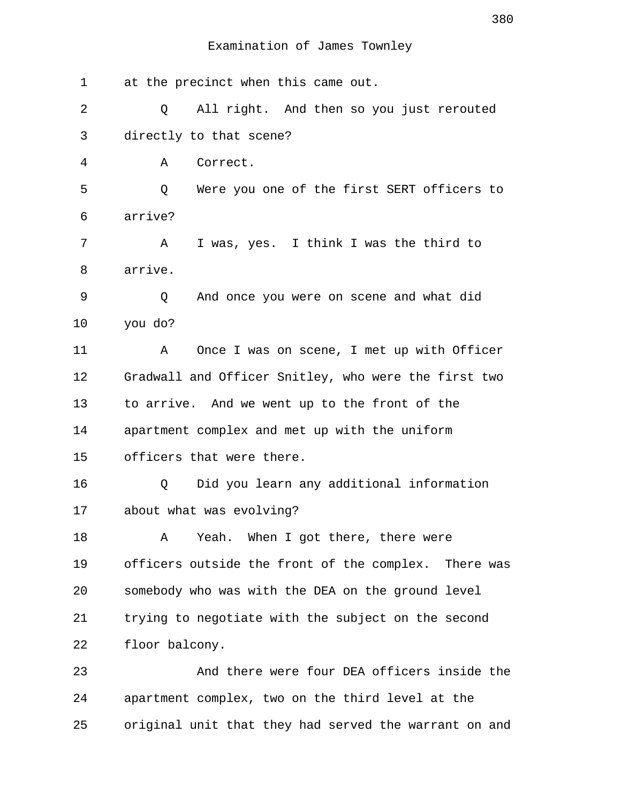| $\mathbf 1$ | at the precinct when this came out.                   |
|-------------|-------------------------------------------------------|
| 2           | All right. And then so you just rerouted<br>Q         |
| 3           | directly to that scene?                               |
| 4           | Correct.<br>Α                                         |
| 5           | Were you one of the first SERT officers to<br>Q       |
| 6           | arrive?                                               |
| 7           | I was, yes. I think I was the third to<br>Α           |
| 8           | arrive.                                               |
| 9           | And once you were on scene and what did<br>Q          |
| 10          | you do?                                               |
| 11          | Once I was on scene, I met up with Officer<br>Α       |
| 12          | Gradwall and Officer Snitley, who were the first two  |
| 13          | to arrive. And we went up to the front of the         |
| 14          | apartment complex and met up with the uniform         |
| 15          | officers that were there.                             |
| 16          | Did you learn any additional information<br>Q         |
| 17          | about what was evolving?                              |
| 18          | Yeah. When I got there, there were<br>Α               |
| 19          | officers outside the front of the complex. There was  |
| 20          | somebody who was with the DEA on the ground level     |
| 21          | trying to negotiate with the subject on the second    |
| 22          | floor balcony.                                        |
| 23          | And there were four DEA officers inside the           |
| 24          | apartment complex, two on the third level at the      |
| 25          | original unit that they had served the warrant on and |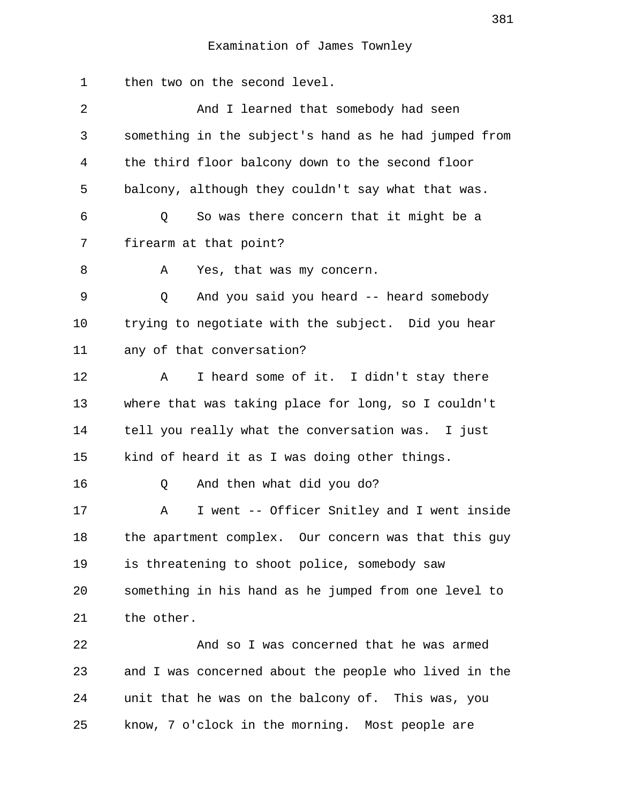1 then two on the second level. 2 And I learned that somebody had seen 3 something in the subject's hand as he had jumped from 4 the third floor balcony down to the second floor 5 balcony, although they couldn't say what that was. 6 Q So was there concern that it might be a 7 firearm at that point? 8 A Yes, that was my concern. 9 Q And you said you heard -- heard somebody 10 trying to negotiate with the subject. Did you hear 11 any of that conversation? 12 A I heard some of it. I didn't stay there 13 where that was taking place for long, so I couldn't 14 tell you really what the conversation was. I just 15 kind of heard it as I was doing other things. 16 Q And then what did you do? 17 A I went -- Officer Snitley and I went inside 18 the apartment complex. Our concern was that this guy 19 is threatening to shoot police, somebody saw 20 something in his hand as he jumped from one level to 21 the other. 22 And so I was concerned that he was armed 23 and I was concerned about the people who lived in the 24 unit that he was on the balcony of. This was, you 25 know, 7 o'clock in the morning. Most people are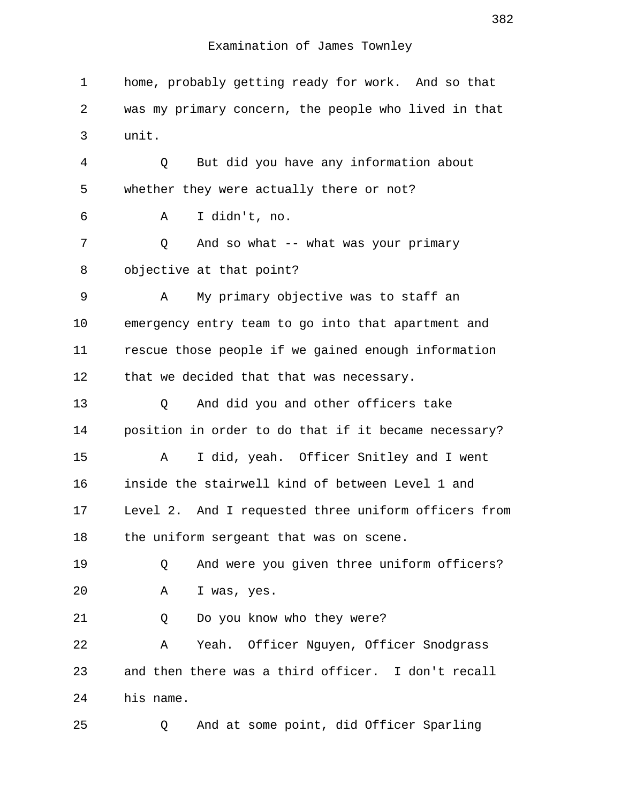1 home, probably getting ready for work. And so that 2 was my primary concern, the people who lived in that 3 unit. 4 Q But did you have any information about 5 whether they were actually there or not? 6 A I didn't, no. 7 Q And so what -- what was your primary 8 objective at that point? 9 A My primary objective was to staff an 10 emergency entry team to go into that apartment and 11 rescue those people if we gained enough information 12 that we decided that that was necessary. 13 Q And did you and other officers take 14 position in order to do that if it became necessary? 15 A I did, yeah. Officer Snitley and I went 16 inside the stairwell kind of between Level 1 and 17 Level 2. And I requested three uniform officers from 18 the uniform sergeant that was on scene. 19 Q And were you given three uniform officers? 20 A I was, yes. 21 Q Do you know who they were? 22 A Yeah. Officer Nguyen, Officer Snodgrass 23 and then there was a third officer. I don't recall 24 his name. 25 Q And at some point, did Officer Sparling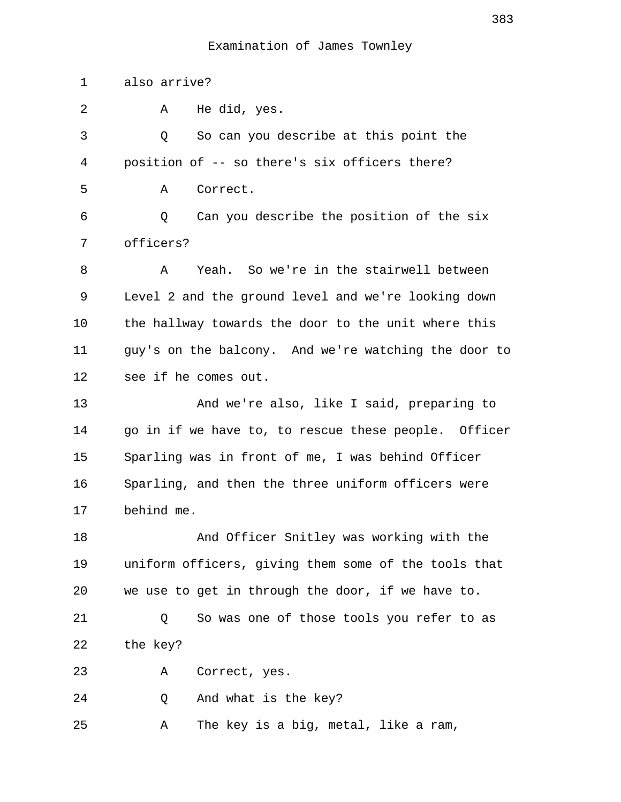1 also arrive? 2 A He did, yes. 3 Q So can you describe at this point the 4 position of -- so there's six officers there? 5 A Correct. 6 Q Can you describe the position of the six 7 officers? 8 A Yeah. So we're in the stairwell between 9 Level 2 and the ground level and we're looking down 10 the hallway towards the door to the unit where this 11 guy's on the balcony. And we're watching the door to 12 see if he comes out. 13 And we're also, like I said, preparing to 14 go in if we have to, to rescue these people. Officer 15 Sparling was in front of me, I was behind Officer 16 Sparling, and then the three uniform officers were 17 behind me. 18 And Officer Snitley was working with the 19 uniform officers, giving them some of the tools that 20 we use to get in through the door, if we have to. 21 Q So was one of those tools you refer to as 22 the key? 23 A Correct, yes. 24 Q And what is the key? 25 A The key is a big, metal, like a ram,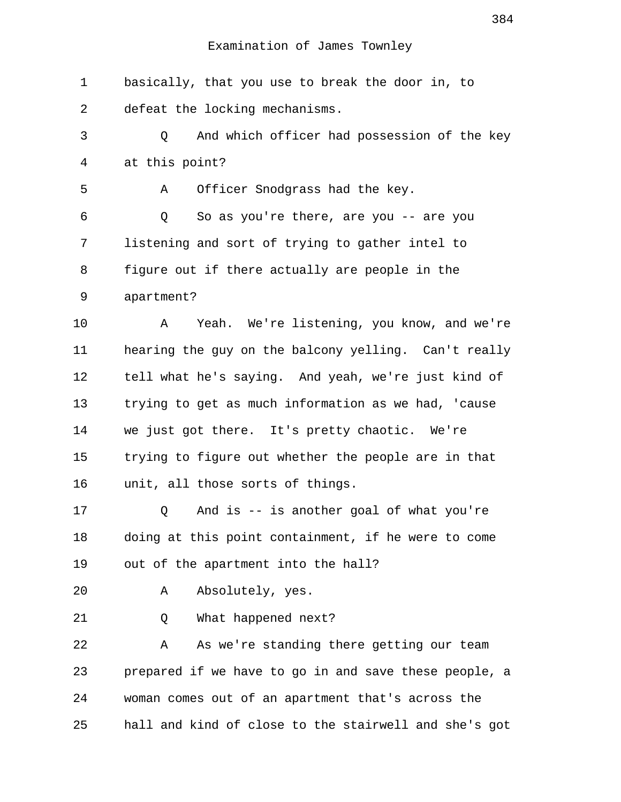1 basically, that you use to break the door in, to 2 defeat the locking mechanisms.

 3 Q And which officer had possession of the key 4 at this point?

5 A Officer Snodgrass had the key.

 6 Q So as you're there, are you -- are you 7 listening and sort of trying to gather intel to 8 figure out if there actually are people in the 9 apartment?

10 A Yeah. We're listening, you know, and we're 11 hearing the guy on the balcony yelling. Can't really 12 tell what he's saying. And yeah, we're just kind of 13 trying to get as much information as we had, 'cause 14 we just got there. It's pretty chaotic. We're 15 trying to figure out whether the people are in that 16 unit, all those sorts of things.

17 Q And is -- is another goal of what you're 18 doing at this point containment, if he were to come 19 out of the apartment into the hall?

20 A Absolutely, yes.

21 Q What happened next?

22 A As we're standing there getting our team 23 prepared if we have to go in and save these people, a 24 woman comes out of an apartment that's across the 25 hall and kind of close to the stairwell and she's got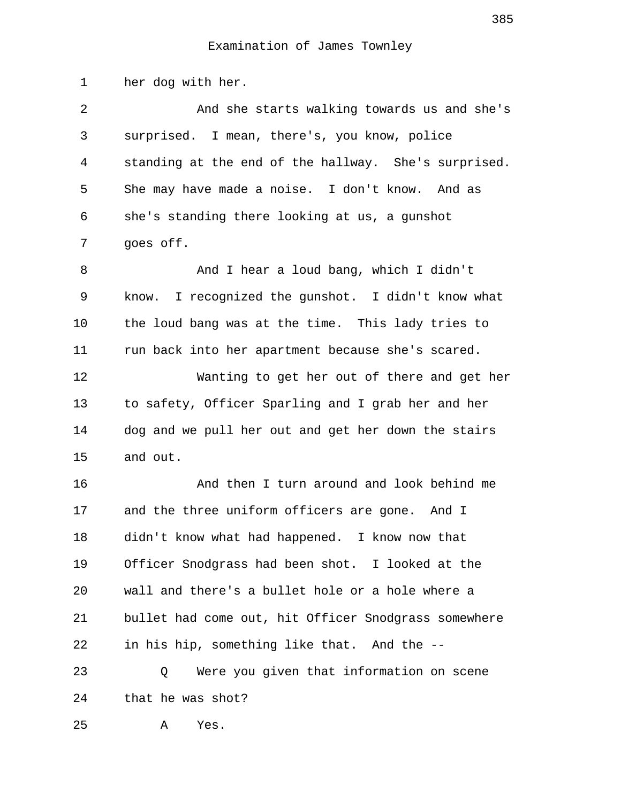1 her dog with her.

 2 And she starts walking towards us and she's 3 surprised. I mean, there's, you know, police 4 standing at the end of the hallway. She's surprised. 5 She may have made a noise. I don't know. And as 6 she's standing there looking at us, a gunshot 7 goes off. 8 And I hear a loud bang, which I didn't 9 know. I recognized the gunshot. I didn't know what 10 the loud bang was at the time. This lady tries to 11 run back into her apartment because she's scared. 12 Wanting to get her out of there and get her 13 to safety, Officer Sparling and I grab her and her 14 dog and we pull her out and get her down the stairs 15 and out. 16 And then I turn around and look behind me 17 and the three uniform officers are gone. And I 18 didn't know what had happened. I know now that 19 Officer Snodgrass had been shot. I looked at the 20 wall and there's a bullet hole or a hole where a 21 bullet had come out, hit Officer Snodgrass somewhere 22 in his hip, something like that. And the -- 23 Q Were you given that information on scene 24 that he was shot? 25 A Yes.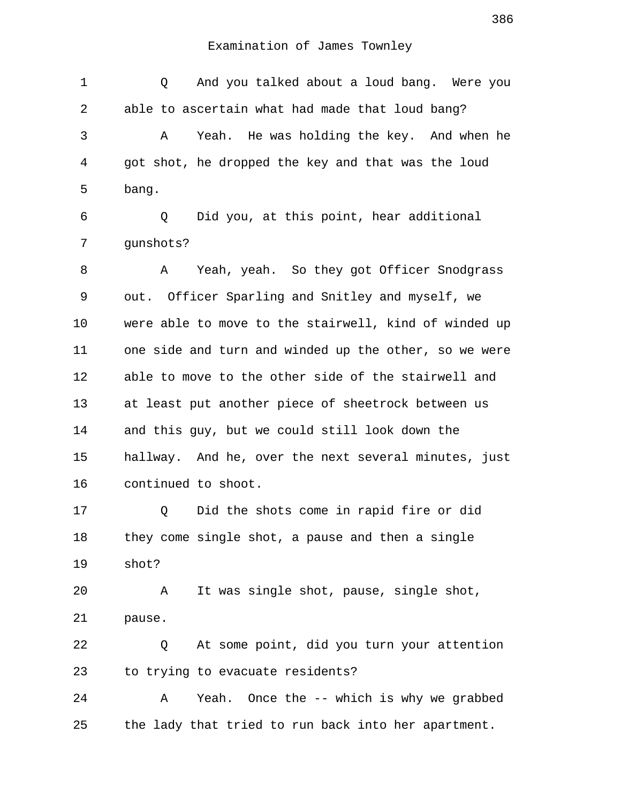1 Q And you talked about a loud bang. Were you 2 able to ascertain what had made that loud bang? 3 A Yeah. He was holding the key. And when he 4 got shot, he dropped the key and that was the loud 5 bang. 6 Q Did you, at this point, hear additional 7 gunshots? 8 A Yeah, yeah. So they got Officer Snodgrass 9 out. Officer Sparling and Snitley and myself, we 10 were able to move to the stairwell, kind of winded up 11 one side and turn and winded up the other, so we were 12 able to move to the other side of the stairwell and 13 at least put another piece of sheetrock between us 14 and this guy, but we could still look down the 15 hallway. And he, over the next several minutes, just 16 continued to shoot. 17 Q Did the shots come in rapid fire or did 18 they come single shot, a pause and then a single 19 shot? 20 A It was single shot, pause, single shot, 21 pause. 22 Q At some point, did you turn your attention 23 to trying to evacuate residents? 24 A Yeah. Once the -- which is why we grabbed 25 the lady that tried to run back into her apartment.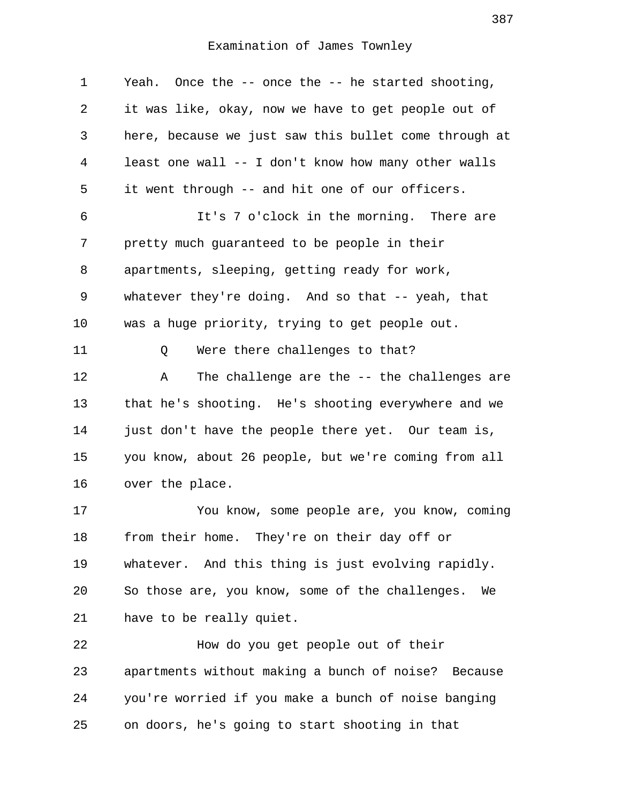1 Yeah. Once the -- once the -- he started shooting, 2 it was like, okay, now we have to get people out of 3 here, because we just saw this bullet come through at 4 least one wall -- I don't know how many other walls 5 it went through -- and hit one of our officers. 6 It's 7 o'clock in the morning. There are 7 pretty much guaranteed to be people in their 8 apartments, sleeping, getting ready for work, 9 whatever they're doing. And so that -- yeah, that 10 was a huge priority, trying to get people out. 11 0 Were there challenges to that? 12 A The challenge are the -- the challenges are 13 that he's shooting. He's shooting everywhere and we 14 just don't have the people there yet. Our team is, 15 you know, about 26 people, but we're coming from all 16 over the place. 17 You know, some people are, you know, coming 18 from their home. They're on their day off or 19 whatever. And this thing is just evolving rapidly. 20 So those are, you know, some of the challenges. We 21 have to be really quiet. 22 How do you get people out of their 23 apartments without making a bunch of noise? Because 24 you're worried if you make a bunch of noise banging 25 on doors, he's going to start shooting in that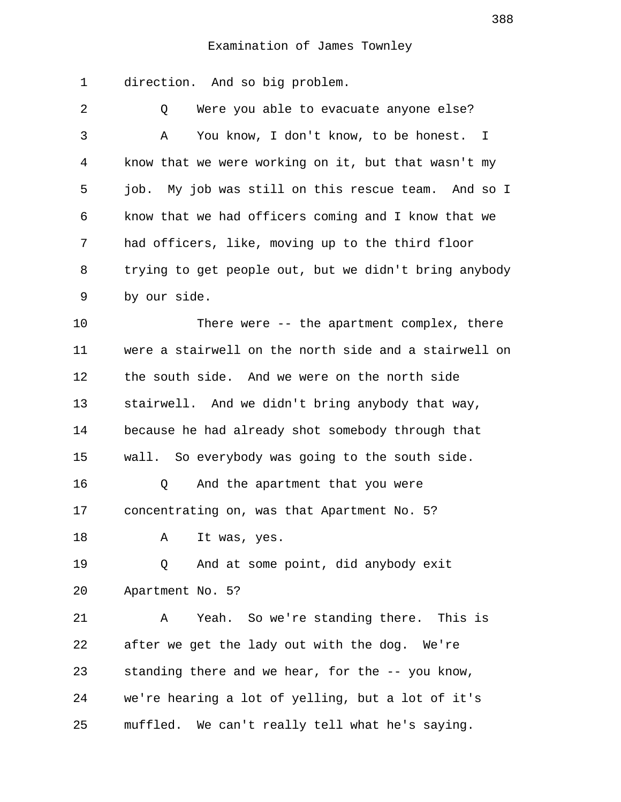1 direction. And so big problem.

 2 Q Were you able to evacuate anyone else? 3 A You know, I don't know, to be honest. I 4 know that we were working on it, but that wasn't my 5 job. My job was still on this rescue team. And so I 6 know that we had officers coming and I know that we 7 had officers, like, moving up to the third floor 8 trying to get people out, but we didn't bring anybody 9 by our side.

10 There were -- the apartment complex, there 11 were a stairwell on the north side and a stairwell on 12 the south side. And we were on the north side 13 stairwell. And we didn't bring anybody that way, 14 because he had already shot somebody through that 15 wall. So everybody was going to the south side. 16 Q And the apartment that you were 17 concentrating on, was that Apartment No. 5? 18 A It was, yes. 19 Q And at some point, did anybody exit 20 Apartment No. 5? 21 A Yeah. So we're standing there. This is 22 after we get the lady out with the dog. We're

24 we're hearing a lot of yelling, but a lot of it's 25 muffled. We can't really tell what he's saying.

23 standing there and we hear, for the -- you know,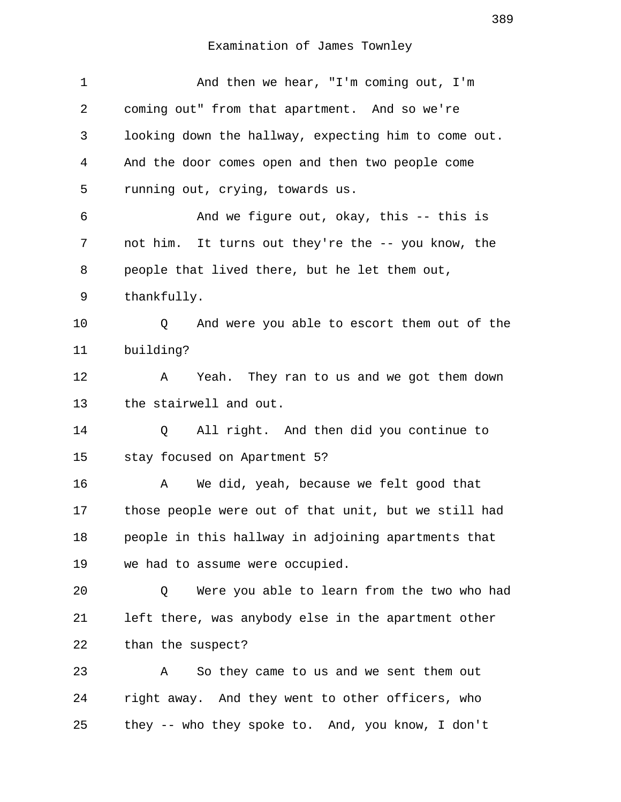| $\mathbf 1$ | And then we hear, "I'm coming out, I'm               |
|-------------|------------------------------------------------------|
| 2           | coming out" from that apartment. And so we're        |
| 3           | looking down the hallway, expecting him to come out. |
| 4           | And the door comes open and then two people come     |
| 5           | running out, crying, towards us.                     |
| 6           | And we figure out, okay, this -- this is             |
| 7           | not him. It turns out they're the -- you know, the   |
| 8           | people that lived there, but he let them out,        |
| 9           | thankfully.                                          |
| 10          | And were you able to escort them out of the<br>Q     |
| 11          | building?                                            |
| 12          | Yeah. They ran to us and we got them down<br>A       |
| 13          | the stairwell and out.                               |
| 14          | All right. And then did you continue to<br>Q         |
| 15          | stay focused on Apartment 5?                         |
| 16          | We did, yeah, because we felt good that<br>Α         |
| 17          | those people were out of that unit, but we still had |
| 18          | people in this hallway in adjoining apartments that  |
| 19          | we had to assume were occupied.                      |
| 20          | Were you able to learn from the two who had<br>Q     |
| 21          | left there, was anybody else in the apartment other  |
| 22          | than the suspect?                                    |
| 23          | So they came to us and we sent them out<br>Α         |
| 24          | right away. And they went to other officers, who     |
| 25          | they -- who they spoke to. And, you know, I don't    |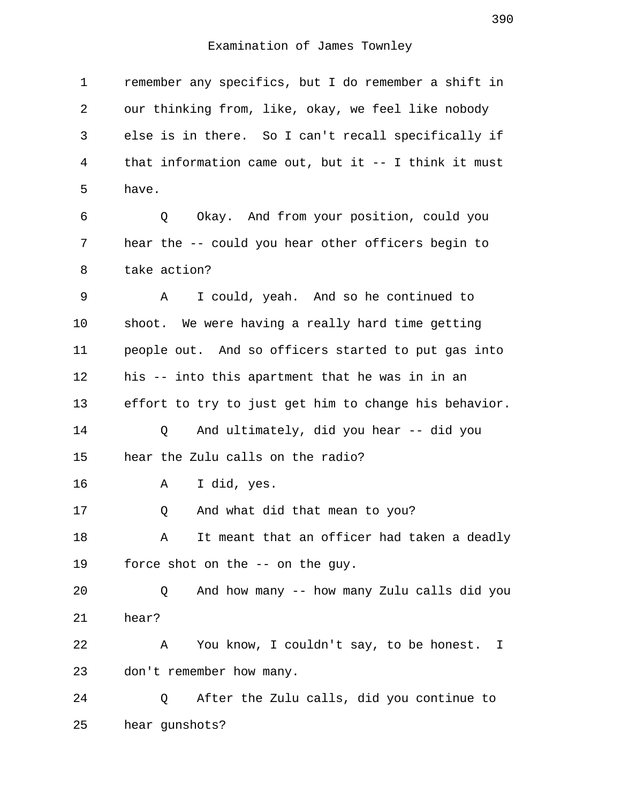1 remember any specifics, but I do remember a shift in 2 our thinking from, like, okay, we feel like nobody 3 else is in there. So I can't recall specifically if 4 that information came out, but it -- I think it must 5 have. 6 Q Okay. And from your position, could you 7 hear the -- could you hear other officers begin to 8 take action? 9 A I could, yeah. And so he continued to 10 shoot. We were having a really hard time getting 11 people out. And so officers started to put gas into 12 his -- into this apartment that he was in in an 13 effort to try to just get him to change his behavior. 14 Q And ultimately, did you hear -- did you 15 hear the Zulu calls on the radio? 16 A I did, yes. 17 Q And what did that mean to you? 18 A It meant that an officer had taken a deadly 19 force shot on the -- on the guy. 20 Q And how many -- how many Zulu calls did you 21 hear? 22 A You know, I couldn't say, to be honest. I 23 don't remember how many. 24 Q After the Zulu calls, did you continue to 25 hear gunshots?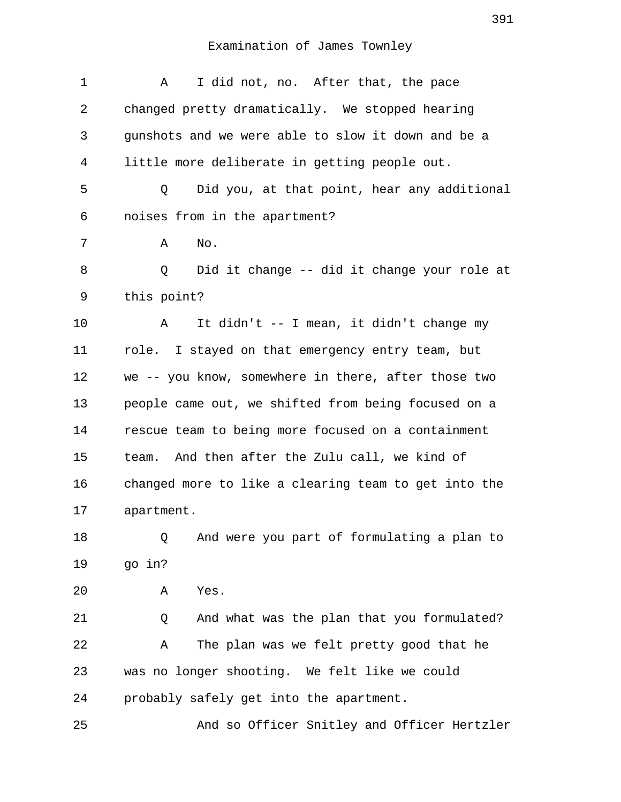| $\mathbf 1$    | I did not, no. After that, the pace<br>Α             |
|----------------|------------------------------------------------------|
| 2              | changed pretty dramatically. We stopped hearing      |
| 3              | gunshots and we were able to slow it down and be a   |
| $\overline{4}$ | little more deliberate in getting people out.        |
| 5              | Did you, at that point, hear any additional<br>Q     |
| 6              | noises from in the apartment?                        |
| 7              | No.<br>Α                                             |
| 8              | Did it change -- did it change your role at<br>Q     |
| 9              | this point?                                          |
| 10             | It didn't -- I mean, it didn't change my<br>Α        |
| 11             | role. I stayed on that emergency entry team, but     |
| 12             | we -- you know, somewhere in there, after those two  |
| 13             | people came out, we shifted from being focused on a  |
| 14             | rescue team to being more focused on a containment   |
| 15             | team. And then after the Zulu call, we kind of       |
| 16             | changed more to like a clearing team to get into the |
| 17             | apartment.                                           |
| 18             | And were you part of formulating a plan to<br>Q      |
| 19             | go in?                                               |
| 20             | Yes.<br>Α                                            |
| 21             | And what was the plan that you formulated?<br>Q      |
| 22             | The plan was we felt pretty good that he<br>Α        |
| 23             | was no longer shooting. We felt like we could        |
| 24             | probably safely get into the apartment.              |
| 25             | And so Officer Snitley and Officer Hertzler          |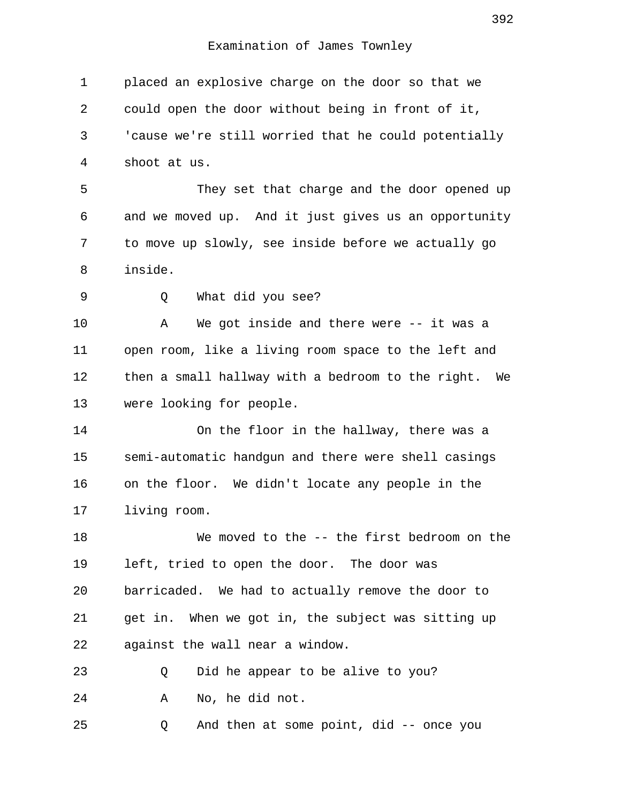1 placed an explosive charge on the door so that we 2 could open the door without being in front of it, 3 'cause we're still worried that he could potentially 4 shoot at us. 5 They set that charge and the door opened up 6 and we moved up. And it just gives us an opportunity 7 to move up slowly, see inside before we actually go 8 inside. 9 Q What did you see? 10 A We got inside and there were -- it was a 11 open room, like a living room space to the left and 12 then a small hallway with a bedroom to the right. We 13 were looking for people. 14 On the floor in the hallway, there was a 15 semi-automatic handgun and there were shell casings 16 on the floor. We didn't locate any people in the 17 living room. 18 We moved to the -- the first bedroom on the 19 left, tried to open the door. The door was 20 barricaded. We had to actually remove the door to 21 get in. When we got in, the subject was sitting up 22 against the wall near a window. 23 Q Did he appear to be alive to you? 24 A No, he did not. 25 Q And then at some point, did -- once you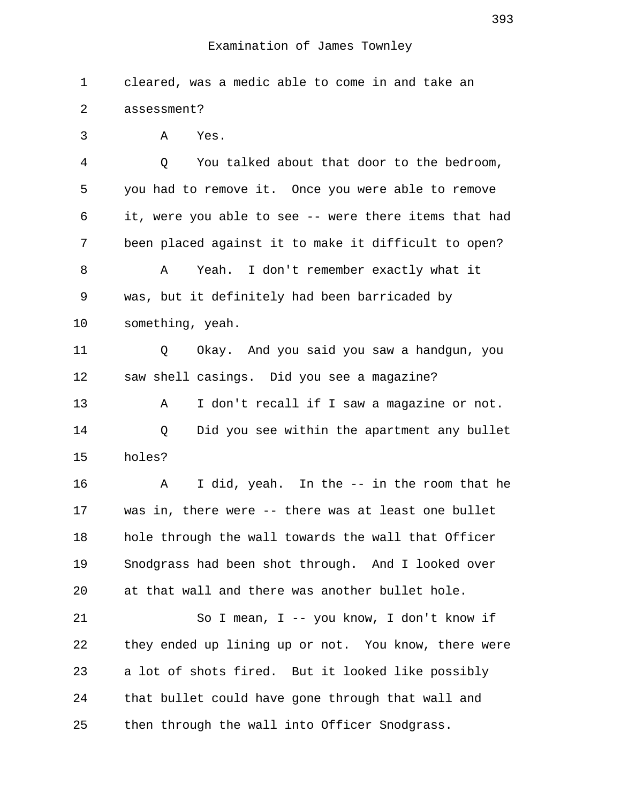1 cleared, was a medic able to come in and take an 2 assessment? 3 A Yes. 4 Q You talked about that door to the bedroom, 5 you had to remove it. Once you were able to remove 6 it, were you able to see -- were there items that had 7 been placed against it to make it difficult to open? 8 A Yeah. I don't remember exactly what it 9 was, but it definitely had been barricaded by 10 something, yeah. 11 Q Okay. And you said you saw a handgun, you 12 saw shell casings. Did you see a magazine? 13 A I don't recall if I saw a magazine or not. 14 Q Did you see within the apartment any bullet 15 holes? 16 A I did, yeah. In the -- in the room that he 17 was in, there were -- there was at least one bullet 18 hole through the wall towards the wall that Officer 19 Snodgrass had been shot through. And I looked over 20 at that wall and there was another bullet hole. 21 So I mean, I -- you know, I don't know if 22 they ended up lining up or not. You know, there were 23 a lot of shots fired. But it looked like possibly 24 that bullet could have gone through that wall and 25 then through the wall into Officer Snodgrass.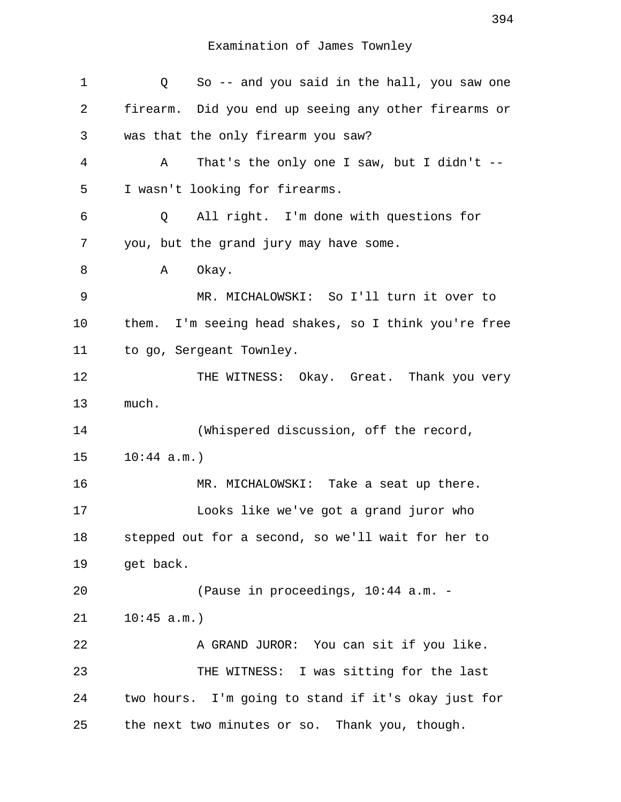| 1  | So -- and you said in the hall, you saw one<br>Q     |  |  |
|----|------------------------------------------------------|--|--|
| 2  | firearm. Did you end up seeing any other firearms or |  |  |
| 3  | was that the only firearm you saw?                   |  |  |
| 4  | That's the only one I saw, but I didn't $-$<br>Α     |  |  |
| 5  | I wasn't looking for firearms.                       |  |  |
| 6  | All right. I'm done with questions for<br>Q          |  |  |
| 7  | you, but the grand jury may have some.               |  |  |
| 8  | Α<br>Okay.                                           |  |  |
| 9  | MR. MICHALOWSKI: So I'll turn it over to             |  |  |
| 10 | them. I'm seeing head shakes, so I think you're free |  |  |
| 11 | to go, Sergeant Townley.                             |  |  |
| 12 | THE WITNESS: Okay. Great. Thank you very             |  |  |
| 13 | much.                                                |  |  |
| 14 | (Whispered discussion, off the record,               |  |  |
| 15 | 10:44 a.m.                                           |  |  |
| 16 | MR. MICHALOWSKI: Take a seat up there.               |  |  |
| 17 | Looks like we've got a grand juror who               |  |  |
| 18 | stepped out for a second, so we'll wait for her to   |  |  |
| 19 | get back.                                            |  |  |
| 20 | (Pause in proceedings, 10:44 a.m. -                  |  |  |
| 21 | 10:45 a.m.                                           |  |  |
| 22 | A GRAND JUROR: You can sit if you like.              |  |  |
| 23 | THE WITNESS: I was sitting for the last              |  |  |
| 24 | two hours. I'm going to stand if it's okay just for  |  |  |
| 25 | the next two minutes or so. Thank you, though.       |  |  |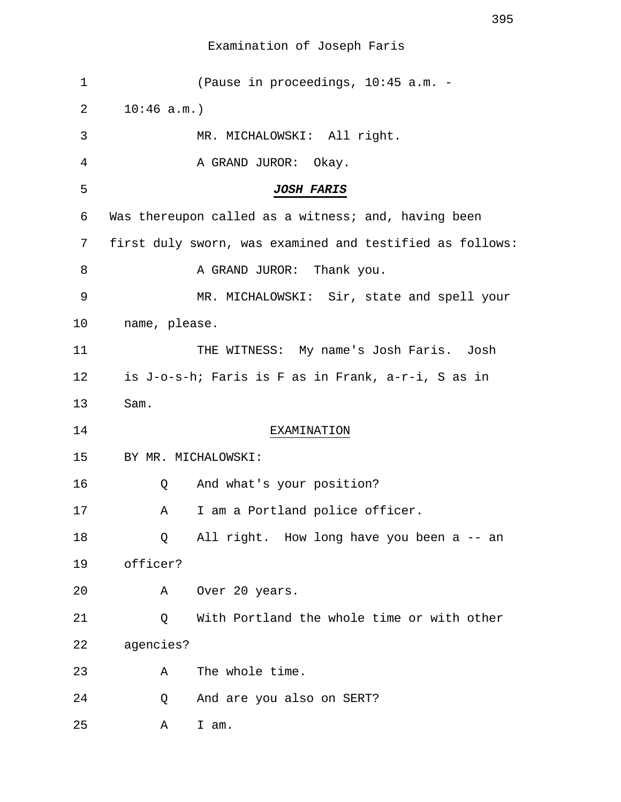| 1  |                                                    | (Pause in proceedings, 10:45 a.m. -                      |  |
|----|----------------------------------------------------|----------------------------------------------------------|--|
| 2  | 10:46 a.m.                                         |                                                          |  |
| 3  |                                                    | MR. MICHALOWSKI: All right.                              |  |
| 4  |                                                    | A GRAND JUROR: Okay.                                     |  |
| 5  |                                                    | <b>JOSH FARIS</b>                                        |  |
| 6  |                                                    | Was thereupon called as a witness; and, having been      |  |
| 7  |                                                    | first duly sworn, was examined and testified as follows: |  |
| 8  |                                                    | A GRAND JUROR: Thank you.                                |  |
| 9  |                                                    | MR. MICHALOWSKI: Sir, state and spell your               |  |
| 10 | name, please.                                      |                                                          |  |
| 11 |                                                    | THE WITNESS: My name's Josh Faris. Josh                  |  |
| 12 | is J-o-s-h; Faris is F as in Frank, a-r-i, S as in |                                                          |  |
| 13 | Sam.                                               |                                                          |  |
| 14 |                                                    | EXAMINATION                                              |  |
| 15 |                                                    | BY MR. MICHALOWSKI:                                      |  |
| 16 | Q                                                  | And what's your position?                                |  |
| 17 | Α                                                  | I am a Portland police officer.                          |  |
| 18 | Q                                                  | All right. How long have you been a -- an                |  |
| 19 | officer?                                           |                                                          |  |
| 20 | Α                                                  | Over 20 years.                                           |  |
| 21 | Q                                                  | With Portland the whole time or with other               |  |
| 22 | agencies?                                          |                                                          |  |
| 23 | Α                                                  | The whole time.                                          |  |
| 24 | Q                                                  | And are you also on SERT?                                |  |
| 25 | Α                                                  | I am.                                                    |  |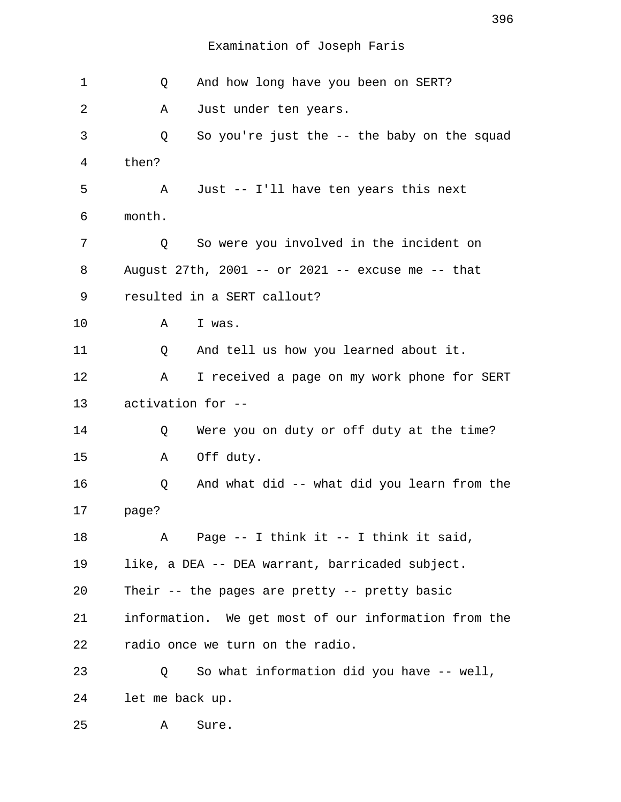| 1  | And how long have you been on SERT?<br>Q             |  |  |
|----|------------------------------------------------------|--|--|
| 2  | Just under ten years.<br>Α                           |  |  |
| 3  | So you're just the $-$ - the baby on the squad<br>Q  |  |  |
| 4  | then?                                                |  |  |
| 5  | Just -- I'll have ten years this next<br>Α           |  |  |
| 6  | month.                                               |  |  |
| 7  | So were you involved in the incident on<br>Q         |  |  |
| 8  | August 27th, 2001 -- or 2021 -- excuse me -- that    |  |  |
| 9  | resulted in a SERT callout?                          |  |  |
| 10 | Α<br>I was.                                          |  |  |
| 11 | And tell us how you learned about it.<br>Q           |  |  |
| 12 | I received a page on my work phone for SERT<br>Α     |  |  |
| 13 | activation for --                                    |  |  |
| 14 | Were you on duty or off duty at the time?<br>Q       |  |  |
| 15 | Off duty.<br>Α                                       |  |  |
| 16 | And what did -- what did you learn from the<br>Q     |  |  |
| 17 | page?                                                |  |  |
| 18 | Page $--$ I think it $--$ I think it said,<br>Α      |  |  |
| 19 | like, a DEA -- DEA warrant, barricaded subject.      |  |  |
| 20 | Their -- the pages are pretty -- pretty basic        |  |  |
| 21 | information. We get most of our information from the |  |  |
| 22 | radio once we turn on the radio.                     |  |  |
| 23 | So what information did you have -- well,<br>Q       |  |  |
| 24 | let me back up.                                      |  |  |
| 25 | Sure.<br>Α                                           |  |  |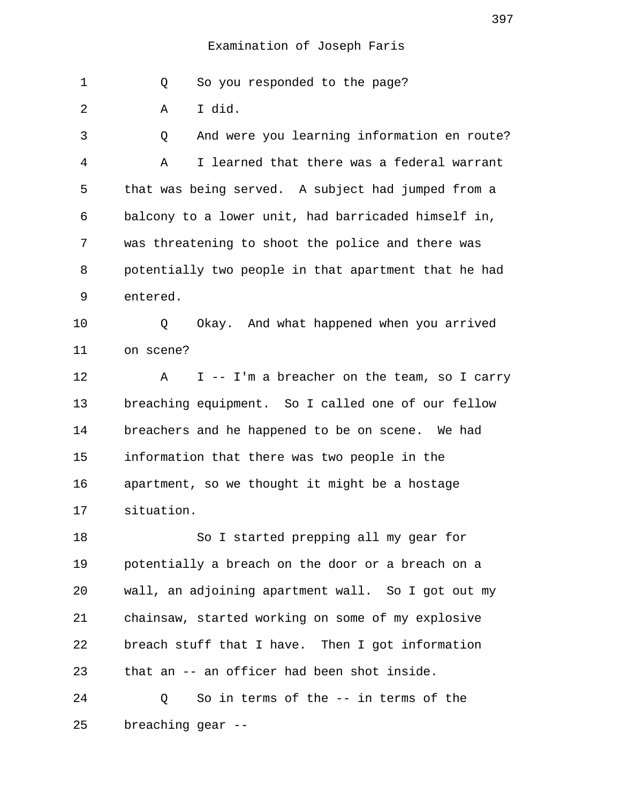1 Q So you responded to the page?

2 A I did.

 3 Q And were you learning information en route? 4 A I learned that there was a federal warrant 5 that was being served. A subject had jumped from a 6 balcony to a lower unit, had barricaded himself in, 7 was threatening to shoot the police and there was 8 potentially two people in that apartment that he had 9 entered.

10 Q Okay. And what happened when you arrived 11 on scene?

12 A I -- I'm a breacher on the team, so I carry 13 breaching equipment. So I called one of our fellow 14 breachers and he happened to be on scene. We had 15 information that there was two people in the 16 apartment, so we thought it might be a hostage 17 situation.

18 So I started prepping all my gear for 19 potentially a breach on the door or a breach on a 20 wall, an adjoining apartment wall. So I got out my 21 chainsaw, started working on some of my explosive 22 breach stuff that I have. Then I got information 23 that an -- an officer had been shot inside.

24 Q So in terms of the -- in terms of the 25 breaching gear --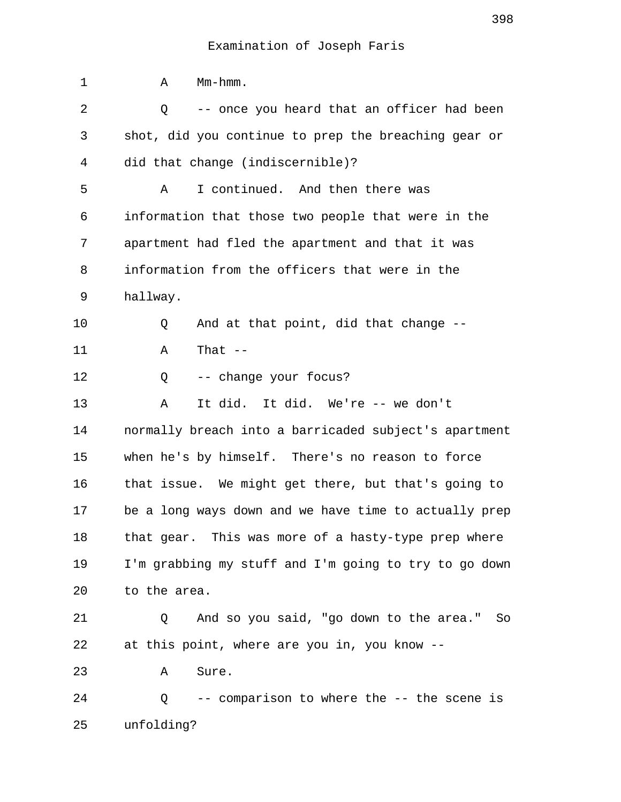| 1  | Mm-hmm.<br>Α                                          |
|----|-------------------------------------------------------|
| 2  | -- once you heard that an officer had been<br>Q       |
| 3  | shot, did you continue to prep the breaching gear or  |
| 4  | did that change (indiscernible)?                      |
| 5  | I continued. And then there was<br>Α                  |
| 6  | information that those two people that were in the    |
| 7  | apartment had fled the apartment and that it was      |
| 8  | information from the officers that were in the        |
| 9  | hallway.                                              |
| 10 | And at that point, did that change --<br>Q            |
| 11 | That $--$<br>Α                                        |
| 12 | -- change your focus?<br>Q                            |
| 13 | It did. It did. We're -- we don't<br>Α                |
| 14 | normally breach into a barricaded subject's apartment |
| 15 | when he's by himself. There's no reason to force      |
| 16 | that issue. We might get there, but that's going to   |
| 17 | be a long ways down and we have time to actually prep |
| 18 | that gear. This was more of a hasty-type prep where   |
| 19 | I'm grabbing my stuff and I'm going to try to go down |
| 20 | to the area.                                          |
| 21 | And so you said, "go down to the area."<br>Q<br>So    |
| 22 | at this point, where are you in, you know --          |
| 23 | Sure.<br>Α                                            |
| 24 | -- comparison to where the -- the scene is<br>Q       |
| 25 | unfolding?                                            |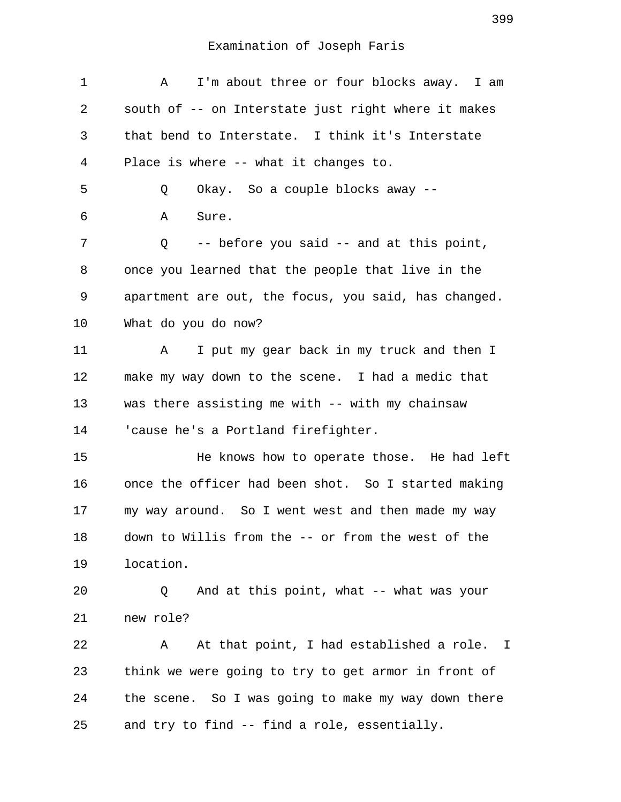| 1       | I'm about three or four blocks away. I am<br>A       |
|---------|------------------------------------------------------|
| 2       | south of -- on Interstate just right where it makes  |
| 3       | that bend to Interstate. I think it's Interstate     |
| 4       | Place is where -- what it changes to.                |
| 5       | Okay. So a couple blocks away --<br>Q                |
| 6       | Α<br>Sure.                                           |
| 7       | -- before you said -- and at this point,<br>Q        |
| 8       | once you learned that the people that live in the    |
| 9       | apartment are out, the focus, you said, has changed. |
| 10      | What do you do now?                                  |
| 11      | I put my gear back in my truck and then I<br>Α       |
| 12      | make my way down to the scene. I had a medic that    |
| 13      | was there assisting me with -- with my chainsaw      |
| 14      | 'cause he's a Portland firefighter.                  |
| 15      | He knows how to operate those. He had left           |
| 16      | once the officer had been shot. So I started making  |
| $17 \,$ | my way around. So I went west and then made my way   |
| 18      | down to Willis from the -- or from the west of the   |
| 19      | location.                                            |
| 20      | And at this point, what -- what was your<br>Q        |
| 21      | new role?                                            |
| 22      | At that point, I had established a role. I<br>Α      |
| 23      | think we were going to try to get armor in front of  |
| 24      | the scene. So I was going to make my way down there  |
| 25      | and try to find -- find a role, essentially.         |
|         |                                                      |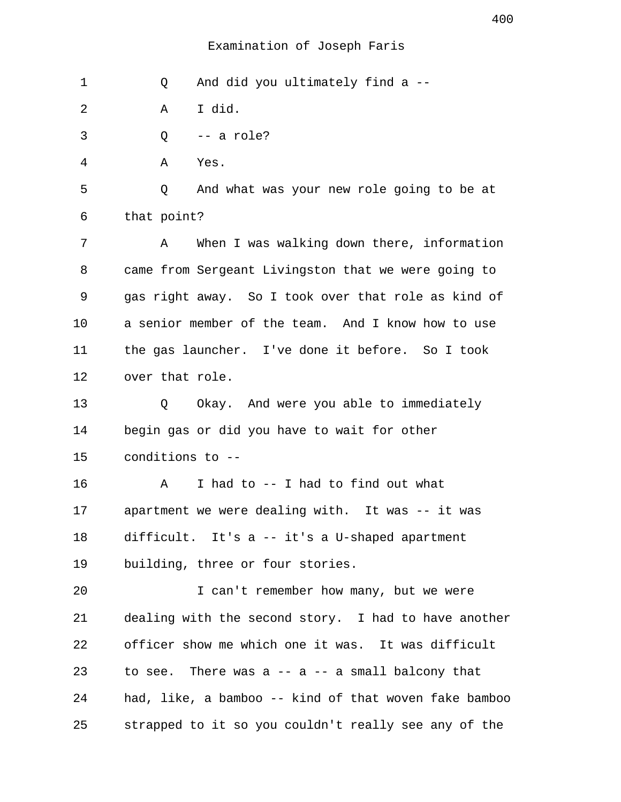1 Q And did you ultimately find a --

2 A I did.

3 Q -- a role?

4 A Yes.

 5 Q And what was your new role going to be at 6 that point?

 7 A When I was walking down there, information 8 came from Sergeant Livingston that we were going to 9 gas right away. So I took over that role as kind of 10 a senior member of the team. And I know how to use 11 the gas launcher. I've done it before. So I took 12 over that role.

13 Q Okay. And were you able to immediately 14 begin gas or did you have to wait for other 15 conditions to --

16 A I had to -- I had to find out what 17 apartment we were dealing with. It was -- it was 18 difficult. It's a -- it's a U-shaped apartment 19 building, three or four stories.

20 I can't remember how many, but we were 21 dealing with the second story. I had to have another 22 officer show me which one it was. It was difficult 23 to see. There was  $a - a - a$  small balcony that 24 had, like, a bamboo -- kind of that woven fake bamboo 25 strapped to it so you couldn't really see any of the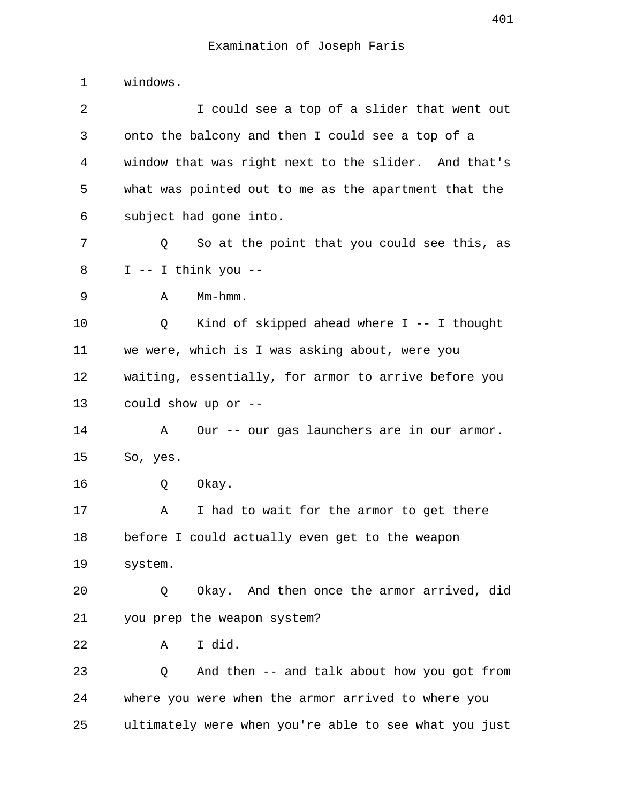1 windows.

 2 I could see a top of a slider that went out 3 onto the balcony and then I could see a top of a 4 window that was right next to the slider. And that's 5 what was pointed out to me as the apartment that the 6 subject had gone into. 7 Q So at the point that you could see this, as  $8$  I -- I think you -- 9 A Mm-hmm. 10 Q Kind of skipped ahead where I -- I thought 11 we were, which is I was asking about, were you 12 waiting, essentially, for armor to arrive before you 13 could show up or -- 14 A Our -- our gas launchers are in our armor. 15 So, yes. 16 Q Okay. 17 A I had to wait for the armor to get there 18 before I could actually even get to the weapon 19 system. 20 Q Okay. And then once the armor arrived, did 21 you prep the weapon system? 22 A I did. 23 Q And then -- and talk about how you got from 24 where you were when the armor arrived to where you 25 ultimately were when you're able to see what you just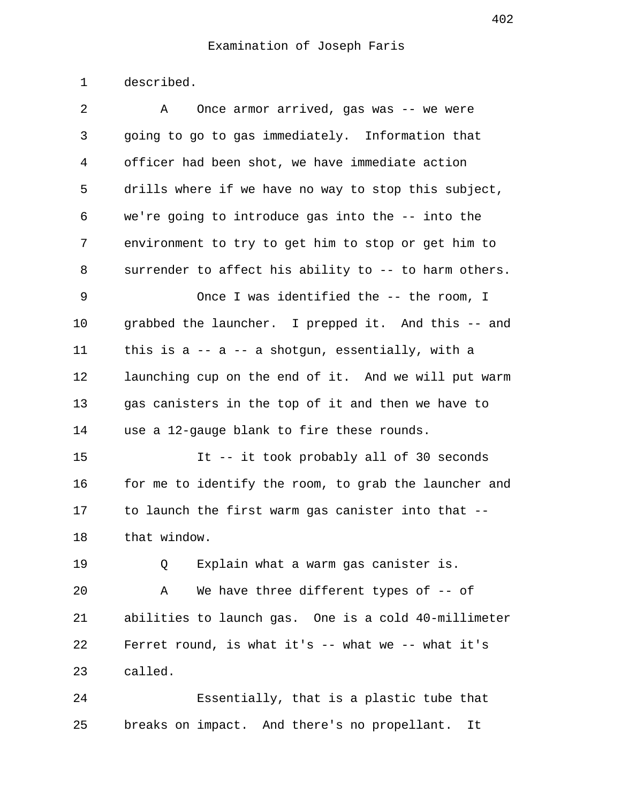1 described.

| 2  | Once armor arrived, gas was -- we were<br>A            |  |  |
|----|--------------------------------------------------------|--|--|
| 3  | going to go to gas immediately. Information that       |  |  |
| 4  | officer had been shot, we have immediate action        |  |  |
| 5  | drills where if we have no way to stop this subject,   |  |  |
| 6  | we're going to introduce gas into the -- into the      |  |  |
| 7  | environment to try to get him to stop or get him to    |  |  |
| 8  | surrender to affect his ability to -- to harm others.  |  |  |
| 9  | Once I was identified the -- the room, I               |  |  |
| 10 | grabbed the launcher. I prepped it. And this -- and    |  |  |
| 11 | this is $a - a - a$ shotgun, essentially, with a       |  |  |
| 12 | launching cup on the end of it. And we will put warm   |  |  |
| 13 | gas canisters in the top of it and then we have to     |  |  |
| 14 | use a 12-gauge blank to fire these rounds.             |  |  |
| 15 | It -- it took probably all of 30 seconds               |  |  |
| 16 | for me to identify the room, to grab the launcher and  |  |  |
| 17 | to launch the first warm gas canister into that --     |  |  |
| 18 | that window.                                           |  |  |
| 19 | Explain what a warm gas canister is.<br>Q              |  |  |
| 20 | We have three different types of -- of<br>Α            |  |  |
| 21 | abilities to launch gas. One is a cold 40-millimeter   |  |  |
| 22 | Ferret round, is what it's $--$ what we $--$ what it's |  |  |
| 23 | called.                                                |  |  |
| 24 | Essentially, that is a plastic tube that               |  |  |

25 breaks on impact. And there's no propellant. It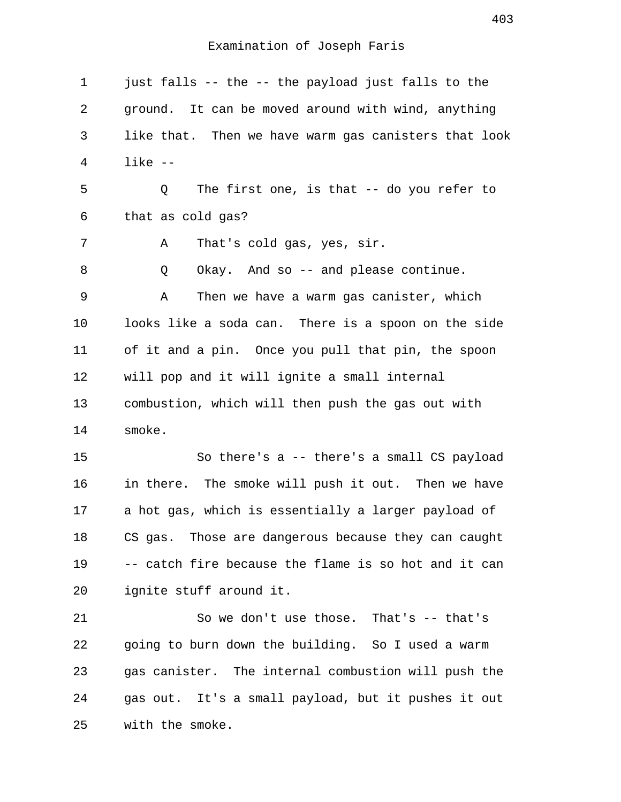1 just falls -- the -- the payload just falls to the 2 ground. It can be moved around with wind, anything 3 like that. Then we have warm gas canisters that look 4 like -- 5 Q The first one, is that -- do you refer to 6 that as cold gas? 7 A That's cold gas, yes, sir. 8 Q Okay. And so -- and please continue. 9 A Then we have a warm gas canister, which 10 looks like a soda can. There is a spoon on the side 11 of it and a pin. Once you pull that pin, the spoon 12 will pop and it will ignite a small internal 13 combustion, which will then push the gas out with 14 smoke. 15 So there's a -- there's a small CS payload 16 in there. The smoke will push it out. Then we have 17 a hot gas, which is essentially a larger payload of 18 CS gas. Those are dangerous because they can caught 19 -- catch fire because the flame is so hot and it can 20 ignite stuff around it. 21 So we don't use those. That's -- that's 22 going to burn down the building. So I used a warm 23 gas canister. The internal combustion will push the 24 gas out. It's a small payload, but it pushes it out 25 with the smoke.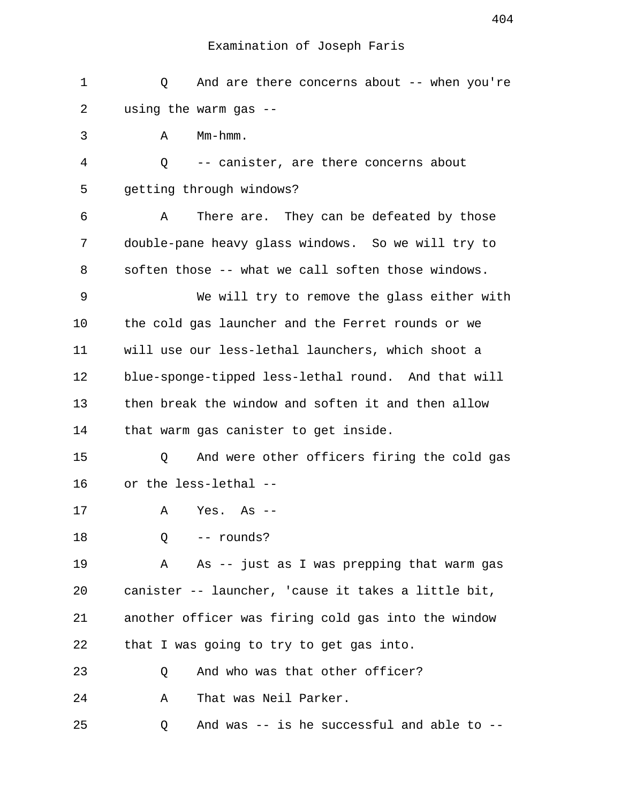| $\mathbf 1$ | And are there concerns about $--$ when you're<br>Q  |
|-------------|-----------------------------------------------------|
| 2           | using the warm gas --                               |
| 3           | $Mm-hmm$ .<br>Α                                     |
| 4           | Q<br>-- canister, are there concerns about          |
| 5           | getting through windows?                            |
| 6           | There are. They can be defeated by those<br>Α       |
| 7           | double-pane heavy glass windows. So we will try to  |
| 8           | soften those -- what we call soften those windows.  |
| 9           | We will try to remove the glass either with         |
| 10          | the cold gas launcher and the Ferret rounds or we   |
| 11          | will use our less-lethal launchers, which shoot a   |
| 12          | blue-sponge-tipped less-lethal round. And that will |
| 13          | then break the window and soften it and then allow  |
| 14          | that warm gas canister to get inside.               |
| 15          | And were other officers firing the cold gas<br>Q    |
| 16          | or the less-lethal --                               |
| 17          | Α<br>Yes. As                                        |
| 18          | -- rounds?<br>Q                                     |
| 19          | As -- just as I was prepping that warm gas<br>Α     |
| 20          | canister -- launcher, 'cause it takes a little bit, |
| 21          | another officer was firing cold gas into the window |
| 22          | that I was going to try to get gas into.            |
| 23          | And who was that other officer?<br>Q                |
| 24          | That was Neil Parker.<br>Α                          |
| 25          | And was -- is he successful and able to --<br>Q     |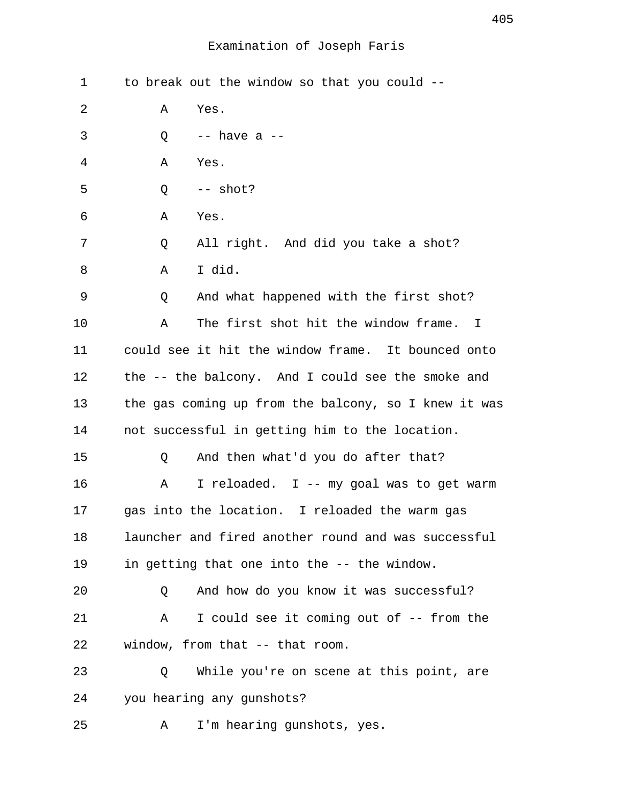| 1  | to break out the window so that you could --         |
|----|------------------------------------------------------|
| 2  | Α<br>Yes.                                            |
| 3  | $--$ have a $--$<br>Q                                |
| 4  | Α<br>Yes.                                            |
| 5  | $--$ shot?<br>Q                                      |
| 6  | Yes.<br>Α                                            |
| 7  | All right. And did you take a shot?<br>Q             |
| 8  | I did.<br>Α                                          |
| 9  | And what happened with the first shot?<br>Q          |
| 10 | The first shot hit the window frame. I<br>Α          |
| 11 | could see it hit the window frame. It bounced onto   |
| 12 | the -- the balcony. And I could see the smoke and    |
| 13 | the gas coming up from the balcony, so I knew it was |
| 14 | not successful in getting him to the location.       |
| 15 | And then what'd you do after that?<br>Q              |
| 16 | I reloaded. I -- my goal was to get warm<br>Α        |
| 17 | gas into the location. I reloaded the warm gas       |
| 18 | launcher and fired another round and was successful  |
| 19 | in getting that one into the -- the window.          |
| 20 | And how do you know it was successful?<br>Q          |
| 21 | I could see it coming out of -- from the<br>Α        |
| 22 | window, from that -- that room.                      |
| 23 | While you're on scene at this point, are<br>Q        |
| 24 | you hearing any gunshots?                            |
| 25 | I'm hearing gunshots, yes.<br>Α                      |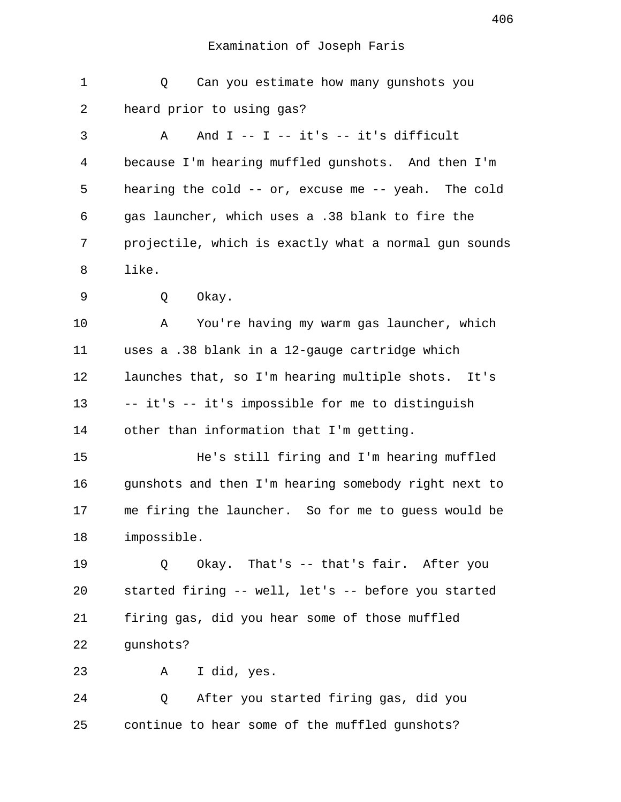| $\mathbf 1$    | Can you estimate how many gunshots you<br>Q           |
|----------------|-------------------------------------------------------|
| 2              | heard prior to using gas?                             |
| 3              | And $I$ -- $I$ -- it's -- it's difficult<br>Α         |
| $\overline{4}$ | because I'm hearing muffled gunshots. And then I'm    |
| 5              | hearing the cold -- or, excuse me -- yeah. The cold   |
| 6              | gas launcher, which uses a .38 blank to fire the      |
| 7              | projectile, which is exactly what a normal gun sounds |
| 8              | like.                                                 |
| 9              | Okay.<br>Q                                            |
| 10             | You're having my warm gas launcher, which<br>Α        |
| 11             | uses a .38 blank in a 12-gauge cartridge which        |
| 12             | launches that, so I'm hearing multiple shots. It's    |
| 13             | -- it's -- it's impossible for me to distinguish      |
| 14             | other than information that I'm getting.              |
| 15             | He's still firing and I'm hearing muffled             |
| 16             | gunshots and then I'm hearing somebody right next to  |
| 17             | me firing the launcher. So for me to guess would be   |
| 18             | impossible.                                           |
| 19             | Okay. That's -- that's fair. After you<br>Q           |
| 20             | started firing -- well, let's -- before you started   |
| 21             | firing gas, did you hear some of those muffled        |
| 22             | gunshots?                                             |
| 23             | I did, yes.<br>A                                      |
| 24             | After you started firing gas, did you<br>Q            |
| 25             | continue to hear some of the muffled gunshots?        |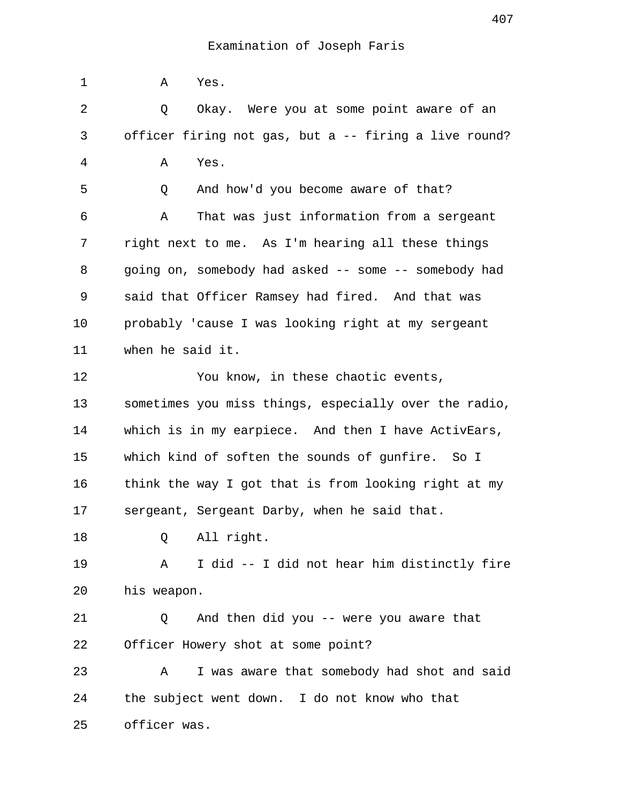1 A Yes. 2 Q Okay. Were you at some point aware of an 3 officer firing not gas, but a -- firing a live round? 4 A Yes. 5 Q And how'd you become aware of that? 6 A That was just information from a sergeant 7 right next to me. As I'm hearing all these things 8 going on, somebody had asked -- some -- somebody had 9 said that Officer Ramsey had fired. And that was 10 probably 'cause I was looking right at my sergeant 11 when he said it. 12 You know, in these chaotic events, 13 sometimes you miss things, especially over the radio, 14 which is in my earpiece. And then I have ActivEars, 15 which kind of soften the sounds of gunfire. So I 16 think the way I got that is from looking right at my 17 sergeant, Sergeant Darby, when he said that. 18 Q All right. 19 A I did -- I did not hear him distinctly fire 20 his weapon. 21 Q And then did you -- were you aware that 22 Officer Howery shot at some point? 23 A I was aware that somebody had shot and said 24 the subject went down. I do not know who that 25 officer was.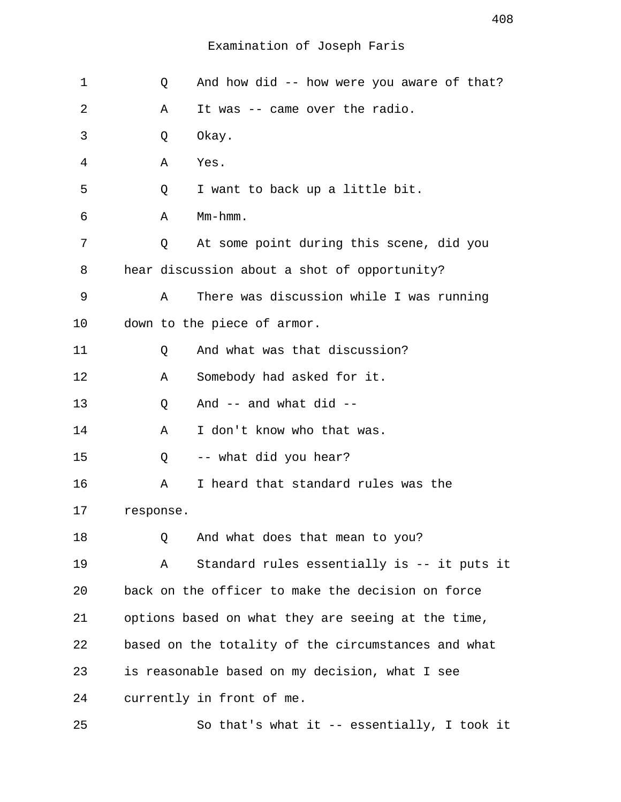| 1  | Q           | And how did -- how were you aware of that?          |
|----|-------------|-----------------------------------------------------|
| 2  | Α           | It was -- came over the radio.                      |
| 3  | Q           | Okay.                                               |
| 4  | Α           | Yes.                                                |
| 5  | Q           | I want to back up a little bit.                     |
| 6  | Α           | Mm-hmm.                                             |
| 7  | Q           | At some point during this scene, did you            |
| 8  |             | hear discussion about a shot of opportunity?        |
| 9  | $\mathbb A$ | There was discussion while I was running            |
| 10 |             | down to the piece of armor.                         |
| 11 | Q           | And what was that discussion?                       |
| 12 | Α           | Somebody had asked for it.                          |
| 13 | Q           | And -- and what did --                              |
| 14 | Α           | I don't know who that was.                          |
| 15 | Q           | -- what did you hear?                               |
| 16 | Α           | I heard that standard rules was the                 |
| 17 | response.   |                                                     |
| 18 | Q           | And what does that mean to you?                     |
| 19 | Α           | Standard rules essentially is -- it puts it         |
| 20 |             | back on the officer to make the decision on force   |
| 21 |             | options based on what they are seeing at the time,  |
| 22 |             | based on the totality of the circumstances and what |
| 23 |             | is reasonable based on my decision, what I see      |
| 24 |             | currently in front of me.                           |
| 25 |             | So that's what it -- essentially, I took it         |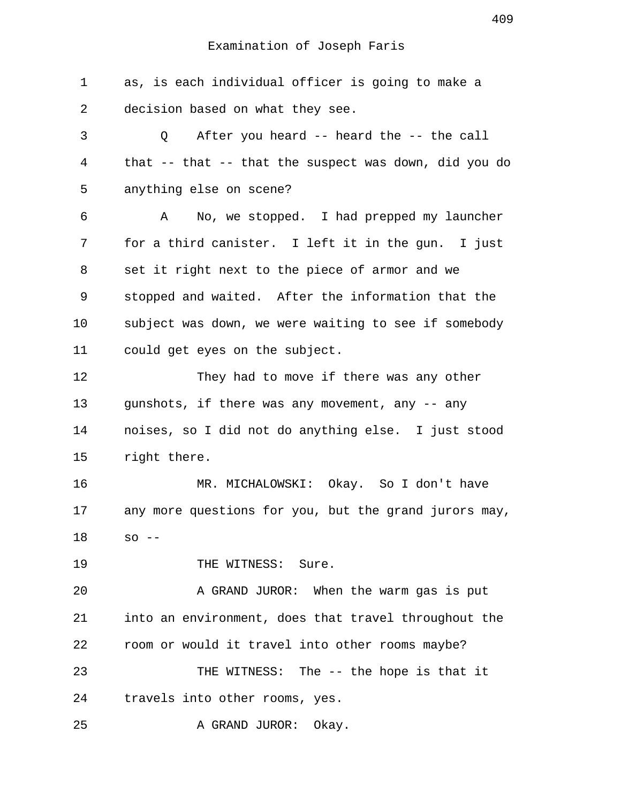Examination of Joseph Faris 1 as, is each individual officer is going to make a 2 decision based on what they see. 3 Q After you heard -- heard the -- the call 4 that -- that -- that the suspect was down, did you do 5 anything else on scene? 6 A No, we stopped. I had prepped my launcher 7 for a third canister. I left it in the gun. I just 8 set it right next to the piece of armor and we 9 stopped and waited. After the information that the 10 subject was down, we were waiting to see if somebody 11 could get eyes on the subject. 12 They had to move if there was any other 13 gunshots, if there was any movement, any -- any 14 noises, so I did not do anything else. I just stood 15 right there. 16 MR. MICHALOWSKI: Okay. So I don't have 17 any more questions for you, but the grand jurors may, 18 so -- 19 THE WITNESS: Sure.

20 A GRAND JUROR: When the warm gas is put 21 into an environment, does that travel throughout the 22 room or would it travel into other rooms maybe? 23 THE WITNESS: The -- the hope is that it 24 travels into other rooms, yes.

25 A GRAND JUROR: Okay.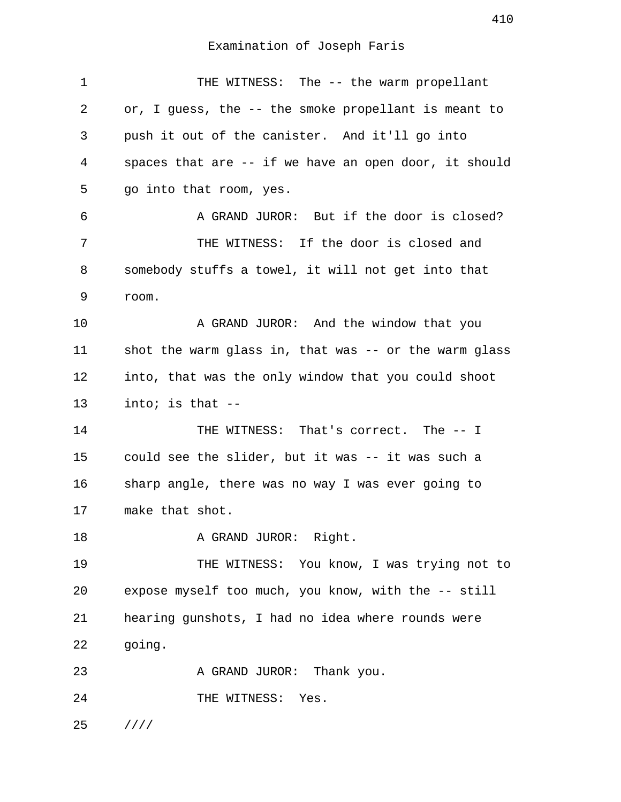1 THE WITNESS: The -- the warm propellant 2 or, I guess, the -- the smoke propellant is meant to 3 push it out of the canister. And it'll go into 4 spaces that are -- if we have an open door, it should 5 go into that room, yes. 6 A GRAND JUROR: But if the door is closed? 7 THE WITNESS: If the door is closed and 8 somebody stuffs a towel, it will not get into that 9 room. 10 A GRAND JUROR: And the window that you 11 shot the warm glass in, that was -- or the warm glass 12 into, that was the only window that you could shoot 13 into; is that -- 14 THE WITNESS: That's correct. The -- I 15 could see the slider, but it was -- it was such a 16 sharp angle, there was no way I was ever going to 17 make that shot. 18 A GRAND JUROR: Right. 19 THE WITNESS: You know, I was trying not to 20 expose myself too much, you know, with the -- still 21 hearing gunshots, I had no idea where rounds were 22 going. 23 A GRAND JUROR: Thank you. 24 THE WITNESS: Yes. 25 ////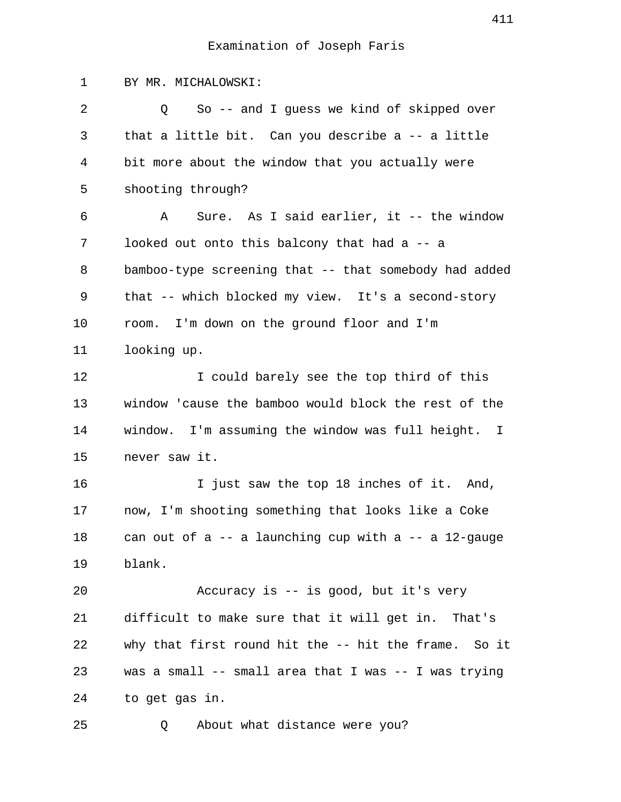1 BY MR. MICHALOWSKI: 2 Q So -- and I guess we kind of skipped over 3 that a little bit. Can you describe a -- a little 4 bit more about the window that you actually were 5 shooting through? 6 A Sure. As I said earlier, it -- the window 7 looked out onto this balcony that had a -- a 8 bamboo-type screening that -- that somebody had added 9 that -- which blocked my view. It's a second-story 10 room. I'm down on the ground floor and I'm 11 looking up. 12 I could barely see the top third of this 13 window 'cause the bamboo would block the rest of the 14 window. I'm assuming the window was full height. I 15 never saw it. 16 16 I just saw the top 18 inches of it. And, 17 now, I'm shooting something that looks like a Coke 18 can out of a -- a launching cup with a -- a 12-gauge 19 blank. 20 Accuracy is -- is good, but it's very 21 difficult to make sure that it will get in. That's 22 why that first round hit the -- hit the frame. So it 23 was a small -- small area that I was -- I was trying 24 to get gas in. 25 Q About what distance were you?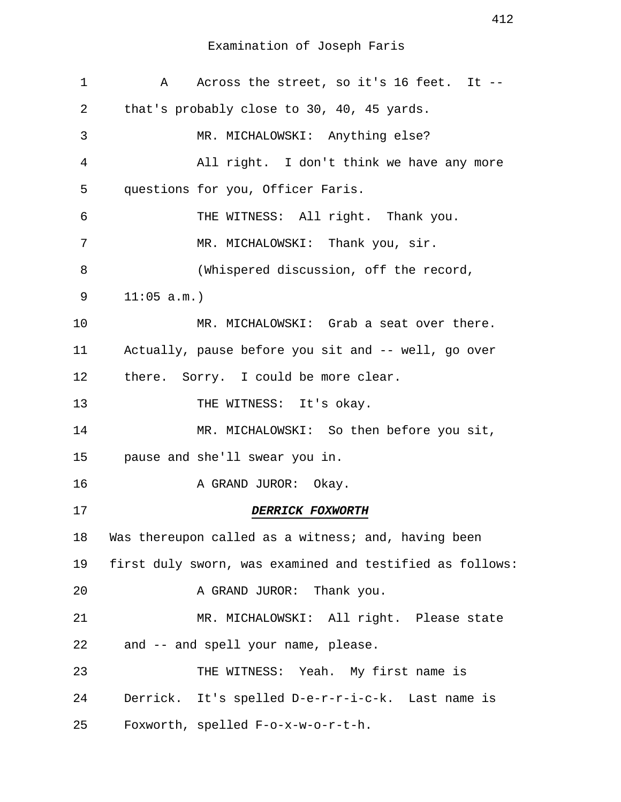| 1  | Across the street, so it's 16 feet. It --<br>A           |
|----|----------------------------------------------------------|
| 2  | that's probably close to 30, 40, 45 yards.               |
| 3  | MR. MICHALOWSKI: Anything else?                          |
| 4  | All right. I don't think we have any more                |
| 5  | questions for you, Officer Faris.                        |
| 6  | THE WITNESS: All right. Thank you.                       |
| 7  | MR. MICHALOWSKI: Thank you, sir.                         |
| 8  | (Whispered discussion, off the record,                   |
| 9  | 11:05 a.m.                                               |
| 10 | MR. MICHALOWSKI: Grab a seat over there.                 |
| 11 | Actually, pause before you sit and -- well, go over      |
| 12 | there. Sorry. I could be more clear.                     |
| 13 | THE WITNESS: It's okay.                                  |
| 14 | MR. MICHALOWSKI: So then before you sit,                 |
| 15 | pause and she'll swear you in.                           |
| 16 | A GRAND JUROR: Okay.                                     |
| 17 | <b>DERRICK FOXWORTH</b>                                  |
| 18 | Was thereupon called as a witness; and, having been      |
| 19 | first duly sworn, was examined and testified as follows: |
| 20 | A GRAND JUROR: Thank you.                                |
| 21 | MR. MICHALOWSKI: All right. Please state                 |
| 22 | and -- and spell your name, please.                      |
| 23 | THE WITNESS: Yeah. My first name is                      |
| 24 | Derrick. It's spelled D-e-r-r-i-c-k. Last name is        |
| 25 | Foxworth, spelled F-o-x-w-o-r-t-h.                       |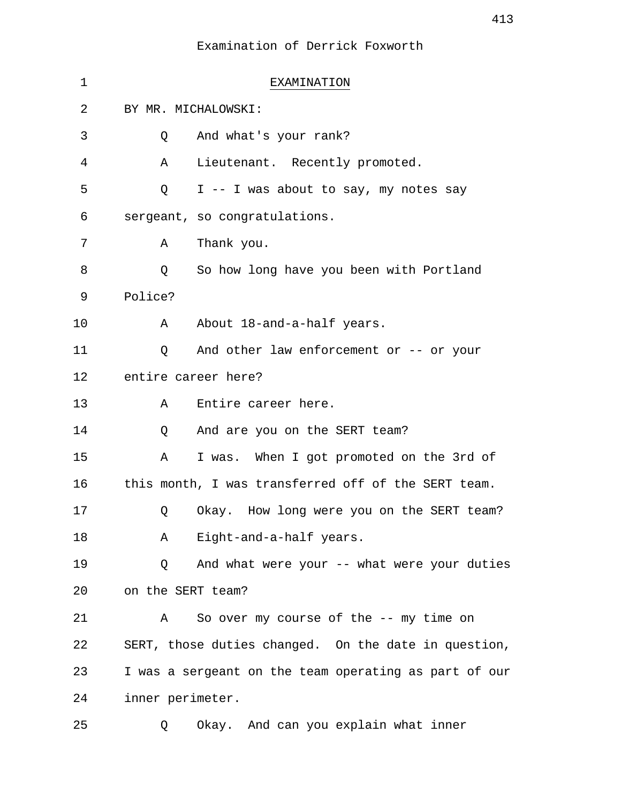| $\mathbf 1$ | EXAMINATION                                           |
|-------------|-------------------------------------------------------|
| 2           | BY MR. MICHALOWSKI:                                   |
| 3           | And what's your rank?<br>Q                            |
| 4           | Lieutenant. Recently promoted.<br>Α                   |
| 5           | I -- I was about to say, my notes say<br>Q            |
| 6           | sergeant, so congratulations.                         |
| 7           | Thank you.<br>Α                                       |
| 8           | So how long have you been with Portland<br>Q          |
| 9           | Police?                                               |
| 10          | About 18-and-a-half years.<br>A                       |
| 11          | And other law enforcement or -- or your<br>Q          |
| 12          | entire career here?                                   |
| 13          | Entire career here.<br>A                              |
| 14          | And are you on the SERT team?<br>Q                    |
| 15          | I was. When I got promoted on the 3rd of<br>Α         |
| 16          | this month, I was transferred off of the SERT team.   |
| 17          | Okay. How long were you on the SERT team?<br>Q        |
| 18          | Eight-and-a-half years.<br>A                          |
| 19          | And what were your -- what were your duties<br>Q      |
| 20          | on the SERT team?                                     |
| 21          | So over my course of the -- my time on<br>A           |
| 22          | SERT, those duties changed. On the date in question,  |
| 23          | I was a sergeant on the team operating as part of our |
| 24          | inner perimeter.                                      |
| 25          | Okay. And can you explain what inner<br>O             |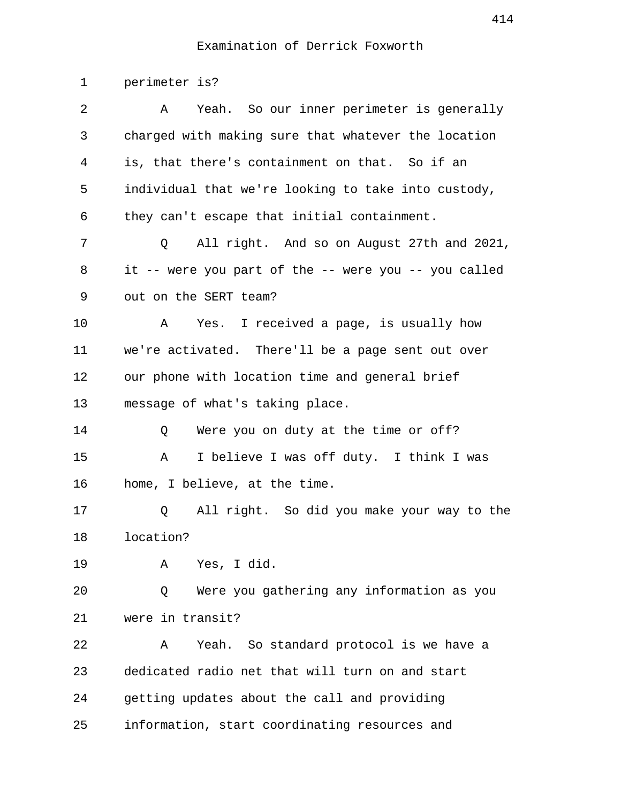1 perimeter is? 2 A Yeah. So our inner perimeter is generally 3 charged with making sure that whatever the location 4 is, that there's containment on that. So if an 5 individual that we're looking to take into custody, 6 they can't escape that initial containment. 7 Q All right. And so on August 27th and 2021, 8 it -- were you part of the -- were you -- you called 9 out on the SERT team? 10 A Yes. I received a page, is usually how 11 we're activated. There'll be a page sent out over 12 our phone with location time and general brief 13 message of what's taking place. 14 O Were you on duty at the time or off? 15 A I believe I was off duty. I think I was 16 home, I believe, at the time. 17 Q All right. So did you make your way to the 18 location? 19 A Yes, I did. 20 Q Were you gathering any information as you 21 were in transit? 22 A Yeah. So standard protocol is we have a 23 dedicated radio net that will turn on and start 24 getting updates about the call and providing 25 information, start coordinating resources and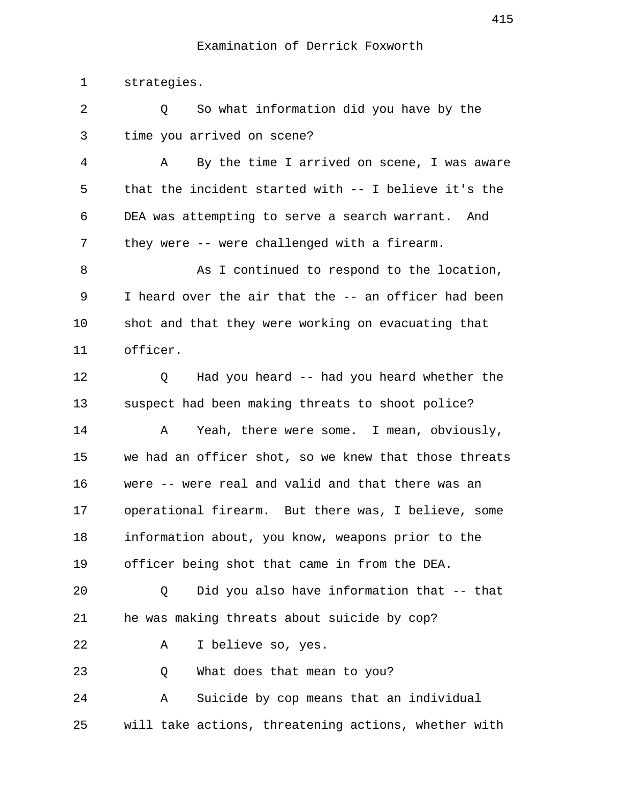1 strategies.

2 0 So what information did you have by the 3 time you arrived on scene? 4 A By the time I arrived on scene, I was aware 5 that the incident started with -- I believe it's the 6 DEA was attempting to serve a search warrant. And 7 they were -- were challenged with a firearm. 8 As I continued to respond to the location, 9 I heard over the air that the -- an officer had been 10 shot and that they were working on evacuating that 11 officer. 12 Q Had you heard -- had you heard whether the 13 suspect had been making threats to shoot police? 14 A Yeah, there were some. I mean, obviously, 15 we had an officer shot, so we knew that those threats 16 were -- were real and valid and that there was an 17 operational firearm. But there was, I believe, some 18 information about, you know, weapons prior to the 19 officer being shot that came in from the DEA. 20 Q Did you also have information that -- that 21 he was making threats about suicide by cop? 22 A I believe so, yes. 23 O What does that mean to you? 24 A Suicide by cop means that an individual 25 will take actions, threatening actions, whether with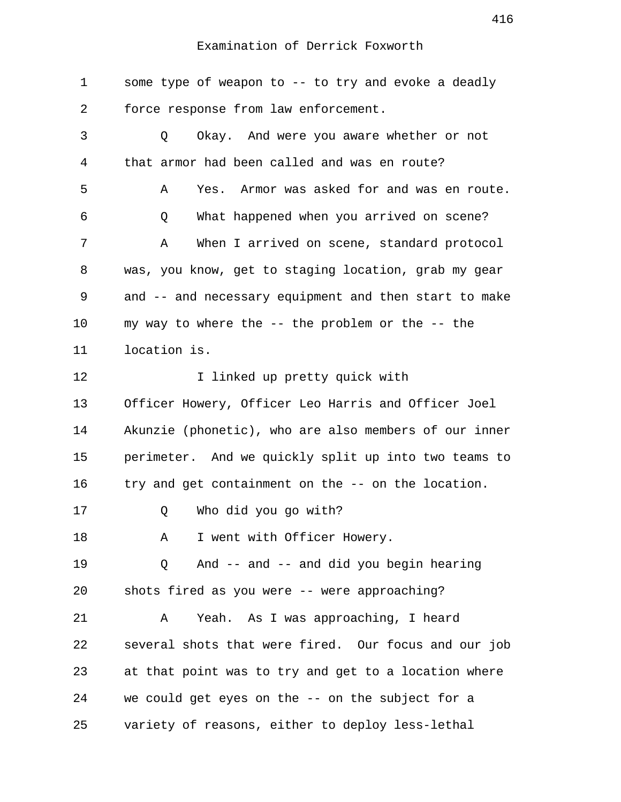1 some type of weapon to -- to try and evoke a deadly 2 force response from law enforcement. 3 Q Okay. And were you aware whether or not 4 that armor had been called and was en route? 5 A Yes. Armor was asked for and was en route. 6 Q What happened when you arrived on scene? 7 A When I arrived on scene, standard protocol 8 was, you know, get to staging location, grab my gear 9 and -- and necessary equipment and then start to make 10 my way to where the -- the problem or the -- the 11 location is. 12 I linked up pretty quick with 13 Officer Howery, Officer Leo Harris and Officer Joel 14 Akunzie (phonetic), who are also members of our inner 15 perimeter. And we quickly split up into two teams to 16 try and get containment on the -- on the location. 17 Q Who did you go with? 18 A I went with Officer Howery. 19 Q And -- and -- and did you begin hearing 20 shots fired as you were -- were approaching? 21 A Yeah. As I was approaching, I heard 22 several shots that were fired. Our focus and our job 23 at that point was to try and get to a location where 24 we could get eyes on the -- on the subject for a 25 variety of reasons, either to deploy less-lethal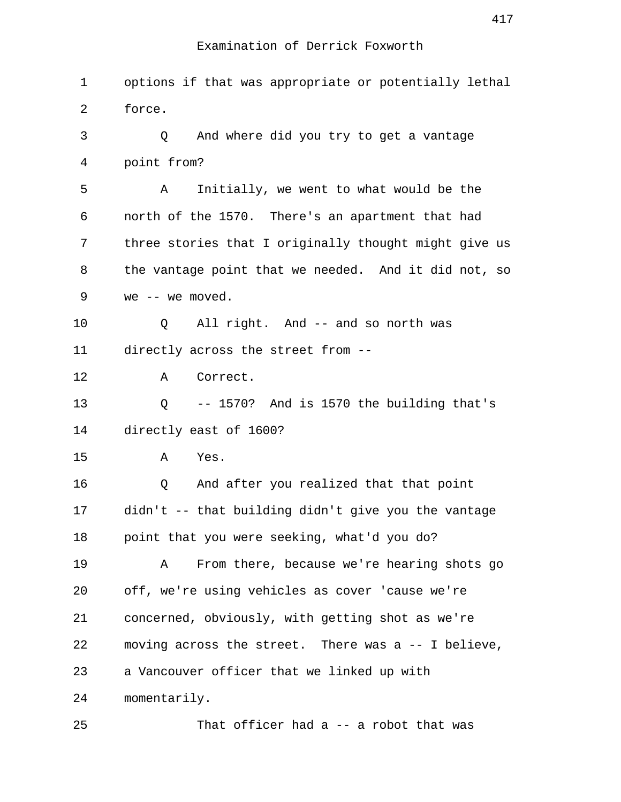| 1  | options if that was appropriate or potentially lethal |
|----|-------------------------------------------------------|
| 2  | force.                                                |
| 3  | And where did you try to get a vantage<br>Q           |
| 4  | point from?                                           |
| 5  | Initially, we went to what would be the<br>Α          |
| 6  | north of the 1570. There's an apartment that had      |
| 7  | three stories that I originally thought might give us |
| 8  | the vantage point that we needed. And it did not, so  |
| 9  | we $--$ we moved.                                     |
| 10 | All right. And -- and so north was<br>Q               |
| 11 | directly across the street from --                    |
| 12 | Correct.<br>Α                                         |
| 13 | Q<br>-- 1570? And is 1570 the building that's         |
| 14 | directly east of 1600?                                |
| 15 | Yes.<br>Α                                             |
| 16 | And after you realized that that point<br>Q           |
| 17 | didn't -- that building didn't give you the vantage   |
| 18 | point that you were seeking, what'd you do?           |
| 19 | From there, because we're hearing shots go<br>Α       |
| 20 | off, we're using vehicles as cover 'cause we're       |
| 21 | concerned, obviously, with getting shot as we're      |
| 22 | moving across the street. There was a -- I believe,   |
| 23 | a Vancouver officer that we linked up with            |
| 24 | momentarily.                                          |
| 25 | That officer had a -- a robot that was                |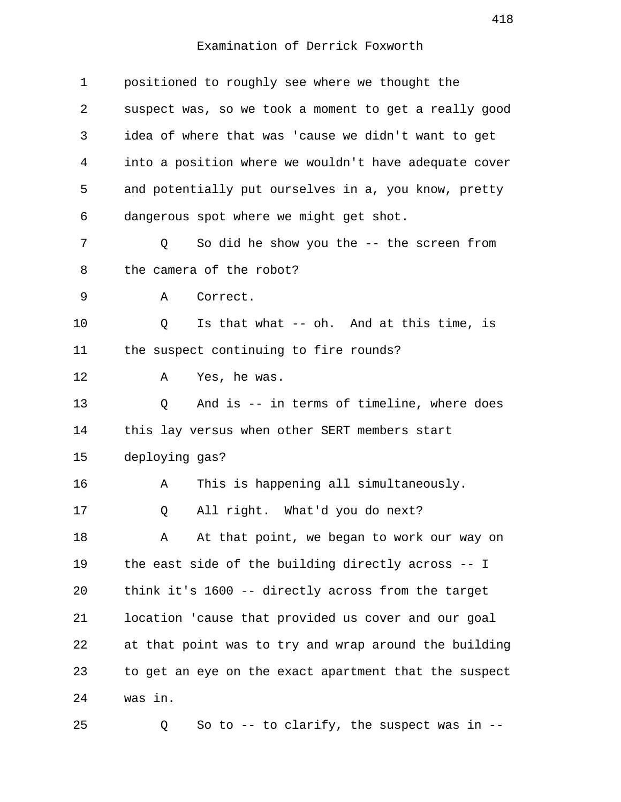| $\mathbf 1$ | positioned to roughly see where we thought the        |
|-------------|-------------------------------------------------------|
| 2           | suspect was, so we took a moment to get a really good |
| 3           | idea of where that was 'cause we didn't want to get   |
| 4           | into a position where we wouldn't have adequate cover |
| 5           | and potentially put ourselves in a, you know, pretty  |
| 6           | dangerous spot where we might get shot.               |
| 7           | So did he show you the -- the screen from<br>Q        |
| 8           | the camera of the robot?                              |
| 9           | Α<br>Correct.                                         |
| 10          | Is that what -- oh. And at this time, is<br>Q         |
| 11          | the suspect continuing to fire rounds?                |
| 12          | Yes, he was.<br>Α                                     |
| 13          | And is -- in terms of timeline, where does<br>Q       |
| 14          | this lay versus when other SERT members start         |
| 15          | deploying gas?                                        |
| 16          | This is happening all simultaneously.<br>Α            |
| 17          | All right. What'd you do next?<br>Q                   |
| 18          | At that point, we began to work our way on<br>Α       |
| 19          | the east side of the building directly across -- I    |
| 20          | think it's 1600 -- directly across from the target    |
| 21          | location 'cause that provided us cover and our goal   |
| 22          | at that point was to try and wrap around the building |
| 23          | to get an eye on the exact apartment that the suspect |
| 24          | was in.                                               |
| 25          | So to $-$ - to clarify, the suspect was in $-$ -<br>Q |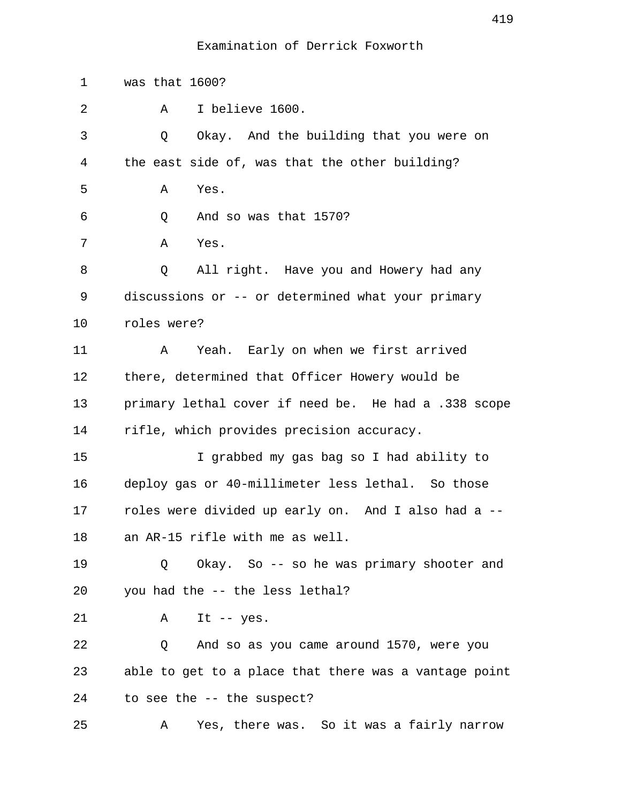1 was that 1600? 2 A I believe 1600. 3 Q Okay. And the building that you were on 4 the east side of, was that the other building? 5 A Yes. 6 Q And so was that 1570? 7 A Yes. 8 Q All right. Have you and Howery had any 9 discussions or -- or determined what your primary 10 roles were? 11 A Yeah. Early on when we first arrived 12 there, determined that Officer Howery would be 13 primary lethal cover if need be. He had a .338 scope 14 rifle, which provides precision accuracy. 15 I grabbed my gas bag so I had ability to 16 deploy gas or 40-millimeter less lethal. So those 17 roles were divided up early on. And I also had a -- 18 an AR-15 rifle with me as well. 19 Q Okay. So -- so he was primary shooter and 20 you had the -- the less lethal? 21 A It -- yes. 22 Q And so as you came around 1570, were you 23 able to get to a place that there was a vantage point 24 to see the -- the suspect? 25 A Yes, there was. So it was a fairly narrow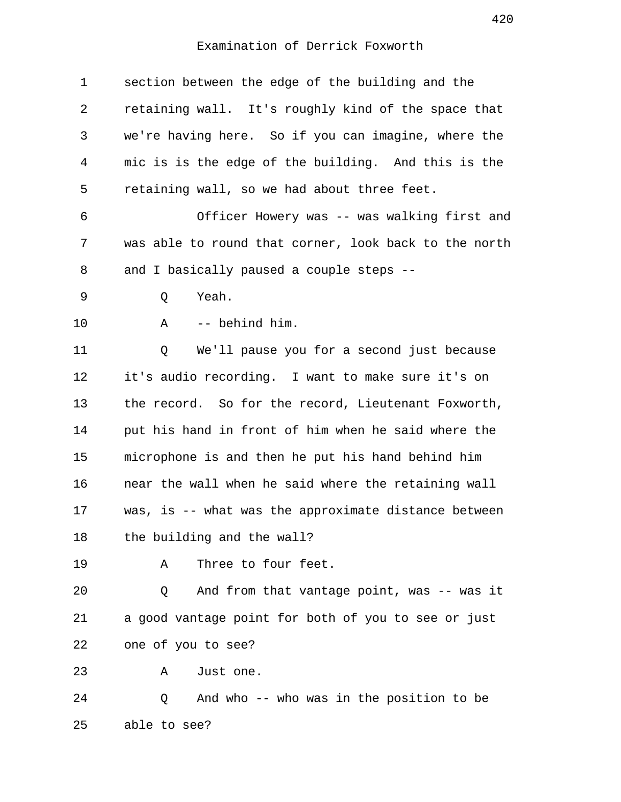| $\mathbf 1$ | section between the edge of the building and the      |
|-------------|-------------------------------------------------------|
| 2           | retaining wall. It's roughly kind of the space that   |
| 3           | we're having here. So if you can imagine, where the   |
| 4           | mic is is the edge of the building. And this is the   |
| 5           | retaining wall, so we had about three feet.           |
| 6           | Officer Howery was -- was walking first and           |
| 7           | was able to round that corner, look back to the north |
| 8           | and I basically paused a couple steps --              |
| 9           | Yeah.<br>Q                                            |
| 10          | -- behind him.<br>Α                                   |
| 11          | We'll pause you for a second just because<br>Q        |
| 12          | it's audio recording. I want to make sure it's on     |
| 13          | the record. So for the record, Lieutenant Foxworth,   |
| 14          | put his hand in front of him when he said where the   |
| 15          | microphone is and then he put his hand behind him     |
| 16          | near the wall when he said where the retaining wall   |
| 17          | was, is -- what was the approximate distance between  |
| 18          | the building and the wall?                            |
| 19          | Three to four feet.<br>Α                              |
| 20          | And from that vantage point, was -- was it<br>Q       |
| 21          | a good vantage point for both of you to see or just   |
| 22          | one of you to see?                                    |
| 23          | Just one.<br>Α                                        |
| 24          | And who -- who was in the position to be<br>Q         |
| 25          | able to see?                                          |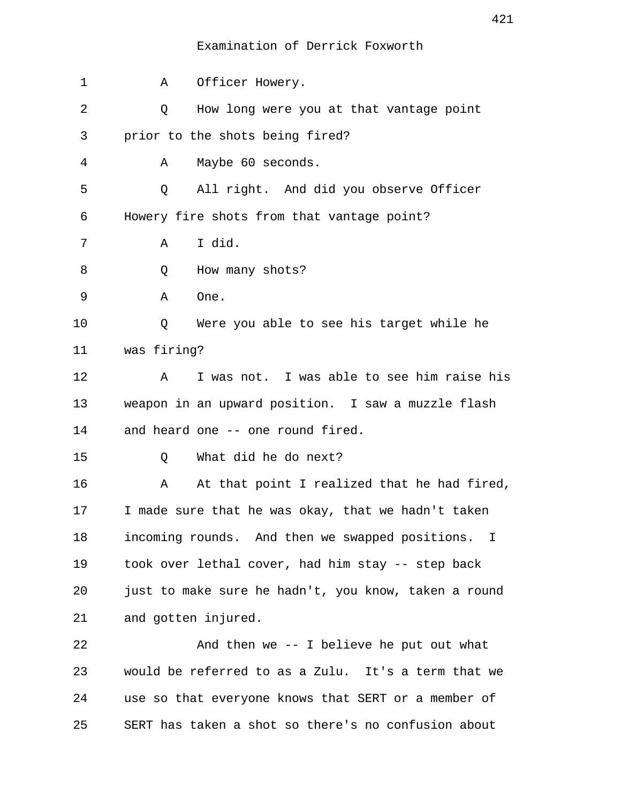| 1  | Α                                          | Officer Howery.                                      |  |
|----|--------------------------------------------|------------------------------------------------------|--|
| 2  | Q                                          | How long were you at that vantage point              |  |
| 3  |                                            | prior to the shots being fired?                      |  |
| 4  | Α                                          | Maybe 60 seconds.                                    |  |
| 5  | Q                                          | All right. And did you observe Officer               |  |
| 6  | Howery fire shots from that vantage point? |                                                      |  |
| 7  | Α                                          | I did.                                               |  |
| 8  | Q                                          | How many shots?                                      |  |
| 9  | Α                                          | One.                                                 |  |
| 10 | Q                                          | Were you able to see his target while he             |  |
| 11 | was firing?                                |                                                      |  |
| 12 | Α                                          | I was not. I was able to see him raise his           |  |
| 13 |                                            | weapon in an upward position. I saw a muzzle flash   |  |
| 14 |                                            | and heard one -- one round fired.                    |  |
| 15 | Q                                          | What did he do next?                                 |  |
| 16 | Α                                          | At that point I realized that he had fired,          |  |
| 17 |                                            | I made sure that he was okay, that we hadn't taken   |  |
| 18 |                                            | incoming rounds. And then we swapped positions. I    |  |
| 19 |                                            | took over lethal cover, had him stay -- step back    |  |
| 20 |                                            | just to make sure he hadn't, you know, taken a round |  |
| 21 |                                            | and gotten injured.                                  |  |
| 22 |                                            | And then we $-$ - I believe he put out what          |  |
| 23 |                                            | would be referred to as a Zulu. It's a term that we  |  |
| 24 |                                            | use so that everyone knows that SERT or a member of  |  |
| 25 |                                            | SERT has taken a shot so there's no confusion about  |  |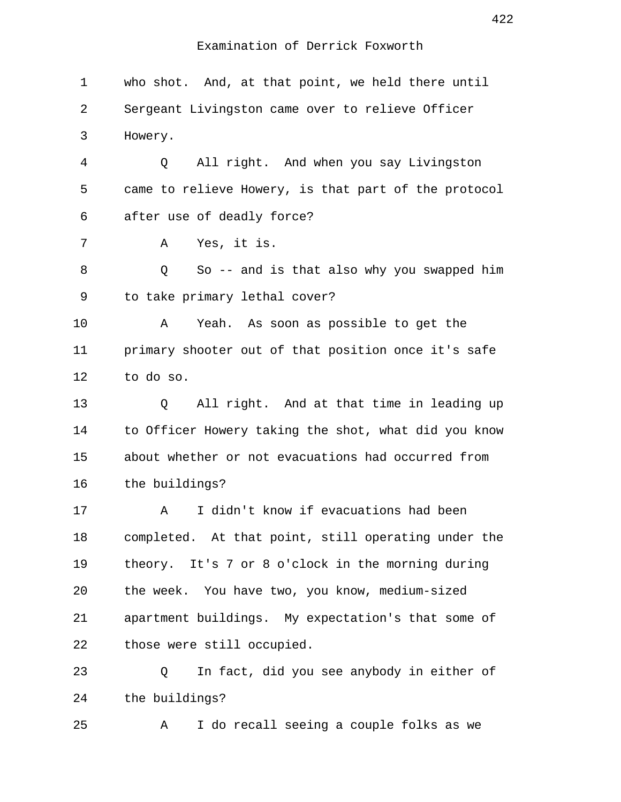1 who shot. And, at that point, we held there until 2 Sergeant Livingston came over to relieve Officer 3 Howery. 4 Q All right. And when you say Livingston 5 came to relieve Howery, is that part of the protocol 6 after use of deadly force? 7 A Yes, it is. 8 and So -- and is that also why you swapped him 9 to take primary lethal cover? 10 A Yeah. As soon as possible to get the 11 primary shooter out of that position once it's safe 12 to do so. 13 Q All right. And at that time in leading up 14 to Officer Howery taking the shot, what did you know 15 about whether or not evacuations had occurred from 16 the buildings? 17 A I didn't know if evacuations had been 18 completed. At that point, still operating under the 19 theory. It's 7 or 8 o'clock in the morning during 20 the week. You have two, you know, medium-sized 21 apartment buildings. My expectation's that some of 22 those were still occupied. 23 Q In fact, did you see anybody in either of 24 the buildings? 25 A I do recall seeing a couple folks as we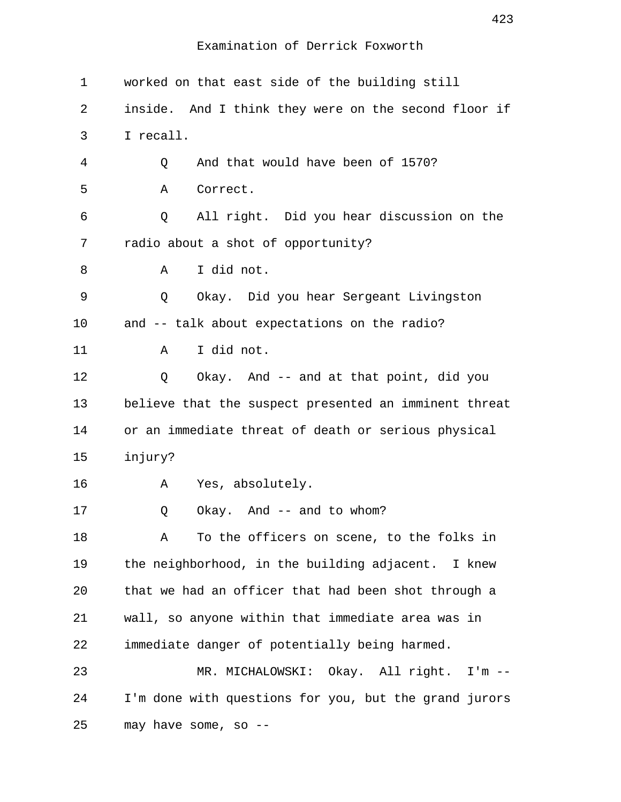| $\mathbf 1$ | worked on that east side of the building still        |  |
|-------------|-------------------------------------------------------|--|
| 2           | inside. And I think they were on the second floor if  |  |
| 3           | I recall.                                             |  |
| 4           | And that would have been of 1570?<br>Q                |  |
| 5           | Correct.<br>Α                                         |  |
| 6           | All right. Did you hear discussion on the<br>Q        |  |
| 7           | radio about a shot of opportunity?                    |  |
| 8           | I did not.<br>Α                                       |  |
| 9           | Okay. Did you hear Sergeant Livingston<br>Q           |  |
| 10          | and -- talk about expectations on the radio?          |  |
| 11          | I did not.<br>Α                                       |  |
| 12          | Okay. And -- and at that point, did you<br>Q          |  |
| 13          | believe that the suspect presented an imminent threat |  |
| 14          | or an immediate threat of death or serious physical   |  |
| 15          | injury?                                               |  |
| 16          | Yes, absolutely.<br>Α                                 |  |
| 17          | Okay. And -- and to whom?<br>Q                        |  |
| 18          | To the officers on scene, to the folks in<br>Α        |  |
| 19          | the neighborhood, in the building adjacent. I knew    |  |
| 20          | that we had an officer that had been shot through a   |  |
| 21          | wall, so anyone within that immediate area was in     |  |
| 22          | immediate danger of potentially being harmed.         |  |
| 23          | MR. MICHALOWSKI: Okay. All right. I'm --              |  |
| 24          | I'm done with questions for you, but the grand jurors |  |
| 25          | may have some, so --                                  |  |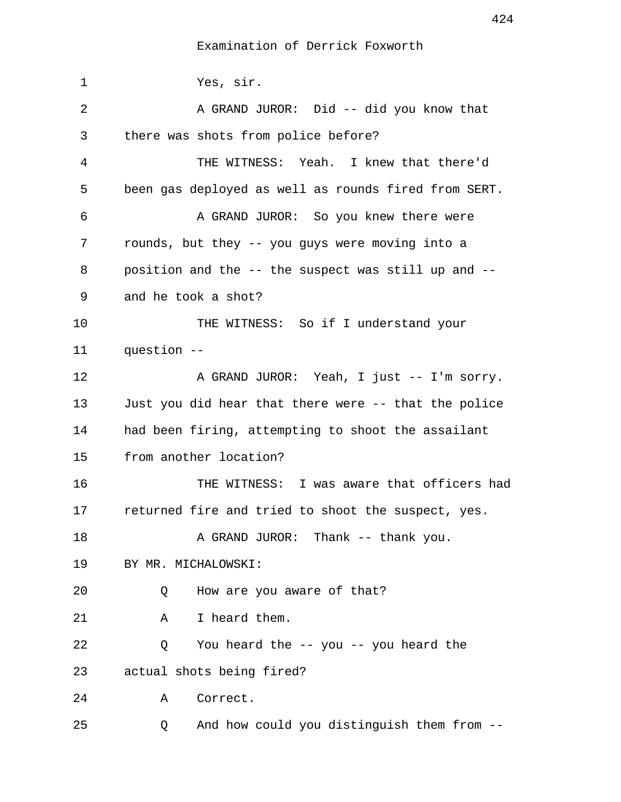Examination of Derrick Foxworth

 1 Yes, sir. 2 A GRAND JUROR: Did -- did you know that 3 there was shots from police before? 4 THE WITNESS: Yeah. I knew that there'd 5 been gas deployed as well as rounds fired from SERT. 6 A GRAND JUROR: So you knew there were 7 rounds, but they -- you guys were moving into a 8 position and the -- the suspect was still up and -- 9 and he took a shot? 10 THE WITNESS: So if I understand your 11 question -- 12 A GRAND JUROR: Yeah, I just -- I'm sorry. 13 Just you did hear that there were -- that the police 14 had been firing, attempting to shoot the assailant 15 from another location? 16 THE WITNESS: I was aware that officers had 17 returned fire and tried to shoot the suspect, yes. 18 A GRAND JUROR: Thank -- thank you. 19 BY MR. MICHALOWSKI: 20 Q How are you aware of that? 21 A I heard them. 22 Q You heard the -- you -- you heard the 23 actual shots being fired? 24 A Correct. 25 Q And how could you distinguish them from --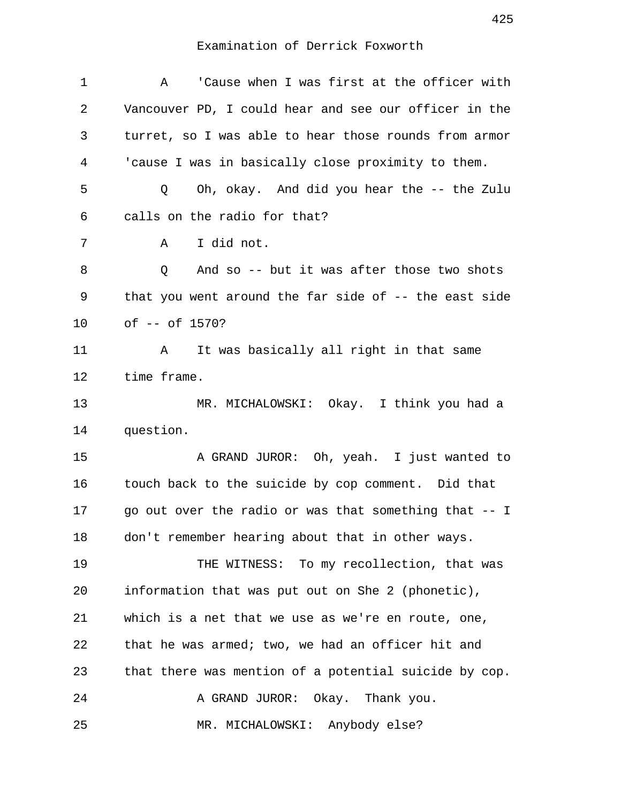# Examination of Derrick Foxworth

| $\mathbf 1$ | 'Cause when I was first at the officer with<br>A      |
|-------------|-------------------------------------------------------|
| 2           | Vancouver PD, I could hear and see our officer in the |
| 3           | turret, so I was able to hear those rounds from armor |
| 4           | 'cause I was in basically close proximity to them.    |
| 5           | Oh, okay. And did you hear the -- the Zulu<br>Q       |
| 6           | calls on the radio for that?                          |
| 7           | I did not.<br>A                                       |
| 8           | Q<br>And so -- but it was after those two shots       |
| 9           | that you went around the far side of -- the east side |
| 10          | of -- of 1570?                                        |
| 11          | It was basically all right in that same<br>A          |
| 12          | time frame.                                           |
| 13          | MR. MICHALOWSKI: Okay. I think you had a              |
| 14          | question.                                             |
| 15          | A GRAND JUROR: Oh, yeah. I just wanted to             |
| 16          | touch back to the suicide by cop comment. Did that    |
| 17          | go out over the radio or was that something that -- I |
| 18          | don't remember hearing about that in other ways.      |
| 19          | THE WITNESS: To my recollection, that was             |
| 20          | information that was put out on She 2 (phonetic),     |
| 21          | which is a net that we use as we're en route, one,    |
| 22          | that he was armed; two, we had an officer hit and     |
| 23          | that there was mention of a potential suicide by cop. |
| 24          | A GRAND JUROR: Okay. Thank you.                       |
| 25          | MR. MICHALOWSKI: Anybody else?                        |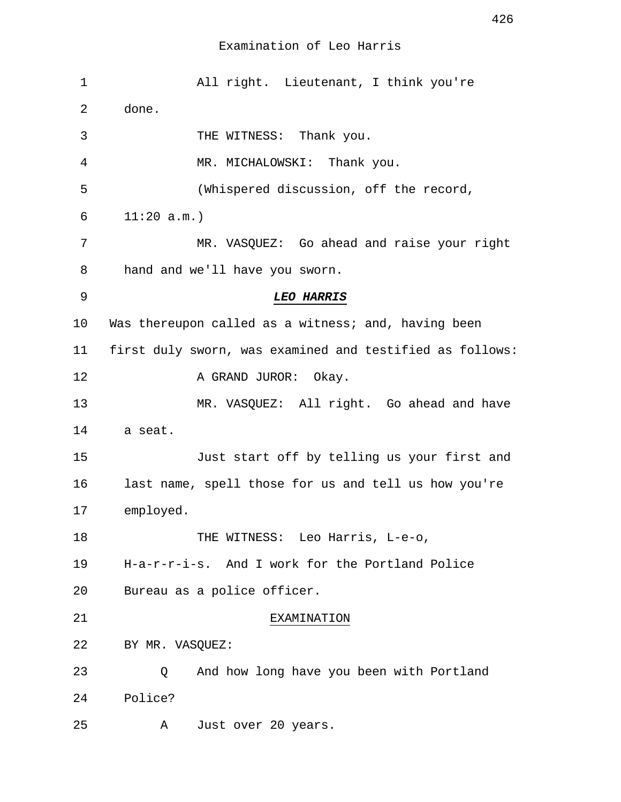| $\mathbf 1$ | All right. Lieutenant, I think you're                    |
|-------------|----------------------------------------------------------|
| 2           | done.                                                    |
| 3           | THE WITNESS: Thank you.                                  |
| 4           | MR. MICHALOWSKI: Thank you.                              |
| 5           | (Whispered discussion, off the record,                   |
| 6           | 11:20 a.m.                                               |
| 7           | MR. VASQUEZ: Go ahead and raise your right               |
| 8           | hand and we'll have you sworn.                           |
| 9           | <b>LEO HARRIS</b>                                        |
| 10          | Was thereupon called as a witness; and, having been      |
| 11          | first duly sworn, was examined and testified as follows: |
| 12          | A GRAND JUROR: Okay.                                     |
| 13          | MR. VASQUEZ: All right. Go ahead and have                |
| 14          | a seat.                                                  |
| 15          | Just start off by telling us your first and              |
| 16          | last name, spell those for us and tell us how you're     |
| 17          | employed.                                                |
| 18          | THE WITNESS: Leo Harris, L-e-o,                          |
| 19          | H-a-r-r-i-s. And I work for the Portland Police          |
| 20          | Bureau as a police officer.                              |
| 21          | EXAMINATION                                              |
| 22          | BY MR. VASQUEZ:                                          |
| 23          | And how long have you been with Portland<br>Q            |
| 24          | Police?                                                  |
| 25          | Just over 20 years.<br>Α                                 |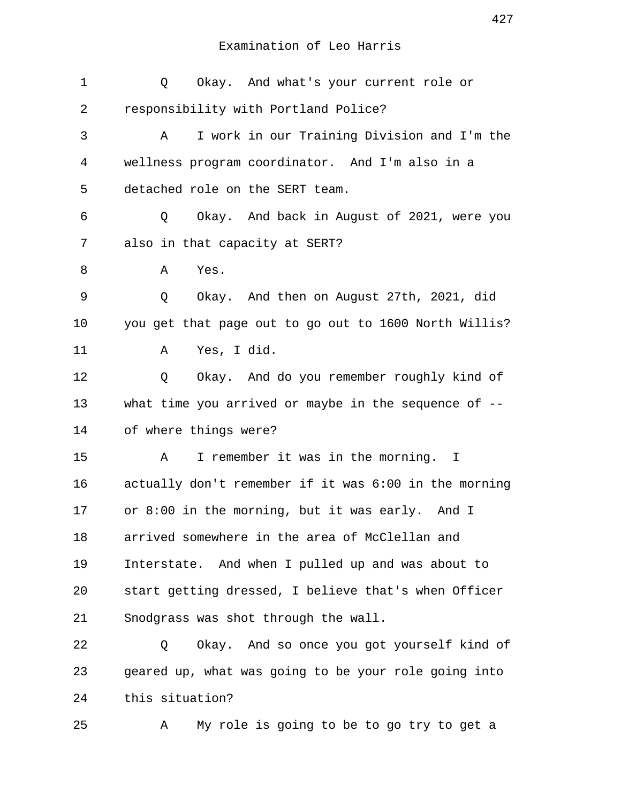| 1           | Okay. And what's your current role or<br>Q              |
|-------------|---------------------------------------------------------|
| 2           | responsibility with Portland Police?                    |
| 3           | I work in our Training Division and I'm the<br>Α        |
| 4           | wellness program coordinator. And I'm also in a         |
| 5           | detached role on the SERT team.                         |
| 6           | Okay. And back in August of 2021, were you<br>Q         |
| 7           | also in that capacity at SERT?                          |
| 8           | Yes.<br>Α                                               |
| $\mathsf 9$ | Q<br>Okay. And then on August 27th, 2021, did           |
| 10          | you get that page out to go out to 1600 North Willis?   |
| 11          | Yes, I did.<br>Α                                        |
| 12          | Okay. And do you remember roughly kind of<br>Q          |
| 13          | what time you arrived or maybe in the sequence of $-$ - |
| 14          | of where things were?                                   |
| 15          | I remember it was in the morning. I<br>Α                |
| 16          | actually don't remember if it was 6:00 in the morning   |
| 17          | or 8:00 in the morning, but it was early. And I         |
| 18          | arrived somewhere in the area of McClellan and          |
| 19          | Interstate. And when I pulled up and was about to       |
| 20          | start getting dressed, I believe that's when Officer    |
| 21          | Snodgrass was shot through the wall.                    |
| 22          | Okay. And so once you got yourself kind of<br>Q         |
| 23          | geared up, what was going to be your role going into    |
| 24          | this situation?                                         |
| 25          | My role is going to be to go try to get a<br>Α          |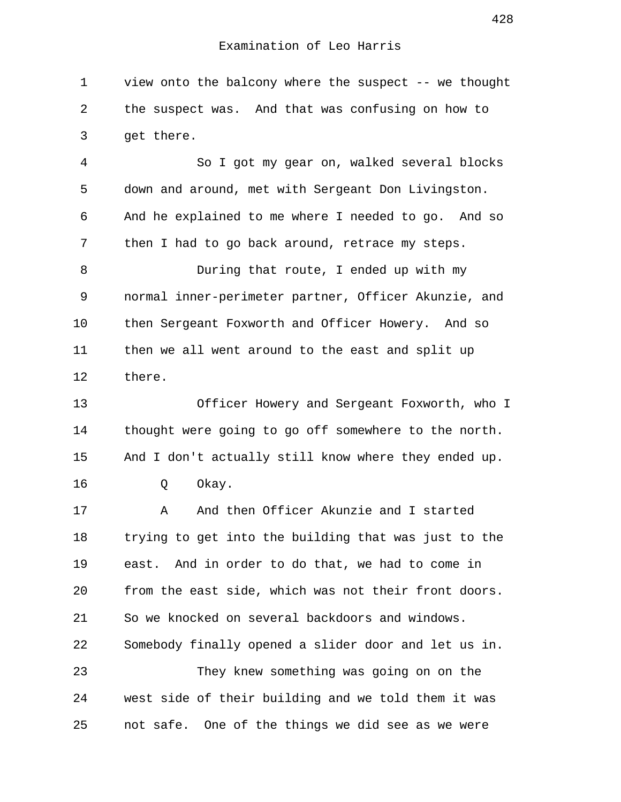1 view onto the balcony where the suspect -- we thought 2 the suspect was. And that was confusing on how to 3 get there.

 4 So I got my gear on, walked several blocks 5 down and around, met with Sergeant Don Livingston. 6 And he explained to me where I needed to go. And so 7 then I had to go back around, retrace my steps.

 8 During that route, I ended up with my 9 normal inner-perimeter partner, Officer Akunzie, and 10 then Sergeant Foxworth and Officer Howery. And so 11 then we all went around to the east and split up 12 there.

13 Officer Howery and Sergeant Foxworth, who I 14 thought were going to go off somewhere to the north. 15 And I don't actually still know where they ended up. 16 Q Okay.

17 A And then Officer Akunzie and I started 18 trying to get into the building that was just to the 19 east. And in order to do that, we had to come in 20 from the east side, which was not their front doors. 21 So we knocked on several backdoors and windows. 22 Somebody finally opened a slider door and let us in. 23 They knew something was going on on the 24 west side of their building and we told them it was 25 not safe. One of the things we did see as we were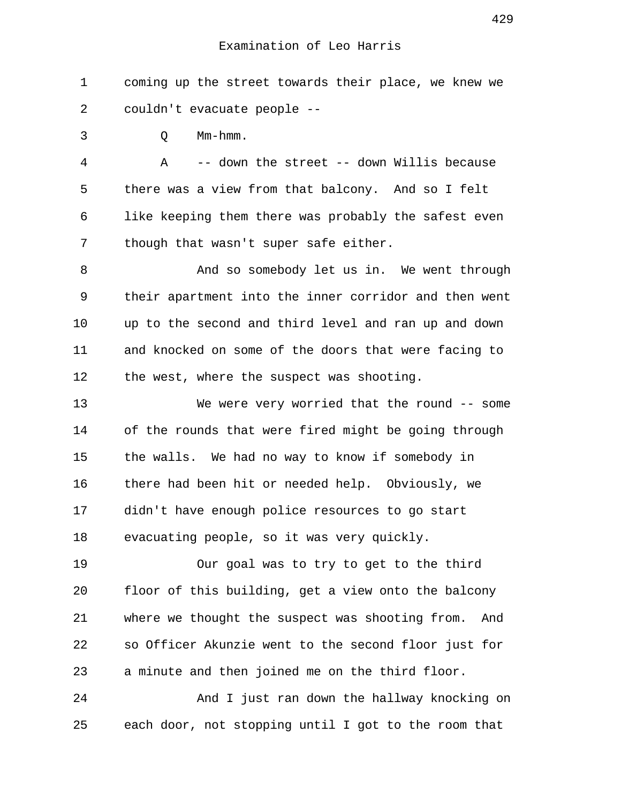1 coming up the street towards their place, we knew we 2 couldn't evacuate people --

3 Q Mm-hmm.

 4 A -- down the street -- down Willis because 5 there was a view from that balcony. And so I felt 6 like keeping them there was probably the safest even 7 though that wasn't super safe either.

 8 And so somebody let us in. We went through 9 their apartment into the inner corridor and then went 10 up to the second and third level and ran up and down 11 and knocked on some of the doors that were facing to 12 the west, where the suspect was shooting.

13 We were very worried that the round -- some 14 of the rounds that were fired might be going through 15 the walls. We had no way to know if somebody in 16 there had been hit or needed help. Obviously, we 17 didn't have enough police resources to go start 18 evacuating people, so it was very quickly.

19 Our goal was to try to get to the third 20 floor of this building, get a view onto the balcony 21 where we thought the suspect was shooting from. And 22 so Officer Akunzie went to the second floor just for 23 a minute and then joined me on the third floor.

24 And I just ran down the hallway knocking on 25 each door, not stopping until I got to the room that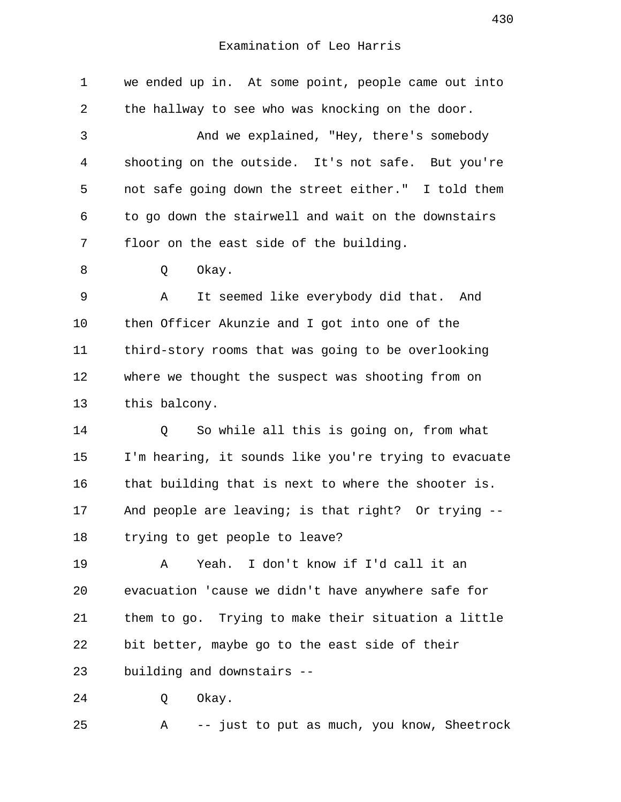| $\mathbf 1$    | we ended up in. At some point, people came out into   |
|----------------|-------------------------------------------------------|
| 2              | the hallway to see who was knocking on the door.      |
| $\mathfrak{Z}$ | And we explained, "Hey, there's somebody              |
| 4              | shooting on the outside. It's not safe. But you're    |
| 5              | not safe going down the street either." I told them   |
| 6              | to go down the stairwell and wait on the downstairs   |
| 7              | floor on the east side of the building.               |
| 8              | Okay.<br>Q                                            |
| 9              | Α<br>It seemed like everybody did that. And           |
| 10             | then Officer Akunzie and I got into one of the        |
| 11             | third-story rooms that was going to be overlooking    |
| 12             | where we thought the suspect was shooting from on     |
| 13             | this balcony.                                         |
| 14             | So while all this is going on, from what<br>Q         |
| 15             | I'm hearing, it sounds like you're trying to evacuate |
| 16             | that building that is next to where the shooter is.   |
| 17             | And people are leaving; is that right? Or trying --   |
| 18             | trying to get people to leave?                        |
| 19             | I don't know if I'd call it an<br>Yeah.<br>Α          |
| 20             | evacuation 'cause we didn't have anywhere safe for    |
| 21             | them to go. Trying to make their situation a little   |
| 22             | bit better, maybe go to the east side of their        |
| 23             | building and downstairs --                            |
| 24             | Okay.<br>Q                                            |
| 25             | -- just to put as much, you know, Sheetrock<br>Α      |
|                |                                                       |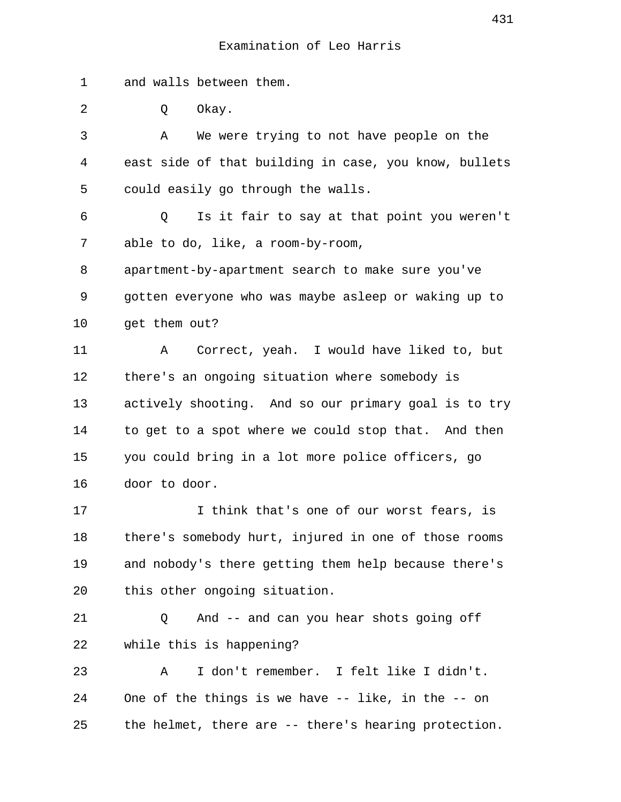1 and walls between them.

2 0 Okay.

 3 A We were trying to not have people on the 4 east side of that building in case, you know, bullets 5 could easily go through the walls. 6 Q Is it fair to say at that point you weren't 7 able to do, like, a room-by-room, 8 apartment-by-apartment search to make sure you've 9 gotten everyone who was maybe asleep or waking up to 10 get them out? 11 A Correct, yeah. I would have liked to, but 12 there's an ongoing situation where somebody is 13 actively shooting. And so our primary goal is to try 14 to get to a spot where we could stop that. And then 15 you could bring in a lot more police officers, go 16 door to door. 17 I think that's one of our worst fears, is 18 there's somebody hurt, injured in one of those rooms 19 and nobody's there getting them help because there's 20 this other ongoing situation. 21 Q And -- and can you hear shots going off 22 while this is happening? 23 A I don't remember. I felt like I didn't.

24 One of the things is we have -- like, in the -- on 25 the helmet, there are -- there's hearing protection.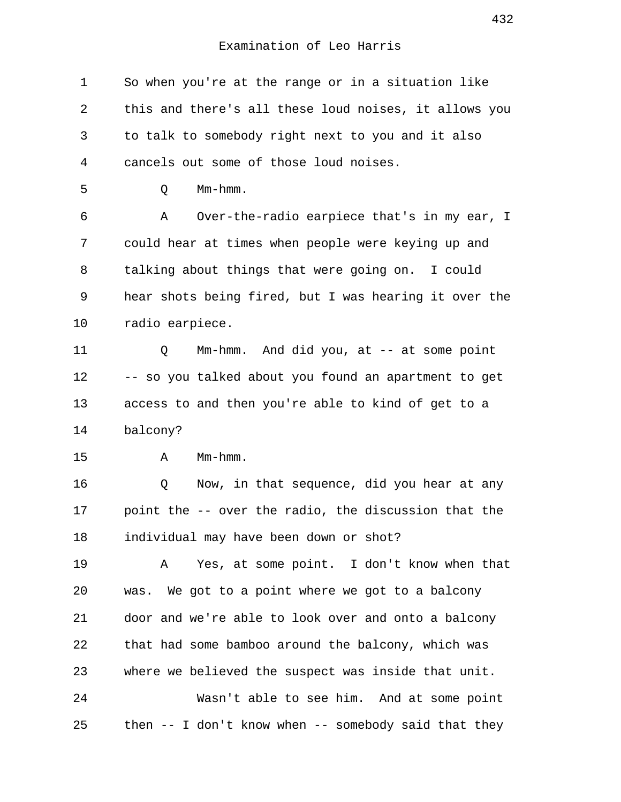1 So when you're at the range or in a situation like 2 this and there's all these loud noises, it allows you 3 to talk to somebody right next to you and it also 4 cancels out some of those loud noises. 5 Q Mm-hmm. 6 A Over-the-radio earpiece that's in my ear, I 7 could hear at times when people were keying up and 8 talking about things that were going on. I could 9 hear shots being fired, but I was hearing it over the 10 radio earpiece. 11 Q Mm-hmm. And did you, at -- at some point 12 -- so you talked about you found an apartment to get 13 access to and then you're able to kind of get to a 14 balcony? 15 A Mm-hmm. 16 Q Now, in that sequence, did you hear at any 17 point the -- over the radio, the discussion that the 18 individual may have been down or shot? 19 A Yes, at some point. I don't know when that 20 was. We got to a point where we got to a balcony 21 door and we're able to look over and onto a balcony 22 that had some bamboo around the balcony, which was 23 where we believed the suspect was inside that unit. 24 Wasn't able to see him. And at some point 25 then -- I don't know when -- somebody said that they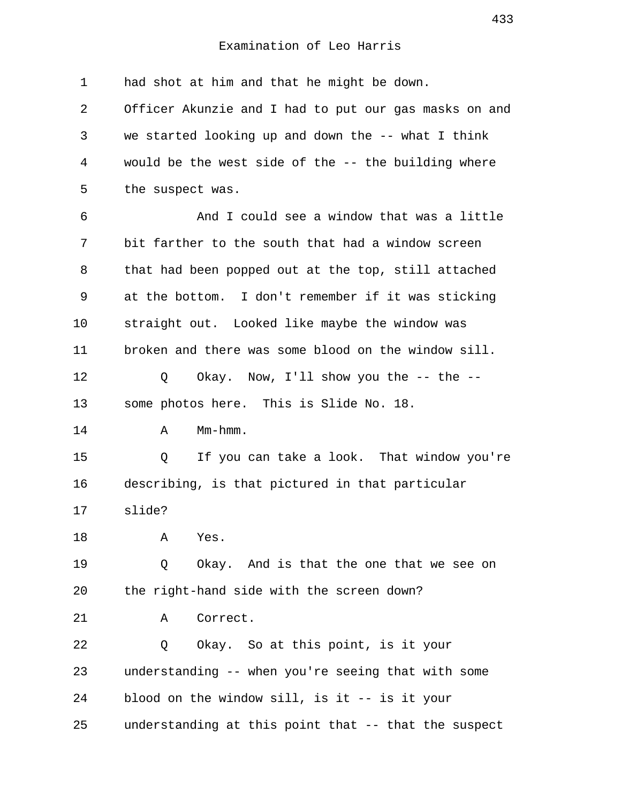1 had shot at him and that he might be down. 2 Officer Akunzie and I had to put our gas masks on and 3 we started looking up and down the -- what I think 4 would be the west side of the -- the building where 5 the suspect was. 6 And I could see a window that was a little 7 bit farther to the south that had a window screen 8 that had been popped out at the top, still attached 9 at the bottom. I don't remember if it was sticking 10 straight out. Looked like maybe the window was 11 broken and there was some blood on the window sill. 12 Q Okay. Now, I'll show you the -- the --13 some photos here. This is Slide No. 18. 14 A Mm-hmm. 15 Q If you can take a look. That window you're 16 describing, is that pictured in that particular 17 slide? 18 A Yes. 19 Q Okay. And is that the one that we see on 20 the right-hand side with the screen down? 21 A Correct. 22 Q Okay. So at this point, is it your 23 understanding -- when you're seeing that with some 24 blood on the window sill, is it -- is it your 25 understanding at this point that -- that the suspect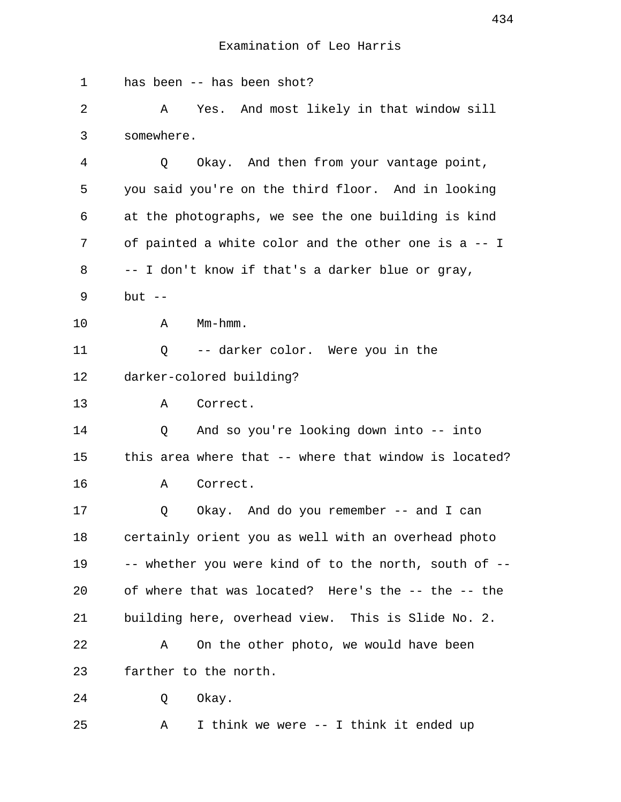| 1  | has been -- has been shot?                            |
|----|-------------------------------------------------------|
| 2  | Yes. And most likely in that window sill<br>A         |
| 3  | somewhere.                                            |
| 4  | Okay. And then from your vantage point,<br>Q.         |
| 5  | you said you're on the third floor. And in looking    |
| 6  | at the photographs, we see the one building is kind   |
| 7  | of painted a white color and the other one is a -- I  |
| 8  | -- I don't know if that's a darker blue or gray,      |
| 9  | but $--$                                              |
| 10 | $Mm-hmm$ .<br>Α                                       |
| 11 | -- darker color. Were you in the<br>Q                 |
| 12 | darker-colored building?                              |
| 13 | Correct.<br>Α                                         |
| 14 | And so you're looking down into -- into<br>Q          |
| 15 | this area where that -- where that window is located? |
| 16 | Correct.<br>Α                                         |
| 17 | Okay. And do you remember -- and I can<br>Q           |
| 18 | certainly orient you as well with an overhead photo   |
| 19 | -- whether you were kind of to the north, south of -- |
| 20 | of where that was located? Here's the -- the -- the   |
| 21 | building here, overhead view. This is Slide No. 2.    |
| 22 | On the other photo, we would have been<br>Α           |
| 23 | farther to the north.                                 |
| 24 | Okay.<br>Q                                            |
| 25 | I think we were -- I think it ended up<br>Α           |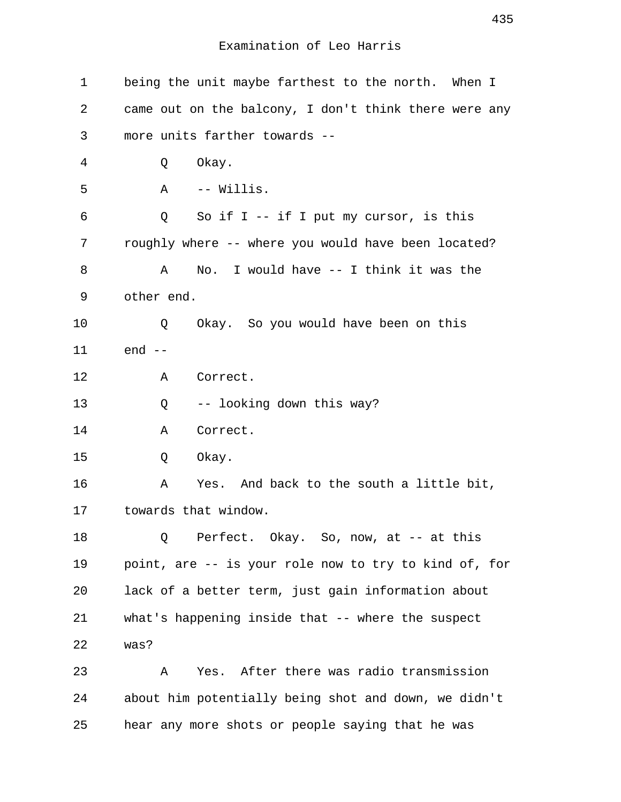| $\mathbf 1$ | being the unit maybe farthest to the north. When I    |
|-------------|-------------------------------------------------------|
| 2           | came out on the balcony, I don't think there were any |
| 3           | more units farther towards --                         |
| 4           | Okay.<br>Q                                            |
| 5           | A<br>-- Willis.                                       |
| 6           | So if $I - -$ if I put my cursor, is this<br>Q        |
| 7           | roughly where -- where you would have been located?   |
| 8           | No. I would have -- I think it was the<br>Α           |
| 9           | other end.                                            |
| 10          | Okay. So you would have been on this<br>Q             |
| 11          | $end --$                                              |
| 12          | Α<br>Correct.                                         |
| 13          | -- looking down this way?<br>Q                        |
| 14          | Correct.<br>Α                                         |
| 15          | Okay.<br>Q                                            |
| 16          | Yes. And back to the south a little bit,<br>Α         |
| 17          | towards that window.                                  |
| 18          | Perfect. Okay. So, now, at -- at this<br>Q            |
| 19          | point, are -- is your role now to try to kind of, for |
| 20          | lack of a better term, just gain information about    |
| 21          | what's happening inside that -- where the suspect     |
| 22          | was?                                                  |
| 23          | Yes. After there was radio transmission<br>Α          |
| 24          | about him potentially being shot and down, we didn't  |
| 25          | hear any more shots or people saying that he was      |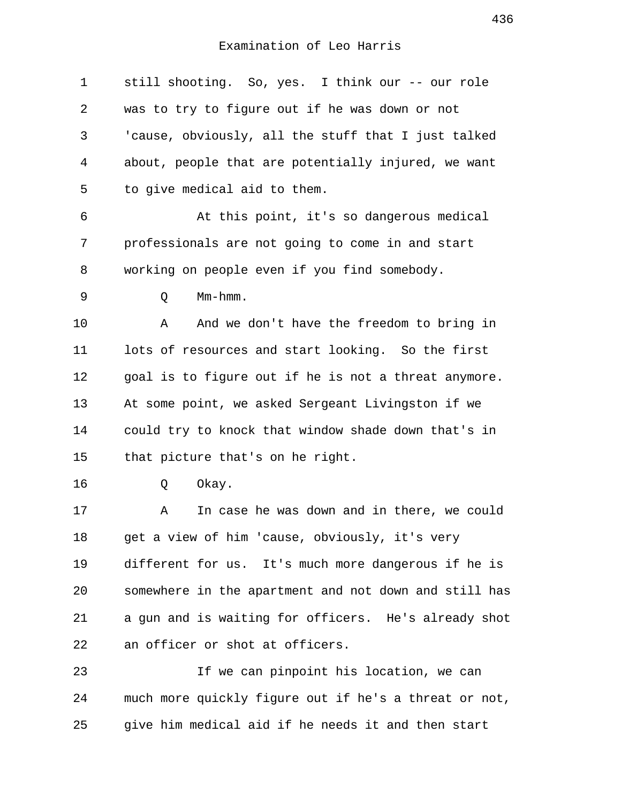1 still shooting. So, yes. I think our -- our role 2 was to try to figure out if he was down or not 3 'cause, obviously, all the stuff that I just talked 4 about, people that are potentially injured, we want 5 to give medical aid to them. 6 At this point, it's so dangerous medical 7 professionals are not going to come in and start 8 working on people even if you find somebody. 9 Q Mm-hmm. 10 A And we don't have the freedom to bring in 11 lots of resources and start looking. So the first 12 goal is to figure out if he is not a threat anymore. 13 At some point, we asked Sergeant Livingston if we 14 could try to knock that window shade down that's in 15 that picture that's on he right. 16 Q Okay. 17 A In case he was down and in there, we could 18 get a view of him 'cause, obviously, it's very 19 different for us. It's much more dangerous if he is 20 somewhere in the apartment and not down and still has 21 a gun and is waiting for officers. He's already shot 22 an officer or shot at officers. 23 If we can pinpoint his location, we can 24 much more quickly figure out if he's a threat or not, 25 give him medical aid if he needs it and then start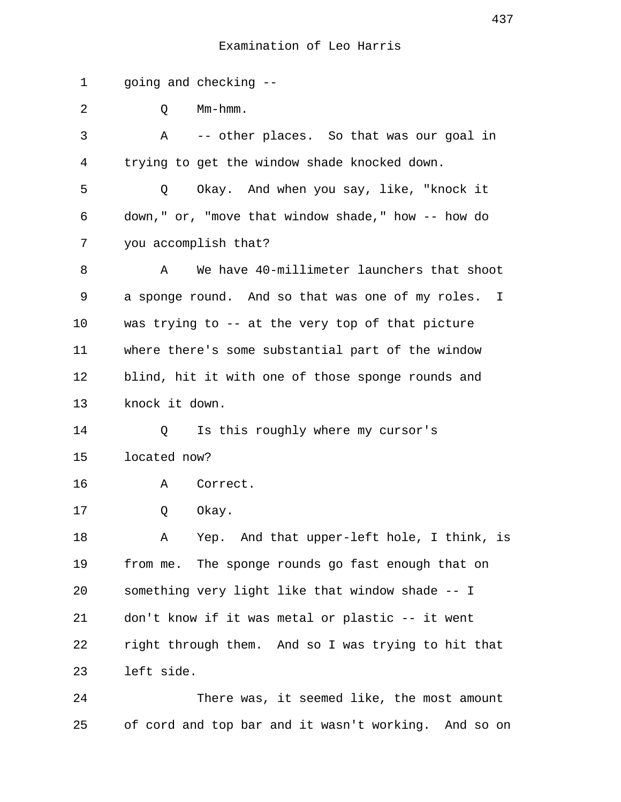1 going and checking -- 2 O Mm-hmm. 3 A -- other places. So that was our goal in 4 trying to get the window shade knocked down. 5 Q Okay. And when you say, like, "knock it 6 down," or, "move that window shade," how -- how do 7 you accomplish that? 8 A We have 40-millimeter launchers that shoot 9 a sponge round. And so that was one of my roles. I 10 was trying to -- at the very top of that picture 11 where there's some substantial part of the window 12 blind, hit it with one of those sponge rounds and 13 knock it down. 14 Q Is this roughly where my cursor's 15 located now? 16 A Correct. 17 Q Okay. 18 A Yep. And that upper-left hole, I think, is 19 from me. The sponge rounds go fast enough that on 20 something very light like that window shade -- I 21 don't know if it was metal or plastic -- it went 22 right through them. And so I was trying to hit that 23 left side. 24 There was, it seemed like, the most amount

25 of cord and top bar and it wasn't working. And so on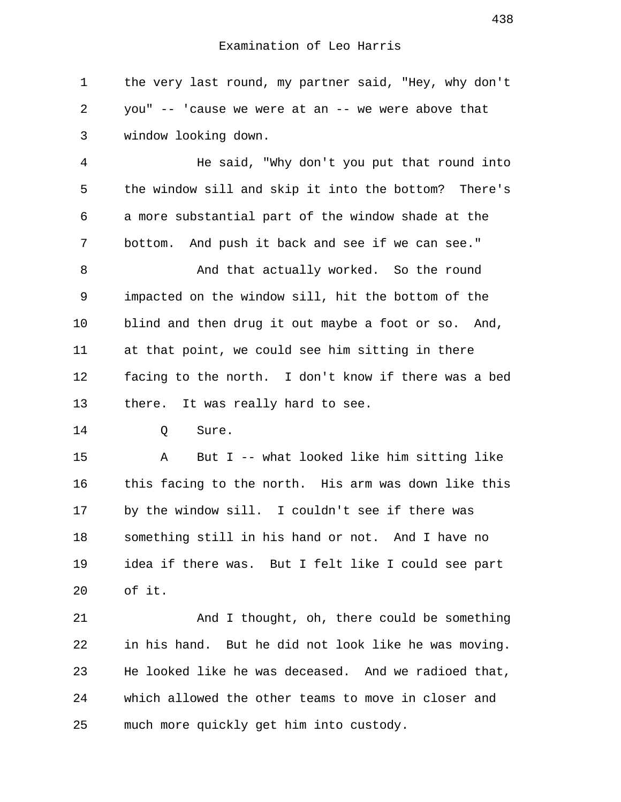1 the very last round, my partner said, "Hey, why don't 2 you" -- 'cause we were at an -- we were above that 3 window looking down.

 4 He said, "Why don't you put that round into 5 the window sill and skip it into the bottom? There's 6 a more substantial part of the window shade at the 7 bottom. And push it back and see if we can see."

 8 And that actually worked. So the round 9 impacted on the window sill, hit the bottom of the 10 blind and then drug it out maybe a foot or so. And, 11 at that point, we could see him sitting in there 12 facing to the north. I don't know if there was a bed 13 there. It was really hard to see.

14 O Sure.

15 A But I -- what looked like him sitting like 16 this facing to the north. His arm was down like this 17 by the window sill. I couldn't see if there was 18 something still in his hand or not. And I have no 19 idea if there was. But I felt like I could see part 20 of it.

21 And I thought, oh, there could be something 22 in his hand. But he did not look like he was moving. 23 He looked like he was deceased. And we radioed that, 24 which allowed the other teams to move in closer and 25 much more quickly get him into custody.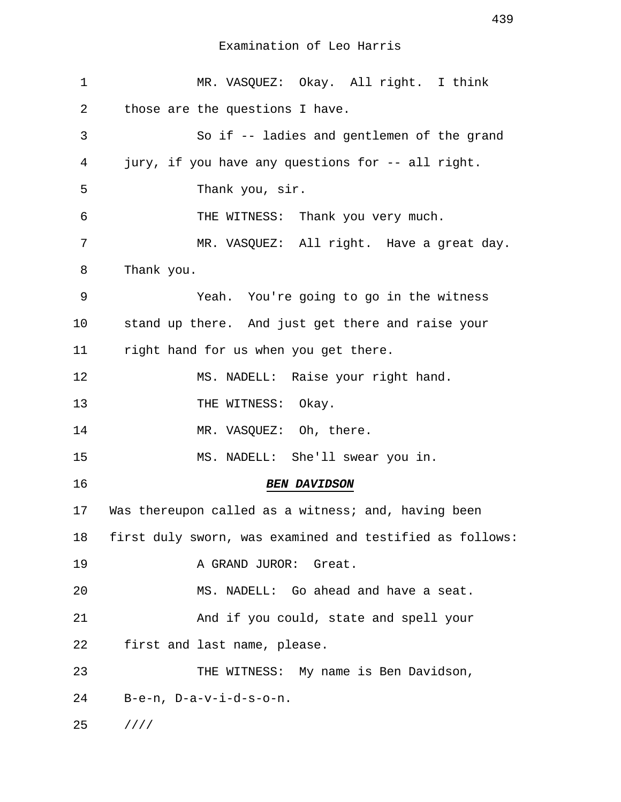| $\mathbf 1$ | MR. VASQUEZ: Okay. All right. I think                    |
|-------------|----------------------------------------------------------|
| 2           | those are the questions I have.                          |
| 3           | So if -- ladies and gentlemen of the grand               |
| 4           | jury, if you have any questions for -- all right.        |
| 5           | Thank you, sir.                                          |
| 6           | THE WITNESS: Thank you very much.                        |
| 7           | MR. VASQUEZ: All right. Have a great day.                |
| 8           | Thank you.                                               |
| 9           | Yeah. You're going to go in the witness                  |
| 10          | stand up there. And just get there and raise your        |
| 11          | right hand for us when you get there.                    |
| 12          | MS. NADELL: Raise your right hand.                       |
| 13          | THE WITNESS: Okay.                                       |
| 14          | MR. VASQUEZ: Oh, there.                                  |
| 15          | MS. NADELL: She'll swear you in.                         |
| 16          | <b>BEN DAVIDSON</b>                                      |
| 17          | Was thereupon called as a witness; and, having been      |
| 18          | first duly sworn, was examined and testified as follows: |
| 19          | A GRAND JUROR: Great.                                    |
| 20          | MS. NADELL: Go ahead and have a seat.                    |
| 21          | And if you could, state and spell your                   |
| 22          | first and last name, please.                             |
| 23          | THE WITNESS: My name is Ben Davidson,                    |
| 24          | $B-e-n$ , $D-a-v-i-d-s-o-n$ .                            |
| 25          | 1111                                                     |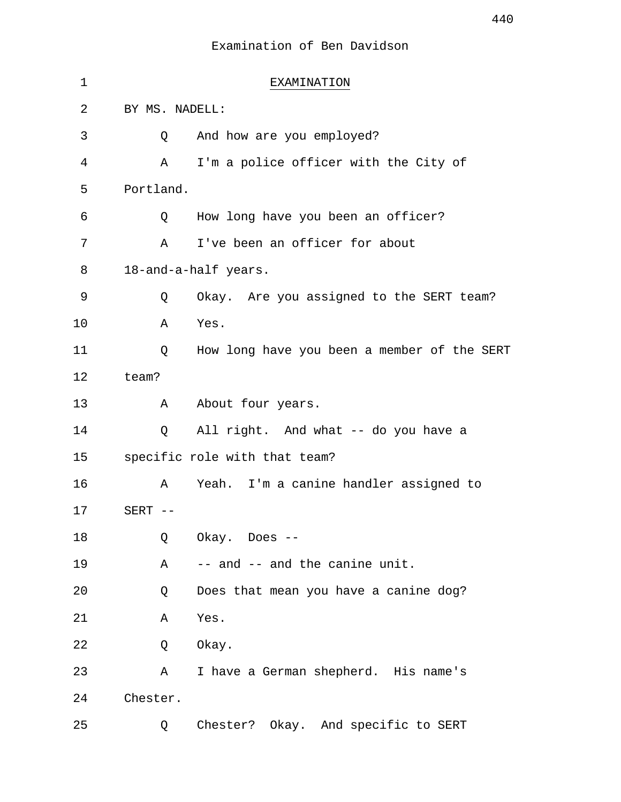| 1  |                | EXAMINATION                                 |
|----|----------------|---------------------------------------------|
| 2  | BY MS. NADELL: |                                             |
| 3  | Q              | And how are you employed?                   |
| 4  | Α              | I'm a police officer with the City of       |
| 5  | Portland.      |                                             |
| 6  | Q              | How long have you been an officer?          |
| 7  | Α              | I've been an officer for about              |
| 8  |                | 18-and-a-half years.                        |
| 9  | Q              | Okay. Are you assigned to the SERT team?    |
| 10 | Α              | Yes.                                        |
| 11 | Q              | How long have you been a member of the SERT |
| 12 | team?          |                                             |
| 13 | A              | About four years.                           |
| 14 | Q              | All right. And what -- do you have a        |
| 15 |                | specific role with that team?               |
| 16 | Α              | Yeah. I'm a canine handler assigned to      |
| 17 | $SERT$ --      |                                             |
| 18 | Q              | Okay. Does --                               |
| 19 | Α              | -- and -- and the canine unit.              |
| 20 | Q              | Does that mean you have a canine dog?       |
| 21 | Α              | Yes.                                        |
| 22 | Q              | Okay.                                       |
| 23 | Α              | I have a German shepherd. His name's        |
| 24 | Chester.       |                                             |
| 25 | Q              | Chester? Okay. And specific to SERT         |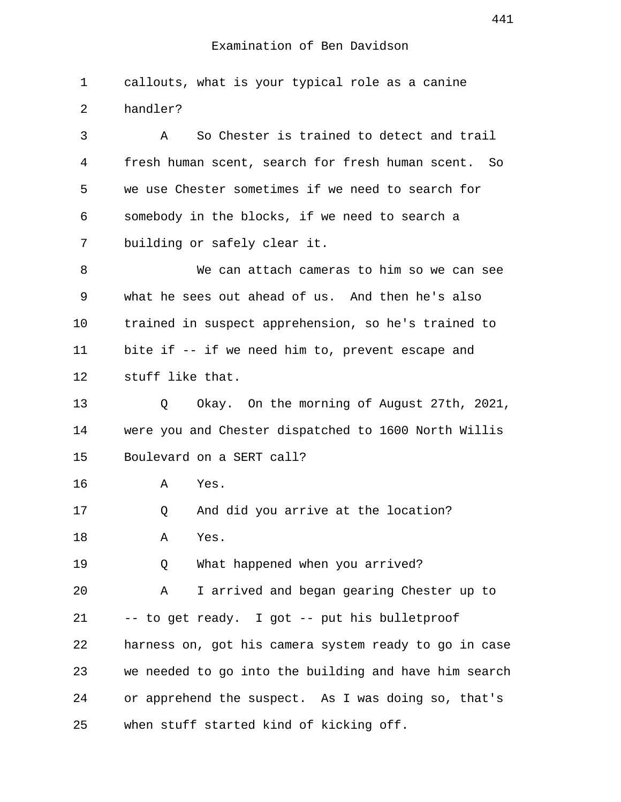1 callouts, what is your typical role as a canine 2 handler?

 3 A So Chester is trained to detect and trail 4 fresh human scent, search for fresh human scent. So 5 we use Chester sometimes if we need to search for 6 somebody in the blocks, if we need to search a 7 building or safely clear it.

 8 We can attach cameras to him so we can see 9 what he sees out ahead of us. And then he's also 10 trained in suspect apprehension, so he's trained to 11 bite if -- if we need him to, prevent escape and 12 stuff like that.

13 Q Okay. On the morning of August 27th, 2021, 14 were you and Chester dispatched to 1600 North Willis 15 Boulevard on a SERT call?

16 A Yes.

17 Q And did you arrive at the location? 18 A Yes.

19 O What happened when you arrived?

20 A I arrived and began gearing Chester up to 21 -- to get ready. I got -- put his bulletproof 22 harness on, got his camera system ready to go in case 23 we needed to go into the building and have him search 24 or apprehend the suspect. As I was doing so, that's 25 when stuff started kind of kicking off.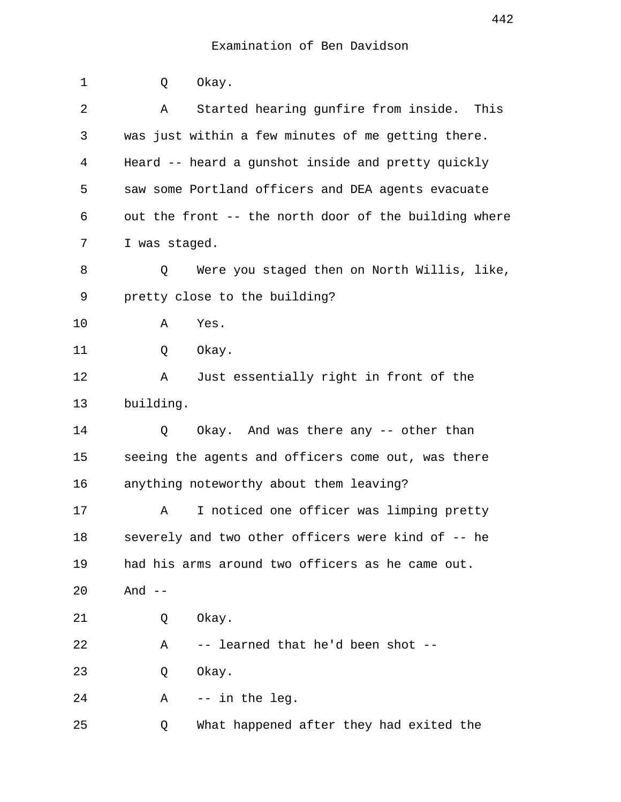| 1  | Okay.<br>Q                                            |
|----|-------------------------------------------------------|
| 2  | Started hearing gunfire from inside.<br>This<br>Α     |
| 3  | was just within a few minutes of me getting there.    |
| 4  | Heard -- heard a gunshot inside and pretty quickly    |
| 5  | saw some Portland officers and DEA agents evacuate    |
| 6  | out the front -- the north door of the building where |
| 7  | I was staged.                                         |
| 8  | Were you staged then on North Willis, like,<br>Q      |
| 9  | pretty close to the building?                         |
| 10 | Yes.<br>Α                                             |
| 11 | Okay.<br>Q                                            |
| 12 | Just essentially right in front of the<br>Α           |
| 13 | building.                                             |
| 14 | Okay. And was there any -- other than<br>Q            |
| 15 | seeing the agents and officers come out, was there    |
| 16 | anything noteworthy about them leaving?               |
| 17 | I noticed one officer was limping pretty<br>Α         |
| 18 | severely and two other officers were kind of -- he    |
| 19 | had his arms around two officers as he came out.      |
| 20 | And $--$                                              |
| 21 | Okay.<br>Q                                            |
| 22 | -- learned that he'd been shot --<br>Α                |
| 23 | Okay.<br>Q                                            |
| 24 | -- in the leg.<br>Α                                   |
| 25 | What happened after they had exited the<br>Q          |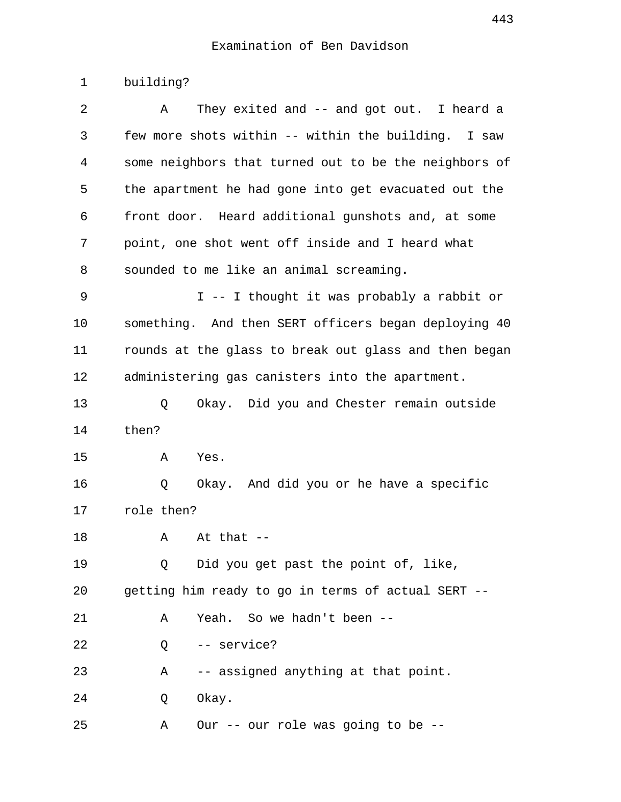1 building?

| 2  | They exited and $--$ and got out. I heard a<br>Α      |
|----|-------------------------------------------------------|
| 3  | few more shots within -- within the building. I saw   |
| 4  | some neighbors that turned out to be the neighbors of |
| 5  | the apartment he had gone into get evacuated out the  |
| 6  | front door. Heard additional gunshots and, at some    |
| 7  | point, one shot went off inside and I heard what      |
| 8  | sounded to me like an animal screaming.               |
| 9  | I -- I thought it was probably a rabbit or            |
| 10 | something. And then SERT officers began deploying 40  |
| 11 | rounds at the glass to break out glass and then began |
| 12 | administering gas canisters into the apartment.       |
| 13 | Okay. Did you and Chester remain outside<br>Q         |
| 14 | then?                                                 |
| 15 | Yes.<br>Α                                             |
| 16 | Okay. And did you or he have a specific<br>Q          |
| 17 | role then?                                            |
| 18 | At that $-$<br>Α                                      |
| 19 | Did you get past the point of, like,<br>O             |
| 20 | getting him ready to go in terms of actual SERT --    |
| 21 | Yeah. So we hadn't been --<br>Α                       |
| 22 | -- service?<br>Q                                      |
| 23 | -- assigned anything at that point.<br>Α              |
| 24 | Okay.<br>Q                                            |
| 25 | Our -- our role was going to be --<br>Α               |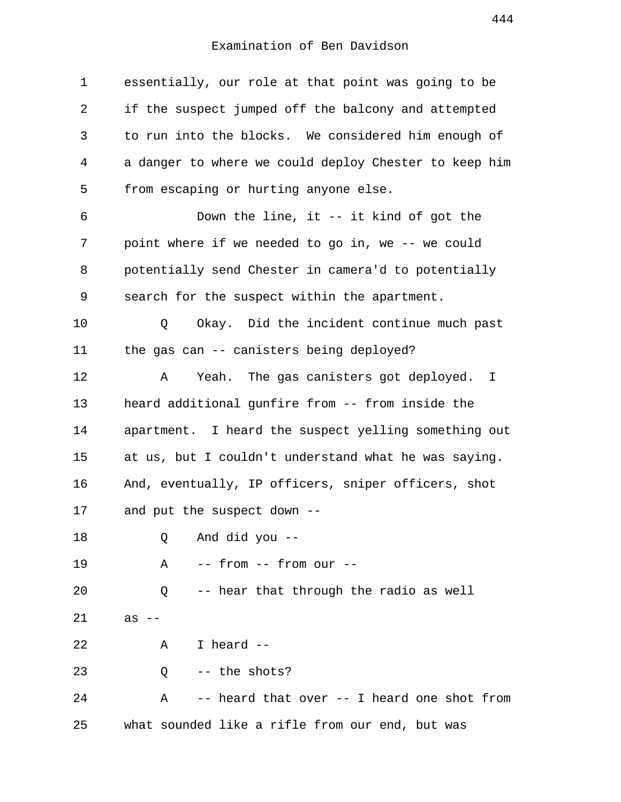| $\mathbf{1}$ | essentially, our role at that point was going to be   |
|--------------|-------------------------------------------------------|
| 2            | if the suspect jumped off the balcony and attempted   |
| 3            | to run into the blocks. We considered him enough of   |
| 4            | a danger to where we could deploy Chester to keep him |
| 5            | from escaping or hurting anyone else.                 |
| 6            | Down the line, it $-$ it kind of got the              |
| 7            | point where if we needed to go in, we -- we could     |
| 8            | potentially send Chester in camera'd to potentially   |
| 9            | search for the suspect within the apartment.          |
| 10           | Okay. Did the incident continue much past<br>Q        |
| 11           | the gas can -- canisters being deployed?              |
| 12           | Yeah. The gas canisters got deployed. I<br>Α          |
| 13           | heard additional gunfire from -- from inside the      |
| 14           | apartment. I heard the suspect yelling something out  |
| 15           | at us, but I couldn't understand what he was saying.  |
| 16           | And, eventually, IP officers, sniper officers, shot   |
| 17           | and put the suspect down --                           |
| 18           | And did you --<br>Q                                   |
| 19           | -- from -- from our --<br>Α                           |
| 20           | -- hear that through the radio as well<br>Q           |
| 21           | as<br>$- -$                                           |
| 22           | I heard --<br>$\mathbf{A}$                            |
| 23           | -- the shots?<br>Q                                    |
| 24           | -- heard that over -- I heard one shot from<br>Α      |
| 25           | what sounded like a rifle from our end, but was       |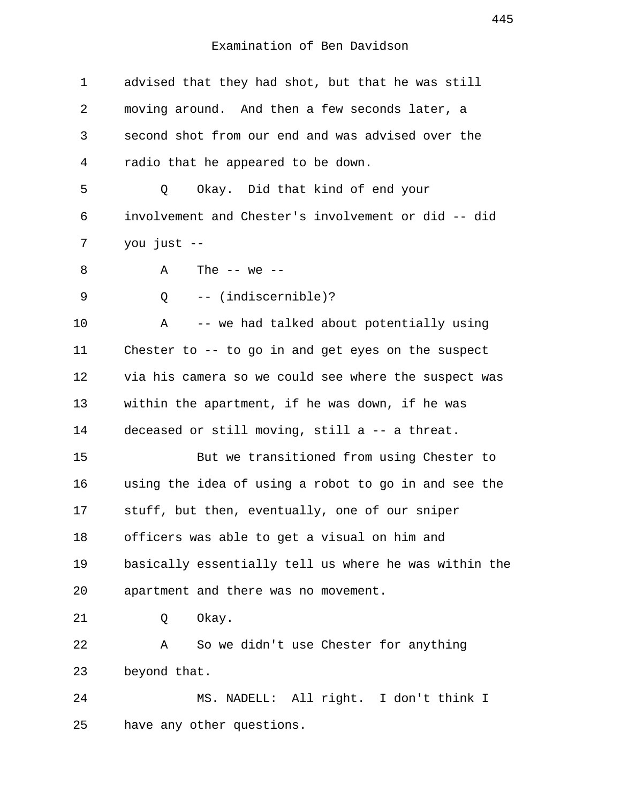1 advised that they had shot, but that he was still 2 moving around. And then a few seconds later, a 3 second shot from our end and was advised over the 4 radio that he appeared to be down. 5 Q Okay. Did that kind of end your 6 involvement and Chester's involvement or did -- did 7 you just -- 8  $A$  The  $-$  we  $-$  9 Q -- (indiscernible)? 10 A -- we had talked about potentially using 11 Chester to -- to go in and get eyes on the suspect 12 via his camera so we could see where the suspect was 13 within the apartment, if he was down, if he was 14 deceased or still moving, still a -- a threat. 15 But we transitioned from using Chester to 16 using the idea of using a robot to go in and see the 17 stuff, but then, eventually, one of our sniper 18 officers was able to get a visual on him and 19 basically essentially tell us where he was within the 20 apartment and there was no movement. 21 Q Okay. 22 A So we didn't use Chester for anything 23 beyond that. 24 MS. NADELL: All right. I don't think I 25 have any other questions.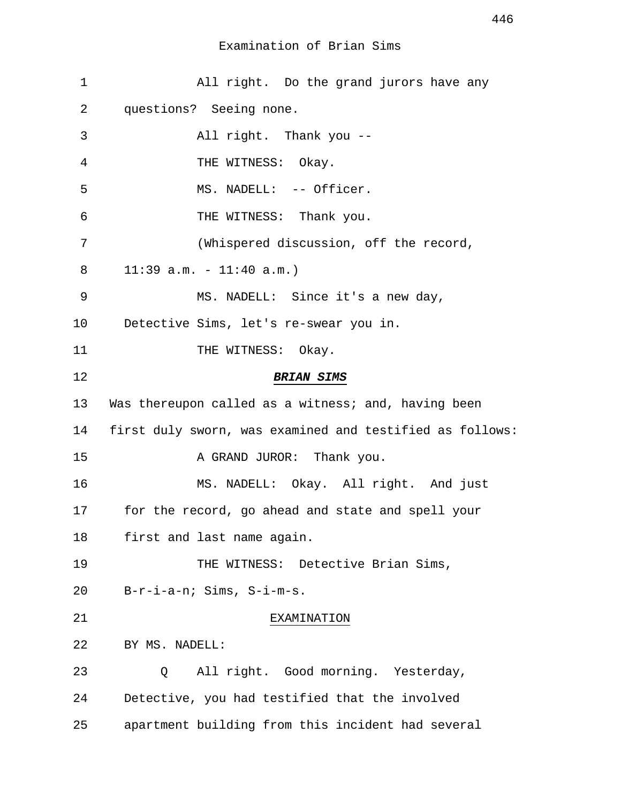| $\mathbf 1$ | All right. Do the grand jurors have any                  |
|-------------|----------------------------------------------------------|
| 2           | questions? Seeing none.                                  |
| 3           | All right. Thank you --                                  |
| 4           | THE WITNESS: Okay.                                       |
| 5           | MS. NADELL: -- Officer.                                  |
| 6           | THE WITNESS: Thank you.                                  |
| 7           | (Whispered discussion, off the record,                   |
| 8           | $11:39$ a.m. - $11:40$ a.m.)                             |
| 9           | MS. NADELL: Since it's a new day,                        |
| 10          | Detective Sims, let's re-swear you in.                   |
| 11          | THE WITNESS: Okay.                                       |
| 12          | <b>BRIAN SIMS</b>                                        |
| 13          | Was thereupon called as a witness; and, having been      |
| 14          | first duly sworn, was examined and testified as follows: |
| 15          | A GRAND JUROR: Thank you.                                |
| 16          | MS. NADELL: Okay. All right. And just                    |
| 17          | for the record, go ahead and state and spell your        |
| 18          | first and last name again.                               |
| 19          | THE WITNESS: Detective Brian Sims,                       |
| 20          | B-r-i-a-n; Sims, S-i-m-s.                                |
| 21          | EXAMINATION                                              |
| 22          | BY MS. NADELL:                                           |
| 23          | All right. Good morning. Yesterday,<br>Q                 |
| 24          | Detective, you had testified that the involved           |
| 25          | apartment building from this incident had several        |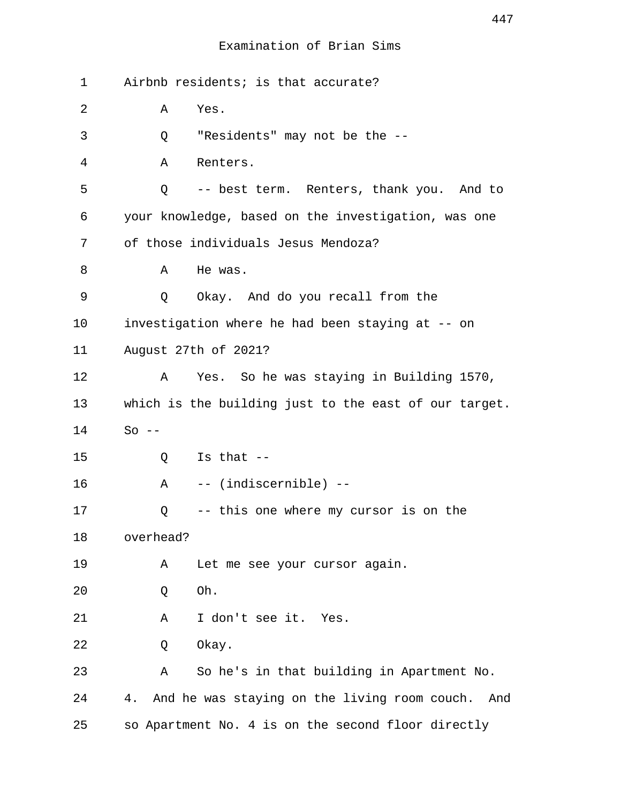### Examination of Brian Sims

| 1  | Airbnb residents; is that accurate?                       |
|----|-----------------------------------------------------------|
| 2  | Yes.<br>Α                                                 |
| 3  | "Residents" may not be the --<br>Q                        |
| 4  | Renters.<br>Α                                             |
| 5  | -- best term. Renters, thank you. And to<br>Q             |
| 6  | your knowledge, based on the investigation, was one       |
| 7  | of those individuals Jesus Mendoza?                       |
| 8  | He was.<br>Α                                              |
| 9  | Okay. And do you recall from the<br>Q                     |
| 10 | investigation where he had been staying at -- on          |
| 11 | August 27th of 2021?                                      |
| 12 | Yes. So he was staying in Building 1570,<br>Α             |
| 13 | which is the building just to the east of our target.     |
| 14 | $So --$                                                   |
| 15 | Is that $--$<br>Q                                         |
| 16 | -- (indiscernible) --<br>$\mathbf{A}$                     |
| 17 | -- this one where my cursor is on the<br>Q                |
| 18 | overhead?                                                 |
| 19 | Let me see your cursor again.<br>Α                        |
| 20 | Oh.<br>Q                                                  |
| 21 | I don't see it. Yes.<br>Α                                 |
| 22 | Okay.<br>Q                                                |
| 23 | So he's in that building in Apartment No.<br>Α            |
| 24 | And he was staying on the living room couch.<br>4.<br>And |
| 25 | so Apartment No. 4 is on the second floor directly        |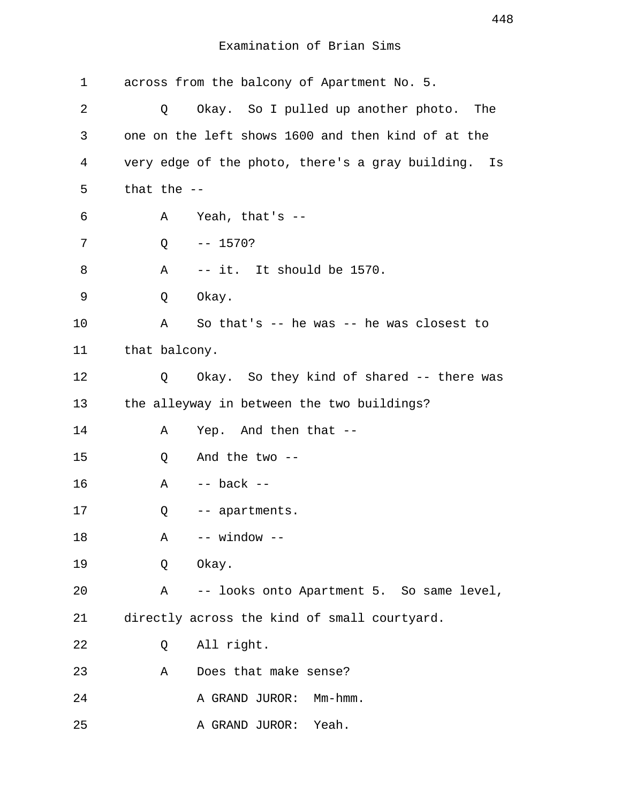Examination of Brian Sims

| 1  |               | across from the balcony of Apartment No. 5.         |
|----|---------------|-----------------------------------------------------|
| 2  | Q             | Okay. So I pulled up another photo. The             |
| 3  |               | one on the left shows 1600 and then kind of at the  |
| 4  |               | very edge of the photo, there's a gray building. Is |
| 5  | that the $-$  |                                                     |
| 6  | Α             | Yeah, that's $-$                                    |
| 7  | Q             | $-- 1570?$                                          |
| 8  | Α             | -- it. It should be 1570.                           |
| 9  | Q             | Okay.                                               |
| 10 | Α             | So that's $-$ he was $-$ he was closest to          |
| 11 | that balcony. |                                                     |
| 12 | Q             | Okay. So they kind of shared -- there was           |
| 13 |               | the alleyway in between the two buildings?          |
| 14 | Α             | Yep. And then that --                               |
| 15 | Q             | And the two $--$                                    |
| 16 | Α             | $--$ back $--$                                      |
| 17 | Q             | -- apartments.                                      |
| 18 | Α             | -- window --                                        |
| 19 | Q             | Okay.                                               |
| 20 | Α             | -- looks onto Apartment 5. So same level,           |
| 21 |               | directly across the kind of small courtyard.        |
| 22 | Q             | All right.                                          |
| 23 | Α             | Does that make sense?                               |
| 24 |               | A GRAND JUROR: Mm-hmm.                              |
| 25 |               | A GRAND JUROR:<br>Yeah.                             |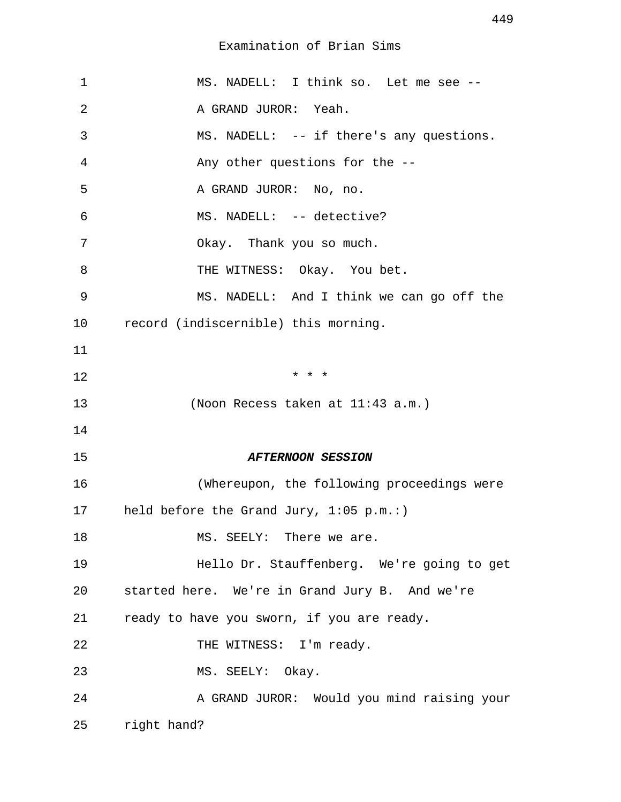Examination of Brian Sims

| $\mathbf 1$ | MS. NADELL: I think so. Let me see --          |
|-------------|------------------------------------------------|
| 2           | A GRAND JUROR: Yeah.                           |
| 3           | MS. NADELL: -- if there's any questions.       |
| 4           | Any other questions for the --                 |
| 5           | A GRAND JUROR: No, no.                         |
| 6           | MS. NADELL: -- detective?                      |
| 7           | Okay. Thank you so much.                       |
| 8           | THE WITNESS: Okay. You bet.                    |
| 9           | MS. NADELL: And I think we can go off the      |
| 10          | record (indiscernible) this morning.           |
| 11          |                                                |
| 12          | $*$ $*$ $*$                                    |
| 13          | (Noon Recess taken at 11:43 a.m.)              |
| 14          |                                                |
| 15          | <b>AFTERNOON SESSION</b>                       |
| 16          | (Whereupon, the following proceedings were     |
| 17          | held before the Grand Jury, $1:05$ p.m.:)      |
| 18          | MS. SEELY: There we are.                       |
| 19          | Hello Dr. Stauffenberg. We're going to get     |
| 20          | started here. We're in Grand Jury B. And we're |
| 21          | ready to have you sworn, if you are ready.     |
| 22          | THE WITNESS: I'm ready.                        |
| 23          | MS. SEELY: Okay.                               |
| 24          | A GRAND JUROR: Would you mind raising your     |
| 25          | right hand?                                    |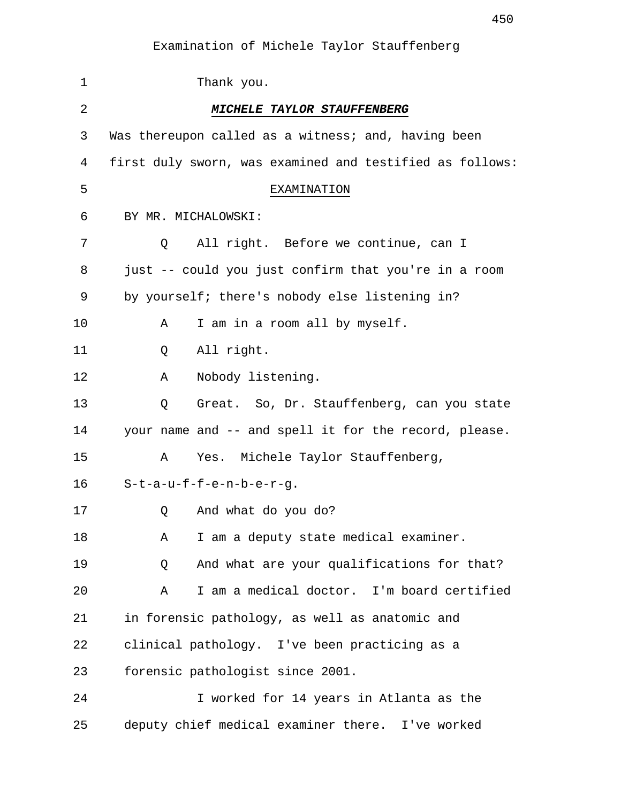| $\mathbf 1$    | Thank you.                                               |
|----------------|----------------------------------------------------------|
| $\overline{2}$ | MICHELE TAYLOR STAUFFENBERG                              |
| 3              | Was thereupon called as a witness; and, having been      |
| 4              | first duly sworn, was examined and testified as follows: |
| 5              | EXAMINATION                                              |
| 6              | BY MR. MICHALOWSKI:                                      |
| 7              | All right. Before we continue, can I<br>Q                |
| 8              | just -- could you just confirm that you're in a room     |
| 9              | by yourself; there's nobody else listening in?           |
| 10             | I am in a room all by myself.<br>Α                       |
| 11             | All right.<br>Q                                          |
| 12             | Nobody listening.<br>Α                                   |
| 13             | Great. So, Dr. Stauffenberg, can you state<br>Q          |
| 14             | your name and -- and spell it for the record, please.    |
| 15             | Yes. Michele Taylor Stauffenberg,<br>Α                   |
| 16             | $S-t-a-u-f-f-e-n-b-e-r-q.$                               |
| 17             | And what do you do?<br>Q                                 |
| 18             | I am a deputy state medical examiner.<br>Α               |
| 19             | And what are your qualifications for that?<br>Q          |
| 20             | I am a medical doctor. I'm board certified<br>Α          |
| 21             | in forensic pathology, as well as anatomic and           |
| 22             | clinical pathology. I've been practicing as a            |
| 23             | forensic pathologist since 2001.                         |
| 24             | I worked for 14 years in Atlanta as the                  |
| 25             | deputy chief medical examiner there. I've worked         |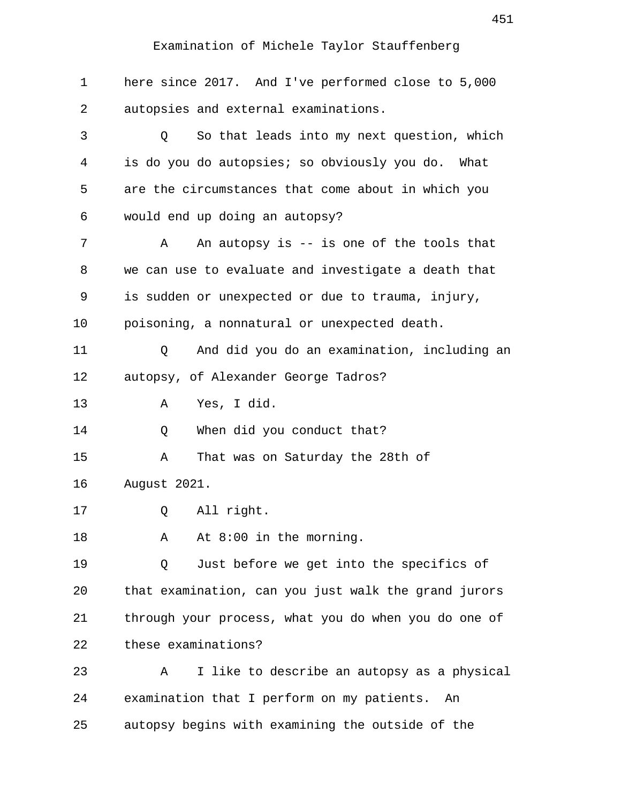| 1  | here since 2017. And I've performed close to 5,000   |
|----|------------------------------------------------------|
| 2  | autopsies and external examinations.                 |
| 3  | So that leads into my next question, which<br>Q      |
| 4  | is do you do autopsies; so obviously you do. What    |
| 5  | are the circumstances that come about in which you   |
| 6  | would end up doing an autopsy?                       |
| 7  | An autopsy is $-$ is one of the tools that<br>Α      |
| 8  | we can use to evaluate and investigate a death that  |
| 9  | is sudden or unexpected or due to trauma, injury,    |
| 10 | poisoning, a nonnatural or unexpected death.         |
| 11 | And did you do an examination, including an<br>Q     |
| 12 | autopsy, of Alexander George Tadros?                 |
| 13 | Yes, I did.<br>Α                                     |
| 14 | When did you conduct that?<br>Q                      |
| 15 | That was on Saturday the 28th of<br>Α                |
| 16 | August 2021.                                         |
| 17 | All right.<br>Q                                      |
| 18 | At $8:00$ in the morning.<br>Α                       |
| 19 | Just before we get into the specifics of<br>Q        |
| 20 | that examination, can you just walk the grand jurors |
| 21 | through your process, what you do when you do one of |
| 22 | these examinations?                                  |
| 23 | I like to describe an autopsy as a physical<br>Α     |
| 24 | examination that I perform on my patients.<br>An     |
| 25 | autopsy begins with examining the outside of the     |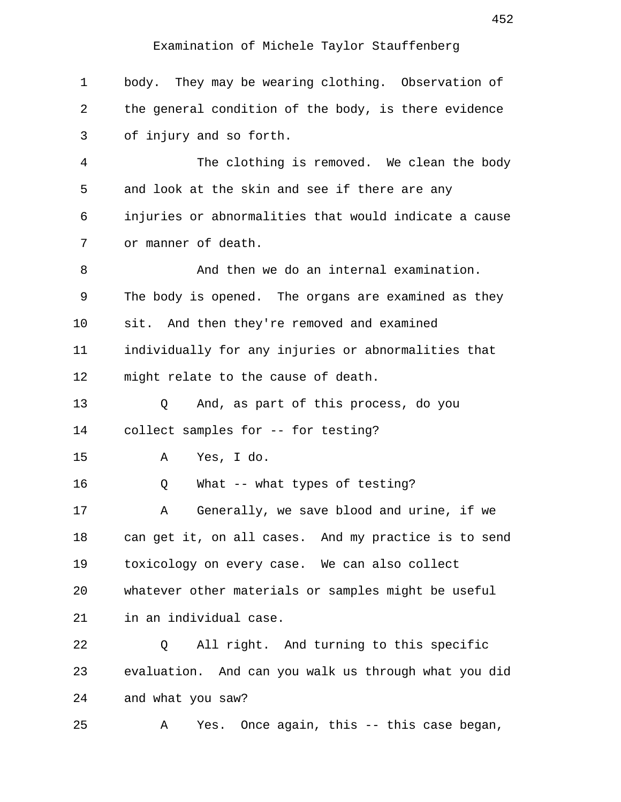1 body. They may be wearing clothing. Observation of 2 the general condition of the body, is there evidence 3 of injury and so forth. 4 The clothing is removed. We clean the body 5 and look at the skin and see if there are any 6 injuries or abnormalities that would indicate a cause 7 or manner of death. 8 And then we do an internal examination. 9 The body is opened. The organs are examined as they 10 sit. And then they're removed and examined 11 individually for any injuries or abnormalities that 12 might relate to the cause of death. 13 Q And, as part of this process, do you 14 collect samples for -- for testing? 15 A Yes, I do. 16 Q What -- what types of testing? 17 A Generally, we save blood and urine, if we 18 can get it, on all cases. And my practice is to send 19 toxicology on every case. We can also collect 20 whatever other materials or samples might be useful 21 in an individual case. 22 Q All right. And turning to this specific 23 evaluation. And can you walk us through what you did 24 and what you saw? 25 A Yes. Once again, this -- this case began,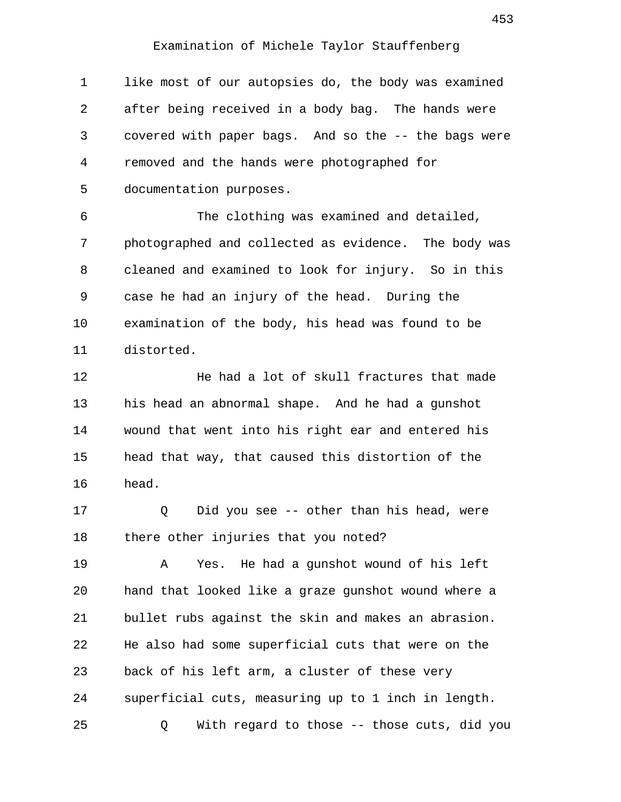1 like most of our autopsies do, the body was examined 2 after being received in a body bag. The hands were 3 covered with paper bags. And so the -- the bags were 4 removed and the hands were photographed for 5 documentation purposes.

 6 The clothing was examined and detailed, 7 photographed and collected as evidence. The body was 8 cleaned and examined to look for injury. So in this 9 case he had an injury of the head. During the 10 examination of the body, his head was found to be 11 distorted.

12 He had a lot of skull fractures that made 13 his head an abnormal shape. And he had a gunshot 14 wound that went into his right ear and entered his 15 head that way, that caused this distortion of the 16 head.

17 Q Did you see -- other than his head, were 18 there other injuries that you noted?

19 A Yes. He had a gunshot wound of his left 20 hand that looked like a graze gunshot wound where a 21 bullet rubs against the skin and makes an abrasion. 22 He also had some superficial cuts that were on the 23 back of his left arm, a cluster of these very 24 superficial cuts, measuring up to 1 inch in length. 25 Q With regard to those -- those cuts, did you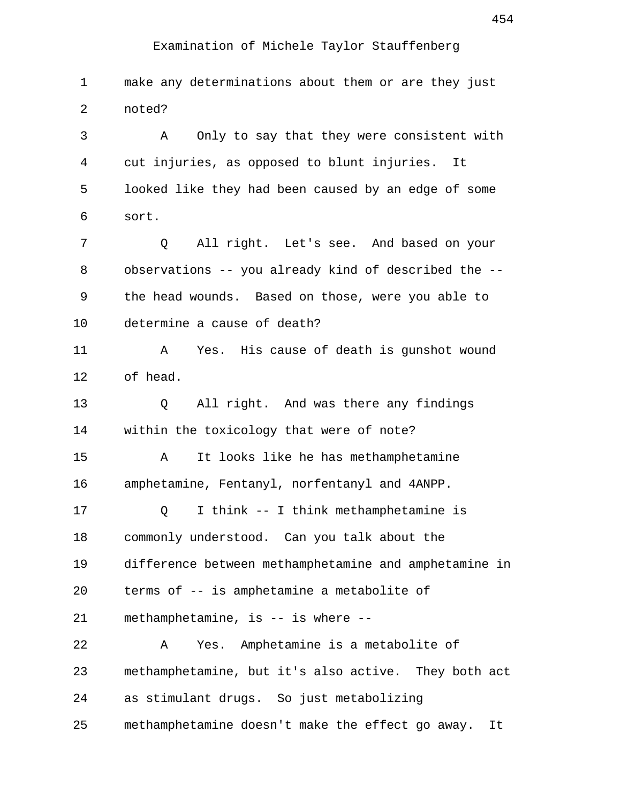1 make any determinations about them or are they just 2 noted? 3 A Only to say that they were consistent with 4 cut injuries, as opposed to blunt injuries. It 5 looked like they had been caused by an edge of some 6 sort. 7 Q All right. Let's see. And based on your 8 observations -- you already kind of described the -- 9 the head wounds. Based on those, were you able to 10 determine a cause of death? 11 A Yes. His cause of death is gunshot wound 12 of head. 13 Q All right. And was there any findings 14 within the toxicology that were of note? 15 A It looks like he has methamphetamine 16 amphetamine, Fentanyl, norfentanyl and 4ANPP. 17 Q I think -- I think methamphetamine is 18 commonly understood. Can you talk about the 19 difference between methamphetamine and amphetamine in 20 terms of -- is amphetamine a metabolite of 21 methamphetamine, is -- is where -- 22 A Yes. Amphetamine is a metabolite of 23 methamphetamine, but it's also active. They both act 24 as stimulant drugs. So just metabolizing 25 methamphetamine doesn't make the effect go away. It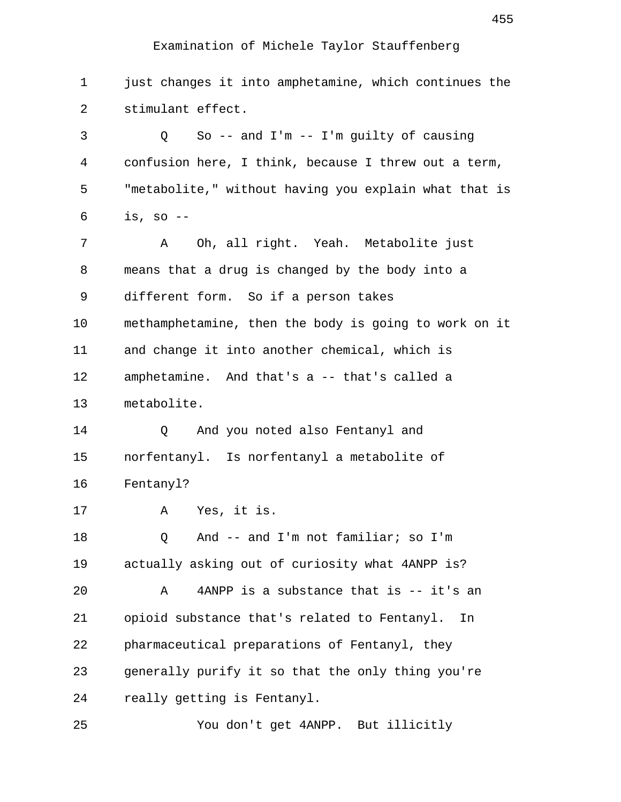1 just changes it into amphetamine, which continues the 2 stimulant effect. 3 Q So -- and I'm -- I'm guilty of causing 4 confusion here, I think, because I threw out a term, 5 "metabolite," without having you explain what that is 6 is, so -- 7 A Oh, all right. Yeah. Metabolite just 8 means that a drug is changed by the body into a 9 different form. So if a person takes 10 methamphetamine, then the body is going to work on it 11 and change it into another chemical, which is 12 amphetamine. And that's a -- that's called a 13 metabolite. 14 O And you noted also Fentanyl and 15 norfentanyl. Is norfentanyl a metabolite of 16 Fentanyl? 17 A Yes, it is. 18 Q And -- and I'm not familiar; so I'm 19 actually asking out of curiosity what 4ANPP is? 20 A 4ANPP is a substance that is -- it's an 21 opioid substance that's related to Fentanyl. In 22 pharmaceutical preparations of Fentanyl, they 23 generally purify it so that the only thing you're 24 really getting is Fentanyl.

25 You don't get 4ANPP. But illicitly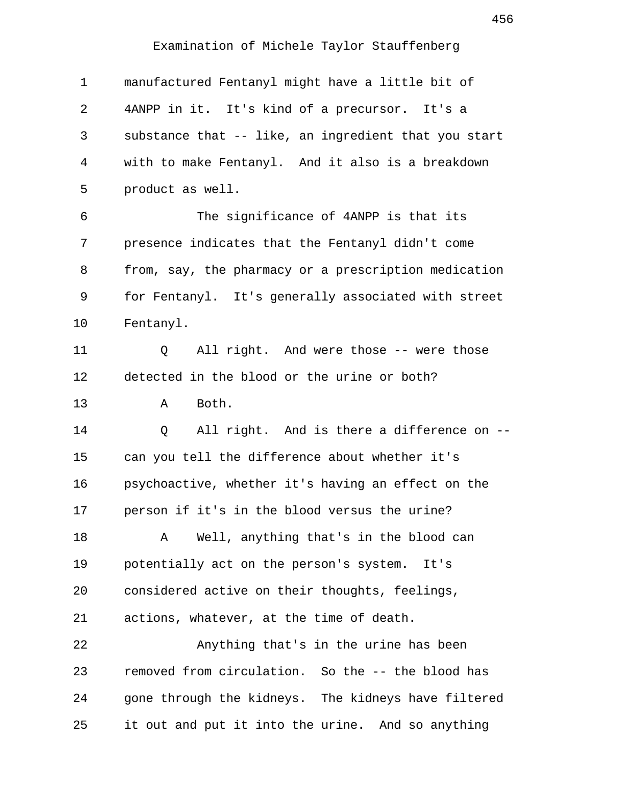| 1        | manufactured Fentanyl might have a little bit of     |
|----------|------------------------------------------------------|
| 2        | 4ANPP in it. It's kind of a precursor. It's a        |
| 3        | substance that -- like, an ingredient that you start |
| 4        | with to make Fentanyl. And it also is a breakdown    |
| 5        | product as well.                                     |
| 6        | The significance of 4ANPP is that its                |
| 7        | presence indicates that the Fentanyl didn't come     |
| 8        | from, say, the pharmacy or a prescription medication |
| 9        | for Fentanyl. It's generally associated with street  |
| 10       | Fentanyl.                                            |
| 11       | All right. And were those -- were those<br>Q         |
| 12       | detected in the blood or the urine or both?          |
| 13       | Both.<br>Α                                           |
|          |                                                      |
| 14       | All right. And is there a difference on --<br>Q      |
| 15       | can you tell the difference about whether it's       |
| 16       | psychoactive, whether it's having an effect on the   |
|          | person if it's in the blood versus the urine?        |
| 17<br>18 | Well, anything that's in the blood can<br>Α          |
| 19       | potentially act on the person's system. It's         |
| 20       | considered active on their thoughts, feelings,       |
| 21       | actions, whatever, at the time of death.             |
| 22       | Anything that's in the urine has been                |
| 23       | removed from circulation. So the -- the blood has    |
| 24       | gone through the kidneys. The kidneys have filtered  |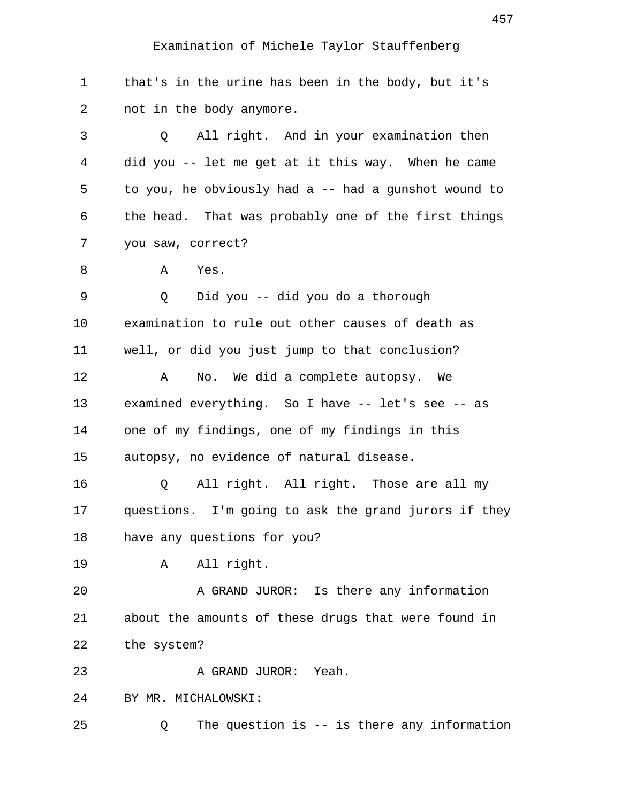1 that's in the urine has been in the body, but it's 2 not in the body anymore.

 3 Q All right. And in your examination then 4 did you -- let me get at it this way. When he came 5 to you, he obviously had a -- had a gunshot wound to 6 the head. That was probably one of the first things 7 you saw, correct?

8 A Yes.

 9 Q Did you -- did you do a thorough 10 examination to rule out other causes of death as 11 well, or did you just jump to that conclusion? 12 A No. We did a complete autopsy. We

13 examined everything. So I have -- let's see -- as 14 one of my findings, one of my findings in this 15 autopsy, no evidence of natural disease.

16 Q All right. All right. Those are all my 17 questions. I'm going to ask the grand jurors if they 18 have any questions for you?

19 A All right.

20 A GRAND JUROR: Is there any information 21 about the amounts of these drugs that were found in 22 the system?

23 A GRAND JUROR: Yeah.

24 BY MR. MICHALOWSKI:

25 Q The question is -- is there any information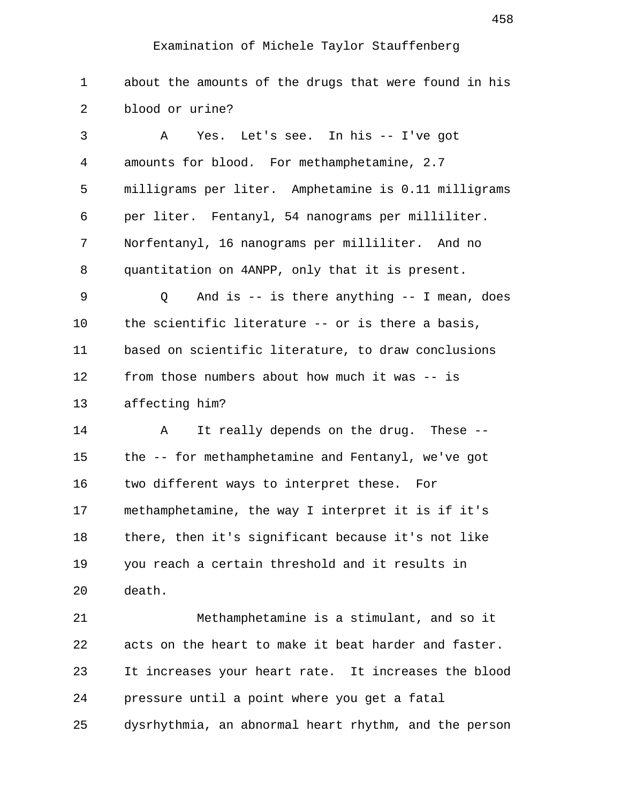| $\mathbf 1$ | about the amounts of the drugs that were found in his |
|-------------|-------------------------------------------------------|
| 2           | blood or urine?                                       |
| 3           | Yes. Let's see. In his -- I've got<br>A               |
| 4           | amounts for blood. For methamphetamine, 2.7           |
| 5           | milligrams per liter. Amphetamine is 0.11 milligrams  |
| 6           | per liter. Fentanyl, 54 nanograms per milliliter.     |
| 7           | Norfentanyl, 16 nanograms per milliliter. And no      |
| 8           | quantitation on 4ANPP, only that it is present.       |
| 9           | And is $--$ is there anything $--$ I mean, does<br>Q  |
| 10          | the scientific literature -- or is there a basis,     |
| 11          | based on scientific literature, to draw conclusions   |
| 12          | from those numbers about how much it was -- is        |
| 13          | affecting him?                                        |
| 14          | It really depends on the drug. These --<br>A          |
| 15          | the -- for methamphetamine and Fentanyl, we've got    |
| 16          | two different ways to interpret these. For            |
| 17          | methamphetamine, the way I interpret it is if it's    |
| 18          | there, then it's significant because it's not like    |
| 19          | you reach a certain threshold and it results in       |
| 20          | death.                                                |
| 21          | Methamphetamine is a stimulant, and so it             |
| 22          | acts on the heart to make it beat harder and faster.  |
| 23          | It increases your heart rate. It increases the blood  |
| 24          | pressure until a point where you get a fatal          |
| 25          | dysrhythmia, an abnormal heart rhythm, and the person |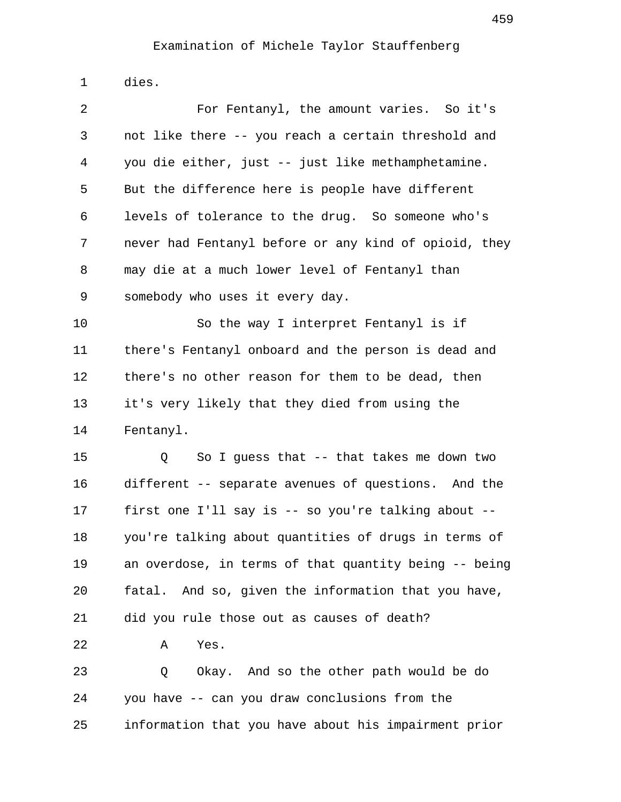1 dies.

| 2                    | For Fentanyl, the amount varies. So it's              |
|----------------------|-------------------------------------------------------|
| 3                    | not like there -- you reach a certain threshold and   |
| 4                    | you die either, just -- just like methamphetamine.    |
| 5                    | But the difference here is people have different      |
| 6                    | levels of tolerance to the drug. So someone who's     |
| 7                    | never had Fentanyl before or any kind of opioid, they |
| 8                    | may die at a much lower level of Fentanyl than        |
| 9                    | somebody who uses it every day.                       |
| 10                   | So the way I interpret Fentanyl is if                 |
| 11                   | there's Fentanyl onboard and the person is dead and   |
| 12                   | there's no other reason for them to be dead, then     |
| 13                   | it's very likely that they died from using the        |
| 14                   | Fentanyl.                                             |
|                      | So I guess that -- that takes me down two<br>Q        |
| 15                   |                                                       |
|                      | different -- separate avenues of questions. And the   |
|                      | first one I'll say is -- so you're talking about --   |
|                      | you're talking about quantities of drugs in terms of  |
| 16<br>17<br>18<br>19 | an overdose, in terms of that quantity being -- being |
| 20                   | fatal. And so, given the information that you have,   |
| 21                   | did you rule those out as causes of death?            |
| 22                   | Yes.<br>Α                                             |
| 23                   | Okay. And so the other path would be do<br>Q          |
| 24                   | you have -- can you draw conclusions from the         |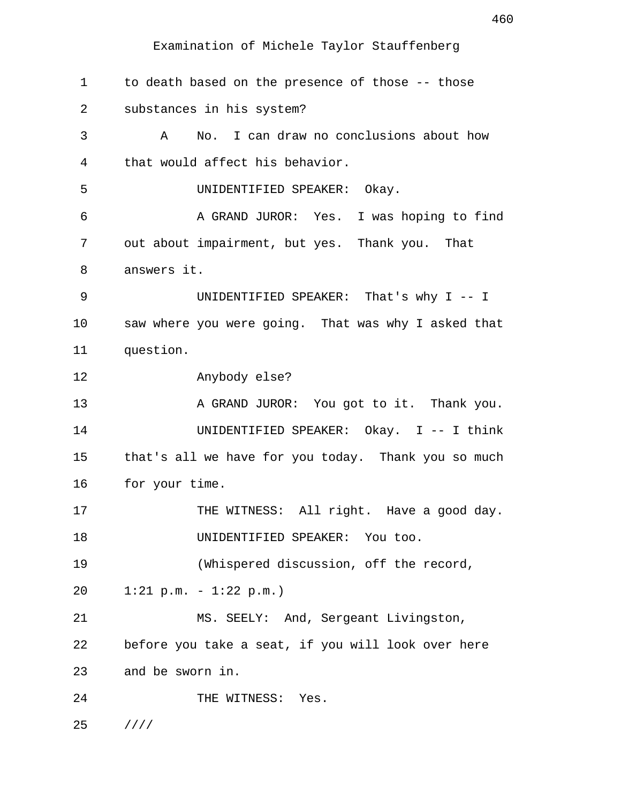Examination of Michele Taylor Stauffenberg

 1 to death based on the presence of those -- those 2 substances in his system? 3 A No. I can draw no conclusions about how 4 that would affect his behavior. 5 UNIDENTIFIED SPEAKER: Okay. 6 A GRAND JUROR: Yes. I was hoping to find 7 out about impairment, but yes. Thank you. That 8 answers it. 9 UNIDENTIFIED SPEAKER: That's why I -- I 10 saw where you were going. That was why I asked that 11 question. 12 Anybody else? 13 A GRAND JUROR: You got to it. Thank you. 14 UNIDENTIFIED SPEAKER: Okay. I -- I think 15 that's all we have for you today. Thank you so much 16 for your time. 17 THE WITNESS: All right. Have a good day. 18 UNIDENTIFIED SPEAKER: You too. 19 (Whispered discussion, off the record, 20 1:21 p.m. - 1:22 p.m.) 21 MS. SEELY: And, Sergeant Livingston, 22 before you take a seat, if you will look over here 23 and be sworn in. 24 THE WITNESS: Yes. 25 ////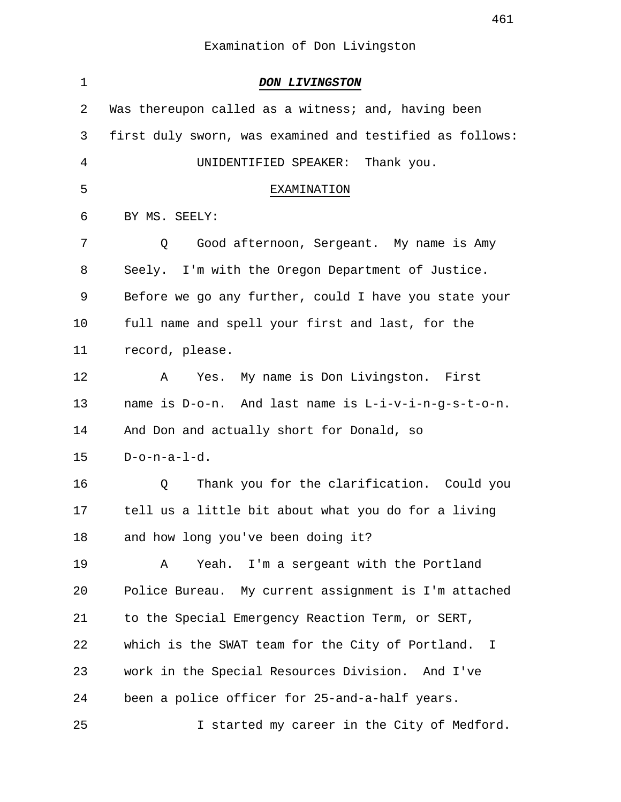| 1  | <b>DON LIVINGSTON</b>                                    |
|----|----------------------------------------------------------|
| 2  | Was thereupon called as a witness; and, having been      |
| 3  | first duly sworn, was examined and testified as follows: |
| 4  | UNIDENTIFIED SPEAKER:<br>Thank you.                      |
| 5  | EXAMINATION                                              |
| 6  | BY MS. SEELY:                                            |
| 7  | Good afternoon, Sergeant. My name is Amy<br>Q            |
| 8  | Seely. I'm with the Oregon Department of Justice.        |
| 9  | Before we go any further, could I have you state your    |
| 10 | full name and spell your first and last, for the         |
| 11 | record, please.                                          |
| 12 | Yes. My name is Don Livingston. First<br>A               |
| 13 | name is D-o-n. And last name is L-i-v-i-n-g-s-t-o-n.     |
| 14 | And Don and actually short for Donald, so                |
| 15 | $D$ -o-n-a- $1$ -d.                                      |
| 16 | Thank you for the clarification. Could you<br>Q          |
| 17 | tell us a little bit about what you do for a living      |
| 18 | and how long you've been doing it?                       |
| 19 | Yeah. I'm a sergeant with the Portland<br>Α              |
| 20 | Police Bureau. My current assignment is I'm attached     |
| 21 | to the Special Emergency Reaction Term, or SERT,         |
| 22 | which is the SWAT team for the City of Portland. I       |
| 23 | work in the Special Resources Division. And I've         |
| 24 | been a police officer for 25-and-a-half years.           |
| 25 | I started my career in the City of Medford.              |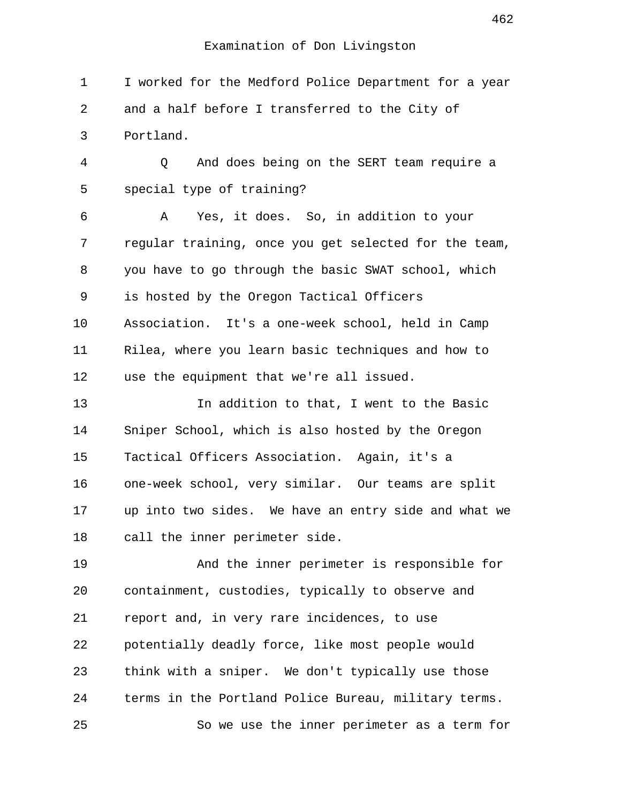1 I worked for the Medford Police Department for a year 2 and a half before I transferred to the City of 3 Portland. 4 Q And does being on the SERT team require a 5 special type of training? 6 A Yes, it does. So, in addition to your 7 regular training, once you get selected for the team, 8 you have to go through the basic SWAT school, which 9 is hosted by the Oregon Tactical Officers 10 Association. It's a one-week school, held in Camp 11 Rilea, where you learn basic techniques and how to 12 use the equipment that we're all issued. 13 In addition to that, I went to the Basic 14 Sniper School, which is also hosted by the Oregon 15 Tactical Officers Association. Again, it's a 16 one-week school, very similar. Our teams are split 17 up into two sides. We have an entry side and what we 18 call the inner perimeter side. 19 And the inner perimeter is responsible for 20 containment, custodies, typically to observe and 21 report and, in very rare incidences, to use 22 potentially deadly force, like most people would 23 think with a sniper. We don't typically use those 24 terms in the Portland Police Bureau, military terms. 25 So we use the inner perimeter as a term for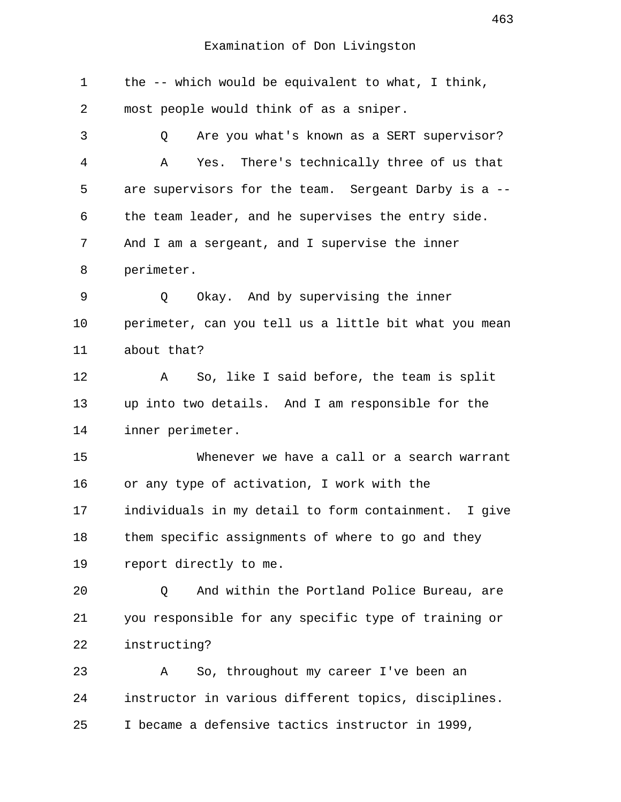1 the -- which would be equivalent to what, I think, 2 most people would think of as a sniper. 3 Q Are you what's known as a SERT supervisor? 4 A Yes. There's technically three of us that 5 are supervisors for the team. Sergeant Darby is a -- 6 the team leader, and he supervises the entry side. 7 And I am a sergeant, and I supervise the inner 8 perimeter. 9 Q Okay. And by supervising the inner 10 perimeter, can you tell us a little bit what you mean 11 about that? 12 A So, like I said before, the team is split 13 up into two details. And I am responsible for the 14 inner perimeter. 15 Whenever we have a call or a search warrant 16 or any type of activation, I work with the 17 individuals in my detail to form containment. I give 18 them specific assignments of where to go and they 19 report directly to me. 20 Q And within the Portland Police Bureau, are 21 you responsible for any specific type of training or 22 instructing? 23 A So, throughout my career I've been an 24 instructor in various different topics, disciplines. 25 I became a defensive tactics instructor in 1999,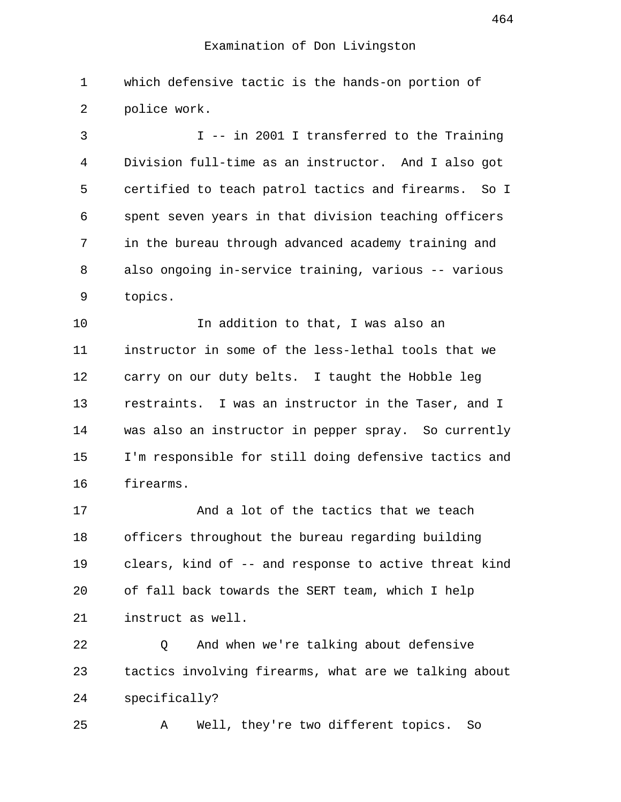1 which defensive tactic is the hands-on portion of 2 police work.

 3 I -- in 2001 I transferred to the Training 4 Division full-time as an instructor. And I also got 5 certified to teach patrol tactics and firearms. So I 6 spent seven years in that division teaching officers 7 in the bureau through advanced academy training and 8 also ongoing in-service training, various -- various 9 topics.

10 **In addition to that, I was also an** 11 instructor in some of the less-lethal tools that we 12 carry on our duty belts. I taught the Hobble leg 13 restraints. I was an instructor in the Taser, and I 14 was also an instructor in pepper spray. So currently 15 I'm responsible for still doing defensive tactics and 16 firearms.

17 And a lot of the tactics that we teach 18 officers throughout the bureau regarding building 19 clears, kind of -- and response to active threat kind 20 of fall back towards the SERT team, which I help 21 instruct as well.

22 Q And when we're talking about defensive 23 tactics involving firearms, what are we talking about 24 specifically?

25 A Well, they're two different topics. So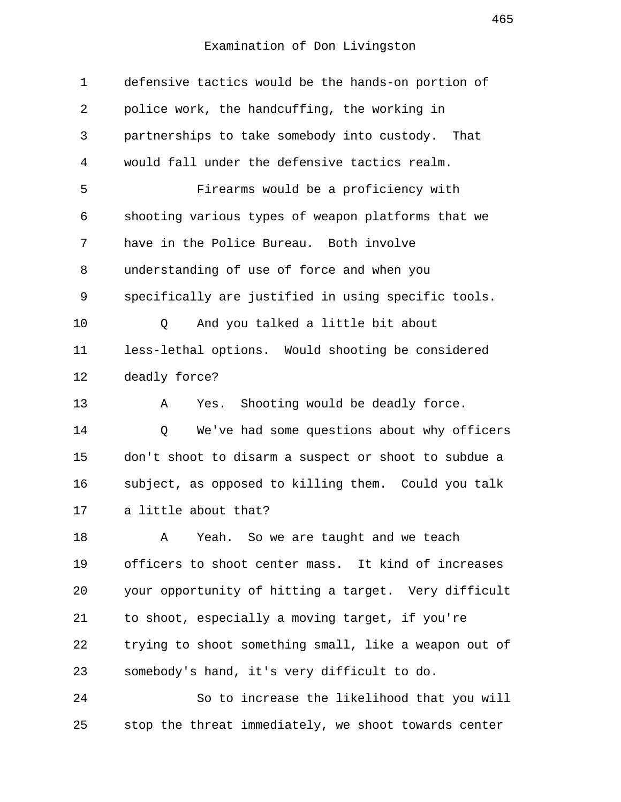| 1              | defensive tactics would be the hands-on portion of    |
|----------------|-------------------------------------------------------|
| $\overline{2}$ | police work, the handcuffing, the working in          |
| 3              | partnerships to take somebody into custody. That      |
| 4              | would fall under the defensive tactics realm.         |
| 5              | Firearms would be a proficiency with                  |
| 6              | shooting various types of weapon platforms that we    |
| 7              | have in the Police Bureau. Both involve               |
| 8              | understanding of use of force and when you            |
| 9              | specifically are justified in using specific tools.   |
| 10             | And you talked a little bit about<br>Q                |
| 11             | less-lethal options. Would shooting be considered     |
| 12             | deadly force?                                         |
| 13             | Shooting would be deadly force.<br>Α<br>Yes.          |
| 14             | We've had some questions about why officers<br>Q      |
| 15             | don't shoot to disarm a suspect or shoot to subdue a  |
| 16             | subject, as opposed to killing them. Could you talk   |
| 17             | a little about that?                                  |
| 18             | Yeah. So we are taught and we teach<br>Α              |
| 19             | officers to shoot center mass. It kind of increases   |
| 20             | your opportunity of hitting a target. Very difficult  |
| 21             | to shoot, especially a moving target, if you're       |
| 22             | trying to shoot something small, like a weapon out of |
| 23             | somebody's hand, it's very difficult to do.           |
| 24             | So to increase the likelihood that you will           |
| 25             | stop the threat immediately, we shoot towards center  |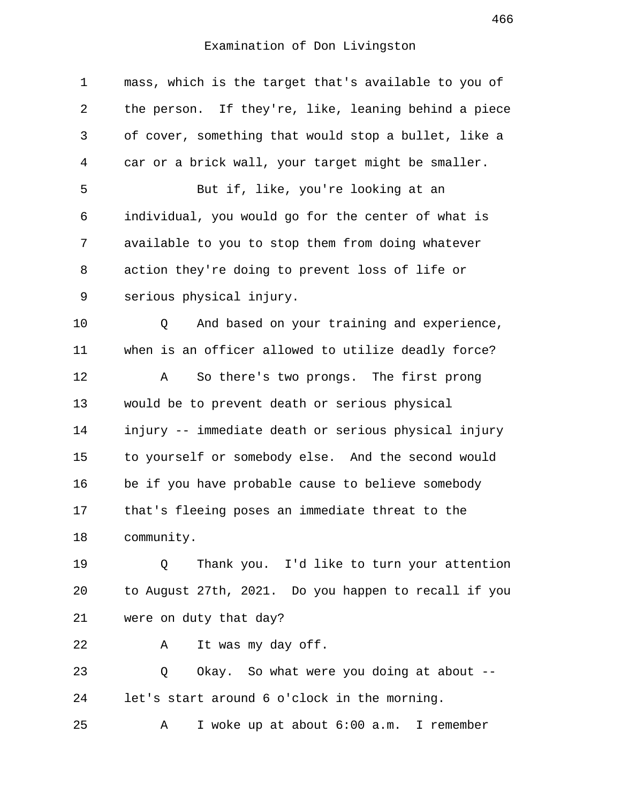| $\mathbf 1$    | mass, which is the target that's available to you of |
|----------------|------------------------------------------------------|
| 2              | the person. If they're, like, leaning behind a piece |
| 3              | of cover, something that would stop a bullet, like a |
| $\overline{4}$ | car or a brick wall, your target might be smaller.   |
| 5              | But if, like, you're looking at an                   |
| 6              | individual, you would go for the center of what is   |
| 7              | available to you to stop them from doing whatever    |
| 8              | action they're doing to prevent loss of life or      |
| 9              | serious physical injury.                             |
| 10             | And based on your training and experience,<br>Q      |
| 11             | when is an officer allowed to utilize deadly force?  |
| 12             | So there's two prongs. The first prong<br>Α          |
| 13             | would be to prevent death or serious physical        |
| 14             | injury -- immediate death or serious physical injury |
| 15             | to yourself or somebody else. And the second would   |
| 16             | be if you have probable cause to believe somebody    |
| 17             | that's fleeing poses an immediate threat to the      |
| 18             | community.                                           |
| 19             | Thank you. I'd like to turn your attention<br>Q      |
| 20             | to August 27th, 2021. Do you happen to recall if you |
| 21             | were on duty that day?                               |
| 22             | It was my day off.<br>A                              |
| 23             | Okay. So what were you doing at about --<br>Q        |
| 24             | let's start around 6 o'clock in the morning.         |
| 25             | I woke up at about 6:00 a.m. I remember<br>Α         |
|                |                                                      |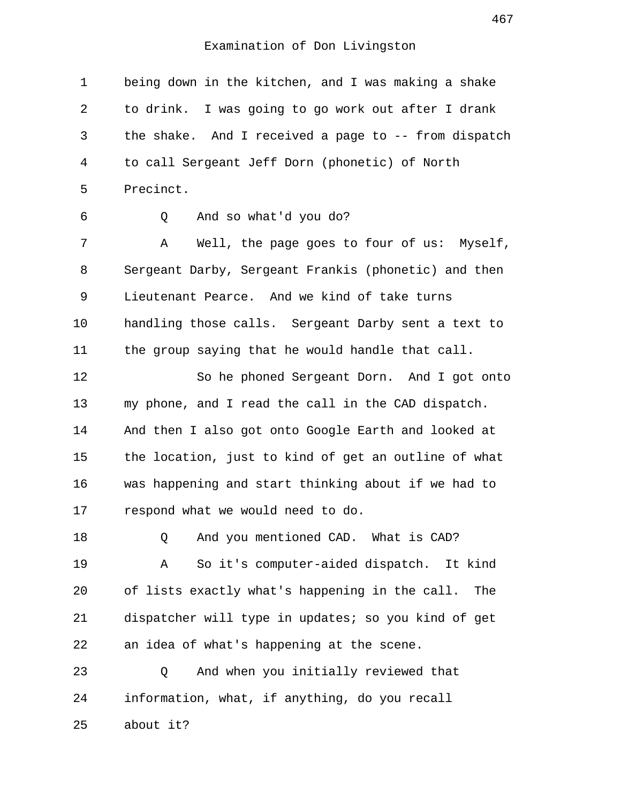1 being down in the kitchen, and I was making a shake 2 to drink. I was going to go work out after I drank 3 the shake. And I received a page to -- from dispatch 4 to call Sergeant Jeff Dorn (phonetic) of North 5 Precinct. 6 Q And so what'd you do? 7 A Well, the page goes to four of us: Myself, 8 Sergeant Darby, Sergeant Frankis (phonetic) and then 9 Lieutenant Pearce. And we kind of take turns 10 handling those calls. Sergeant Darby sent a text to 11 the group saying that he would handle that call. 12 So he phoned Sergeant Dorn. And I got onto 13 my phone, and I read the call in the CAD dispatch. 14 And then I also got onto Google Earth and looked at 15 the location, just to kind of get an outline of what 16 was happening and start thinking about if we had to 17 respond what we would need to do. 18 0 And you mentioned CAD. What is CAD? 19 A So it's computer-aided dispatch. It kind 20 of lists exactly what's happening in the call. The 21 dispatcher will type in updates; so you kind of get 22 an idea of what's happening at the scene. 23 Q And when you initially reviewed that 24 information, what, if anything, do you recall 25 about it?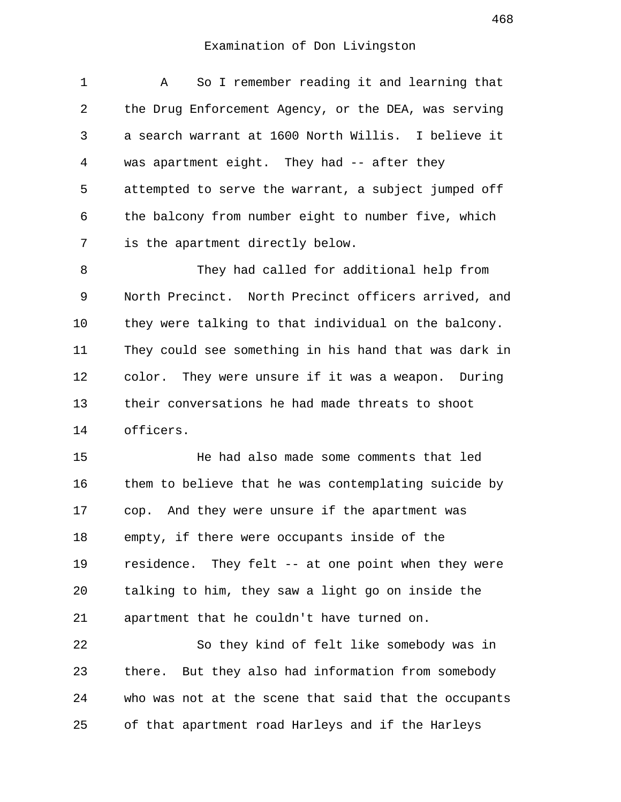1 A So I remember reading it and learning that 2 the Drug Enforcement Agency, or the DEA, was serving 3 a search warrant at 1600 North Willis. I believe it 4 was apartment eight. They had -- after they 5 attempted to serve the warrant, a subject jumped off 6 the balcony from number eight to number five, which 7 is the apartment directly below.

 8 They had called for additional help from 9 North Precinct. North Precinct officers arrived, and 10 they were talking to that individual on the balcony. 11 They could see something in his hand that was dark in 12 color. They were unsure if it was a weapon. During 13 their conversations he had made threats to shoot 14 officers.

15 He had also made some comments that led 16 them to believe that he was contemplating suicide by 17 cop. And they were unsure if the apartment was 18 empty, if there were occupants inside of the 19 residence. They felt -- at one point when they were 20 talking to him, they saw a light go on inside the 21 apartment that he couldn't have turned on.

22 So they kind of felt like somebody was in 23 there. But they also had information from somebody 24 who was not at the scene that said that the occupants 25 of that apartment road Harleys and if the Harleys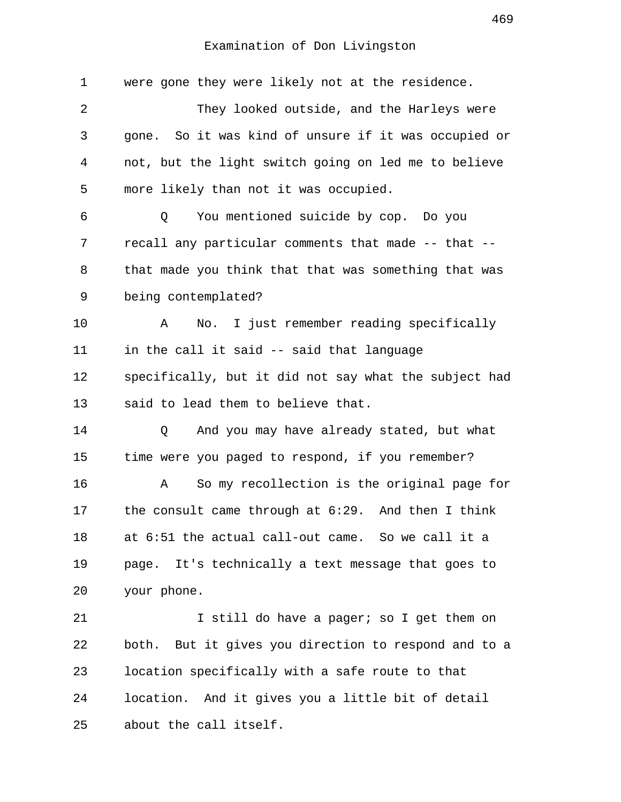| 1        | were gone they were likely not at the residence.        |
|----------|---------------------------------------------------------|
| 2        | They looked outside, and the Harleys were               |
| 3        | gone. So it was kind of unsure if it was occupied or    |
| 4        | not, but the light switch going on led me to believe    |
| 5        | more likely than not it was occupied.                   |
| 6        | You mentioned suicide by cop. Do you<br>Q               |
| 7        | recall any particular comments that made -- that --     |
| 8        | that made you think that that was something that was    |
| 9        | being contemplated?                                     |
| 10       | I just remember reading specifically<br>No.<br>Α        |
| 11       | in the call it said -- said that language               |
| 12       | specifically, but it did not say what the subject had   |
| 13       | said to lead them to believe that.                      |
| 14       | And you may have already stated, but what<br>Q          |
| 15       | time were you paged to respond, if you remember?        |
| 16       | So my recollection is the original page for<br>Α        |
|          |                                                         |
| 17       | the consult came through at $6:29$ . And then I think   |
| 18       | at 6:51 the actual call-out came. So we call it a       |
|          | It's technically a text message that goes to<br>page.   |
| 20       | your phone.                                             |
| 19<br>21 | I still do have a pager; so I get them on               |
| 22       | But it gives you direction to respond and to a<br>both. |
| 23       | location specifically with a safe route to that         |
| 24       | location. And it gives you a little bit of detail       |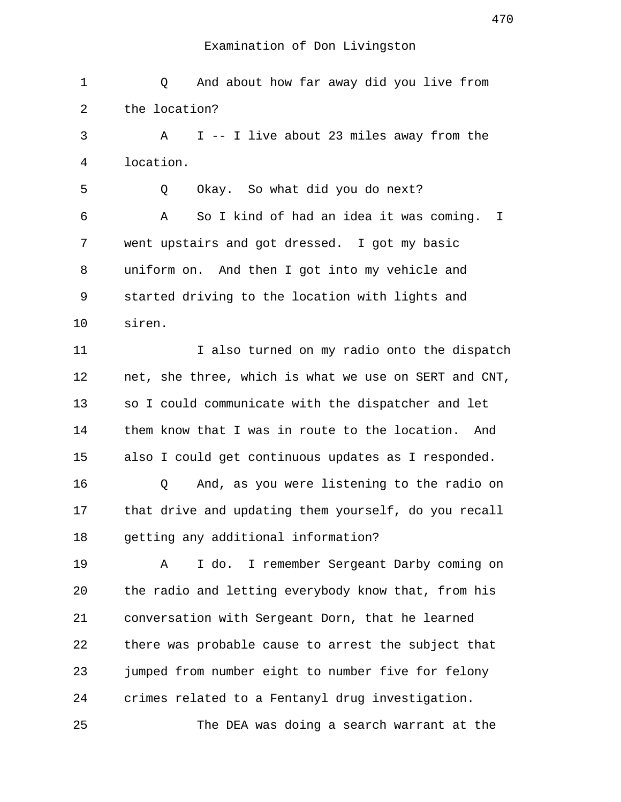1 Q And about how far away did you live from 2 the location? 3 A I -- I live about 23 miles away from the 4 location. 5 Q Okay. So what did you do next? 6 A So I kind of had an idea it was coming. I 7 went upstairs and got dressed. I got my basic 8 uniform on. And then I got into my vehicle and 9 started driving to the location with lights and 10 siren. 11 I also turned on my radio onto the dispatch 12 net, she three, which is what we use on SERT and CNT, 13 so I could communicate with the dispatcher and let 14 them know that I was in route to the location. And 15 also I could get continuous updates as I responded. 16 Q And, as you were listening to the radio on 17 that drive and updating them yourself, do you recall 18 getting any additional information? 19 A I do. I remember Sergeant Darby coming on 20 the radio and letting everybody know that, from his 21 conversation with Sergeant Dorn, that he learned 22 there was probable cause to arrest the subject that 23 jumped from number eight to number five for felony 24 crimes related to a Fentanyl drug investigation. 25 The DEA was doing a search warrant at the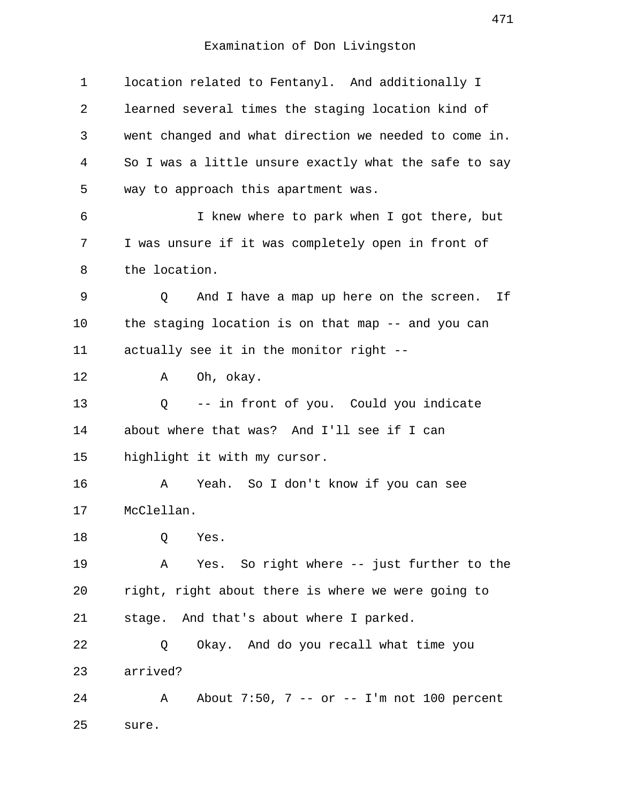| $\mathbf 1$ | location related to Fentanyl. And additionally I      |
|-------------|-------------------------------------------------------|
| 2           | learned several times the staging location kind of    |
| 3           | went changed and what direction we needed to come in. |
| 4           | So I was a little unsure exactly what the safe to say |
| 5           | way to approach this apartment was.                   |
| 6           | I knew where to park when I got there, but            |
| 7           | I was unsure if it was completely open in front of    |
| 8           | the location.                                         |
| 9           | And I have a map up here on the screen. If<br>Q       |
| 10          | the staging location is on that map -- and you can    |
| 11          | actually see it in the monitor right --               |
| 12          | Oh, okay.<br>Α                                        |
| 13          | -- in front of you. Could you indicate<br>Q           |
| 14          | about where that was? And I'll see if I can           |
| 15          | highlight it with my cursor.                          |
| 16          | Α<br>Yeah. So I don't know if you can see             |
| 17          | McClellan.                                            |
| 18          | Q<br>Yes.                                             |
| 19          | Yes. So right where -- just further to the<br>A       |
| 20          | right, right about there is where we were going to    |
| 21          | stage. And that's about where I parked.               |
| 22          | Okay. And do you recall what time you<br>Q            |
| 23          | arrived?                                              |
| 24          | About 7:50, 7 -- or -- I'm not 100 percent<br>A       |
| 25          | sure.                                                 |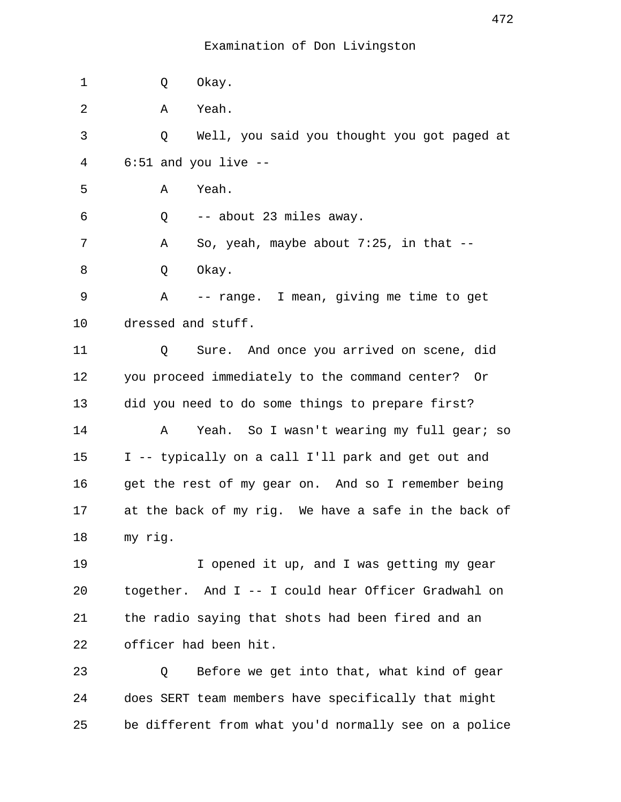| 1  | Okay.<br>Q                                            |
|----|-------------------------------------------------------|
| 2  | Yeah.<br>Α                                            |
| 3  | Well, you said you thought you got paged at<br>Q      |
| 4  | $6:51$ and you live $-$ -                             |
| 5  | Yeah.<br>Α                                            |
| 6  | -- about 23 miles away.<br>Q                          |
| 7  | So, yeah, maybe about $7:25$ , in that $-$ -<br>Α     |
| 8  | Okay.<br>Q                                            |
| 9  | -- range. I mean, giving me time to get<br>Α          |
| 10 | dressed and stuff.                                    |
| 11 | Sure. And once you arrived on scene, did<br>Q         |
| 12 | you proceed immediately to the command center? Or     |
| 13 | did you need to do some things to prepare first?      |
| 14 | Yeah. So I wasn't wearing my full gear; so<br>Α       |
| 15 | I -- typically on a call I'll park and get out and    |
| 16 | get the rest of my gear on. And so I remember being   |
| 17 | at the back of my rig. We have a safe in the back of  |
| 18 | my rig.                                               |
| 19 | I opened it up, and I was getting my gear             |
| 20 | together. And I -- I could hear Officer Gradwahl on   |
| 21 | the radio saying that shots had been fired and an     |
| 22 | officer had been hit.                                 |
| 23 | Before we get into that, what kind of gear<br>Q       |
| 24 | does SERT team members have specifically that might   |
| 25 | be different from what you'd normally see on a police |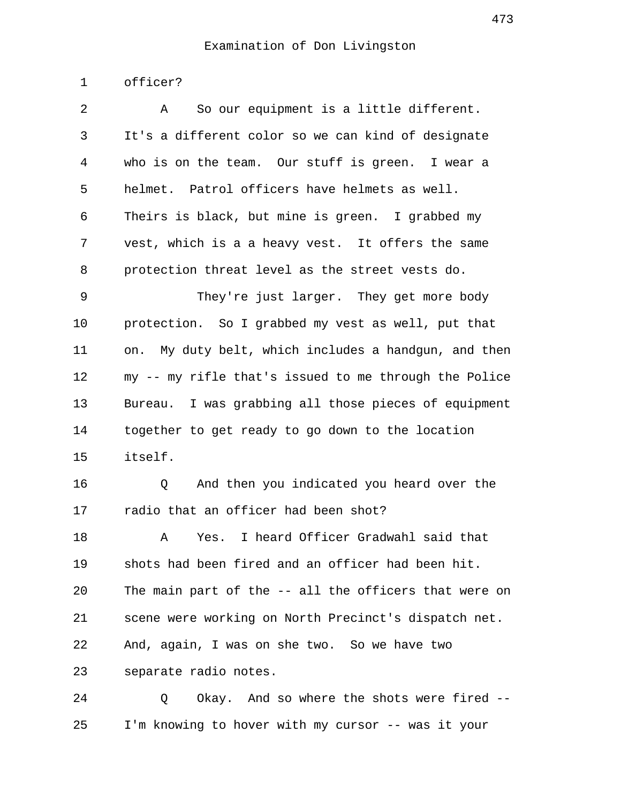1 officer?

| 2         | So our equipment is a little different.<br>Α          |
|-----------|-------------------------------------------------------|
| 3         | It's a different color so we can kind of designate    |
| 4         | who is on the team. Our stuff is green. I wear a      |
| 5         | helmet. Patrol officers have helmets as well.         |
| 6         | Theirs is black, but mine is green. I grabbed my      |
| 7         | vest, which is a a heavy vest. It offers the same     |
| 8         | protection threat level as the street vests do.       |
| 9         | They're just larger. They get more body               |
| 10        | protection. So I grabbed my vest as well, put that    |
| 11        | on. My duty belt, which includes a handgun, and then  |
| 12        | my -- my rifle that's issued to me through the Police |
| 13        | Bureau. I was grabbing all those pieces of equipment  |
| 14        | together to get ready to go down to the location      |
| 15        | itself.                                               |
| 16        | And then you indicated you heard over the<br>Q        |
| 17        | radio that an officer had been shot?                  |
| 18        | I heard Officer Gradwahl said that<br>Yes.<br>Α       |
| 19        | shots had been fired and an officer had been hit.     |
| 20        | The main part of the -- all the officers that were on |
| 21        | scene were working on North Precinct's dispatch net.  |
| 22        | And, again, I was on she two. So we have two          |
| 23        | separate radio notes.                                 |
| $\bigcap$ |                                                       |

24 Q Okay. And so where the shots were fired -- 25 I'm knowing to hover with my cursor -- was it your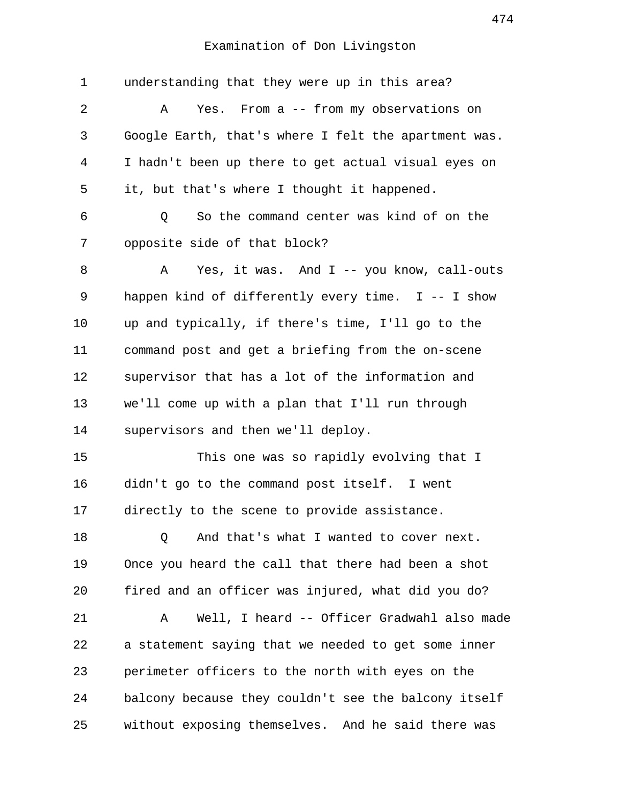| $\mathbf 1$ | understanding that they were up in this area?        |
|-------------|------------------------------------------------------|
| 2           | Yes. From a -- from my observations on<br>Α          |
| 3           | Google Earth, that's where I felt the apartment was. |
| 4           | I hadn't been up there to get actual visual eyes on  |
| 5           | it, but that's where I thought it happened.          |
| 6           | So the command center was kind of on the<br>Q        |
| 7           | opposite side of that block?                         |
| 8           | Yes, it was. And I -- you know, call-outs<br>Α       |
| 9           | happen kind of differently every time. $I$ -- I show |
| 10          | up and typically, if there's time, I'll go to the    |
| 11          | command post and get a briefing from the on-scene    |
| 12          | supervisor that has a lot of the information and     |
| 13          | we'll come up with a plan that I'll run through      |
| 14          | supervisors and then we'll deploy.                   |
| 15          | This one was so rapidly evolving that I              |
| 16          | didn't go to the command post itself. I went         |
| 17          | directly to the scene to provide assistance.         |
| 18          | And that's what I wanted to cover next.<br>Q         |
| 19          | Once you heard the call that there had been a shot   |
| 20          | fired and an officer was injured, what did you do?   |
| 21          | Well, I heard -- Officer Gradwahl also made<br>Α     |
| 22          | a statement saying that we needed to get some inner  |
| 23          | perimeter officers to the north with eyes on the     |
| 24          | balcony because they couldn't see the balcony itself |
| 25          | without exposing themselves. And he said there was   |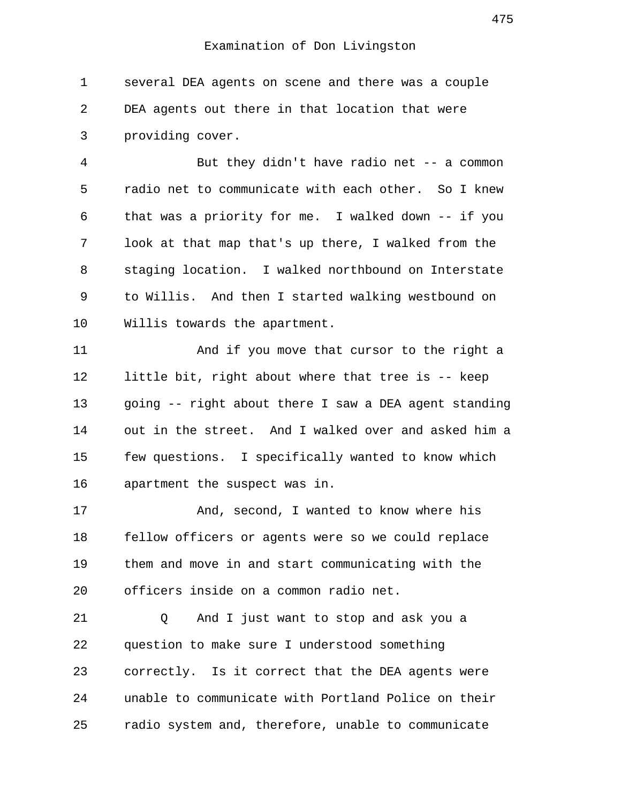1 several DEA agents on scene and there was a couple 2 DEA agents out there in that location that were 3 providing cover.

 4 But they didn't have radio net -- a common 5 radio net to communicate with each other. So I knew 6 that was a priority for me. I walked down -- if you 7 look at that map that's up there, I walked from the 8 staging location. I walked northbound on Interstate 9 to Willis. And then I started walking westbound on 10 Willis towards the apartment.

11 And if you move that cursor to the right a 12 little bit, right about where that tree is -- keep 13 going -- right about there I saw a DEA agent standing 14 out in the street. And I walked over and asked him a 15 few questions. I specifically wanted to know which 16 apartment the suspect was in.

17 And, second, I wanted to know where his 18 fellow officers or agents were so we could replace 19 them and move in and start communicating with the 20 officers inside on a common radio net.

21 Q And I just want to stop and ask you a 22 question to make sure I understood something 23 correctly. Is it correct that the DEA agents were 24 unable to communicate with Portland Police on their 25 radio system and, therefore, unable to communicate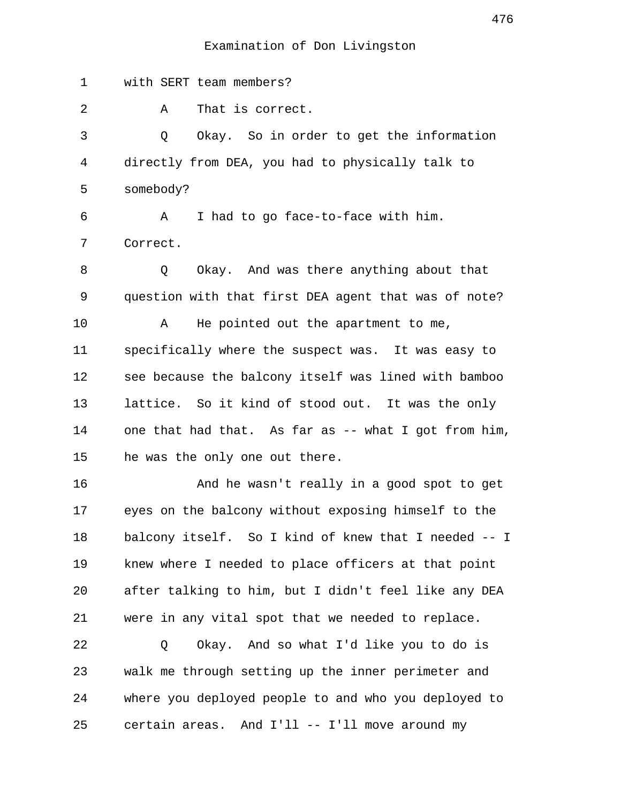1 with SERT team members? 2 A That is correct. 3 Q Okay. So in order to get the information 4 directly from DEA, you had to physically talk to 5 somebody? 6 A I had to go face-to-face with him. 7 Correct. 8 Q Okay. And was there anything about that 9 question with that first DEA agent that was of note? 10 A He pointed out the apartment to me, 11 specifically where the suspect was. It was easy to 12 see because the balcony itself was lined with bamboo 13 lattice. So it kind of stood out. It was the only 14 one that had that. As far as -- what I got from him, 15 he was the only one out there. 16 And he wasn't really in a good spot to get 17 eyes on the balcony without exposing himself to the 18 balcony itself. So I kind of knew that I needed -- I 19 knew where I needed to place officers at that point 20 after talking to him, but I didn't feel like any DEA 21 were in any vital spot that we needed to replace. 22 Q Okay. And so what I'd like you to do is 23 walk me through setting up the inner perimeter and 24 where you deployed people to and who you deployed to 25 certain areas. And I'll -- I'll move around my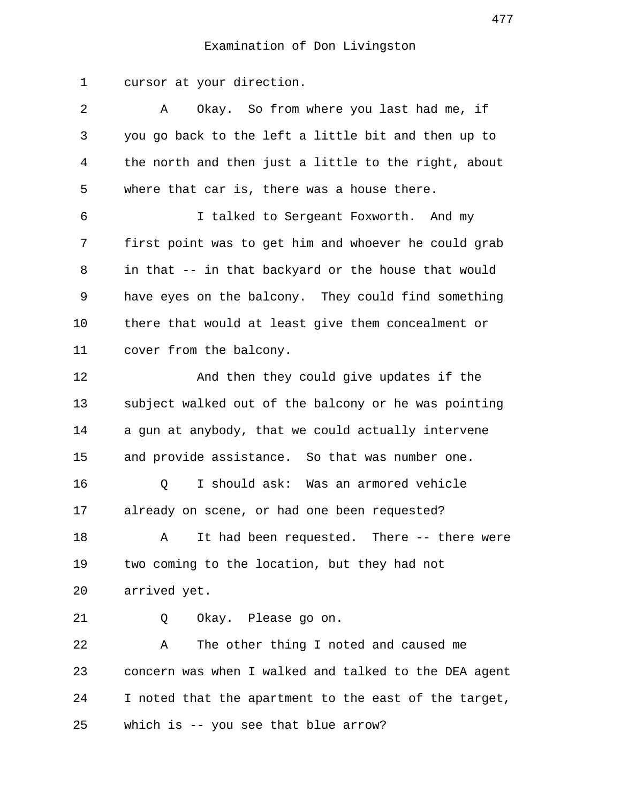1 cursor at your direction.

| 2  | Okay. So from where you last had me, if<br>Α          |
|----|-------------------------------------------------------|
| 3  | you go back to the left a little bit and then up to   |
| 4  | the north and then just a little to the right, about  |
| 5  | where that car is, there was a house there.           |
| 6  | I talked to Sergeant Foxworth. And my                 |
| 7  | first point was to get him and whoever he could grab  |
| 8  | in that -- in that backyard or the house that would   |
| 9  | have eyes on the balcony. They could find something   |
| 10 | there that would at least give them concealment or    |
| 11 | cover from the balcony.                               |
| 12 | And then they could give updates if the               |
| 13 | subject walked out of the balcony or he was pointing  |
| 14 | a gun at anybody, that we could actually intervene    |
| 15 | and provide assistance. So that was number one.       |
| 16 | I should ask: Was an armored vehicle<br>Q             |
| 17 | already on scene, or had one been requested?          |
| 18 | It had been requested. There -- there were<br>Α       |
| 19 | two coming to the location, but they had not          |
| 20 | arrived yet.                                          |
| 21 | Okay. Please go on.<br>Q                              |
| 22 | The other thing I noted and caused me<br>Α            |
| 23 | concern was when I walked and talked to the DEA agent |
| 24 | I noted that the apartment to the east of the target, |
| 25 | which is -- you see that blue arrow?                  |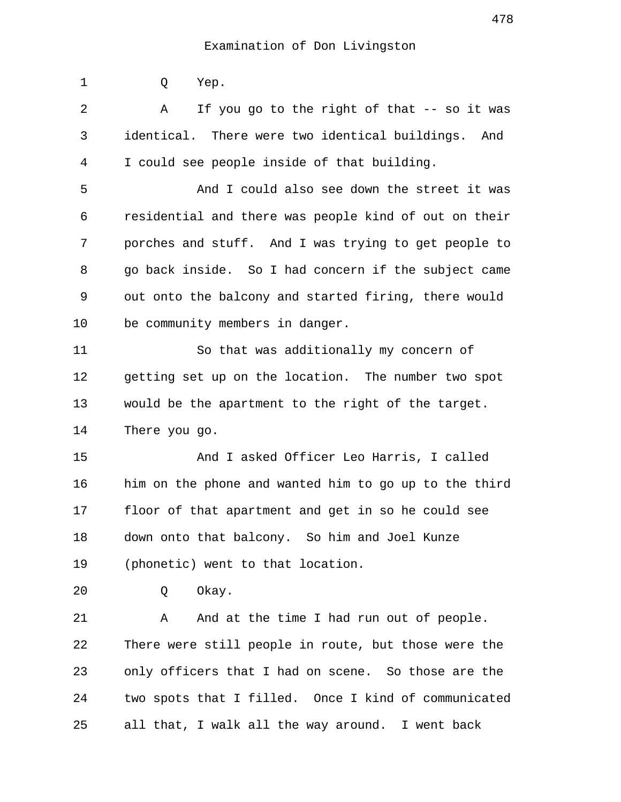1 Q Yep. 2 A If you go to the right of that -- so it was 3 identical. There were two identical buildings. And 4 I could see people inside of that building. 5 And I could also see down the street it was 6 residential and there was people kind of out on their 7 porches and stuff. And I was trying to get people to 8 go back inside. So I had concern if the subject came 9 out onto the balcony and started firing, there would 10 be community members in danger. 11 So that was additionally my concern of 12 getting set up on the location. The number two spot 13 would be the apartment to the right of the target. 14 There you go. 15 And I asked Officer Leo Harris, I called 16 him on the phone and wanted him to go up to the third 17 floor of that apartment and get in so he could see 18 down onto that balcony. So him and Joel Kunze 19 (phonetic) went to that location. 20 Q Okay. 21 A And at the time I had run out of people. 22 There were still people in route, but those were the 23 only officers that I had on scene. So those are the 24 two spots that I filled. Once I kind of communicated 25 all that, I walk all the way around. I went back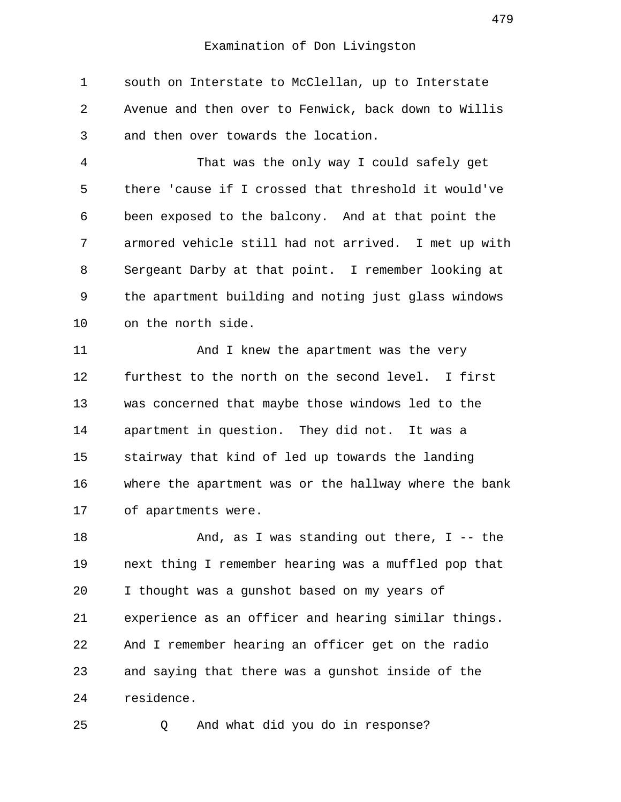1 south on Interstate to McClellan, up to Interstate 2 Avenue and then over to Fenwick, back down to Willis 3 and then over towards the location.

 4 That was the only way I could safely get 5 there 'cause if I crossed that threshold it would've 6 been exposed to the balcony. And at that point the 7 armored vehicle still had not arrived. I met up with 8 Sergeant Darby at that point. I remember looking at 9 the apartment building and noting just glass windows 10 on the north side.

11 And I knew the apartment was the very 12 furthest to the north on the second level. I first 13 was concerned that maybe those windows led to the 14 apartment in question. They did not. It was a 15 stairway that kind of led up towards the landing 16 where the apartment was or the hallway where the bank 17 of apartments were.

18 And, as I was standing out there, I -- the 19 next thing I remember hearing was a muffled pop that 20 I thought was a gunshot based on my years of 21 experience as an officer and hearing similar things. 22 And I remember hearing an officer get on the radio 23 and saying that there was a gunshot inside of the 24 residence.

25 Q And what did you do in response?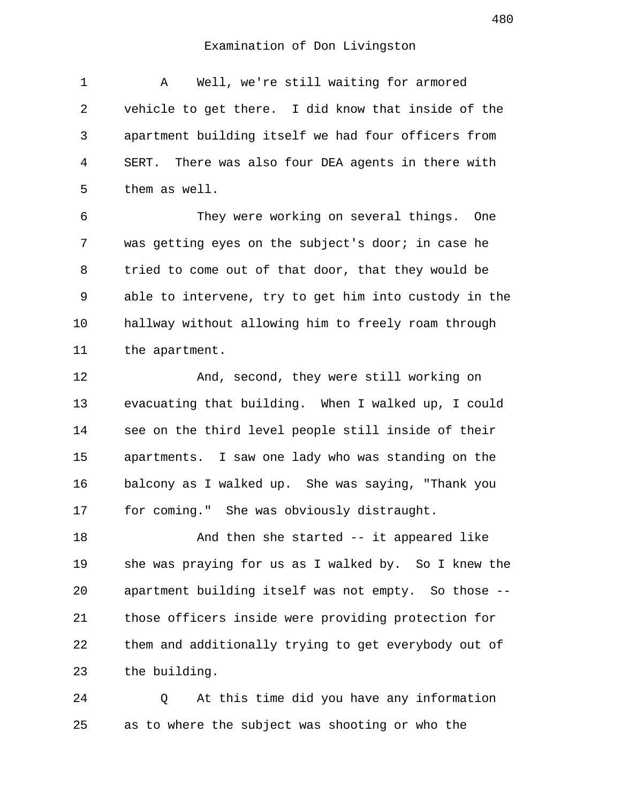1 A Well, we're still waiting for armored 2 vehicle to get there. I did know that inside of the 3 apartment building itself we had four officers from 4 SERT. There was also four DEA agents in there with 5 them as well.

 6 They were working on several things. One 7 was getting eyes on the subject's door; in case he 8 tried to come out of that door, that they would be 9 able to intervene, try to get him into custody in the 10 hallway without allowing him to freely roam through 11 the apartment.

12 And, second, they were still working on 13 evacuating that building. When I walked up, I could 14 see on the third level people still inside of their 15 apartments. I saw one lady who was standing on the 16 balcony as I walked up. She was saying, "Thank you 17 for coming." She was obviously distraught.

18 And then she started -- it appeared like 19 she was praying for us as I walked by. So I knew the 20 apartment building itself was not empty. So those -- 21 those officers inside were providing protection for 22 them and additionally trying to get everybody out of 23 the building.

24 Q At this time did you have any information 25 as to where the subject was shooting or who the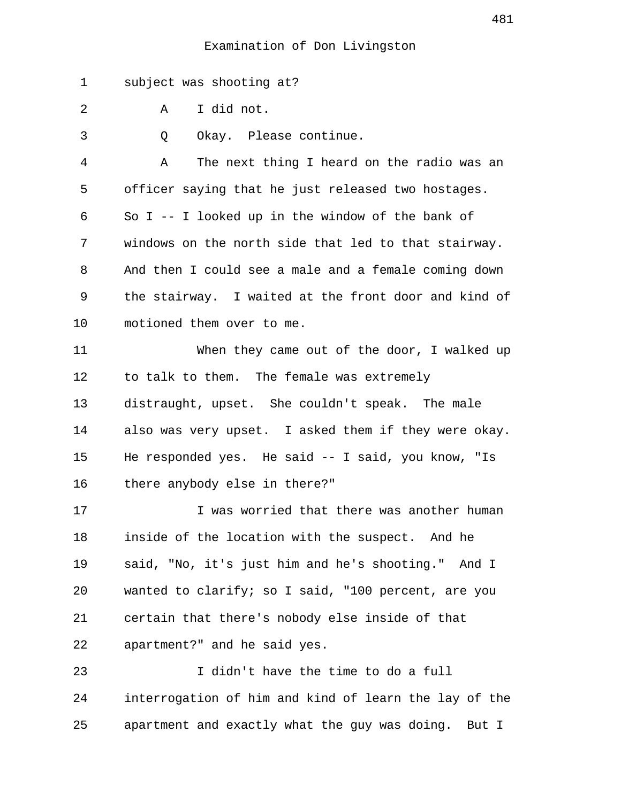1 subject was shooting at?

2 A I did not.

3 Q Okay. Please continue.

 4 A The next thing I heard on the radio was an 5 officer saying that he just released two hostages. 6 So I -- I looked up in the window of the bank of 7 windows on the north side that led to that stairway. 8 And then I could see a male and a female coming down 9 the stairway. I waited at the front door and kind of 10 motioned them over to me.

11 When they came out of the door, I walked up 12 to talk to them. The female was extremely 13 distraught, upset. She couldn't speak. The male 14 also was very upset. I asked them if they were okay. 15 He responded yes. He said -- I said, you know, "Is 16 there anybody else in there?"

17 I was worried that there was another human 18 inside of the location with the suspect. And he 19 said, "No, it's just him and he's shooting." And I 20 wanted to clarify; so I said, "100 percent, are you 21 certain that there's nobody else inside of that 22 apartment?" and he said yes.

23 I didn't have the time to do a full 24 interrogation of him and kind of learn the lay of the 25 apartment and exactly what the guy was doing. But I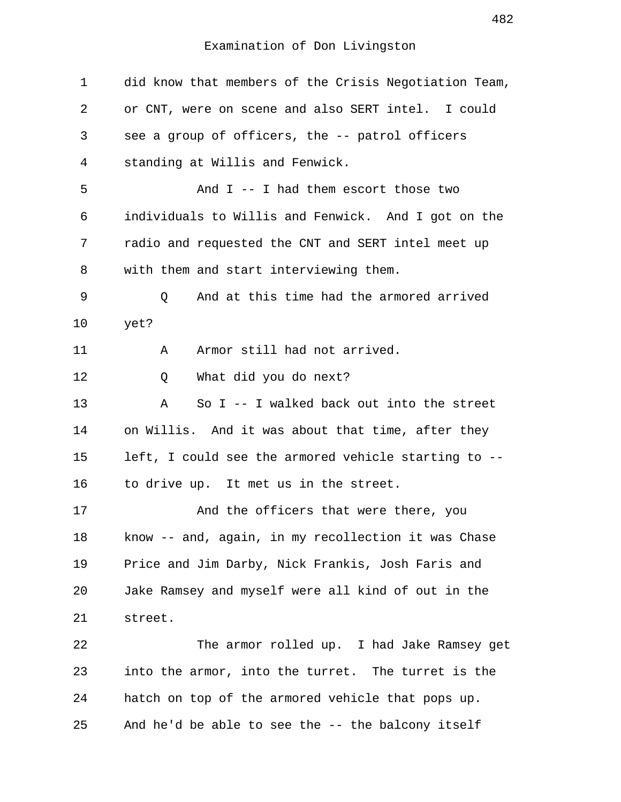| $\mathbf 1$ | did know that members of the Crisis Negotiation Team, |
|-------------|-------------------------------------------------------|
| 2           | or CNT, were on scene and also SERT intel. I could    |
| 3           | see a group of officers, the -- patrol officers       |
| 4           | standing at Willis and Fenwick.                       |
| 5           | And $I$ -- I had them escort those two                |
| 6           | individuals to Willis and Fenwick. And I got on the   |
| 7           | radio and requested the CNT and SERT intel meet up    |
| 8           | with them and start interviewing them.                |
| 9           | And at this time had the armored arrived<br>Q         |
| 10          | yet?                                                  |
| 11          | Armor still had not arrived.<br>Α                     |
| 12          | What did you do next?<br>Q                            |
| 13          | So $I$ -- I walked back out into the street<br>Α      |
| 14          | on Willis. And it was about that time, after they     |
| 15          | left, I could see the armored vehicle starting to --  |
| 16          | to drive up. It met us in the street.                 |
| 17          | And the officers that were there, you                 |
| 18          | know -- and, again, in my recollection it was Chase   |
| 19          | Price and Jim Darby, Nick Frankis, Josh Faris and     |
| 20          | Jake Ramsey and myself were all kind of out in the    |
| 21          | street.                                               |
| 22          | The armor rolled up. I had Jake Ramsey get            |
| 23          | into the armor, into the turret. The turret is the    |
| 24          | hatch on top of the armored vehicle that pops up.     |
| 25          | And he'd be able to see the -- the balcony itself     |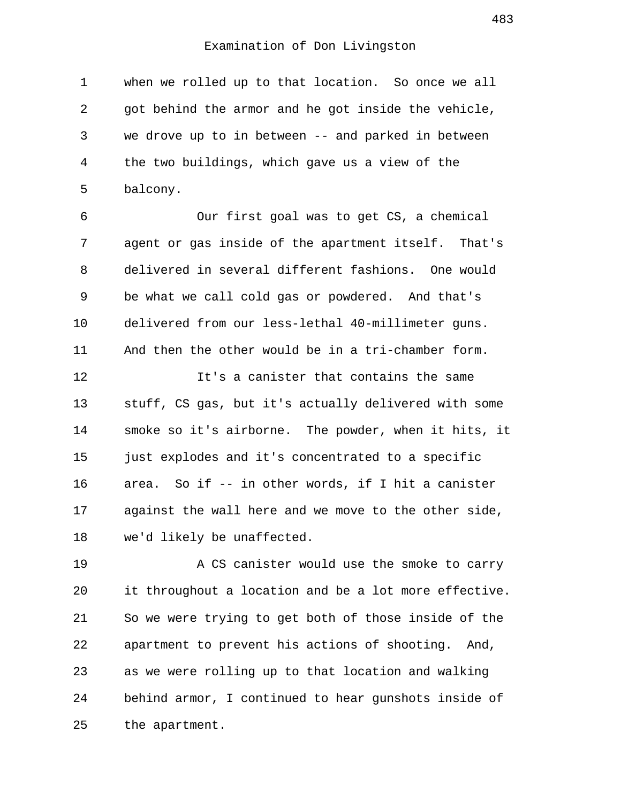1 when we rolled up to that location. So once we all 2 got behind the armor and he got inside the vehicle, 3 we drove up to in between -- and parked in between 4 the two buildings, which gave us a view of the 5 balcony.

 6 Our first goal was to get CS, a chemical 7 agent or gas inside of the apartment itself. That's 8 delivered in several different fashions. One would 9 be what we call cold gas or powdered. And that's 10 delivered from our less-lethal 40-millimeter guns. 11 And then the other would be in a tri-chamber form.

12 It's a canister that contains the same 13 stuff, CS gas, but it's actually delivered with some 14 smoke so it's airborne. The powder, when it hits, it 15 just explodes and it's concentrated to a specific 16 area. So if -- in other words, if I hit a canister 17 against the wall here and we move to the other side, 18 we'd likely be unaffected.

19 A CS canister would use the smoke to carry 20 it throughout a location and be a lot more effective. 21 So we were trying to get both of those inside of the 22 apartment to prevent his actions of shooting. And, 23 as we were rolling up to that location and walking 24 behind armor, I continued to hear gunshots inside of 25 the apartment.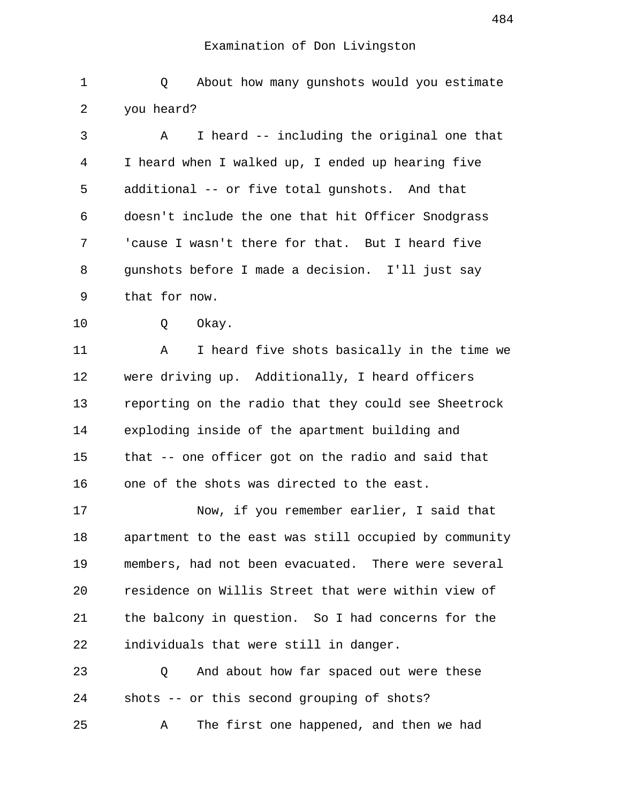1 Q About how many gunshots would you estimate 2 you heard? 3 A I heard -- including the original one that 4 I heard when I walked up, I ended up hearing five 5 additional -- or five total gunshots. And that 6 doesn't include the one that hit Officer Snodgrass 7 'cause I wasn't there for that. But I heard five 8 gunshots before I made a decision. I'll just say 9 that for now. 10 Q Okay. 11 A I heard five shots basically in the time we 12 were driving up. Additionally, I heard officers 13 reporting on the radio that they could see Sheetrock 14 exploding inside of the apartment building and 15 that -- one officer got on the radio and said that 16 one of the shots was directed to the east. 17 Now, if you remember earlier, I said that 18 apartment to the east was still occupied by community 19 members, had not been evacuated. There were several 20 residence on Willis Street that were within view of 21 the balcony in question. So I had concerns for the 22 individuals that were still in danger. 23 Q And about how far spaced out were these 24 shots -- or this second grouping of shots? 25 A The first one happened, and then we had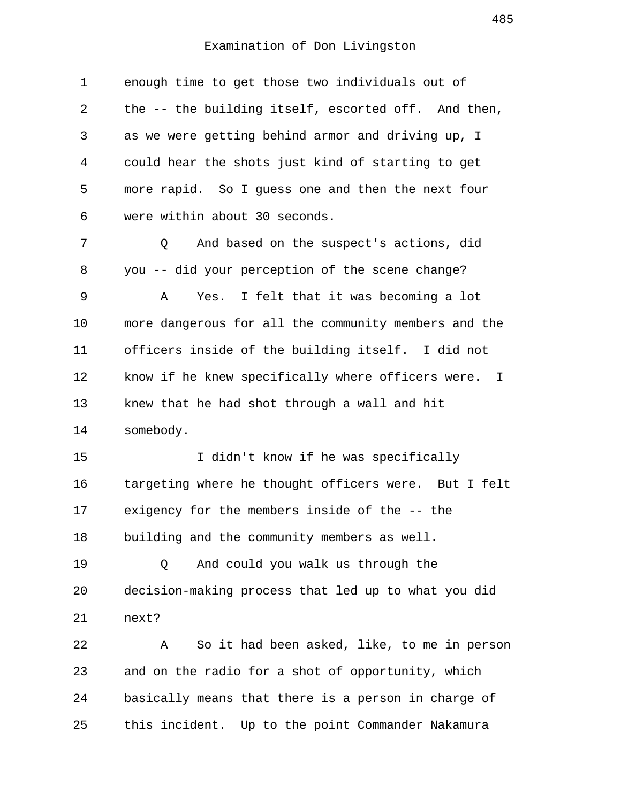| $\mathbf 1$ | enough time to get those two individuals out of                   |
|-------------|-------------------------------------------------------------------|
| 2           | the -- the building itself, escorted off. And then,               |
| 3           | as we were getting behind armor and driving up, I                 |
| 4           | could hear the shots just kind of starting to get                 |
| 5           | more rapid. So I guess one and then the next four                 |
| 6           | were within about 30 seconds.                                     |
| 7           | And based on the suspect's actions, did<br>Q                      |
| 8           | you -- did your perception of the scene change?                   |
| 9           | I felt that it was becoming a lot<br>Yes.<br>A                    |
| 10          | more dangerous for all the community members and the              |
| 11          | officers inside of the building itself. I did not                 |
| 12          | know if he knew specifically where officers were.<br>$\mathbb{I}$ |
| 13          | knew that he had shot through a wall and hit                      |
| 14          | somebody.                                                         |
| 15          | I didn't know if he was specifically                              |
| 16          | targeting where he thought officers were. But I felt              |
| 17          | exigency for the members inside of the -- the                     |
| 18          | building and the community members as well.                       |
| 19          | And could you walk us through the<br>Q                            |
| 20          | decision-making process that led up to what you did               |
| 21          | next?                                                             |
| 22          | So it had been asked, like, to me in person<br>Α                  |
| 23          | and on the radio for a shot of opportunity, which                 |
| 24          | basically means that there is a person in charge of               |
| 25          | this incident. Up to the point Commander Nakamura                 |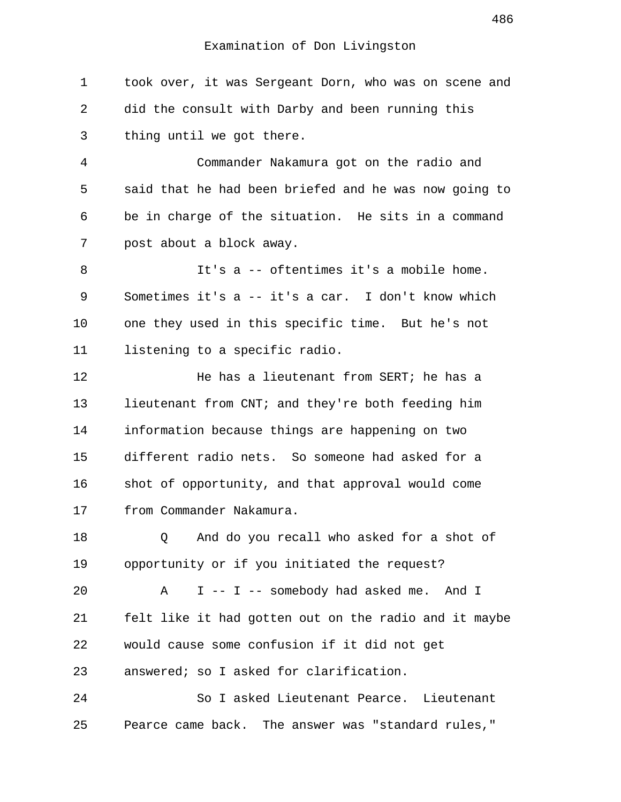1 took over, it was Sergeant Dorn, who was on scene and 2 did the consult with Darby and been running this 3 thing until we got there.

 4 Commander Nakamura got on the radio and 5 said that he had been briefed and he was now going to 6 be in charge of the situation. He sits in a command 7 post about a block away.

 8 It's a -- oftentimes it's a mobile home. 9 Sometimes it's a -- it's a car. I don't know which 10 one they used in this specific time. But he's not 11 listening to a specific radio.

12 **He has a lieutenant from SERT; he has a** 13 lieutenant from CNT; and they're both feeding him 14 information because things are happening on two 15 different radio nets. So someone had asked for a 16 shot of opportunity, and that approval would come 17 from Commander Nakamura.

18 Q And do you recall who asked for a shot of 19 opportunity or if you initiated the request?

20 A I -- I -- somebody had asked me. And I 21 felt like it had gotten out on the radio and it maybe 22 would cause some confusion if it did not get 23 answered; so I asked for clarification.

24 So I asked Lieutenant Pearce. Lieutenant 25 Pearce came back. The answer was "standard rules,"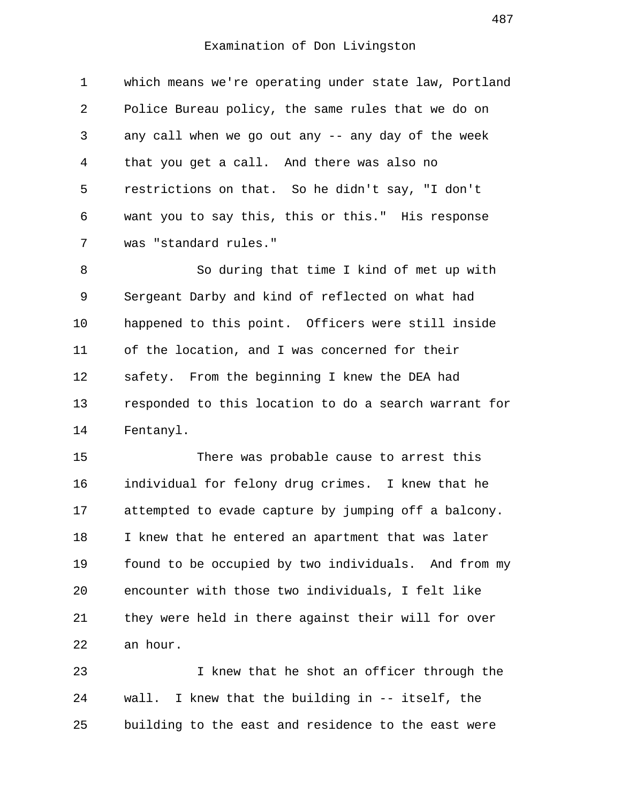1 which means we're operating under state law, Portland 2 Police Bureau policy, the same rules that we do on 3 any call when we go out any -- any day of the week 4 that you get a call. And there was also no 5 restrictions on that. So he didn't say, "I don't 6 want you to say this, this or this." His response 7 was "standard rules."

 8 So during that time I kind of met up with 9 Sergeant Darby and kind of reflected on what had 10 happened to this point. Officers were still inside 11 of the location, and I was concerned for their 12 safety. From the beginning I knew the DEA had 13 responded to this location to do a search warrant for 14 Fentanyl.

15 There was probable cause to arrest this 16 individual for felony drug crimes. I knew that he 17 attempted to evade capture by jumping off a balcony. 18 I knew that he entered an apartment that was later 19 found to be occupied by two individuals. And from my 20 encounter with those two individuals, I felt like 21 they were held in there against their will for over 22 an hour.

23 I knew that he shot an officer through the 24 wall. I knew that the building in -- itself, the 25 building to the east and residence to the east were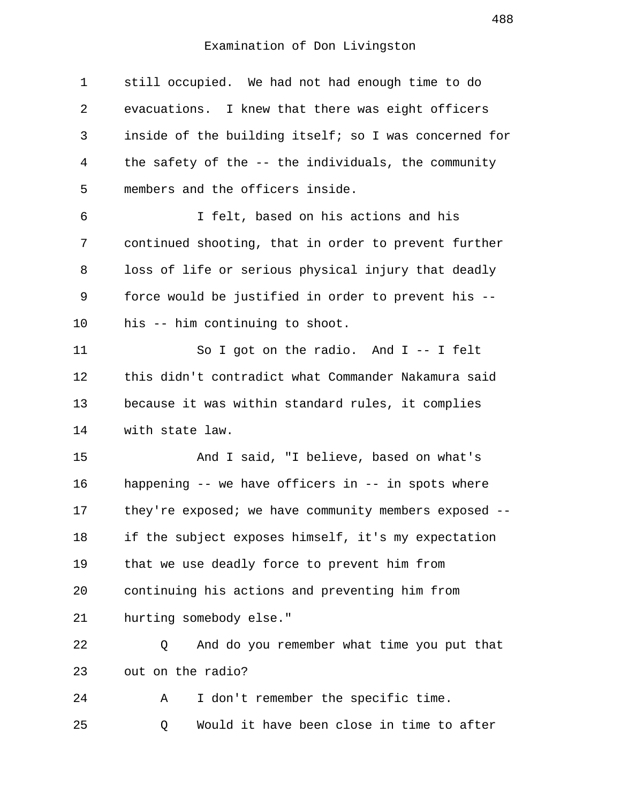1 still occupied. We had not had enough time to do 2 evacuations. I knew that there was eight officers 3 inside of the building itself; so I was concerned for 4 the safety of the -- the individuals, the community 5 members and the officers inside. 6 I felt, based on his actions and his 7 continued shooting, that in order to prevent further 8 loss of life or serious physical injury that deadly 9 force would be justified in order to prevent his -- 10 his -- him continuing to shoot. 11 So I got on the radio. And I -- I felt 12 this didn't contradict what Commander Nakamura said 13 because it was within standard rules, it complies 14 with state law. 15 And I said, "I believe, based on what's 16 happening -- we have officers in -- in spots where 17 they're exposed; we have community members exposed -- 18 if the subject exposes himself, it's my expectation 19 that we use deadly force to prevent him from 20 continuing his actions and preventing him from 21 hurting somebody else." 22 Q And do you remember what time you put that 23 out on the radio? 24 A I don't remember the specific time. 25 Q Would it have been close in time to after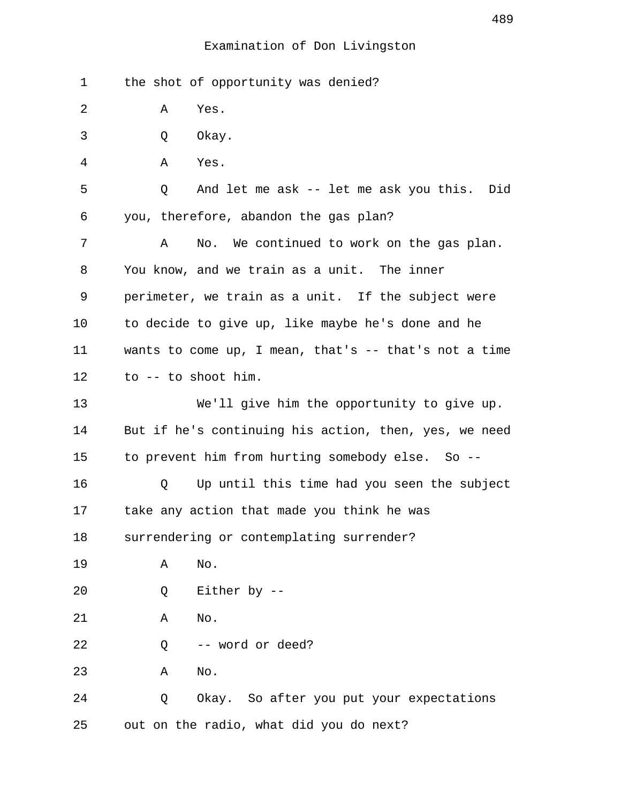| 1  | the shot of opportunity was denied?                      |
|----|----------------------------------------------------------|
| 2  | Yes.<br>Α                                                |
| 3  | Okay.<br>Q                                               |
| 4  | Α<br>Yes.                                                |
| 5  | And let me ask -- let me ask you this.<br>Did<br>Q       |
| 6  | you, therefore, abandon the gas plan?                    |
| 7  | No. We continued to work on the gas plan.<br>Α           |
| 8  | You know, and we train as a unit. The inner              |
| 9  | perimeter, we train as a unit. If the subject were       |
| 10 | to decide to give up, like maybe he's done and he        |
| 11 | wants to come up, I mean, that's $-$ - that's not a time |
| 12 | to -- to shoot him.                                      |
| 13 | We'll give him the opportunity to give up.               |
| 14 | But if he's continuing his action, then, yes, we need    |
| 15 | to prevent him from hurting somebody else. So --         |
| 16 | Up until this time had you seen the subject<br>Q         |
| 17 | take any action that made you think he was               |
| 18 | surrendering or contemplating surrender?                 |
| 19 | No.<br>Α                                                 |
| 20 | Either by --<br>Q                                        |
| 21 | No.<br>Α                                                 |
| 22 | -- word or deed?<br>Q                                    |
| 23 | No.<br>Α                                                 |
| 24 | Okay. So after you put your expectations<br>Q            |
| 25 | out on the radio, what did you do next?                  |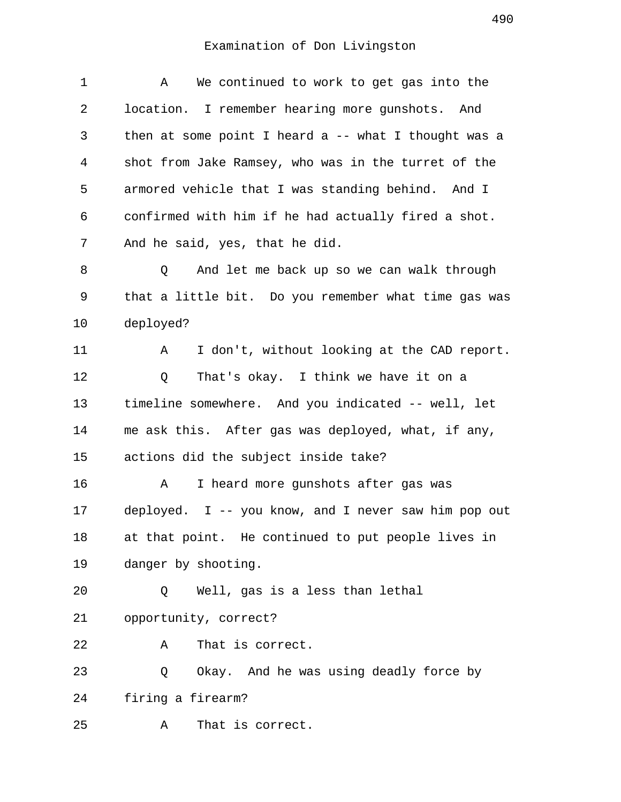| $\mathbf 1$ | We continued to work to get gas into the<br>Α         |
|-------------|-------------------------------------------------------|
| 2           | location. I remember hearing more gunshots. And       |
| 3           | then at some point I heard a -- what I thought was a  |
| 4           | shot from Jake Ramsey, who was in the turret of the   |
| 5           | armored vehicle that I was standing behind. And I     |
| 6           | confirmed with him if he had actually fired a shot.   |
| 7           | And he said, yes, that he did.                        |
| 8           | And let me back up so we can walk through<br>Q        |
| 9           | that a little bit. Do you remember what time gas was  |
| 10          | deployed?                                             |
| 11          | I don't, without looking at the CAD report.<br>Α      |
| 12          | That's okay. I think we have it on a<br>Q             |
| 13          | timeline somewhere. And you indicated -- well, let    |
| 14          | me ask this. After gas was deployed, what, if any,    |
| 15          | actions did the subject inside take?                  |
| 16          | I heard more gunshots after gas was<br>А              |
| 17          | deployed. $I -$ you know, and I never saw him pop out |
| 18          | at that point. He continued to put people lives in    |
| 19          | danger by shooting.                                   |
| 20          | Well, gas is a less than lethal<br>Q                  |
| 21          | opportunity, correct?                                 |
| 22          | That is correct.<br>Α                                 |
| 23          | Okay. And he was using deadly force by<br>Q           |
| 24          | firing a firearm?                                     |
| 25          | That is correct.<br>Α                                 |
|             |                                                       |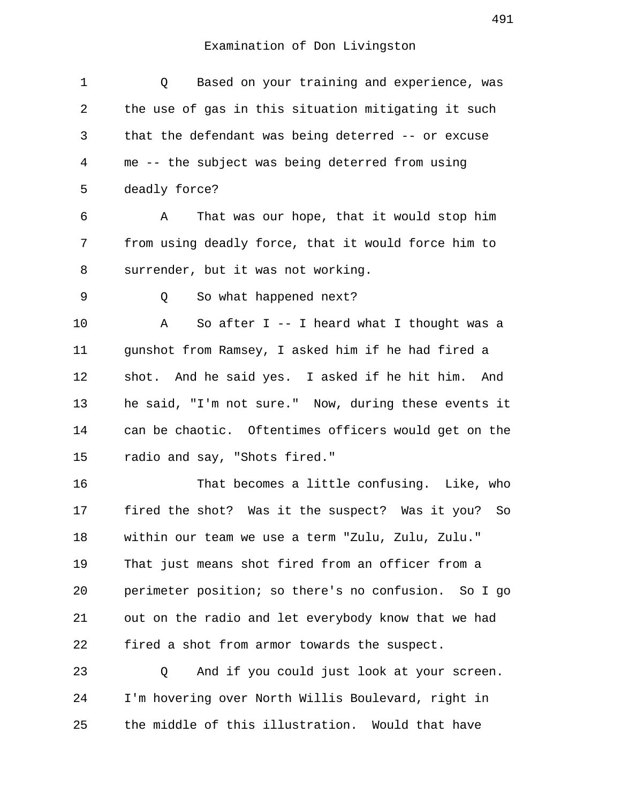| 1  | Based on your training and experience, was<br>Q      |
|----|------------------------------------------------------|
| 2  | the use of gas in this situation mitigating it such  |
| 3  | that the defendant was being deterred -- or excuse   |
| 4  | me -- the subject was being deterred from using      |
| 5  | deadly force?                                        |
| 6  | That was our hope, that it would stop him<br>A       |
| 7  | from using deadly force, that it would force him to  |
| 8  | surrender, but it was not working.                   |
| 9  | So what happened next?<br>Q                          |
| 10 | So after $I - I$ heard what I thought was a<br>Α     |
| 11 | gunshot from Ramsey, I asked him if he had fired a   |
| 12 | shot. And he said yes. I asked if he hit him. And    |
| 13 | he said, "I'm not sure." Now, during these events it |
| 14 | can be chaotic. Oftentimes officers would get on the |
| 15 | radio and say, "Shots fired."                        |
| 16 | That becomes a little confusing. Like, who           |
| 17 | fired the shot? Was it the suspect? Was it you? So   |
| 18 | within our team we use a term "Zulu, Zulu, Zulu."    |
| 19 | That just means shot fired from an officer from a    |
| 20 | perimeter position; so there's no confusion. So I go |
| 21 | out on the radio and let everybody know that we had  |
| 22 | fired a shot from armor towards the suspect.         |
| 23 | And if you could just look at your screen.<br>Q      |
| 24 | I'm hovering over North Willis Boulevard, right in   |
| 25 | the middle of this illustration.<br>Would that have  |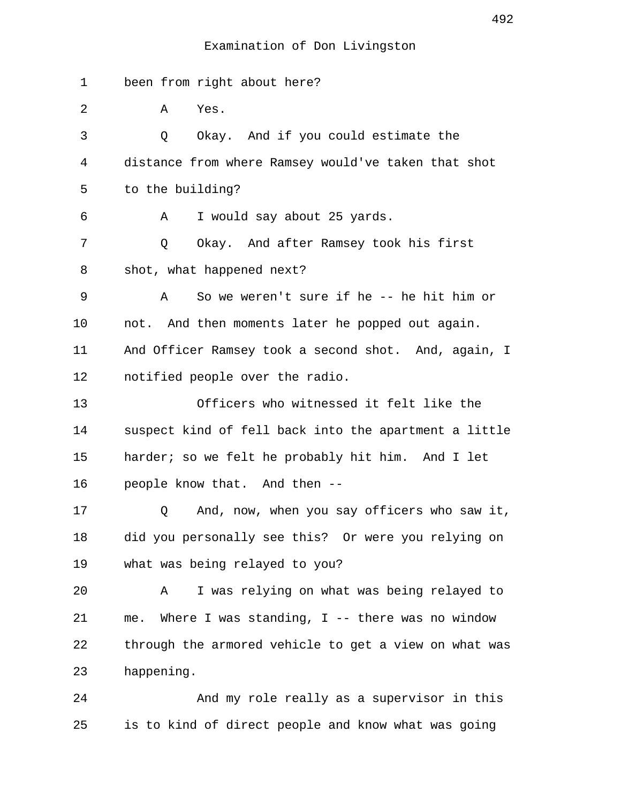| $\mathbf 1$ | been from right about here?                           |
|-------------|-------------------------------------------------------|
| 2           | Yes.<br>Α                                             |
| 3           | Q<br>Okay. And if you could estimate the              |
| 4           | distance from where Ramsey would've taken that shot   |
| 5           | to the building?                                      |
| 6           | I would say about 25 yards.<br>Α                      |
| 7           | Q<br>Okay. And after Ramsey took his first            |
| 8           | shot, what happened next?                             |
| 9           | So we weren't sure if he -- he hit him or<br>Α        |
| 10          | not. And then moments later he popped out again.      |
| 11          | And Officer Ramsey took a second shot. And, again, I  |
| 12          | notified people over the radio.                       |
| 13          | Officers who witnessed it felt like the               |
| 14          | suspect kind of fell back into the apartment a little |
| 15          | harder; so we felt he probably hit him. And I let     |
| 16          | people know that. And then --                         |
| 17          | And, now, when you say officers who saw it,<br>Q      |
| 18          | did you personally see this? Or were you relying on   |
| 19          | what was being relayed to you?                        |
| 20          | I was relying on what was being relayed to<br>Α       |
| 21          | me. Where I was standing, I -- there was no window    |
| 22          | through the armored vehicle to get a view on what was |
| 23          | happening.                                            |
| 24          | And my role really as a supervisor in this            |
| 25          | is to kind of direct people and know what was going   |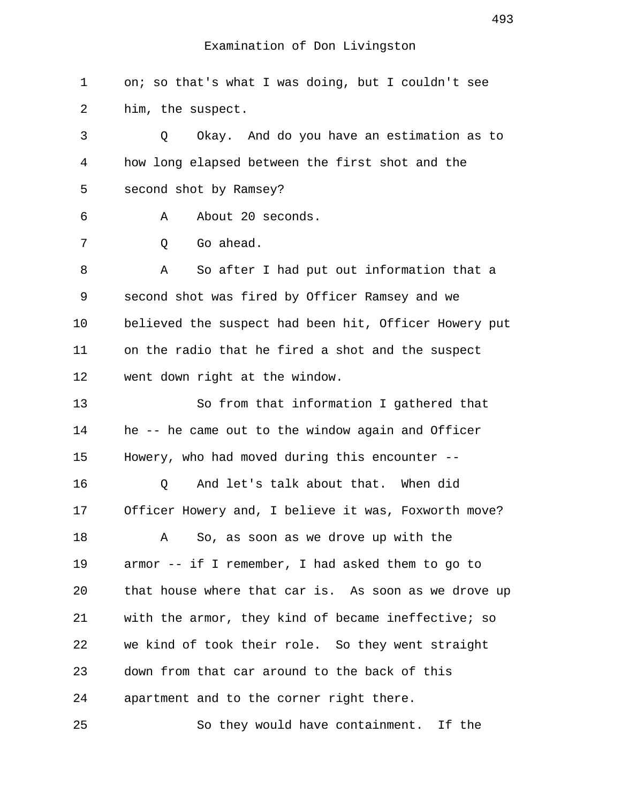1 on; so that's what I was doing, but I couldn't see 2 him, the suspect. 3 Q Okay. And do you have an estimation as to 4 how long elapsed between the first shot and the 5 second shot by Ramsey? 6 A About 20 seconds. 7 0 Go ahead. 8 A So after I had put out information that a 9 second shot was fired by Officer Ramsey and we 10 believed the suspect had been hit, Officer Howery put 11 on the radio that he fired a shot and the suspect 12 went down right at the window. 13 So from that information I gathered that 14 he -- he came out to the window again and Officer 15 Howery, who had moved during this encounter -- 16 0 And let's talk about that. When did 17 Officer Howery and, I believe it was, Foxworth move? 18 A So, as soon as we drove up with the 19 armor -- if I remember, I had asked them to go to 20 that house where that car is. As soon as we drove up 21 with the armor, they kind of became ineffective; so 22 we kind of took their role. So they went straight 23 down from that car around to the back of this 24 apartment and to the corner right there. 25 So they would have containment. If the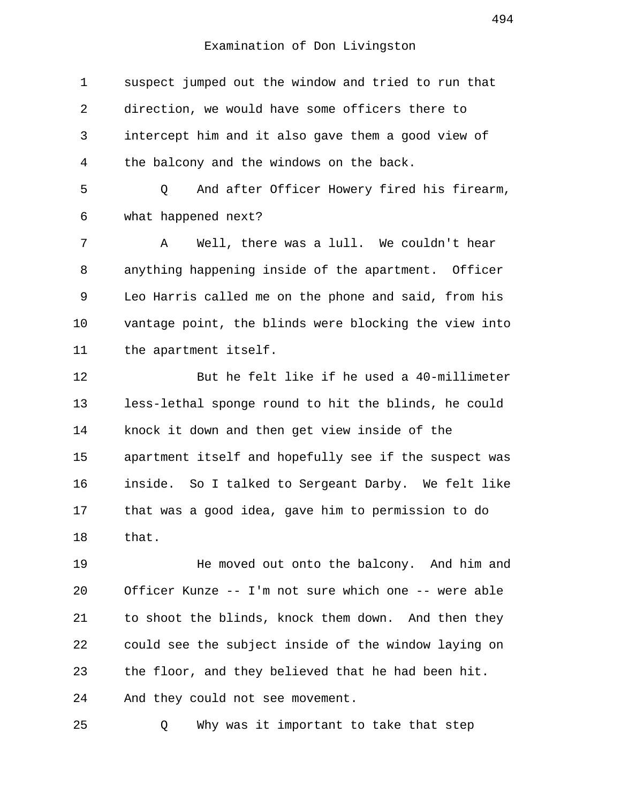1 suspect jumped out the window and tried to run that 2 direction, we would have some officers there to 3 intercept him and it also gave them a good view of 4 the balcony and the windows on the back. 5 Q And after Officer Howery fired his firearm, 6 what happened next? 7 A Well, there was a lull. We couldn't hear 8 anything happening inside of the apartment. Officer 9 Leo Harris called me on the phone and said, from his 10 vantage point, the blinds were blocking the view into 11 the apartment itself. 12 But he felt like if he used a 40-millimeter 13 less-lethal sponge round to hit the blinds, he could 14 knock it down and then get view inside of the 15 apartment itself and hopefully see if the suspect was 16 inside. So I talked to Sergeant Darby. We felt like 17 that was a good idea, gave him to permission to do 18 that. 19 He moved out onto the balcony. And him and 20 Officer Kunze -- I'm not sure which one -- were able 21 to shoot the blinds, knock them down. And then they 22 could see the subject inside of the window laying on

23 the floor, and they believed that he had been hit.

24 And they could not see movement.

25 Q Why was it important to take that step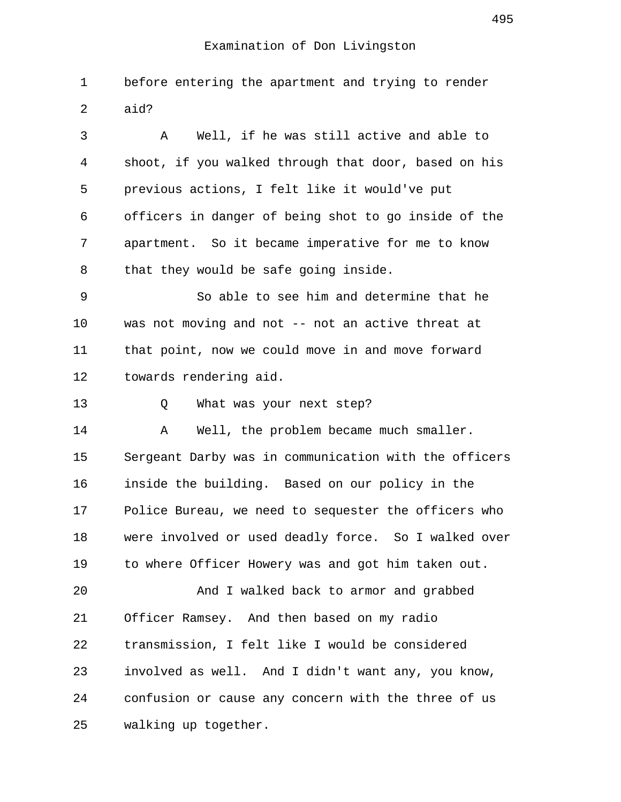1 before entering the apartment and trying to render 2 aid?

 3 A Well, if he was still active and able to 4 shoot, if you walked through that door, based on his 5 previous actions, I felt like it would've put 6 officers in danger of being shot to go inside of the 7 apartment. So it became imperative for me to know 8 that they would be safe going inside.

 9 So able to see him and determine that he 10 was not moving and not -- not an active threat at 11 that point, now we could move in and move forward 12 towards rendering aid.

13 Q What was your next step?

14 A Well, the problem became much smaller. 15 Sergeant Darby was in communication with the officers 16 inside the building. Based on our policy in the 17 Police Bureau, we need to sequester the officers who 18 were involved or used deadly force. So I walked over 19 to where Officer Howery was and got him taken out.

20 And I walked back to armor and grabbed 21 Officer Ramsey. And then based on my radio 22 transmission, I felt like I would be considered 23 involved as well. And I didn't want any, you know, 24 confusion or cause any concern with the three of us 25 walking up together.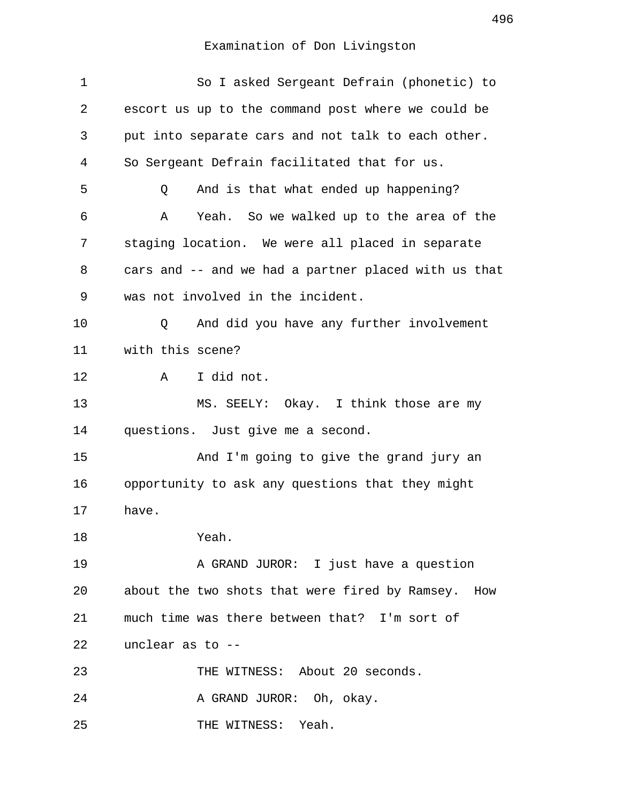## Examination of Don Livingston

| $\mathbf 1$ | So I asked Sergeant Defrain (phonetic) to            |
|-------------|------------------------------------------------------|
| 2           | escort us up to the command post where we could be   |
| 3           | put into separate cars and not talk to each other.   |
| 4           | So Sergeant Defrain facilitated that for us.         |
| 5           | And is that what ended up happening?<br>Q            |
| 6           | Yeah. So we walked up to the area of the<br>Α        |
| 7           | staging location. We were all placed in separate     |
| 8           | cars and -- and we had a partner placed with us that |
| 9           | was not involved in the incident.                    |
| 10          | And did you have any further involvement<br>Q        |
| 11          | with this scene?                                     |
| 12          | I did not.<br>A                                      |
| 13          | MS. SEELY: Okay. I think those are my                |
| 14          | questions. Just give me a second.                    |
| 15          | And I'm going to give the grand jury an              |
| 16          | opportunity to ask any questions that they might     |
| 17          | have.                                                |
| 18          | Yeah.                                                |
| 19          | A GRAND JUROR: I just have a question                |
| 20          | about the two shots that were fired by Ramsey. How   |
| 21          | much time was there between that? I'm sort of        |
| 22          | unclear as to --                                     |
| 23          | THE WITNESS: About 20 seconds.                       |
| 24          | A GRAND JUROR: Oh, okay.                             |
| 25          | THE WITNESS: Yeah.                                   |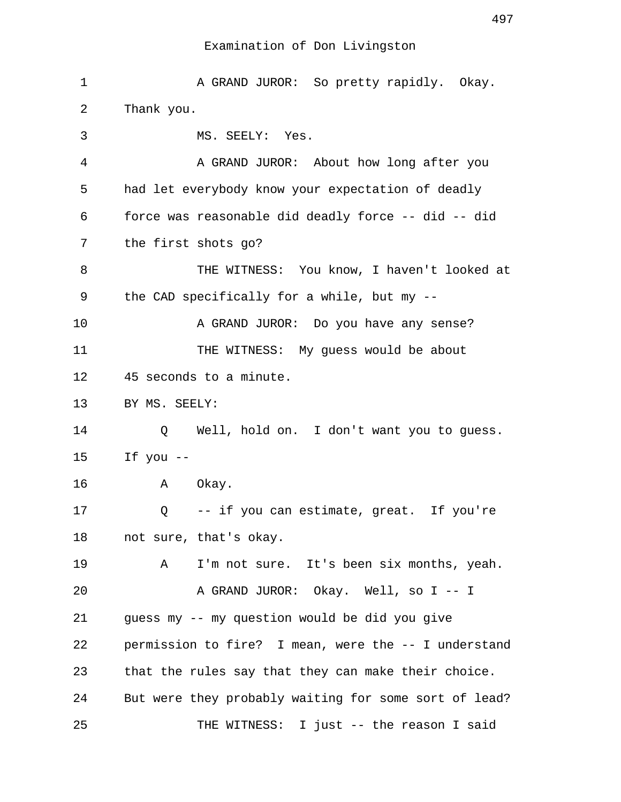### Examination of Don Livingston

1 A GRAND JUROR: So pretty rapidly. Okay. 2 Thank you. 3 MS. SEELY: Yes. 4 A GRAND JUROR: About how long after you 5 had let everybody know your expectation of deadly 6 force was reasonable did deadly force -- did -- did 7 the first shots go? 8 THE WITNESS: You know, I haven't looked at 9 the CAD specifically for a while, but my -- 10 A GRAND JUROR: Do you have any sense? 11 THE WITNESS: My guess would be about 12 45 seconds to a minute. 13 BY MS. SEELY: 14 Q Well, hold on. I don't want you to guess. 15 If you -- 16 A Okay. 17 Q -- if you can estimate, great. If you're 18 not sure, that's okay. 19 A I'm not sure. It's been six months, yeah. 20 A GRAND JUROR: Okay. Well, so I -- I 21 guess my -- my question would be did you give 22 permission to fire? I mean, were the -- I understand 23 that the rules say that they can make their choice. 24 But were they probably waiting for some sort of lead? 25 THE WITNESS: I just -- the reason I said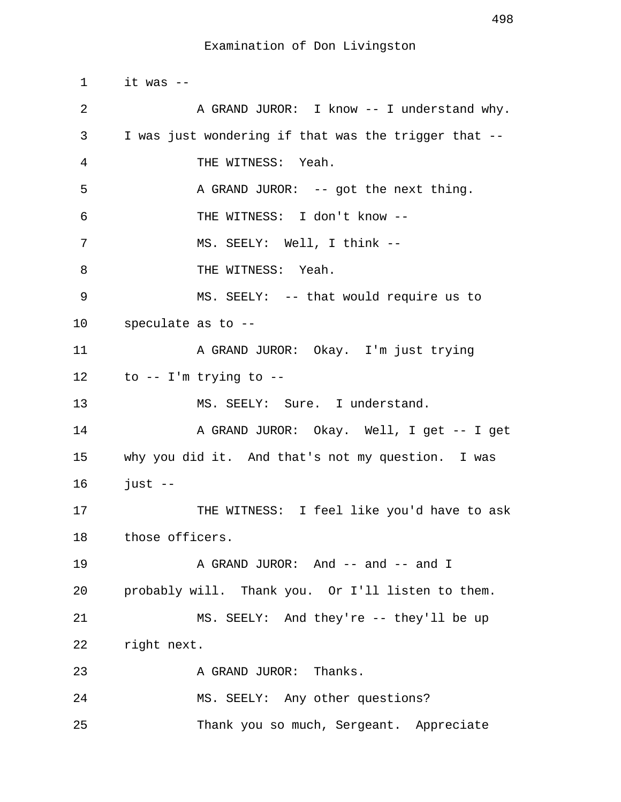1 it was -- 2 A GRAND JUROR: I know -- I understand why. 3 I was just wondering if that was the trigger that -- 4 THE WITNESS: Yeah. 5 A GRAND JUROR: -- got the next thing. 6 THE WITNESS: I don't know -- 7 MS. SEELY: Well, I think -- 8 THE WITNESS: Yeah. 9 MS. SEELY: -- that would require us to 10 speculate as to -- 11 A GRAND JUROR: Okay. I'm just trying 12 to -- I'm trying to -- 13 MS. SEELY: Sure. I understand. 14 A GRAND JUROR: Okay. Well, I get -- I get 15 why you did it. And that's not my question. I was 16 just -- 17 THE WITNESS: I feel like you'd have to ask 18 those officers. 19 A GRAND JUROR: And -- and -- and I 20 probably will. Thank you. Or I'll listen to them. 21 MS. SEELY: And they're -- they'll be up 22 right next. 23 A GRAND JUROR: Thanks. 24 MS. SEELY: Any other questions? 25 Thank you so much, Sergeant. Appreciate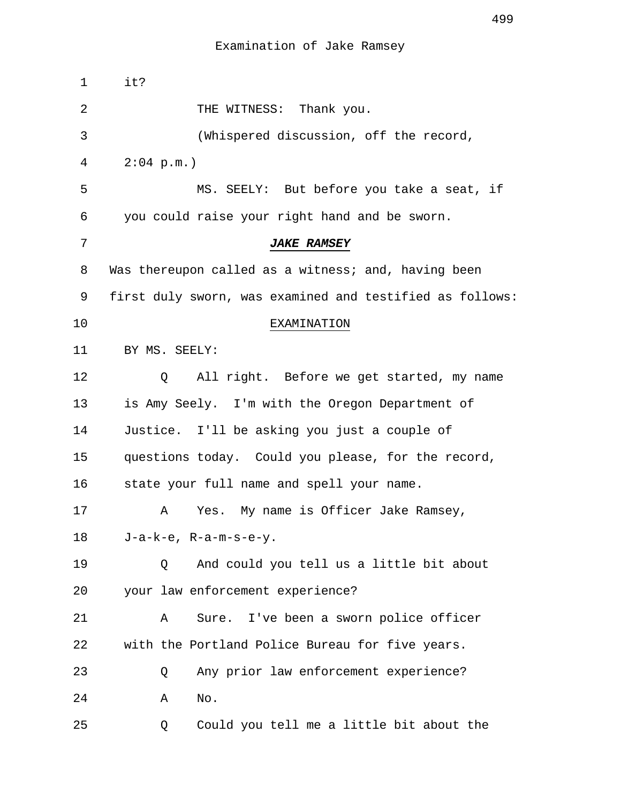| $\mathbf 1$ | it?                                                      |
|-------------|----------------------------------------------------------|
| 2           | THE WITNESS: Thank you.                                  |
| 3           | (Whispered discussion, off the record,                   |
| 4           | $2:04$ p.m.)                                             |
| 5           | MS. SEELY: But before you take a seat, if                |
| 6           | you could raise your right hand and be sworn.            |
| 7           | <b>JAKE RAMSEY</b>                                       |
| 8           | Was thereupon called as a witness; and, having been      |
| 9           | first duly sworn, was examined and testified as follows: |
| 10          | EXAMINATION                                              |
| 11          | BY MS. SEELY:                                            |
| 12          | All right. Before we get started, my name<br>Q           |
| 13          | is Amy Seely. I'm with the Oregon Department of          |
| 14          | Justice. I'll be asking you just a couple of             |
| 15          | questions today. Could you please, for the record,       |
| 16          | state your full name and spell your name.                |
| 17          | My name is Officer Jake Ramsey,<br>Yes.<br>Α             |
| 18          | $J-a-k-e$ , $R-a-m-s-e-y$ .                              |
| 19          | And could you tell us a little bit about<br>Q            |
| 20          | your law enforcement experience?                         |
| 21          | Sure. I've been a sworn police officer<br>Α              |
| 22          | with the Portland Police Bureau for five years.          |
| 23          | Any prior law enforcement experience?<br>Q               |
| 24          | No.<br>Α                                                 |
| 25          | Could you tell me a little bit about the<br>Q            |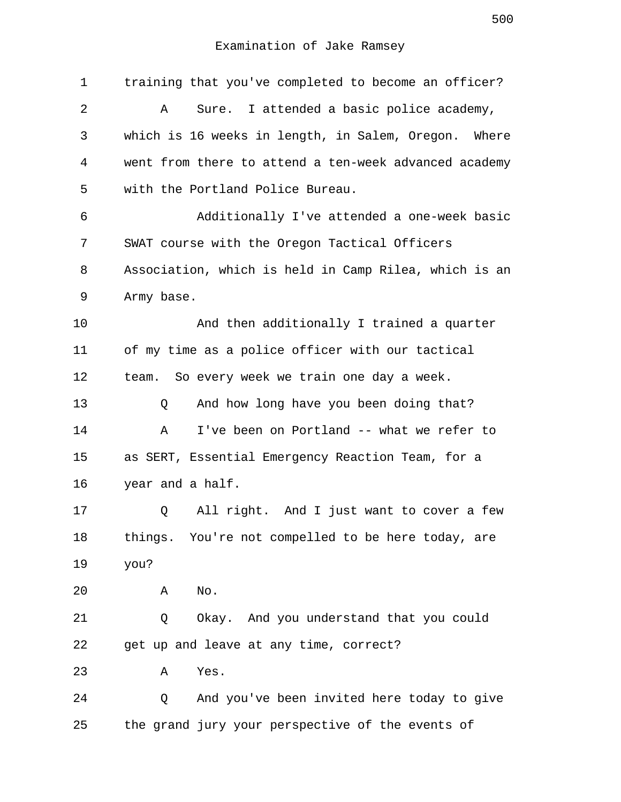1 training that you've completed to become an officer? 2 A Sure. I attended a basic police academy, 3 which is 16 weeks in length, in Salem, Oregon. Where 4 went from there to attend a ten-week advanced academy 5 with the Portland Police Bureau. 6 Additionally I've attended a one-week basic 7 SWAT course with the Oregon Tactical Officers 8 Association, which is held in Camp Rilea, which is an 9 Army base. 10 And then additionally I trained a quarter 11 of my time as a police officer with our tactical 12 team. So every week we train one day a week. 13 O And how long have you been doing that? 14 A I've been on Portland -- what we refer to 15 as SERT, Essential Emergency Reaction Team, for a 16 year and a half. 17 Q All right. And I just want to cover a few 18 things. You're not compelled to be here today, are 19 you? 20 A No. 21 Q Okay. And you understand that you could 22 get up and leave at any time, correct? 23 A Yes. 24 Q And you've been invited here today to give 25 the grand jury your perspective of the events of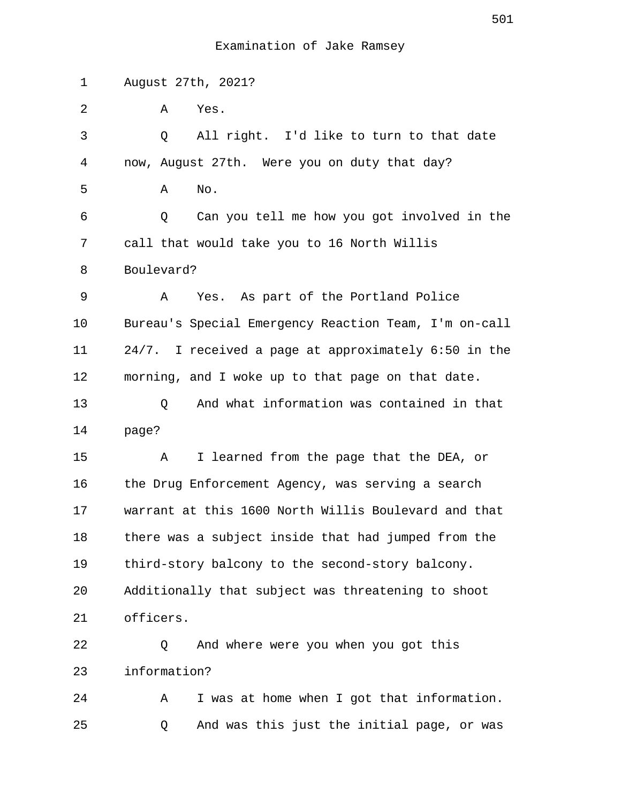1 August 27th, 2021?

2 A Yes.

 3 Q All right. I'd like to turn to that date 4 now, August 27th. Were you on duty that day? 5 A No. 6 Q Can you tell me how you got involved in the 7 call that would take you to 16 North Willis 8 Boulevard? 9 A Yes. As part of the Portland Police 10 Bureau's Special Emergency Reaction Team, I'm on-call 11 24/7. I received a page at approximately 6:50 in the 12 morning, and I woke up to that page on that date. 13 Q And what information was contained in that 14 page? 15 A I learned from the page that the DEA, or 16 the Drug Enforcement Agency, was serving a search 17 warrant at this 1600 North Willis Boulevard and that 18 there was a subject inside that had jumped from the 19 third-story balcony to the second-story balcony. 20 Additionally that subject was threatening to shoot 21 officers.

22 Q And where were you when you got this 23 information?

24 A I was at home when I got that information. 25 Q And was this just the initial page, or was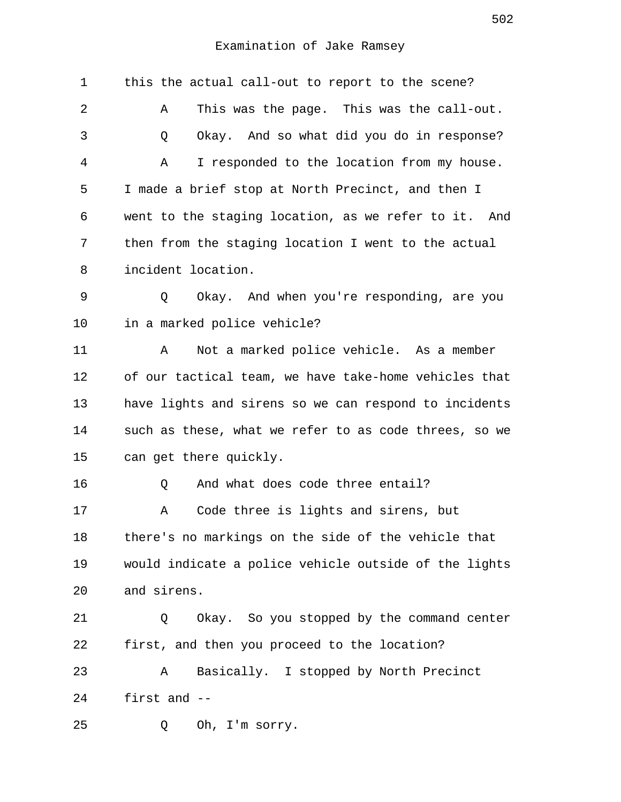| 1  | this the actual call-out to report to the scene?      |
|----|-------------------------------------------------------|
| 2  | This was the page. This was the call-out.<br>Α        |
| 3  | Okay. And so what did you do in response?<br>Q        |
| 4  | I responded to the location from my house.<br>Α       |
| 5  | I made a brief stop at North Precinct, and then I     |
| 6  | went to the staging location, as we refer to it. And  |
| 7  | then from the staging location I went to the actual   |
| 8  | incident location.                                    |
| 9  | Okay. And when you're responding, are you<br>Q        |
| 10 | in a marked police vehicle?                           |
| 11 | Not a marked police vehicle. As a member<br>Α         |
| 12 | of our tactical team, we have take-home vehicles that |
| 13 | have lights and sirens so we can respond to incidents |
| 14 | such as these, what we refer to as code threes, so we |
| 15 | can get there quickly.                                |
| 16 | And what does code three entail?<br>Q                 |
| 17 | Code three is lights and sirens, but<br>Α             |
| 18 | there's no markings on the side of the vehicle that   |
| 19 | would indicate a police vehicle outside of the lights |
| 20 | and sirens.                                           |
| 21 | Okay. So you stopped by the command center<br>Q       |
| 22 | first, and then you proceed to the location?          |
| 23 | Basically. I stopped by North Precinct<br>Α           |
| 24 | first and --                                          |
| 25 | Oh, I'm sorry.<br>Q                                   |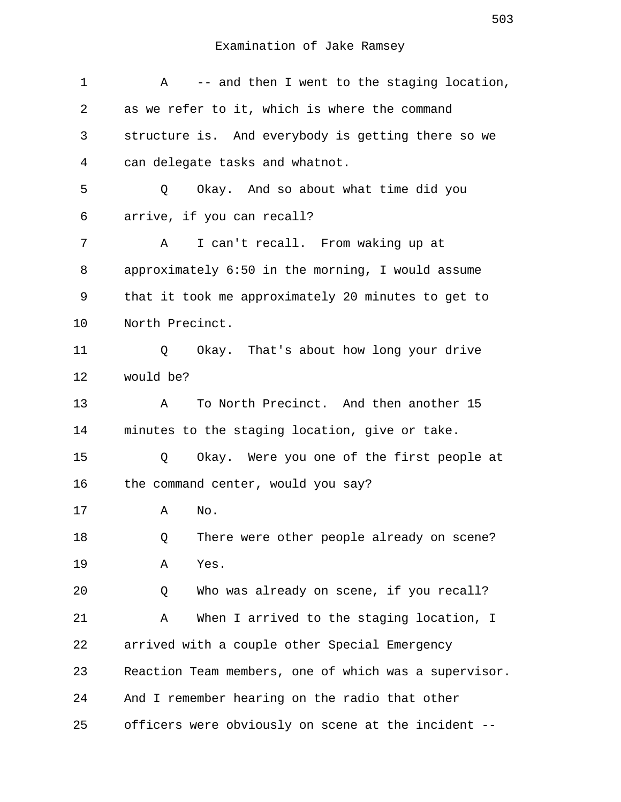| 1  | -- and then I went to the staging location,<br>Α      |
|----|-------------------------------------------------------|
| 2  | as we refer to it, which is where the command         |
| 3  | structure is. And everybody is getting there so we    |
| 4  | can delegate tasks and whatnot.                       |
| 5  | Okay. And so about what time did you<br>Q             |
| 6  | arrive, if you can recall?                            |
| 7  | I can't recall. From waking up at<br>Α                |
| 8  | approximately 6:50 in the morning, I would assume     |
| 9  | that it took me approximately 20 minutes to get to    |
| 10 | North Precinct.                                       |
| 11 | Okay. That's about how long your drive<br>Q           |
| 12 | would be?                                             |
| 13 | To North Precinct. And then another 15<br>$\mathbb A$ |
| 14 | minutes to the staging location, give or take.        |
| 15 | Okay. Were you one of the first people at<br>Q        |
| 16 | the command center, would you say?                    |
| 17 | No.<br>Α                                              |
| 18 | There were other people already on scene?<br>Q        |
| 19 | Yes.<br>Α                                             |
| 20 | Who was already on scene, if you recall?<br>Q         |
| 21 | When I arrived to the staging location, I<br>Α        |
| 22 | arrived with a couple other Special Emergency         |
| 23 | Reaction Team members, one of which was a supervisor. |
| 24 | And I remember hearing on the radio that other        |
| 25 | officers were obviously on scene at the incident --   |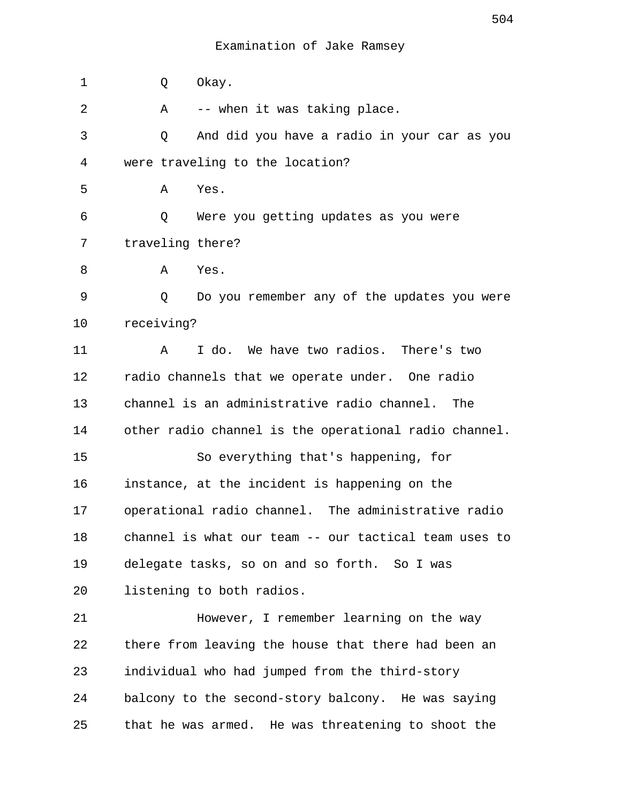| $\mathbf 1$ | Okay.<br>Q                                            |
|-------------|-------------------------------------------------------|
| 2           | -- when it was taking place.<br>A                     |
| 3           | And did you have a radio in your car as you<br>Q      |
| 4           | were traveling to the location?                       |
| 5           | Α<br>Yes.                                             |
| 6           | Were you getting updates as you were<br>Q             |
| 7           | traveling there?                                      |
| 8           | A<br>Yes.                                             |
| 9           | Q<br>Do you remember any of the updates you were      |
| 10          | receiving?                                            |
| 11          | I do. We have two radios. There's two<br>A            |
| 12          | radio channels that we operate under. One radio       |
| 13          | channel is an administrative radio channel.<br>The    |
| 14          | other radio channel is the operational radio channel. |
| 15          | So everything that's happening, for                   |
| 16          | instance, at the incident is happening on the         |
| 17          | operational radio channel. The administrative radio   |
| 18          | channel is what our team -- our tactical team uses to |
| 19          | delegate tasks, so on and so forth. So I was          |
| 20          | listening to both radios.                             |
| 21          | However, I remember learning on the way               |
| 22          | there from leaving the house that there had been an   |
| 23          | individual who had jumped from the third-story        |
| 24          | balcony to the second-story balcony. He was saying    |
| 25          | that he was armed. He was threatening to shoot the    |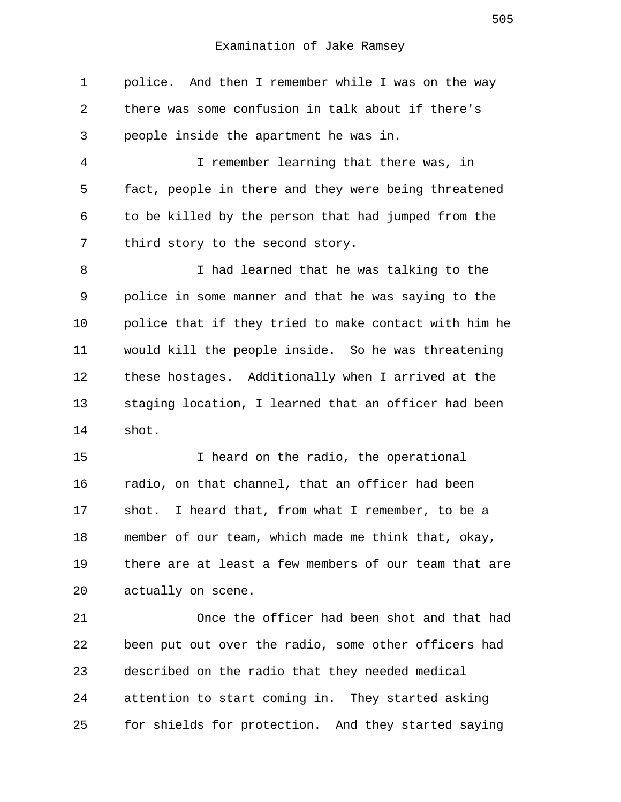1 police. And then I remember while I was on the way 2 there was some confusion in talk about if there's 3 people inside the apartment he was in.

 4 I remember learning that there was, in 5 fact, people in there and they were being threatened 6 to be killed by the person that had jumped from the 7 third story to the second story.

 8 I had learned that he was talking to the 9 police in some manner and that he was saying to the 10 police that if they tried to make contact with him he 11 would kill the people inside. So he was threatening 12 these hostages. Additionally when I arrived at the 13 staging location, I learned that an officer had been 14 shot.

15 I heard on the radio, the operational 16 radio, on that channel, that an officer had been 17 shot. I heard that, from what I remember, to be a 18 member of our team, which made me think that, okay, 19 there are at least a few members of our team that are 20 actually on scene.

21 Once the officer had been shot and that had 22 been put out over the radio, some other officers had 23 described on the radio that they needed medical 24 attention to start coming in. They started asking 25 for shields for protection. And they started saying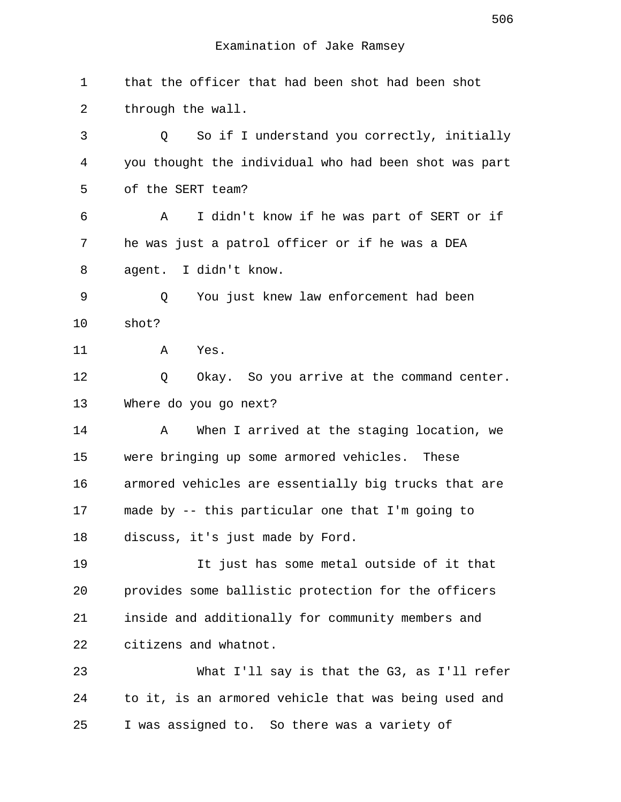| $\mathbf 1$ | that the officer that had been shot had been shot     |
|-------------|-------------------------------------------------------|
| 2           | through the wall.                                     |
| 3           | So if I understand you correctly, initially<br>Q      |
| 4           | you thought the individual who had been shot was part |
| 5           | of the SERT team?                                     |
| 6           | I didn't know if he was part of SERT or if<br>A       |
| 7           | he was just a patrol officer or if he was a DEA       |
| 8           | agent. I didn't know.                                 |
| 9           | You just knew law enforcement had been<br>Q           |
| 10          | shot?                                                 |
| 11          | Yes.<br>A                                             |
| 12          | Okay. So you arrive at the command center.<br>Q       |
| 13          | Where do you go next?                                 |
| 14          | When I arrived at the staging location, we<br>Α       |
| 15          | were bringing up some armored vehicles. These         |
| 16          | armored vehicles are essentially big trucks that are  |
| 17          | made by -- this particular one that I'm going to      |
| 18          | discuss, it's just made by Ford.                      |
| 19          | It just has some metal outside of it that             |
| 20          | provides some ballistic protection for the officers   |
| 21          | inside and additionally for community members and     |
| 22          | citizens and whatnot.                                 |
| 23          | What I'll say is that the G3, as I'll refer           |
| 24          | to it, is an armored vehicle that was being used and  |
| 25          | I was assigned to. So there was a variety of          |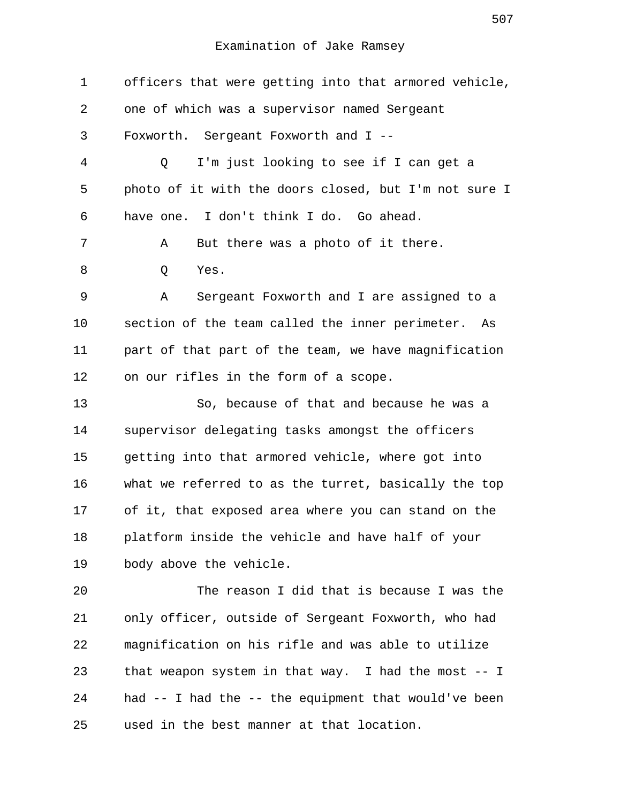1 officers that were getting into that armored vehicle, 2 one of which was a supervisor named Sergeant 3 Foxworth. Sergeant Foxworth and I -- 4 Q I'm just looking to see if I can get a 5 photo of it with the doors closed, but I'm not sure I 6 have one. I don't think I do. Go ahead. 7 A But there was a photo of it there. 8 O Yes. 9 A Sergeant Foxworth and I are assigned to a 10 section of the team called the inner perimeter. As 11 part of that part of the team, we have magnification 12 on our rifles in the form of a scope. 13 So, because of that and because he was a 14 supervisor delegating tasks amongst the officers 15 getting into that armored vehicle, where got into 16 what we referred to as the turret, basically the top 17 of it, that exposed area where you can stand on the 18 platform inside the vehicle and have half of your 19 body above the vehicle. 20 The reason I did that is because I was the 21 only officer, outside of Sergeant Foxworth, who had 22 magnification on his rifle and was able to utilize 23 that weapon system in that way. I had the most -- I 24 had -- I had the -- the equipment that would've been 25 used in the best manner at that location.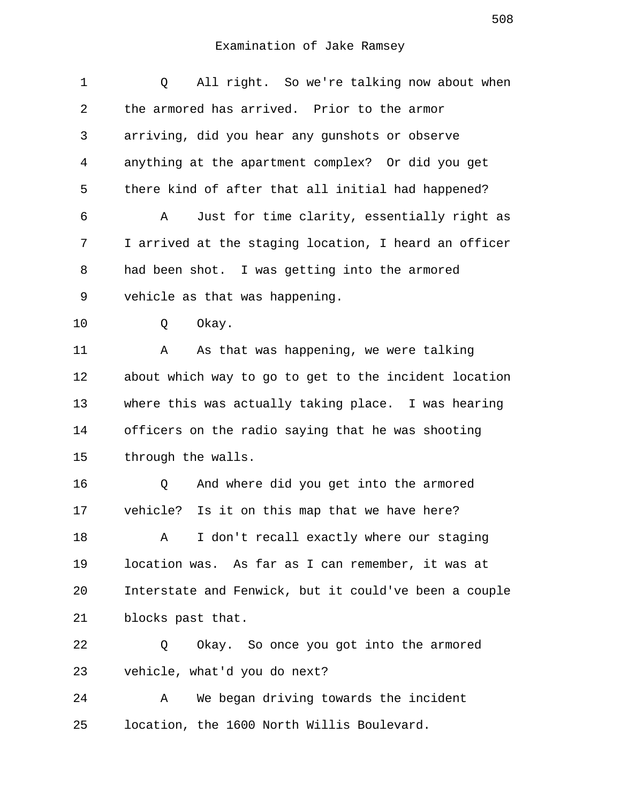| 1  | All right. So we're talking now about when<br>Q       |
|----|-------------------------------------------------------|
| 2  | the armored has arrived. Prior to the armor           |
| 3  | arriving, did you hear any gunshots or observe        |
| 4  | anything at the apartment complex? Or did you get     |
| 5  | there kind of after that all initial had happened?    |
| 6  | Just for time clarity, essentially right as<br>Α      |
| 7  | I arrived at the staging location, I heard an officer |
| 8  | had been shot. I was getting into the armored         |
| 9  | vehicle as that was happening.                        |
| 10 | Okay.<br>Q                                            |
| 11 | As that was happening, we were talking<br>Α           |
| 12 | about which way to go to get to the incident location |
| 13 | where this was actually taking place. I was hearing   |
| 14 | officers on the radio saying that he was shooting     |
| 15 | through the walls.                                    |
| 16 | And where did you get into the armored<br>Q           |
| 17 | vehicle? Is it on this map that we have here?         |
| 18 | I don't recall exactly where our staging<br>Α         |
| 19 | location was. As far as I can remember, it was at     |
| 20 | Interstate and Fenwick, but it could've been a couple |
| 21 | blocks past that.                                     |
| 22 | Okay. So once you got into the armored<br>Q           |
| 23 | vehicle, what'd you do next?                          |
| 24 | We began driving towards the incident<br>Α            |
| 25 | location, the 1600 North Willis Boulevard.            |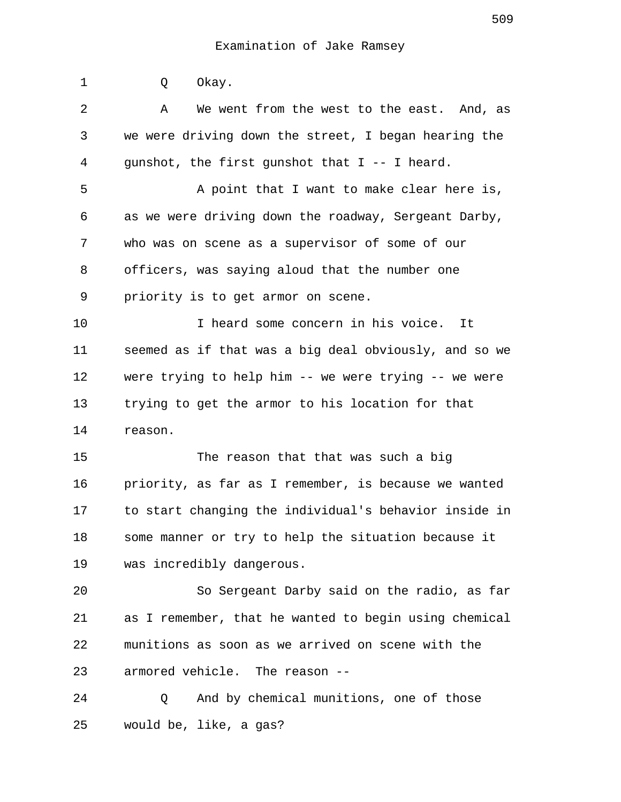| $\mathbf 1$ | Okay.<br>Q                                            |
|-------------|-------------------------------------------------------|
| 2           | We went from the west to the east. And, as<br>Α       |
| 3           | we were driving down the street, I began hearing the  |
| 4           | gunshot, the first gunshot that I -- I heard.         |
| 5           | A point that I want to make clear here is,            |
| 6           | as we were driving down the roadway, Sergeant Darby,  |
| 7           | who was on scene as a supervisor of some of our       |
| 8           | officers, was saying aloud that the number one        |
| 9           | priority is to get armor on scene.                    |
| 10          | I heard some concern in his voice. It                 |
| 11          | seemed as if that was a big deal obviously, and so we |
| 12          | were trying to help him -- we were trying -- we were  |
| 13          | trying to get the armor to his location for that      |
| 14          | reason.                                               |
| 15          | The reason that that was such a big                   |
| 16          | priority, as far as I remember, is because we wanted  |
| 17          | to start changing the individual's behavior inside in |
| 18          | some manner or try to help the situation because it   |
| 19          | was incredibly dangerous.                             |
| 20          | So Sergeant Darby said on the radio, as far           |
| 21          | as I remember, that he wanted to begin using chemical |
| 22          | munitions as soon as we arrived on scene with the     |
| 23          | armored vehicle. The reason --                        |
| 24          | And by chemical munitions, one of those<br>Q          |

25 would be, like, a gas?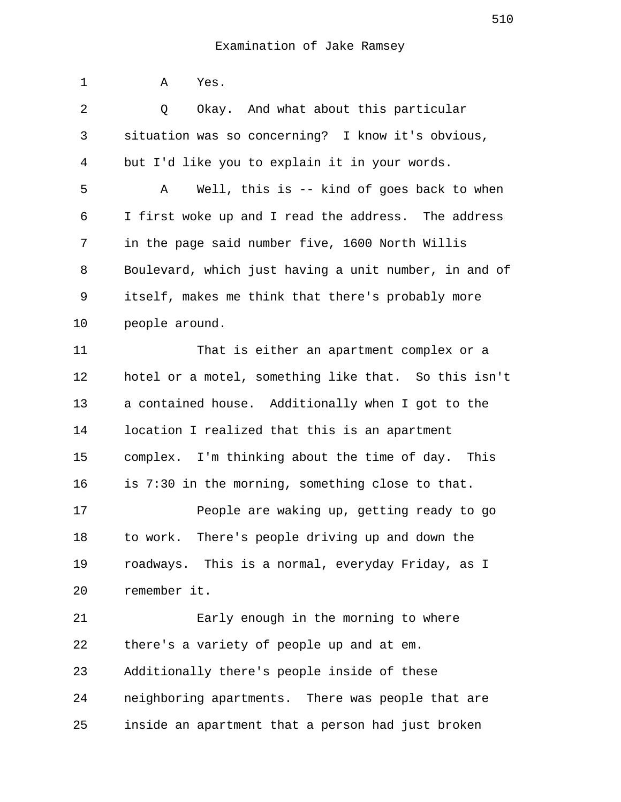| $\mathbf 1$ | Yes.<br>Α                                             |
|-------------|-------------------------------------------------------|
| 2           | Okay. And what about this particular<br>Q             |
| 3           | situation was so concerning? I know it's obvious,     |
| 4           | but I'd like you to explain it in your words.         |
| 5           | Well, this is $-$ kind of goes back to when<br>Α      |
| 6           | I first woke up and I read the address. The address   |
| 7           | in the page said number five, 1600 North Willis       |
| 8           | Boulevard, which just having a unit number, in and of |
| 9           | itself, makes me think that there's probably more     |
| 10          | people around.                                        |
| 11          | That is either an apartment complex or a              |
| 12          | hotel or a motel, something like that. So this isn't  |
| 13          | a contained house. Additionally when I got to the     |
| 14          | location I realized that this is an apartment         |
| 15          | complex. I'm thinking about the time of day. This     |
| 16          | is 7:30 in the morning, something close to that.      |
| 17          | People are waking up, getting ready to go             |
| 18          | to work. There's people driving up and down the       |
| 19          | roadways. This is a normal, everyday Friday, as I     |
| 20          | remember it.                                          |
| 21          | Early enough in the morning to where                  |
| 22          | there's a variety of people up and at em.             |
| 23          | Additionally there's people inside of these           |
| 24          | neighboring apartments. There was people that are     |
| 25          | inside an apartment that a person had just broken     |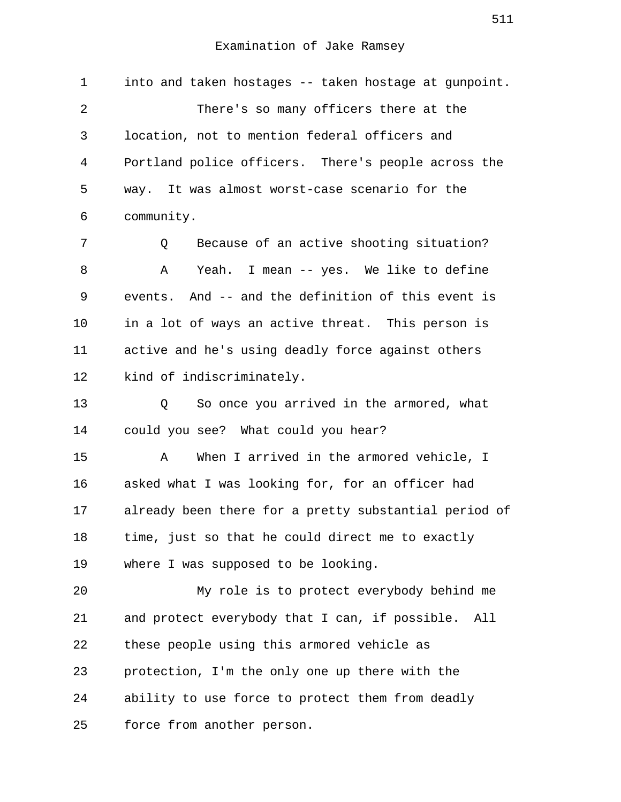1 into and taken hostages -- taken hostage at gunpoint. 2 There's so many officers there at the 3 location, not to mention federal officers and 4 Portland police officers. There's people across the 5 way. It was almost worst-case scenario for the 6 community.

 7 Q Because of an active shooting situation? 8 A Yeah. I mean -- yes. We like to define 9 events. And -- and the definition of this event is 10 in a lot of ways an active threat. This person is 11 active and he's using deadly force against others 12 kind of indiscriminately.

13 Q So once you arrived in the armored, what 14 could you see? What could you hear?

15 A When I arrived in the armored vehicle, I 16 asked what I was looking for, for an officer had 17 already been there for a pretty substantial period of 18 time, just so that he could direct me to exactly 19 where I was supposed to be looking.

20 My role is to protect everybody behind me 21 and protect everybody that I can, if possible. All 22 these people using this armored vehicle as 23 protection, I'm the only one up there with the 24 ability to use force to protect them from deadly 25 force from another person.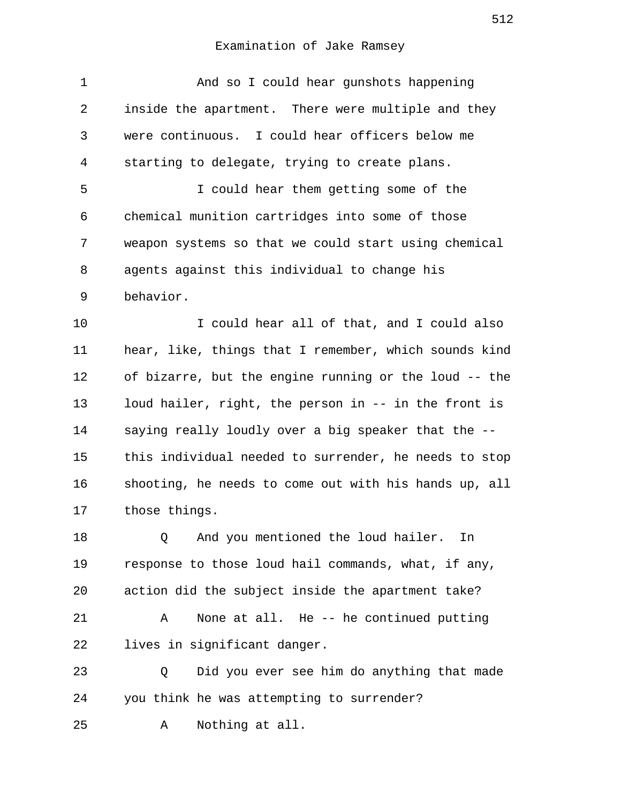| inside the apartment. There were multiple and they    |
|-------------------------------------------------------|
| were continuous. I could hear officers below me       |
| starting to delegate, trying to create plans.         |
| I could hear them getting some of the                 |
| chemical munition cartridges into some of those       |
| weapon systems so that we could start using chemical  |
| agents against this individual to change his          |
| behavior.                                             |
| I could hear all of that, and I could also            |
| hear, like, things that I remember, which sounds kind |
| of bizarre, but the engine running or the loud -- the |
| loud hailer, right, the person in -- in the front is  |
| saying really loudly over a big speaker that the --   |
| this individual needed to surrender, he needs to stop |
| shooting, he needs to come out with his hands up, all |
| those things.                                         |
| And you mentioned the loud hailer.<br>Q<br>In         |
|                                                       |
| response to those loud hail commands, what, if any,   |
| action did the subject inside the apartment take?     |
| None at all. He -- he continued putting<br>Α          |
| lives in significant danger.                          |
| Did you ever see him do anything that made<br>Q       |
| you think he was attempting to surrender?             |
|                                                       |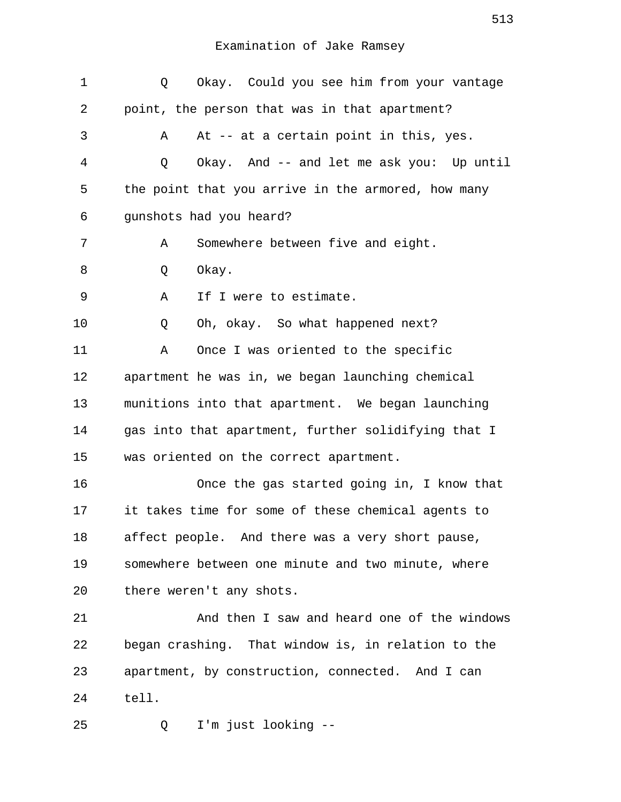| $\mathbf 1$ | Okay. Could you see him from your vantage<br>Q      |
|-------------|-----------------------------------------------------|
| 2           | point, the person that was in that apartment?       |
| 3           | At -- at a certain point in this, yes.<br>Α         |
| 4           | Okay. And -- and let me ask you: Up until<br>Q      |
| 5           | the point that you arrive in the armored, how many  |
| 6           | gunshots had you heard?                             |
| 7           | Somewhere between five and eight.<br>Α              |
| 8           | Okay.<br>Q                                          |
| 9           | If I were to estimate.<br>Α                         |
| 10          | Oh, okay. So what happened next?<br>Q               |
| 11          | Once I was oriented to the specific<br>Α            |
| 12          | apartment he was in, we began launching chemical    |
| 13          | munitions into that apartment. We began launching   |
| 14          | gas into that apartment, further solidifying that I |
| 15          | was oriented on the correct apartment.              |
| 16          | Once the gas started going in, I know that          |
| 17          | it takes time for some of these chemical agents to  |
| 18          | affect people. And there was a very short pause,    |
| 19          | somewhere between one minute and two minute, where  |
| 20          | there weren't any shots.                            |
| 21          | And then I saw and heard one of the windows         |
| 22          | began crashing. That window is, in relation to the  |
| 23          | apartment, by construction, connected. And I can    |
| 24          | tell.                                               |
| 25          | I'm just looking --<br>Q                            |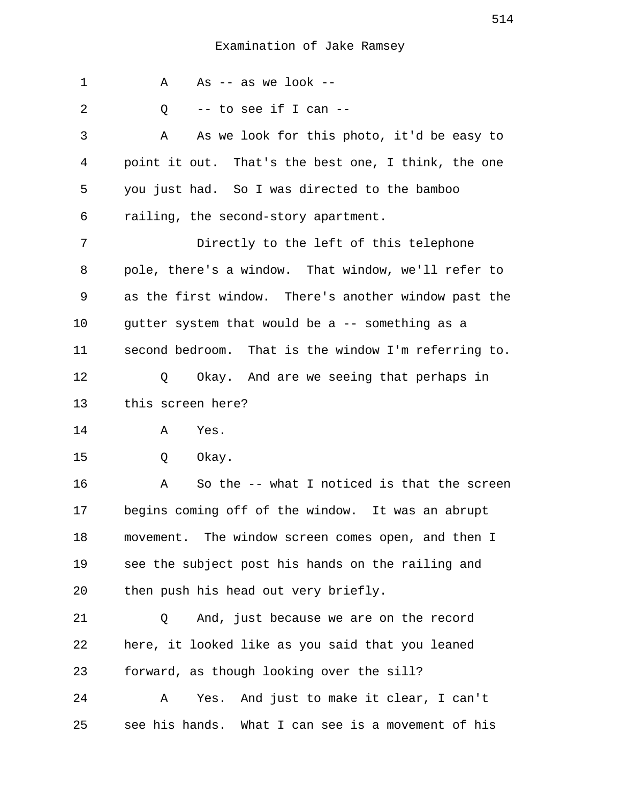| 1  | As $-$ as we look $-$<br>Α                           |
|----|------------------------------------------------------|
| 2  | -- to see if I can --<br>Q                           |
| 3  | As we look for this photo, it'd be easy to<br>Α      |
| 4  | point it out. That's the best one, I think, the one  |
| 5  | you just had. So I was directed to the bamboo        |
| 6  | railing, the second-story apartment.                 |
| 7  | Directly to the left of this telephone               |
| 8  | pole, there's a window. That window, we'll refer to  |
| 9  | as the first window. There's another window past the |
| 10 | gutter system that would be a -- something as a      |
| 11 | second bedroom. That is the window I'm referring to. |
| 12 | Okay. And are we seeing that perhaps in<br>Q         |
| 13 | this screen here?                                    |
| 14 | Yes.<br>Α                                            |
| 15 | Q<br>Okay.                                           |
| 16 | So the -- what I noticed is that the screen<br>Α     |
| 17 | begins coming off of the window. It was an abrupt    |
| 18 | movement. The window screen comes open, and then I   |
| 19 | see the subject post his hands on the railing and    |
| 20 | then push his head out very briefly.                 |
| 21 | And, just because we are on the record<br>Q          |
| 22 | here, it looked like as you said that you leaned     |
| 23 | forward, as though looking over the sill?            |
| 24 | And just to make it clear, I can't<br>Yes.<br>Α      |
| 25 | see his hands. What I can see is a movement of his   |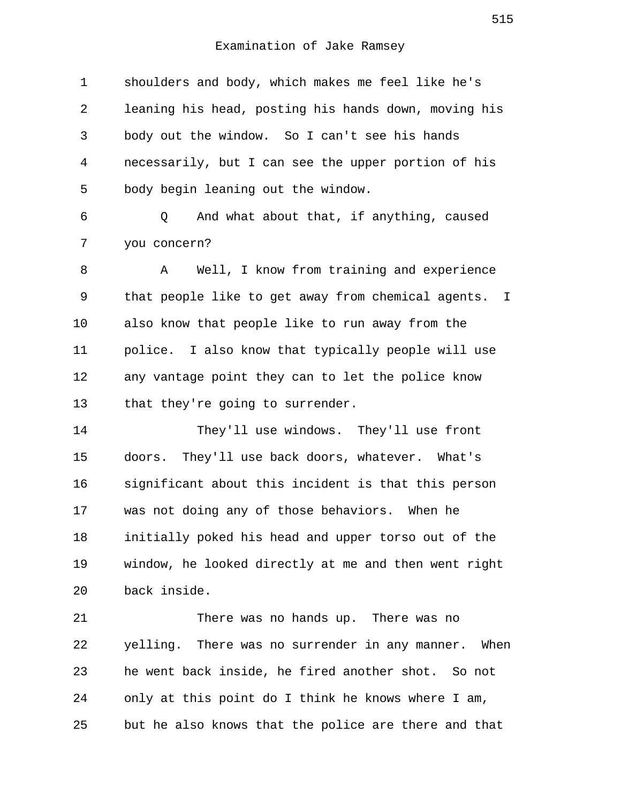1 shoulders and body, which makes me feel like he's 2 leaning his head, posting his hands down, moving his 3 body out the window. So I can't see his hands 4 necessarily, but I can see the upper portion of his 5 body begin leaning out the window. 6 Q And what about that, if anything, caused 7 you concern? 8 A Well, I know from training and experience 9 that people like to get away from chemical agents. I 10 also know that people like to run away from the 11 police. I also know that typically people will use 12 any vantage point they can to let the police know 13 that they're going to surrender. 14 They'll use windows. They'll use front 15 doors. They'll use back doors, whatever. What's 16 significant about this incident is that this person 17 was not doing any of those behaviors. When he 18 initially poked his head and upper torso out of the 19 window, he looked directly at me and then went right 20 back inside. 21 There was no hands up. There was no 22 yelling. There was no surrender in any manner. When 23 he went back inside, he fired another shot. So not 24 only at this point do I think he knows where I am,

25 but he also knows that the police are there and that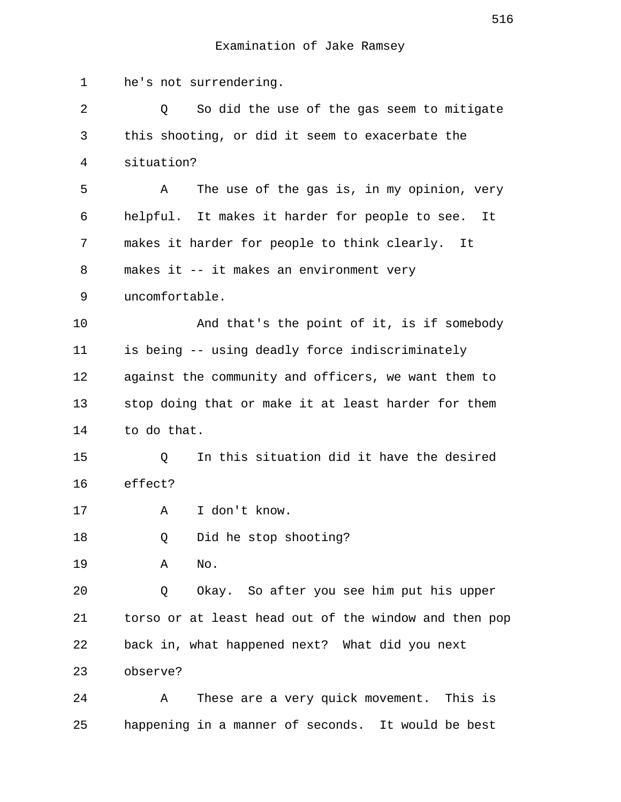1 he's not surrendering. 2 Q So did the use of the gas seem to mitigate 3 this shooting, or did it seem to exacerbate the 4 situation? 5 A The use of the gas is, in my opinion, very 6 helpful. It makes it harder for people to see. It 7 makes it harder for people to think clearly. It 8 makes it -- it makes an environment very 9 uncomfortable. 10 And that's the point of it, is if somebody 11 is being -- using deadly force indiscriminately 12 against the community and officers, we want them to 13 stop doing that or make it at least harder for them 14 to do that. 15 Q In this situation did it have the desired 16 effect? 17 A I don't know. 18 Q Did he stop shooting? 19 A No. 20 Q Okay. So after you see him put his upper 21 torso or at least head out of the window and then pop 22 back in, what happened next? What did you next 23 observe? 24 A These are a very quick movement. This is 25 happening in a manner of seconds. It would be best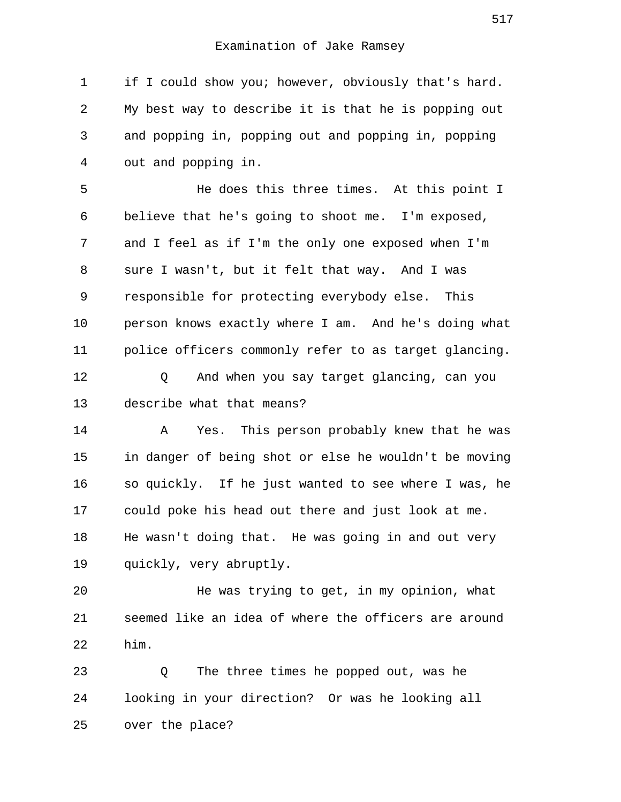1 if I could show you; however, obviously that's hard. 2 My best way to describe it is that he is popping out 3 and popping in, popping out and popping in, popping 4 out and popping in.

 5 He does this three times. At this point I 6 believe that he's going to shoot me. I'm exposed, 7 and I feel as if I'm the only one exposed when I'm 8 sure I wasn't, but it felt that way. And I was 9 responsible for protecting everybody else. This 10 person knows exactly where I am. And he's doing what 11 police officers commonly refer to as target glancing.

12 Q And when you say target glancing, can you 13 describe what that means?

14 A Yes. This person probably knew that he was 15 in danger of being shot or else he wouldn't be moving 16 so quickly. If he just wanted to see where I was, he 17 could poke his head out there and just look at me. 18 He wasn't doing that. He was going in and out very 19 quickly, very abruptly.

20 He was trying to get, in my opinion, what 21 seemed like an idea of where the officers are around 22 him.

23 Q The three times he popped out, was he 24 looking in your direction? Or was he looking all 25 over the place?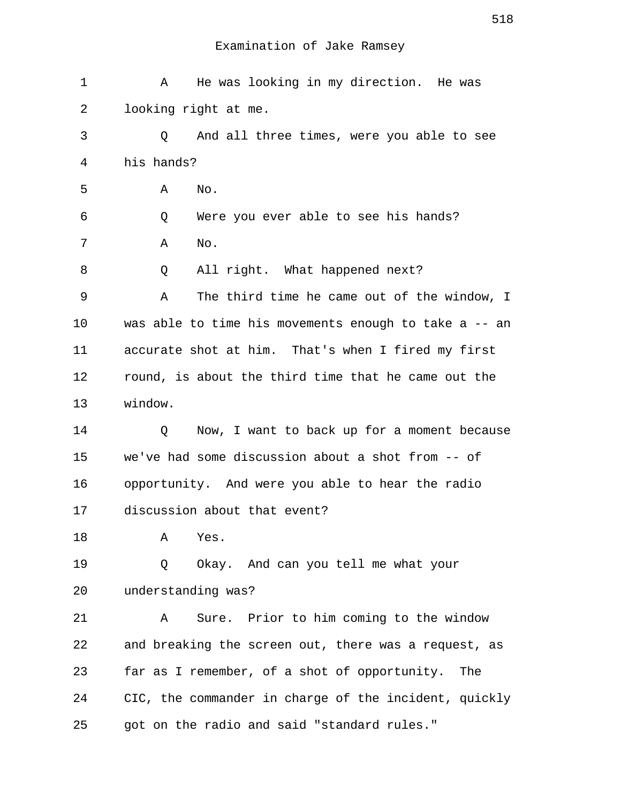| $\mathbf 1$ | He was looking in my direction. He was<br>Α           |
|-------------|-------------------------------------------------------|
| 2           | looking right at me.                                  |
| 3           | And all three times, were you able to see<br>Q        |
| 4           | his hands?                                            |
| 5           | Α<br>No.                                              |
| 6           | Were you ever able to see his hands?<br>Q             |
| 7           | No.<br>Α                                              |
| 8           | All right. What happened next?<br>Q                   |
| 9           | The third time he came out of the window, I<br>Α      |
| 10          | was able to time his movements enough to take a -- an |
| 11          | accurate shot at him. That's when I fired my first    |
| 12          | round, is about the third time that he came out the   |
| 13          | window.                                               |
| 14          | Now, I want to back up for a moment because<br>Q      |
| 15          | we've had some discussion about a shot from -- of     |
| 16          | opportunity. And were you able to hear the radio      |
| 17          | discussion about that event?                          |
| 18          | Yes.<br>Α                                             |
| 19          | Okay. And can you tell me what your<br>Q              |
| 20          | understanding was?                                    |
| 21          | Sure. Prior to him coming to the window<br>Α          |
| 22          | and breaking the screen out, there was a request, as  |
| 23          | far as I remember, of a shot of opportunity.<br>The   |
| 24          | CIC, the commander in charge of the incident, quickly |
| 25          | got on the radio and said "standard rules."           |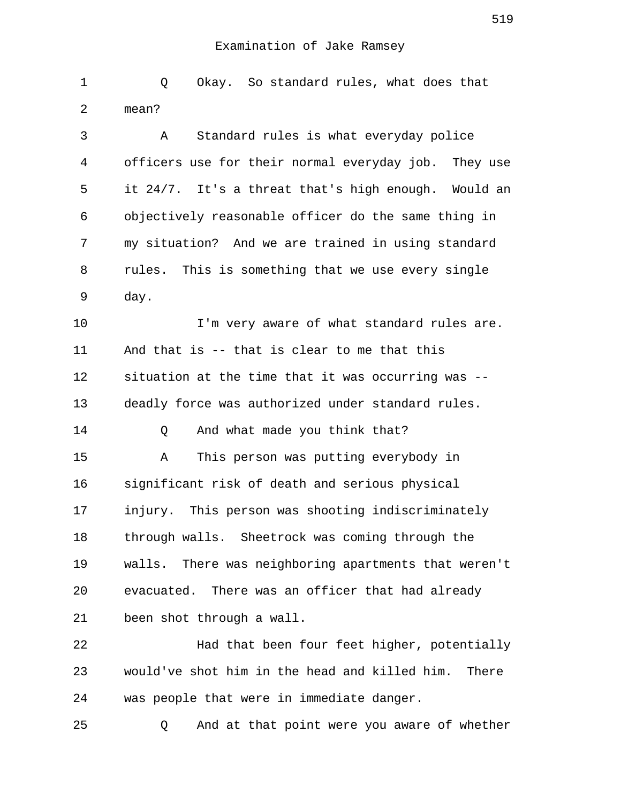1 Q Okay. So standard rules, what does that 2 mean? 3 A Standard rules is what everyday police 4 officers use for their normal everyday job. They use 5 it 24/7. It's a threat that's high enough. Would an 6 objectively reasonable officer do the same thing in 7 my situation? And we are trained in using standard 8 rules. This is something that we use every single 9 day. 10 **I'm very aware of what standard rules are.** 11 And that is -- that is clear to me that this 12 situation at the time that it was occurring was -- 13 deadly force was authorized under standard rules. 14 Q And what made you think that? 15 A This person was putting everybody in 16 significant risk of death and serious physical 17 injury. This person was shooting indiscriminately 18 through walls. Sheetrock was coming through the 19 walls. There was neighboring apartments that weren't 20 evacuated. There was an officer that had already 21 been shot through a wall. 22 Had that been four feet higher, potentially

23 would've shot him in the head and killed him. There 24 was people that were in immediate danger.

25 Q And at that point were you aware of whether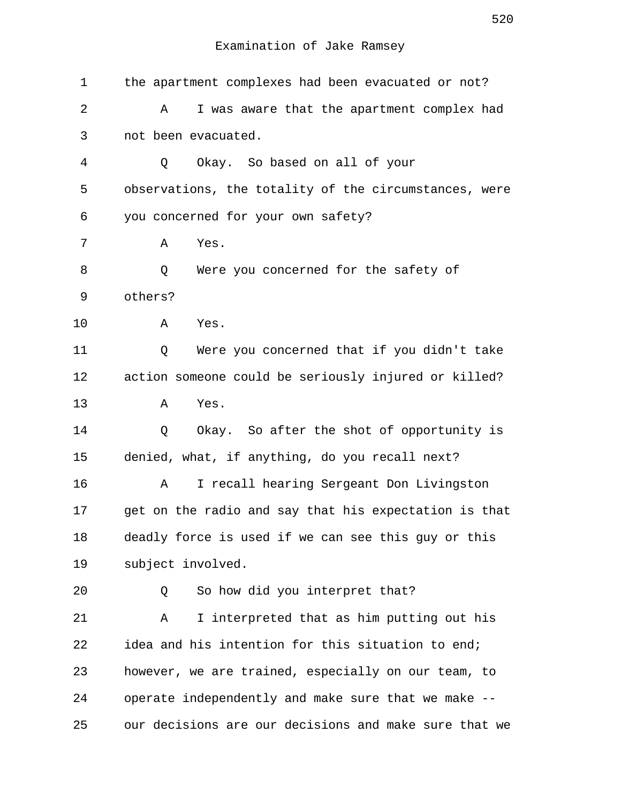| 1  | the apartment complexes had been evacuated or not?    |
|----|-------------------------------------------------------|
| 2  | I was aware that the apartment complex had<br>Α       |
| 3  | not been evacuated.                                   |
| 4  | Okay. So based on all of your<br>Q                    |
| 5  | observations, the totality of the circumstances, were |
| 6  | you concerned for your own safety?                    |
| 7  | Yes.<br>Α                                             |
| 8  | Were you concerned for the safety of<br>Q             |
| 9  | others?                                               |
| 10 | Α<br>Yes.                                             |
| 11 | Were you concerned that if you didn't take<br>Q       |
| 12 | action someone could be seriously injured or killed?  |
| 13 | Yes.<br>Α                                             |
| 14 | Okay. So after the shot of opportunity is<br>Q        |
| 15 | denied, what, if anything, do you recall next?        |
| 16 | I recall hearing Sergeant Don Livingston<br>Α         |
| 17 | get on the radio and say that his expectation is that |
| 18 | deadly force is used if we can see this guy or this   |
| 19 | subject involved.                                     |
| 20 | So how did you interpret that?<br>Q                   |
| 21 | I interpreted that as him putting out his<br>Α        |
| 22 | idea and his intention for this situation to end;     |
| 23 | however, we are trained, especially on our team, to   |
| 24 | operate independently and make sure that we make --   |
| 25 | our decisions are our decisions and make sure that we |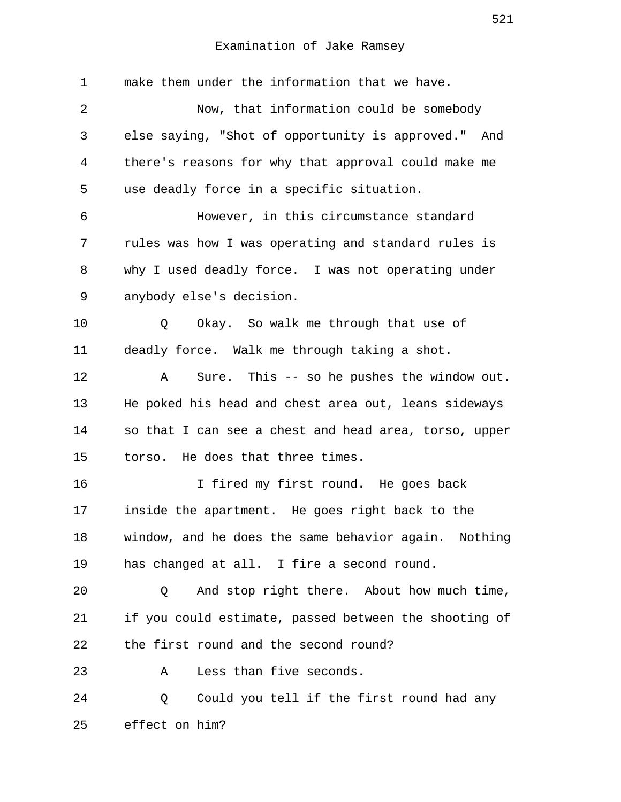| $\mathbf 1$ | make them under the information that we have.         |
|-------------|-------------------------------------------------------|
| 2           | Now, that information could be somebody               |
| 3           | else saying, "Shot of opportunity is approved." And   |
| 4           | there's reasons for why that approval could make me   |
| 5           | use deadly force in a specific situation.             |
| 6           | However, in this circumstance standard                |
| 7           | rules was how I was operating and standard rules is   |
| 8           | why I used deadly force. I was not operating under    |
| 9           | anybody else's decision.                              |
| 10          | Okay. So walk me through that use of<br>Q             |
| 11          | deadly force. Walk me through taking a shot.          |
| 12          | Sure. This -- so he pushes the window out.<br>Α       |
| 13          | He poked his head and chest area out, leans sideways  |
| 14          | so that I can see a chest and head area, torso, upper |
| 15          | torso. He does that three times.                      |
| 16          | I fired my first round. He goes back                  |
| 17          | inside the apartment. He goes right back to the       |
| 18          | window, and he does the same behavior again. Nothing  |
| 19          | has changed at all. I fire a second round.            |
| 20          | And stop right there. About how much time,<br>Q       |
| 21          | if you could estimate, passed between the shooting of |
| 22          | the first round and the second round?                 |
| 23          | Less than five seconds.<br>Α                          |
| 24          | Could you tell if the first round had any<br>Q        |
| 25          | effect on him?                                        |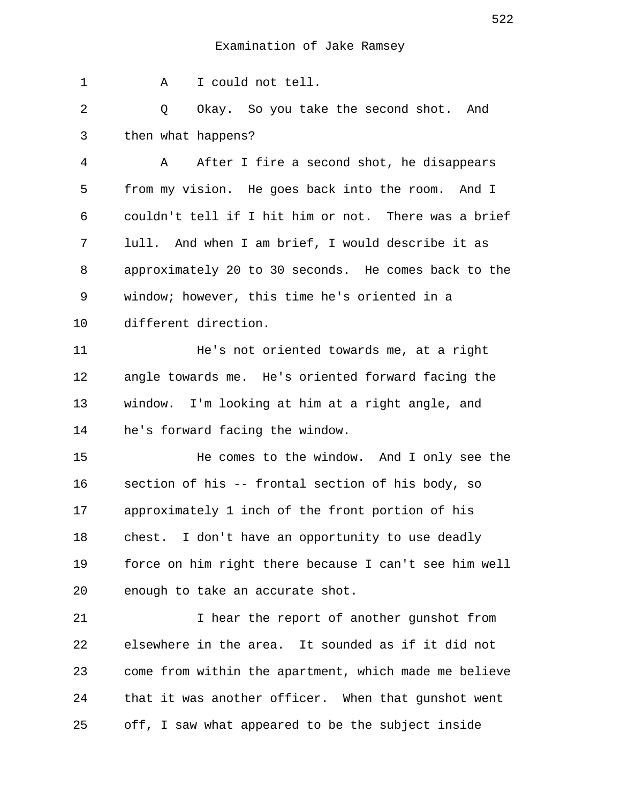| 1       | I could not tell.<br>Α                                |
|---------|-------------------------------------------------------|
| 2       | Okay. So you take the second shot. And<br>Q           |
| 3       | then what happens?                                    |
| 4       | After I fire a second shot, he disappears<br>Α        |
| 5       | from my vision. He goes back into the room. And I     |
| 6       | couldn't tell if I hit him or not. There was a brief  |
| 7       | lull. And when I am brief, I would describe it as     |
| 8       | approximately 20 to 30 seconds. He comes back to the  |
| 9       | window; however, this time he's oriented in a         |
| $10 \,$ | different direction.                                  |
| 11      | He's not oriented towards me, at a right              |
| 12      | angle towards me. He's oriented forward facing the    |
| 13      | window. I'm looking at him at a right angle, and      |
| 14      | he's forward facing the window.                       |
| 15      | He comes to the window. And I only see the            |
| 16      | section of his -- frontal section of his body, so     |
| 17      | approximately 1 inch of the front portion of his      |
| 18      | chest. I don't have an opportunity to use deadly      |
| 19      | force on him right there because I can't see him well |
| 20      | enough to take an accurate shot.                      |
| 21      | I hear the report of another gunshot from             |
| 22      | elsewhere in the area. It sounded as if it did not    |
| 23      | come from within the apartment, which made me believe |
| 24      | that it was another officer. When that gunshot went   |
| 25      | off, I saw what appeared to be the subject inside     |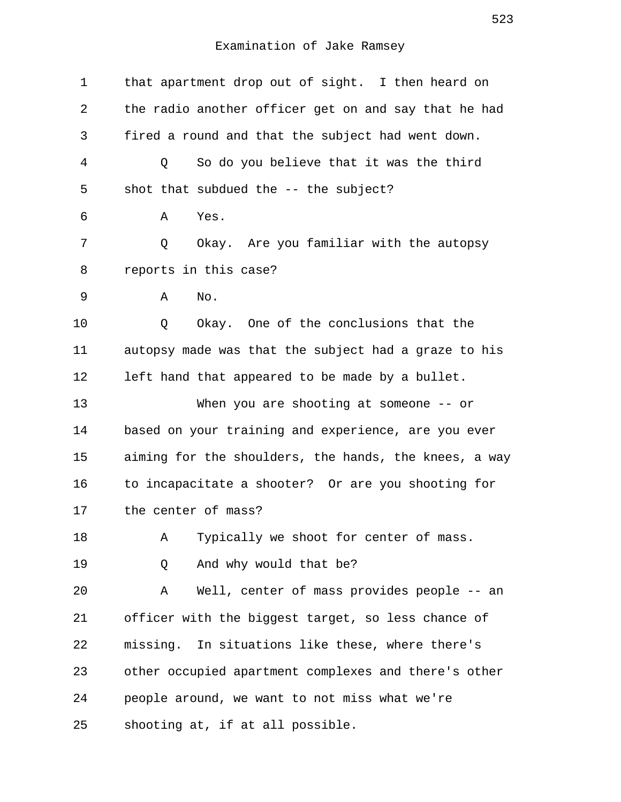| $\mathbf 1$ | that apartment drop out of sight. I then heard on     |
|-------------|-------------------------------------------------------|
| 2           | the radio another officer get on and say that he had  |
| 3           | fired a round and that the subject had went down.     |
| 4           | So do you believe that it was the third<br>Q          |
| 5           | shot that subdued the $--$ the subject?               |
| 6           | Yes.<br>Α                                             |
| 7           | Okay. Are you familiar with the autopsy<br>Q          |
| 8           | reports in this case?                                 |
| 9           | No.<br>Α                                              |
| 10          | Okay. One of the conclusions that the<br>Q            |
| 11          | autopsy made was that the subject had a graze to his  |
| 12          | left hand that appeared to be made by a bullet.       |
| 13          | When you are shooting at someone $-$ - or             |
| 14          | based on your training and experience, are you ever   |
| 15          | aiming for the shoulders, the hands, the knees, a way |
| 16          | to incapacitate a shooter? Or are you shooting for    |
| 17          | the center of mass?                                   |
| 18          | Typically we shoot for center of mass.<br>Α           |
| 19          | And why would that be?<br>Q                           |
| 20          | Well, center of mass provides people -- an<br>Α       |
| 21          | officer with the biggest target, so less chance of    |
| 22          | missing. In situations like these, where there's      |
| 23          | other occupied apartment complexes and there's other  |
| 24          | people around, we want to not miss what we're         |
| 25          | shooting at, if at all possible.                      |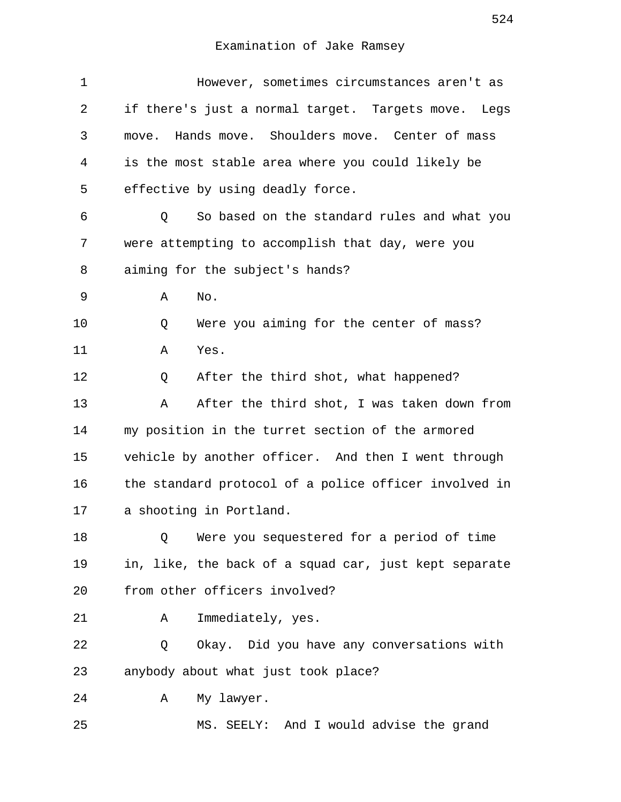| $\mathbf 1$ | However, sometimes circumstances aren't as            |
|-------------|-------------------------------------------------------|
| 2           | if there's just a normal target. Targets move. Legs   |
| 3           | Hands move. Shoulders move. Center of mass<br>move.   |
| 4           | is the most stable area where you could likely be     |
| 5           | effective by using deadly force.                      |
| 6           | So based on the standard rules and what you<br>Q      |
| 7           | were attempting to accomplish that day, were you      |
| 8           | aiming for the subject's hands?                       |
| 9           | No.<br>Α                                              |
| 10          | Were you aiming for the center of mass?<br>Q          |
| 11          | Yes.<br>Α                                             |
| 12          | After the third shot, what happened?<br>Q             |
| 13          | After the third shot, I was taken down from<br>Α      |
| 14          | my position in the turret section of the armored      |
| 15          | vehicle by another officer. And then I went through   |
| 16          | the standard protocol of a police officer involved in |
| 17          | a shooting in Portland.                               |
| 18          | Were you sequestered for a period of time<br>Q        |
| 19          | in, like, the back of a squad car, just kept separate |
| 20          | from other officers involved?                         |
| 21          | Immediately, yes.<br>Α                                |
| 22          | Okay. Did you have any conversations with<br>Q        |
| 23          | anybody about what just took place?                   |
| 24          | My lawyer.<br>Α                                       |
| 25          | MS. SEELY: And I would advise the grand               |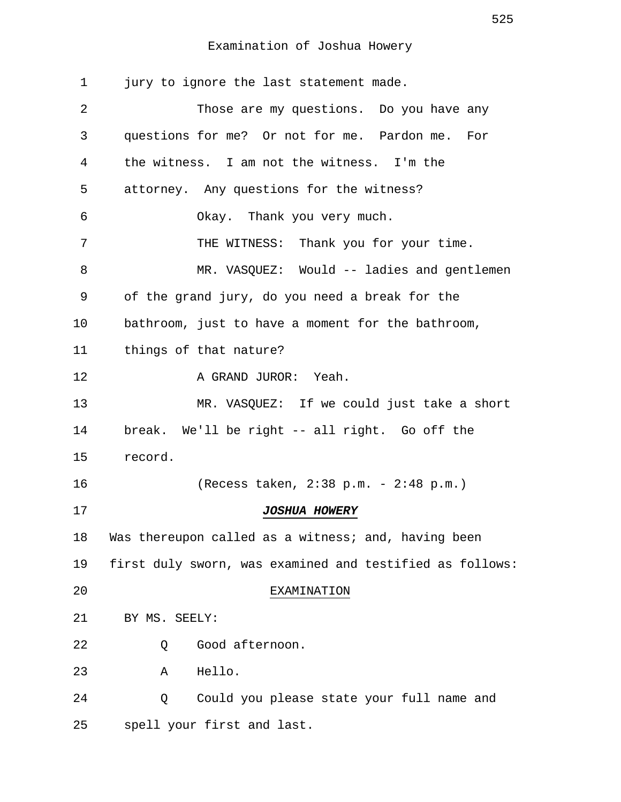| $\mathbf 1$ | jury to ignore the last statement made.                  |
|-------------|----------------------------------------------------------|
| 2           | Those are my questions. Do you have any                  |
| 3           | questions for me? Or not for me. Pardon me. For          |
| 4           | the witness. I am not the witness. I'm the               |
| 5           | attorney. Any questions for the witness?                 |
| 6           | Okay. Thank you very much.                               |
| 7           | THE WITNESS: Thank you for your time.                    |
| 8           | MR. VASQUEZ: Would -- ladies and gentlemen               |
| 9           | of the grand jury, do you need a break for the           |
| 10          | bathroom, just to have a moment for the bathroom,        |
| 11          | things of that nature?                                   |
| 12          | A GRAND JUROR: Yeah.                                     |
| 13          | MR. VASQUEZ: If we could just take a short               |
| 14          | break. We'll be right -- all right. Go off the           |
| 15          | record.                                                  |
| 16          | (Recess taken, $2:38$ p.m. - $2:48$ p.m.)                |
| 17          | <i>JOSHUA HOWERY</i>                                     |
| 18          | Was thereupon called as a witness; and, having been      |
| 19          | first duly sworn, was examined and testified as follows: |
| 20          | EXAMINATION                                              |
| 21          | BY MS. SEELY:                                            |
| 22          | Good afternoon.<br>Q                                     |
| 23          | Hello.<br>Α                                              |
| 24          | Could you please state your full name and<br>Q           |
| 25          | spell your first and last.                               |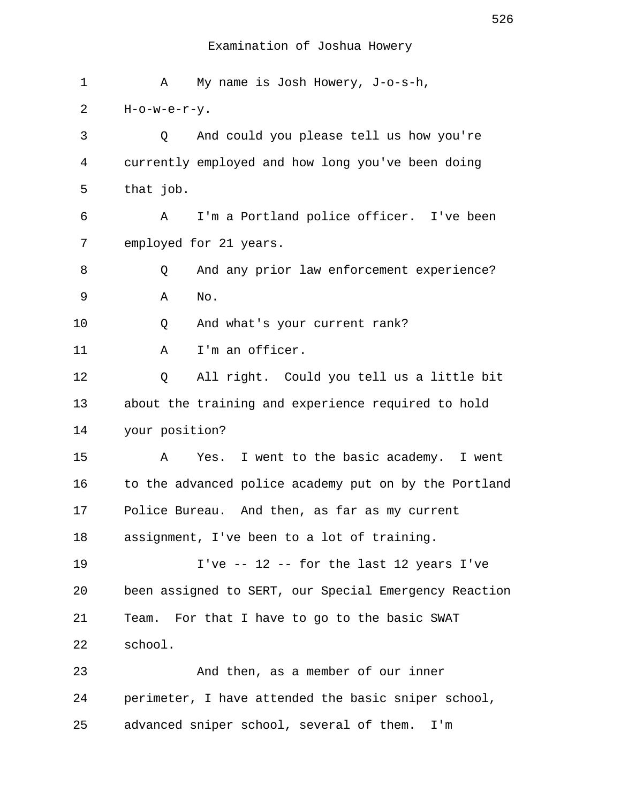| 1  | My name is Josh Howery, J-o-s-h,<br>Α                 |
|----|-------------------------------------------------------|
| 2  | $H$ -o-w-e-r-y.                                       |
| 3  | And could you please tell us how you're<br>Q          |
| 4  | currently employed and how long you've been doing     |
| 5  | that job.                                             |
| 6  | I'm a Portland police officer. I've been<br>A         |
| 7  | employed for 21 years.                                |
| 8  | And any prior law enforcement experience?<br>Q        |
| 9  | No.<br>Α                                              |
| 10 | And what's your current rank?<br>Q                    |
| 11 | I'm an officer.<br>Α                                  |
| 12 | All right. Could you tell us a little bit<br>Q        |
| 13 | about the training and experience required to hold    |
| 14 | your position?                                        |
| 15 | Yes. I went to the basic academy. I went<br>Α         |
| 16 | to the advanced police academy put on by the Portland |
| 17 | Police Bureau. And then, as far as my current         |
| 18 | assignment, I've been to a lot of training.           |
| 19 | I've -- 12 -- for the last 12 years I've              |
| 20 | been assigned to SERT, our Special Emergency Reaction |
| 21 | For that I have to go to the basic SWAT<br>Team.      |
| 22 | school.                                               |
| 23 | And then, as a member of our inner                    |
| 24 | perimeter, I have attended the basic sniper school,   |
| 25 | advanced sniper school, several of them.<br>I'm       |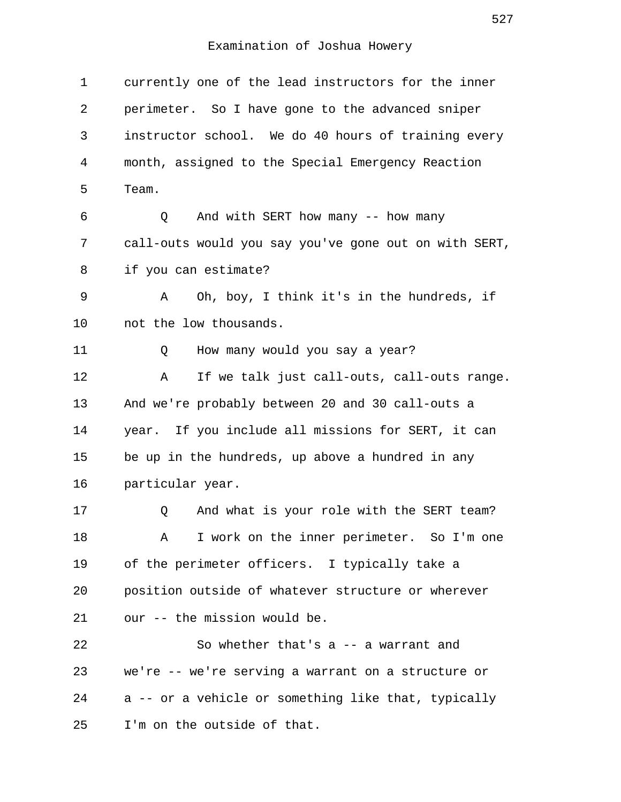| 1  | currently one of the lead instructors for the inner   |
|----|-------------------------------------------------------|
| 2  | perimeter. So I have gone to the advanced sniper      |
| 3  | instructor school. We do 40 hours of training every   |
| 4  | month, assigned to the Special Emergency Reaction     |
| 5  | Team.                                                 |
| 6  | And with SERT how many -- how many<br>Q               |
| 7  | call-outs would you say you've gone out on with SERT, |
| 8  | if you can estimate?                                  |
| 9  | Oh, boy, I think it's in the hundreds, if<br>Α        |
| 10 | not the low thousands.                                |
| 11 | How many would you say a year?<br>Q                   |
| 12 | If we talk just call-outs, call-outs range.<br>Α      |
| 13 | And we're probably between 20 and 30 call-outs a      |
| 14 | year. If you include all missions for SERT, it can    |
| 15 | be up in the hundreds, up above a hundred in any      |
| 16 | particular year.                                      |
| 17 | And what is your role with the SERT team?<br>Q        |
| 18 | I work on the inner perimeter. So I'm one<br>Α        |
| 19 | of the perimeter officers. I typically take a         |
| 20 | position outside of whatever structure or wherever    |
| 21 | our -- the mission would be.                          |
| 22 | So whether that's a -- a warrant and                  |
| 23 | we're -- we're serving a warrant on a structure or    |
| 24 | a -- or a vehicle or something like that, typically   |
| 25 | I'm on the outside of that.                           |
|    |                                                       |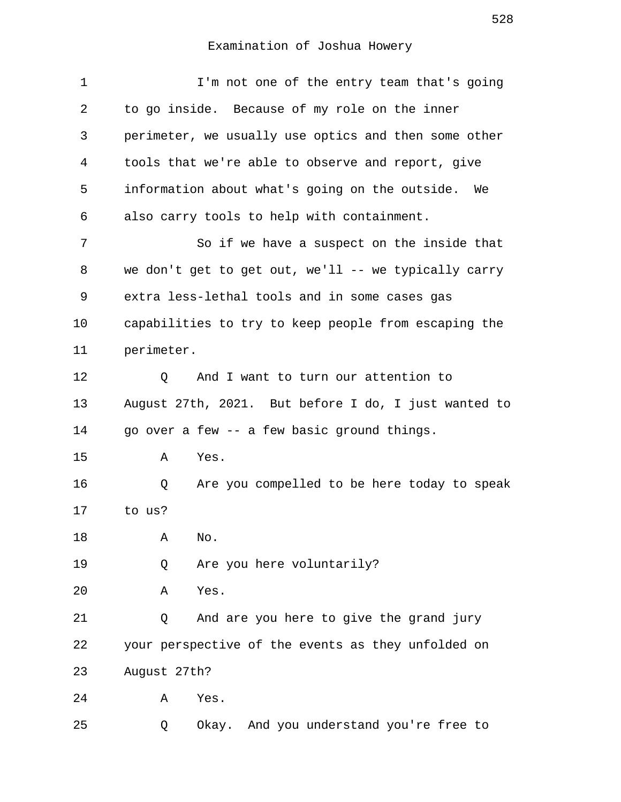| 1  | I'm not one of the entry team that's going           |
|----|------------------------------------------------------|
| 2  | to go inside. Because of my role on the inner        |
| 3  | perimeter, we usually use optics and then some other |
| 4  | tools that we're able to observe and report, give    |
| 5  | information about what's going on the outside. We    |
| 6  | also carry tools to help with containment.           |
| 7  | So if we have a suspect on the inside that           |
| 8  | we don't get to get out, we'll -- we typically carry |
| 9  | extra less-lethal tools and in some cases gas        |
| 10 | capabilities to try to keep people from escaping the |
| 11 | perimeter.                                           |
| 12 | And I want to turn our attention to<br>Q             |
| 13 | August 27th, 2021. But before I do, I just wanted to |
| 14 | go over a few -- a few basic ground things.          |
| 15 | Α<br>Yes.                                            |
| 16 | Are you compelled to be here today to speak<br>Q     |
| 17 | to us?                                               |
| 18 | No.<br>Α                                             |
| 19 | Are you here voluntarily?<br>Q                       |
| 20 | Α<br>Yes.                                            |
| 21 | And are you here to give the grand jury<br>Q         |
| 22 | your perspective of the events as they unfolded on   |
| 23 | August 27th?                                         |
| 24 | Yes.<br>Α                                            |
| 25 | Okay. And you understand you're free to<br>Q         |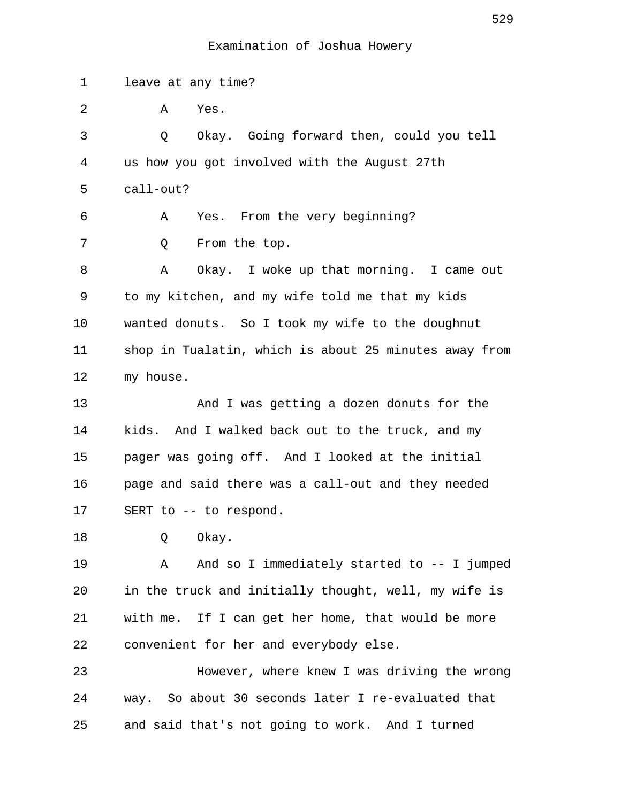1 leave at any time? 2 A Yes. 3 Q Okay. Going forward then, could you tell 4 us how you got involved with the August 27th 5 call-out? 6 A Yes. From the very beginning? 7 0 From the top. 8 A Okay. I woke up that morning. I came out 9 to my kitchen, and my wife told me that my kids 10 wanted donuts. So I took my wife to the doughnut 11 shop in Tualatin, which is about 25 minutes away from 12 my house. 13 And I was getting a dozen donuts for the 14 kids. And I walked back out to the truck, and my 15 pager was going off. And I looked at the initial 16 page and said there was a call-out and they needed 17 SERT to -- to respond. 18 O Okay. 19 A And so I immediately started to -- I jumped 20 in the truck and initially thought, well, my wife is 21 with me. If I can get her home, that would be more 22 convenient for her and everybody else. 23 However, where knew I was driving the wrong 24 way. So about 30 seconds later I re-evaluated that 25 and said that's not going to work. And I turned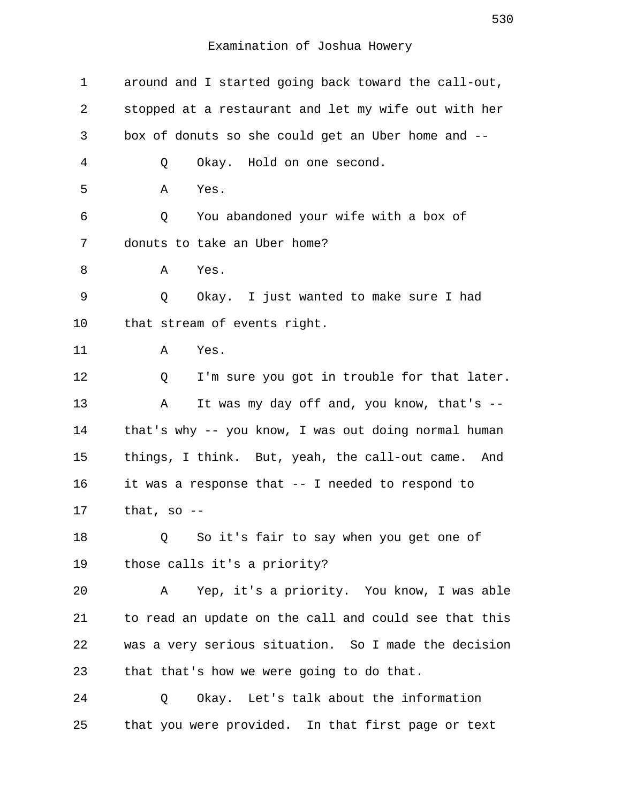| 1       | around and I started going back toward the call-out,  |
|---------|-------------------------------------------------------|
| 2       | stopped at a restaurant and let my wife out with her  |
| 3       | box of donuts so she could get an Uber home and --    |
| 4       | Okay. Hold on one second.<br>Q                        |
| 5       | Α<br>Yes.                                             |
| 6       | You abandoned your wife with a box of<br>Q            |
| 7       | donuts to take an Uber home?                          |
| 8       | Yes.<br>Α                                             |
| 9       | Q<br>Okay. I just wanted to make sure I had           |
| $10 \,$ | that stream of events right.                          |
| 11      | Yes.<br>Α                                             |
| 12      | I'm sure you got in trouble for that later.<br>Q      |
| 13      | It was my day off and, you know, that's --<br>Α       |
| 14      | that's why -- you know, I was out doing normal human  |
| 15      | things, I think. But, yeah, the call-out came. And    |
| 16      | it was a response that -- I needed to respond to      |
| 17      | that, so $-$                                          |
| 18      | So it's fair to say when you get one of<br>Q          |
| 19      | those calls it's a priority?                          |
| 20      | Yep, it's a priority. You know, I was able<br>Α       |
| 21      | to read an update on the call and could see that this |
| 22      | was a very serious situation. So I made the decision  |
| 23      | that that's how we were going to do that.             |
| 24      | Okay. Let's talk about the information<br>Q           |
| 25      | that you were provided. In that first page or text    |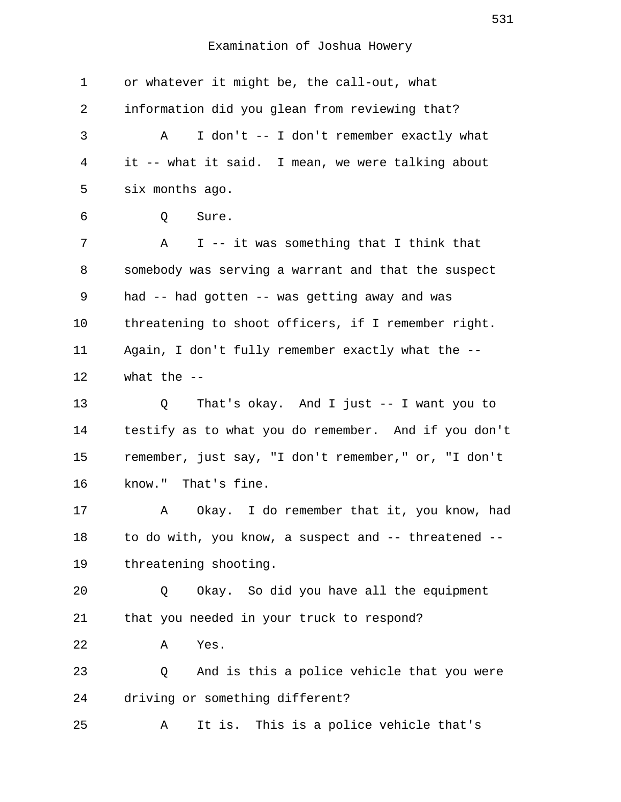| information did you glean from reviewing that?       |
|------------------------------------------------------|
| I don't -- I don't remember exactly what<br>Α        |
| it -- what it said. I mean, we were talking about    |
| six months ago.                                      |
| Sure.<br>Q                                           |
| I -- it was something that I think that<br>A         |
| somebody was serving a warrant and that the suspect  |
| had -- had gotten -- was getting away and was        |
| threatening to shoot officers, if I remember right.  |
| Again, I don't fully remember exactly what the --    |
| what the $-$                                         |
| That's okay. And I just -- I want you to<br>Q        |
| testify as to what you do remember. And if you don't |
| remember, just say, "I don't remember," or, "I don't |
| know." That's fine.                                  |
| Okay. I do remember that it, you know, had<br>Α      |
| to do with, you know, a suspect and -- threatened -- |
|                                                      |
| threatening shooting.                                |
| Okay. So did you have all the equipment<br>Q         |
| that you needed in your truck to respond?            |
| Yes.<br>Α                                            |
| And is this a police vehicle that you were<br>Q      |
| driving or something different?                      |
|                                                      |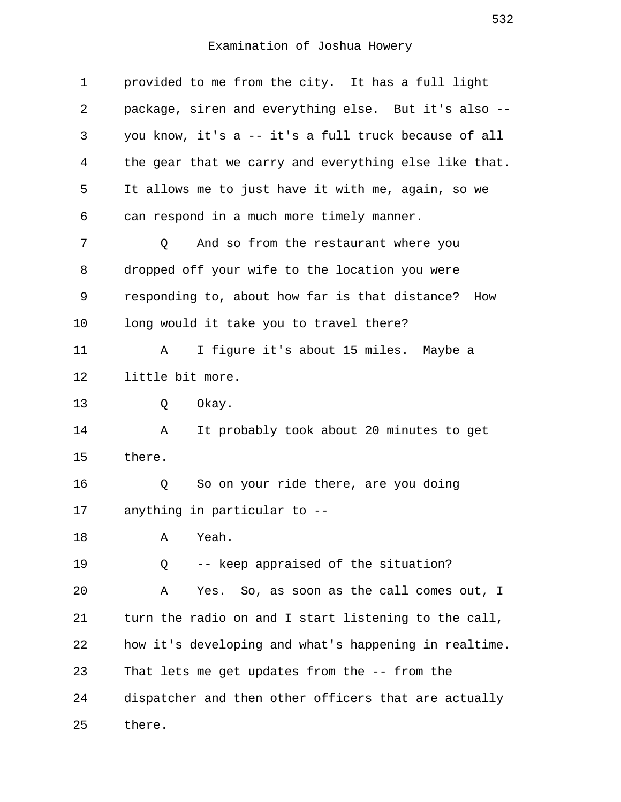| 1  | provided to me from the city. It has a full light     |
|----|-------------------------------------------------------|
| 2  | package, siren and everything else. But it's also --  |
| 3  | you know, it's a -- it's a full truck because of all  |
| 4  | the gear that we carry and everything else like that. |
| 5  | It allows me to just have it with me, again, so we    |
| 6  | can respond in a much more timely manner.             |
| 7  | And so from the restaurant where you<br>Q             |
| 8  | dropped off your wife to the location you were        |
| 9  | responding to, about how far is that distance? How    |
| 10 | long would it take you to travel there?               |
| 11 | I figure it's about 15 miles. Maybe a<br>Α            |
| 12 | little bit more.                                      |
| 13 | Q<br>Okay.                                            |
| 14 | Α<br>It probably took about 20 minutes to get         |
| 15 | there.                                                |
| 16 | So on your ride there, are you doing<br>Q             |
| 17 | anything in particular to --                          |
| 18 | Yeah.<br>Α                                            |
| 19 | -- keep appraised of the situation?<br>Q              |
| 20 | Yes. So, as soon as the call comes out, I<br>Α        |
| 21 | turn the radio on and I start listening to the call,  |
| 22 | how it's developing and what's happening in realtime. |
| 23 | That lets me get updates from the -- from the         |
| 24 | dispatcher and then other officers that are actually  |
| 25 | there.                                                |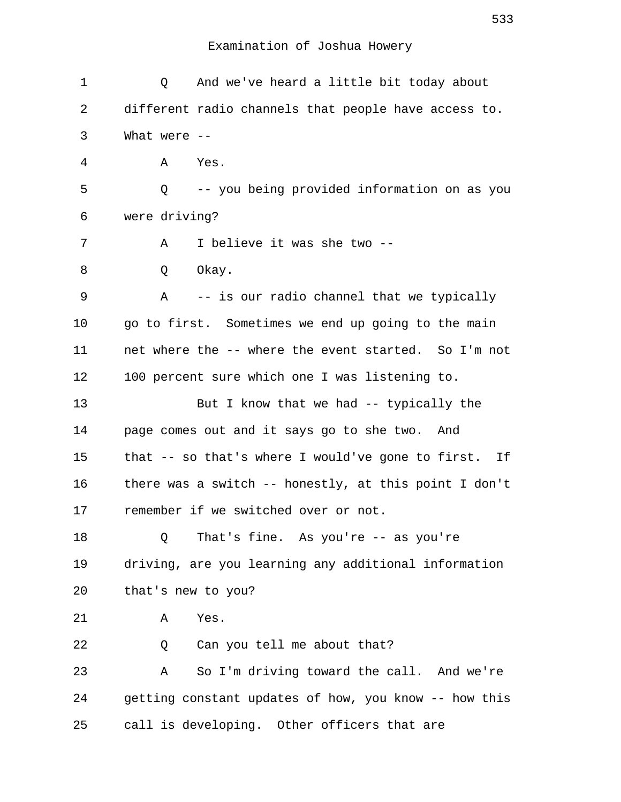| 1  | And we've heard a little bit today about<br>Q         |
|----|-------------------------------------------------------|
| 2  | different radio channels that people have access to.  |
| 3  | What were $--$                                        |
| 4  | Yes.<br>Α                                             |
| 5  | Q -- you being provided information on as you         |
| 6  | were driving?                                         |
| 7  | I believe it was she two --<br>A                      |
| 8  | Okay.<br>Q                                            |
| 9  | -- is our radio channel that we typically<br>Α        |
| 10 | go to first. Sometimes we end up going to the main    |
| 11 | net where the -- where the event started. So I'm not  |
| 12 | 100 percent sure which one I was listening to.        |
| 13 | But I know that we had -- typically the               |
| 14 | page comes out and it says go to she two. And         |
| 15 | that -- so that's where I would've gone to first. If  |
| 16 | there was a switch -- honestly, at this point I don't |
| 17 | remember if we switched over or not.                  |
| 18 | That's fine. As you're $-$ as you're<br>Q             |
| 19 | driving, are you learning any additional information  |
| 20 | that's new to you?                                    |
| 21 | Yes.<br>Α                                             |
| 22 | Can you tell me about that?<br>Q                      |
| 23 | So I'm driving toward the call. And we're<br>Α        |
| 24 | getting constant updates of how, you know -- how this |
| 25 | call is developing. Other officers that are           |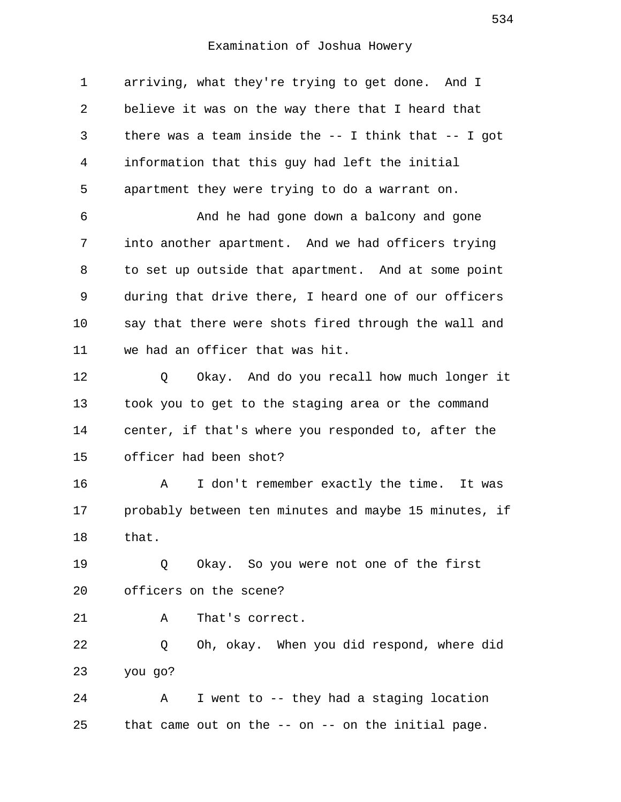1 arriving, what they're trying to get done. And I 2 believe it was on the way there that I heard that 3 there was a team inside the -- I think that -- I got 4 information that this guy had left the initial 5 apartment they were trying to do a warrant on. 6 And he had gone down a balcony and gone

 7 into another apartment. And we had officers trying 8 to set up outside that apartment. And at some point 9 during that drive there, I heard one of our officers 10 say that there were shots fired through the wall and 11 we had an officer that was hit.

12 Q Okay. And do you recall how much longer it 13 took you to get to the staging area or the command 14 center, if that's where you responded to, after the 15 officer had been shot?

16 A I don't remember exactly the time. It was 17 probably between ten minutes and maybe 15 minutes, if 18 that.

19 0 Okay. So you were not one of the first 20 officers on the scene?

21 A That's correct.

22 Q Oh, okay. When you did respond, where did 23 you go?

24 A I went to -- they had a staging location 25 that came out on the -- on -- on the initial page.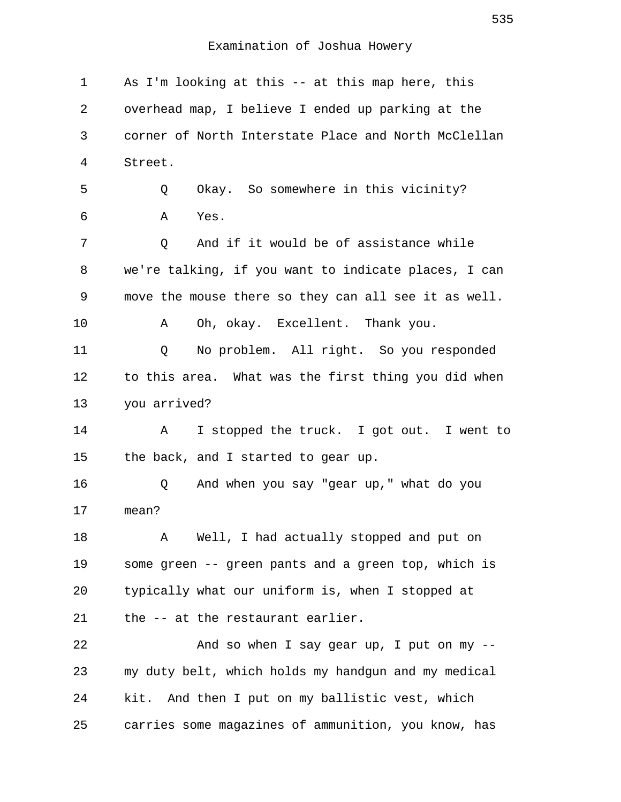1 As I'm looking at this -- at this map here, this 2 overhead map, I believe I ended up parking at the 3 corner of North Interstate Place and North McClellan 4 Street. 5 Q Okay. So somewhere in this vicinity? 6 A Yes. 7 C And if it would be of assistance while 8 we're talking, if you want to indicate places, I can 9 move the mouse there so they can all see it as well. 10 A Oh, okay. Excellent. Thank you. 11 Q No problem. All right. So you responded 12 to this area. What was the first thing you did when 13 you arrived? 14 A I stopped the truck. I got out. I went to 15 the back, and I started to gear up. 16 Q And when you say "gear up," what do you 17 mean? 18 A Well, I had actually stopped and put on 19 some green -- green pants and a green top, which is 20 typically what our uniform is, when I stopped at 21 the -- at the restaurant earlier. 22 And so when I say gear up, I put on my -- 23 my duty belt, which holds my handgun and my medical 24 kit. And then I put on my ballistic vest, which 25 carries some magazines of ammunition, you know, has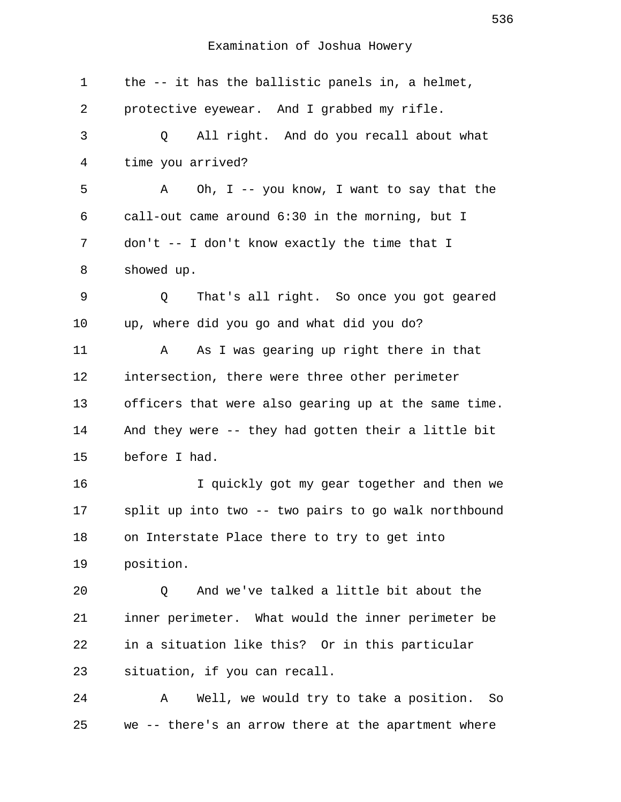1 the -- it has the ballistic panels in, a helmet, 2 protective eyewear. And I grabbed my rifle. 3 Q All right. And do you recall about what 4 time you arrived? 5 A Oh, I -- you know, I want to say that the 6 call-out came around 6:30 in the morning, but I 7 don't -- I don't know exactly the time that I 8 showed up. 9 Q That's all right. So once you got geared 10 up, where did you go and what did you do? 11 A As I was gearing up right there in that 12 intersection, there were three other perimeter 13 officers that were also gearing up at the same time. 14 And they were -- they had gotten their a little bit 15 before I had. 16 I quickly got my gear together and then we 17 split up into two -- two pairs to go walk northbound 18 on Interstate Place there to try to get into 19 position. 20 Q And we've talked a little bit about the 21 inner perimeter. What would the inner perimeter be 22 in a situation like this? Or in this particular 23 situation, if you can recall. 24 A Well, we would try to take a position. So

25 we -- there's an arrow there at the apartment where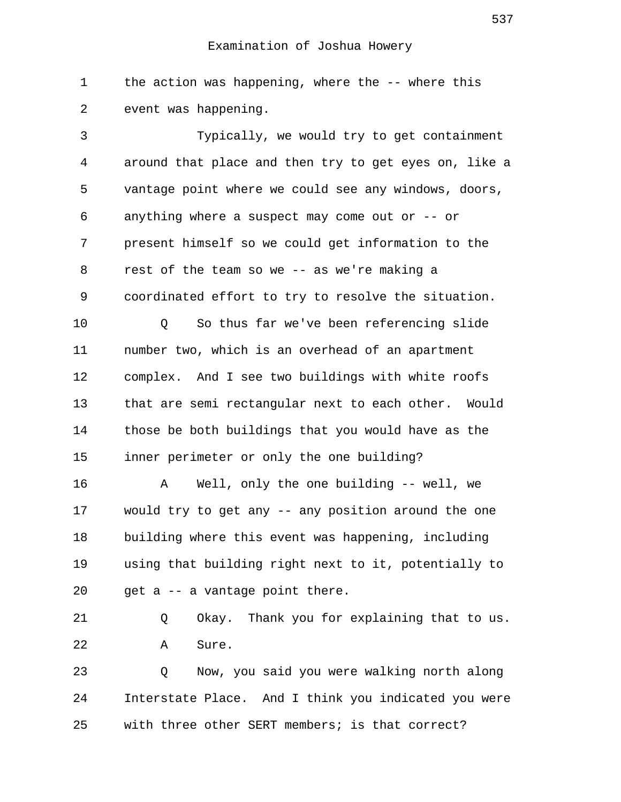1 the action was happening, where the -- where this 2 event was happening.

 3 Typically, we would try to get containment 4 around that place and then try to get eyes on, like a 5 vantage point where we could see any windows, doors, 6 anything where a suspect may come out or -- or 7 present himself so we could get information to the 8 rest of the team so we -- as we're making a 9 coordinated effort to try to resolve the situation. 10 Q So thus far we've been referencing slide 11 number two, which is an overhead of an apartment 12 complex. And I see two buildings with white roofs 13 that are semi rectangular next to each other. Would 14 those be both buildings that you would have as the 15 inner perimeter or only the one building? 16 A Well, only the one building -- well, we 17 would try to get any -- any position around the one 18 building where this event was happening, including 19 using that building right next to it, potentially to 20 get a -- a vantage point there. 21 Q Okay. Thank you for explaining that to us. 22 A Sure. 23 Q Now, you said you were walking north along 24 Interstate Place. And I think you indicated you were 25 with three other SERT members; is that correct?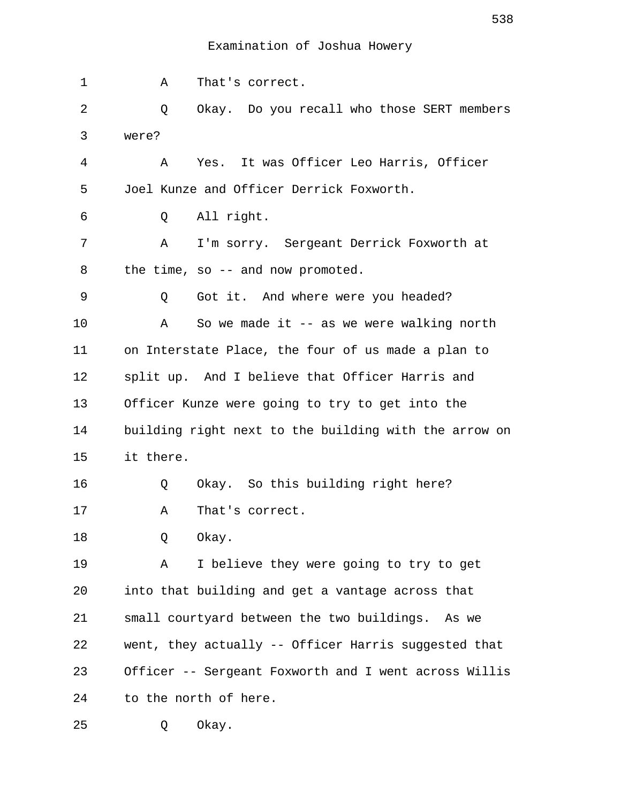| 1  | Α<br>That's correct.                                  |
|----|-------------------------------------------------------|
| 2  | Okay. Do you recall who those SERT members<br>Q       |
| 3  | were?                                                 |
| 4  | Yes. It was Officer Leo Harris, Officer<br>A          |
| 5  | Joel Kunze and Officer Derrick Foxworth.              |
| 6  | All right.<br>Q                                       |
| 7  | I'm sorry. Sergeant Derrick Foxworth at<br>Α          |
| 8  | the time, so -- and now promoted.                     |
| 9  | Got it. And where were you headed?<br>Q               |
| 10 | So we made it $-$ as we were walking north<br>Α       |
| 11 | on Interstate Place, the four of us made a plan to    |
| 12 | split up. And I believe that Officer Harris and       |
| 13 | Officer Kunze were going to try to get into the       |
| 14 | building right next to the building with the arrow on |
| 15 | it there.                                             |
| 16 | Okay. So this building right here?<br>Q               |
| 17 | That's correct.<br>Α                                  |
| 18 | Okay.<br>Q                                            |
| 19 | I believe they were going to try to get<br>Α          |
| 20 | into that building and get a vantage across that      |
| 21 | small courtyard between the two buildings. As we      |
| 22 | went, they actually -- Officer Harris suggested that  |
| 23 | Officer -- Sergeant Foxworth and I went across Willis |
| 24 | to the north of here.                                 |
| 25 | Okay.<br>Q                                            |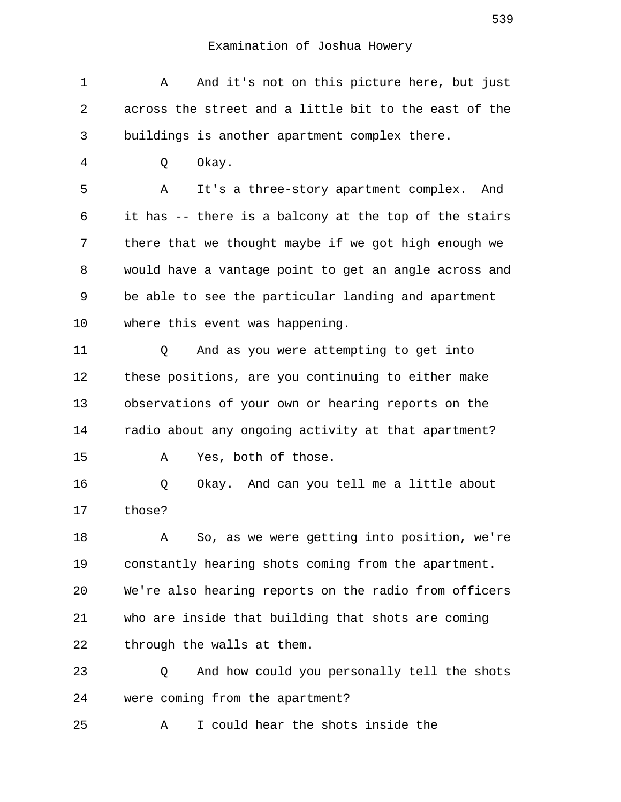| 1  | And it's not on this picture here, but just<br>Α      |
|----|-------------------------------------------------------|
| 2  | across the street and a little bit to the east of the |
| 3  | buildings is another apartment complex there.         |
| 4  | Okay.<br>Q                                            |
| 5  | It's a three-story apartment complex. And<br>Α        |
| 6  | it has -- there is a balcony at the top of the stairs |
| 7  | there that we thought maybe if we got high enough we  |
| 8  | would have a vantage point to get an angle across and |
| 9  | be able to see the particular landing and apartment   |
| 10 | where this event was happening.                       |
| 11 | And as you were attempting to get into<br>Q           |
| 12 | these positions, are you continuing to either make    |
| 13 | observations of your own or hearing reports on the    |
| 14 | radio about any ongoing activity at that apartment?   |
| 15 | Yes, both of those.<br>Α                              |
| 16 | Okay. And can you tell me a little about<br>Q         |
| 17 | those?                                                |
| 18 | So, as we were getting into position, we're<br>Α      |
| 19 | constantly hearing shots coming from the apartment.   |
| 20 | We're also hearing reports on the radio from officers |
| 21 | who are inside that building that shots are coming    |
| 22 | through the walls at them.                            |
| 23 | And how could you personally tell the shots<br>Q      |
| 24 | were coming from the apartment?                       |
| 25 | I could hear the shots inside the<br>Α                |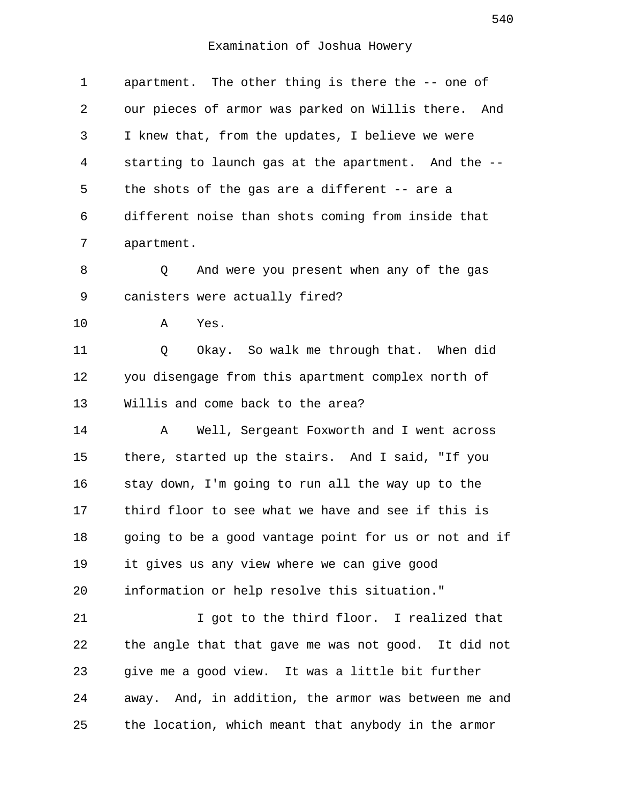| 1  | apartment. The other thing is there the -- one of     |
|----|-------------------------------------------------------|
| 2  | our pieces of armor was parked on Willis there. And   |
| 3  | I knew that, from the updates, I believe we were      |
| 4  | starting to launch gas at the apartment. And the --   |
| 5  | the shots of the gas are a different -- are a         |
| 6  | different noise than shots coming from inside that    |
| 7  | apartment.                                            |
| 8  | And were you present when any of the gas<br>Q         |
| 9  | canisters were actually fired?                        |
| 10 | Α<br>Yes.                                             |
| 11 | Okay. So walk me through that. When did<br>Q          |
| 12 | you disengage from this apartment complex north of    |
| 13 | Willis and come back to the area?                     |
| 14 | Well, Sergeant Foxworth and I went across<br>Α        |
| 15 | there, started up the stairs. And I said, "If you     |
| 16 | stay down, I'm going to run all the way up to the     |
| 17 | third floor to see what we have and see if this is    |
| 18 | going to be a good vantage point for us or not and if |
| 19 | it gives us any view where we can give good           |
| 20 | information or help resolve this situation."          |
| 21 | I got to the third floor. I realized that             |
| 22 | the angle that that gave me was not good. It did not  |
| 23 | give me a good view. It was a little bit further      |
| 24 | away. And, in addition, the armor was between me and  |
| 25 | the location, which meant that anybody in the armor   |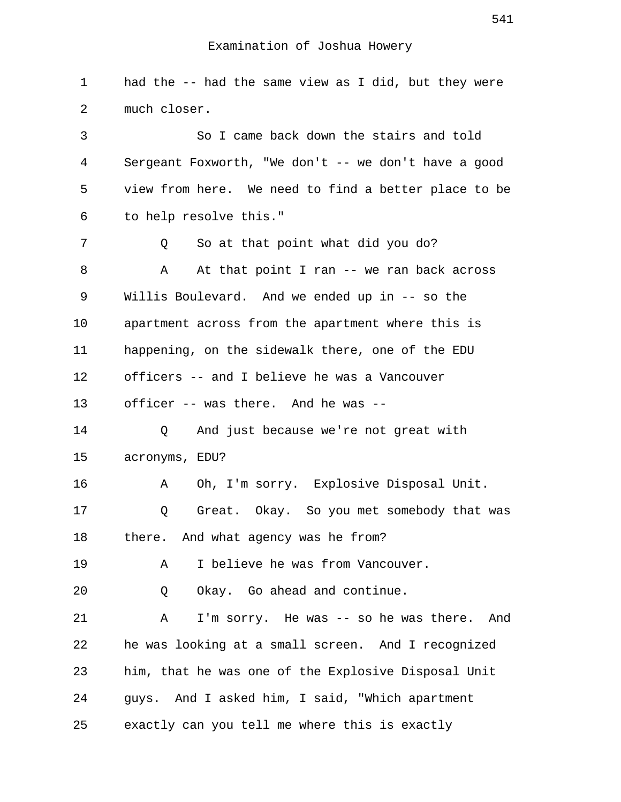1 had the -- had the same view as I did, but they were 2 much closer. 3 So I came back down the stairs and told 4 Sergeant Foxworth, "We don't -- we don't have a good 5 view from here. We need to find a better place to be 6 to help resolve this." 7 Q So at that point what did you do? 8 A At that point I ran -- we ran back across 9 Willis Boulevard. And we ended up in -- so the 10 apartment across from the apartment where this is 11 happening, on the sidewalk there, one of the EDU 12 officers -- and I believe he was a Vancouver 13 officer -- was there. And he was -- 14 Q And just because we're not great with 15 acronyms, EDU? 16 A Oh, I'm sorry. Explosive Disposal Unit. 17 Q Great. Okay. So you met somebody that was 18 there. And what agency was he from? 19 A I believe he was from Vancouver. 20 Q Okay. Go ahead and continue. 21 A I'm sorry. He was -- so he was there. And 22 he was looking at a small screen. And I recognized 23 him, that he was one of the Explosive Disposal Unit 24 guys. And I asked him, I said, "Which apartment 25 exactly can you tell me where this is exactly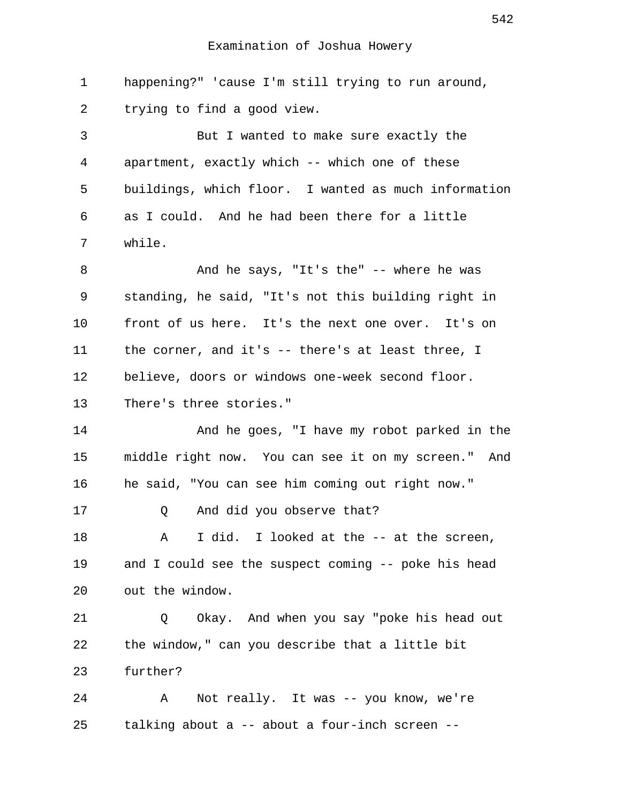1 happening?" 'cause I'm still trying to run around, 2 trying to find a good view.

 3 But I wanted to make sure exactly the 4 apartment, exactly which -- which one of these 5 buildings, which floor. I wanted as much information 6 as I could. And he had been there for a little 7 while.

8 And he says, "It's the" -- where he was 9 standing, he said, "It's not this building right in 10 front of us here. It's the next one over. It's on 11 the corner, and it's -- there's at least three, I 12 believe, doors or windows one-week second floor. 13 There's three stories."

14 And he goes, "I have my robot parked in the 15 middle right now. You can see it on my screen." And 16 he said, "You can see him coming out right now."

17 Q And did you observe that?

18 A I did. I looked at the -- at the screen, 19 and I could see the suspect coming -- poke his head 20 out the window.

21 Q Okay. And when you say "poke his head out 22 the window," can you describe that a little bit 23 further?

24 A Not really. It was -- you know, we're 25 talking about a -- about a four-inch screen --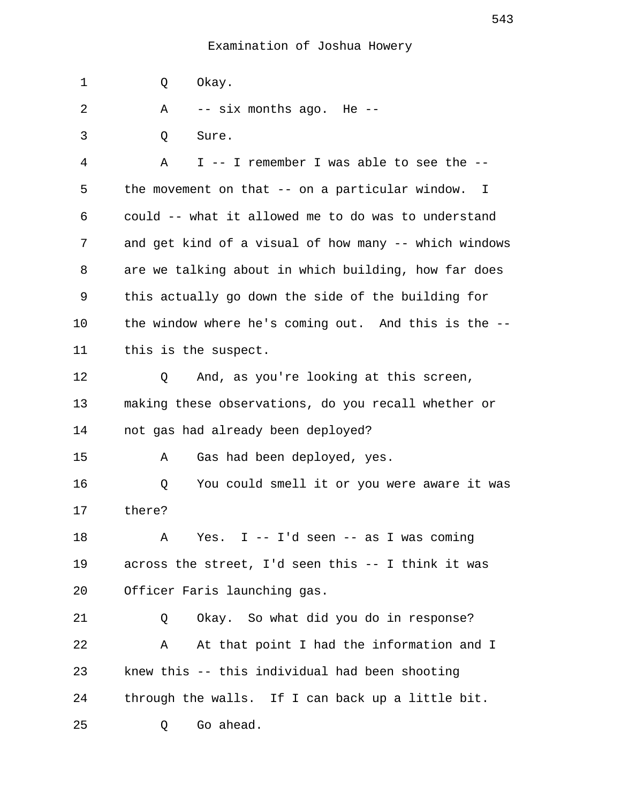1 Q Okay. 2 A -- six months ago. He -- 3 Q Sure. 4 A I -- I remember I was able to see the -- 5 the movement on that -- on a particular window. I 6 could -- what it allowed me to do was to understand 7 and get kind of a visual of how many -- which windows 8 are we talking about in which building, how far does 9 this actually go down the side of the building for 10 the window where he's coming out. And this is the -- 11 this is the suspect. 12 Q And, as you're looking at this screen, 13 making these observations, do you recall whether or 14 not gas had already been deployed? 15 A Gas had been deployed, yes. 16 Q You could smell it or you were aware it was 17 there? 18 A Yes. I -- I'd seen -- as I was coming 19 across the street, I'd seen this -- I think it was 20 Officer Faris launching gas. 21 Q Okay. So what did you do in response? 22 A At that point I had the information and I 23 knew this -- this individual had been shooting 24 through the walls. If I can back up a little bit. 25 Q Go ahead.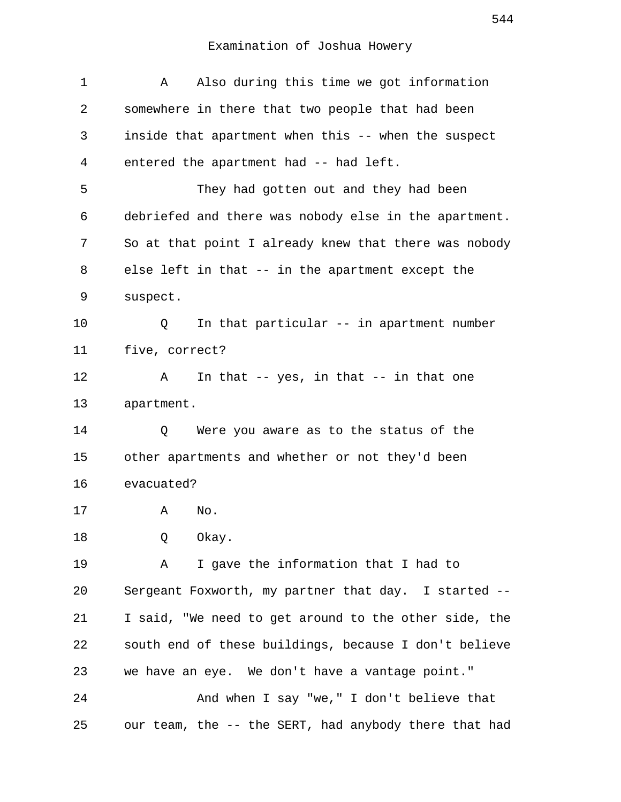| 1  | Also during this time we got information<br>Α         |
|----|-------------------------------------------------------|
| 2  | somewhere in there that two people that had been      |
| 3  | inside that apartment when this -- when the suspect   |
| 4  | entered the apartment had -- had left.                |
| 5  | They had gotten out and they had been                 |
| 6  | debriefed and there was nobody else in the apartment. |
| 7  | So at that point I already knew that there was nobody |
| 8  | else left in that -- in the apartment except the      |
| 9  | suspect.                                              |
| 10 | In that particular -- in apartment number<br>Q        |
| 11 | five, correct?                                        |
| 12 | In that $-$ - yes, in that $-$ - in that one<br>Α     |
| 13 | apartment.                                            |
| 14 | Were you aware as to the status of the<br>Q           |
| 15 | other apartments and whether or not they'd been       |
| 16 | evacuated?                                            |
| 17 | Α<br>No.                                              |
| 18 | Okay.<br>Q                                            |
| 19 | I gave the information that I had to<br>Α             |
| 20 | Sergeant Foxworth, my partner that day. I started --  |
| 21 | I said, "We need to get around to the other side, the |
| 22 | south end of these buildings, because I don't believe |
| 23 | we have an eye. We don't have a vantage point."       |
| 24 | And when I say "we," I don't believe that             |
| 25 | our team, the -- the SERT, had anybody there that had |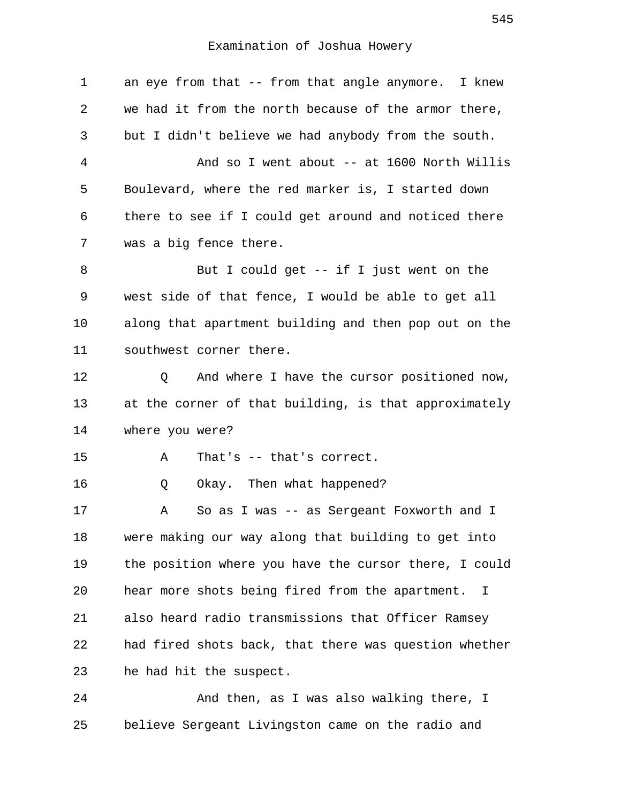| 1  | an eye from that -- from that angle anymore. I knew   |
|----|-------------------------------------------------------|
| 2  | we had it from the north because of the armor there,  |
| 3  | but I didn't believe we had anybody from the south.   |
| 4  | And so I went about -- at 1600 North Willis           |
| 5  | Boulevard, where the red marker is, I started down    |
| 6  | there to see if I could get around and noticed there  |
| 7  | was a big fence there.                                |
| 8  | But I could get $-$ if I just went on the             |
| 9  | west side of that fence, I would be able to get all   |
| 10 | along that apartment building and then pop out on the |
| 11 | southwest corner there.                               |
| 12 | And where I have the cursor positioned now,<br>Q      |
| 13 | at the corner of that building, is that approximately |
| 14 | where you were?                                       |
| 15 | That's $--$ that's correct.<br>Α                      |
| 16 | Okay. Then what happened?<br>Q                        |
| 17 | So as I was -- as Sergeant Foxworth and I<br>Α        |
| 18 | were making our way along that building to get into   |
| 19 | the position where you have the cursor there, I could |
| 20 | hear more shots being fired from the apartment. I     |
| 21 | also heard radio transmissions that Officer Ramsey    |
| 22 | had fired shots back, that there was question whether |
| 23 | he had hit the suspect.                               |
| 24 | And then, as I was also walking there, I              |

25 believe Sergeant Livingston came on the radio and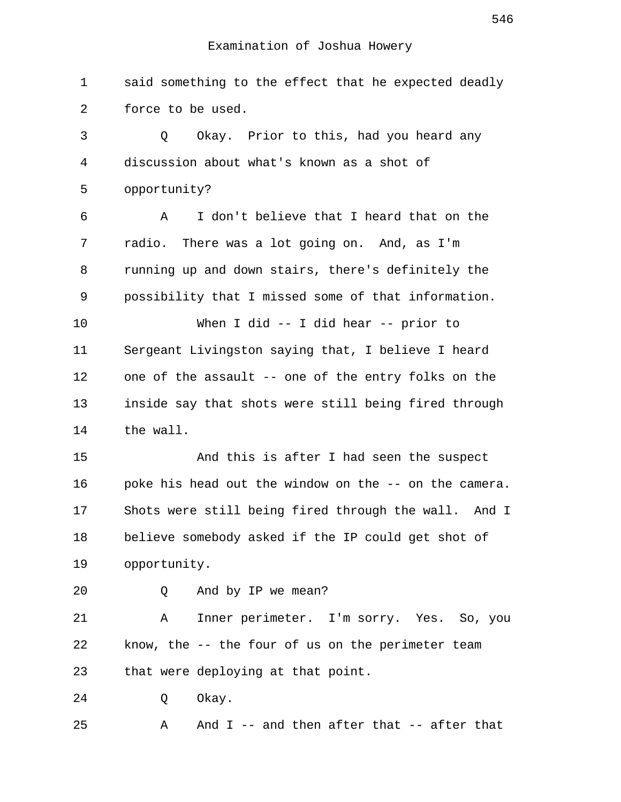1 said something to the effect that he expected deadly 2 force to be used.

 3 Q Okay. Prior to this, had you heard any 4 discussion about what's known as a shot of 5 opportunity? 6 A I don't believe that I heard that on the 7 radio. There was a lot going on. And, as I'm 8 running up and down stairs, there's definitely the 9 possibility that I missed some of that information. 10 When I did -- I did hear -- prior to 11 Sergeant Livingston saying that, I believe I heard 12 one of the assault -- one of the entry folks on the 13 inside say that shots were still being fired through 14 the wall.

15 And this is after I had seen the suspect 16 poke his head out the window on the -- on the camera. 17 Shots were still being fired through the wall. And I 18 believe somebody asked if the IP could get shot of 19 opportunity.

20 Q And by IP we mean?

21 A Inner perimeter. I'm sorry. Yes. So, you 22 know, the -- the four of us on the perimeter team 23 that were deploying at that point.

24 O Okay.

25 A And I -- and then after that -- after that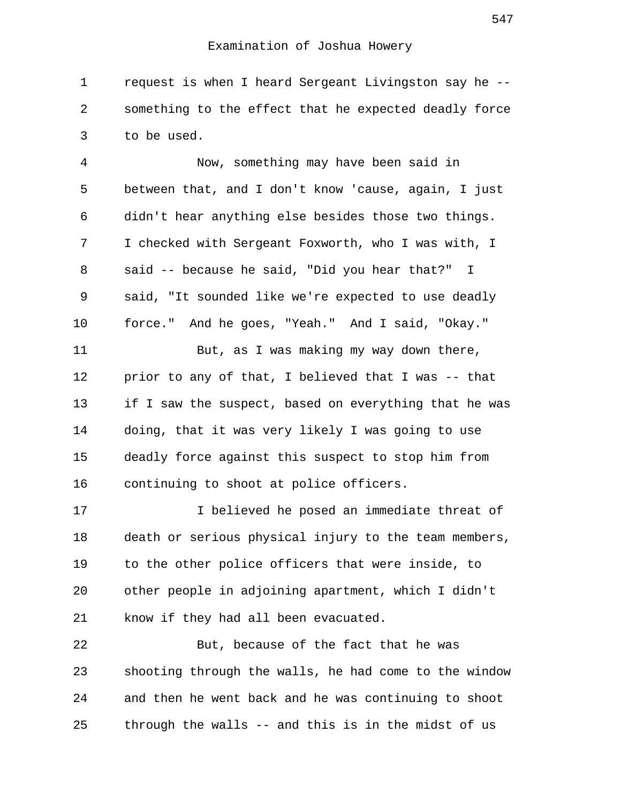1 request is when I heard Sergeant Livingston say he -- 2 something to the effect that he expected deadly force 3 to be used.

 4 Now, something may have been said in 5 between that, and I don't know 'cause, again, I just 6 didn't hear anything else besides those two things. 7 I checked with Sergeant Foxworth, who I was with, I 8 said -- because he said, "Did you hear that?" I 9 said, "It sounded like we're expected to use deadly 10 force." And he goes, "Yeah." And I said, "Okay." 11 But, as I was making my way down there,

12 prior to any of that, I believed that I was -- that 13 if I saw the suspect, based on everything that he was 14 doing, that it was very likely I was going to use 15 deadly force against this suspect to stop him from 16 continuing to shoot at police officers.

17 I believed he posed an immediate threat of 18 death or serious physical injury to the team members, 19 to the other police officers that were inside, to 20 other people in adjoining apartment, which I didn't 21 know if they had all been evacuated.

22 But, because of the fact that he was 23 shooting through the walls, he had come to the window 24 and then he went back and he was continuing to shoot 25 through the walls -- and this is in the midst of us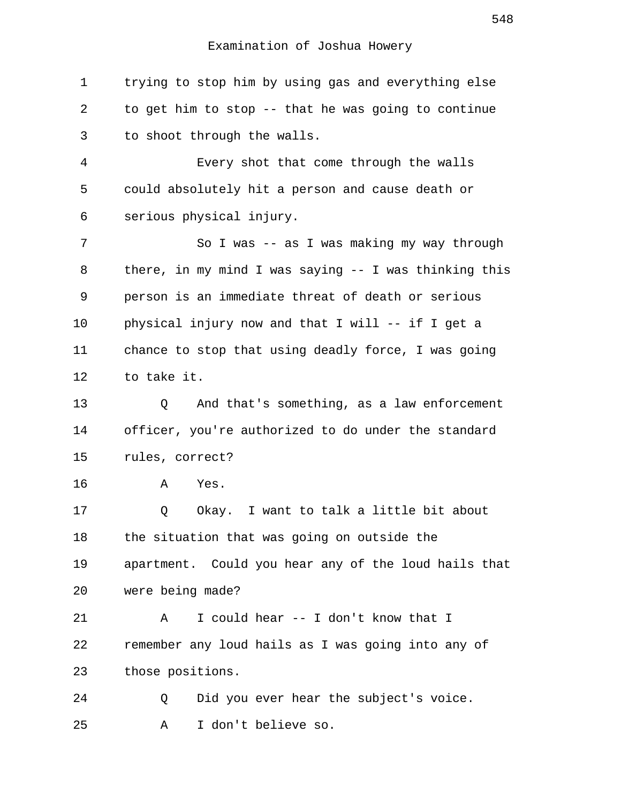1 trying to stop him by using gas and everything else 2 to get him to stop -- that he was going to continue 3 to shoot through the walls.

 4 Every shot that come through the walls 5 could absolutely hit a person and cause death or 6 serious physical injury.

 7 So I was -- as I was making my way through 8 there, in my mind I was saying -- I was thinking this 9 person is an immediate threat of death or serious 10 physical injury now and that I will -- if I get a 11 chance to stop that using deadly force, I was going 12 to take it.

13 Q And that's something, as a law enforcement 14 officer, you're authorized to do under the standard 15 rules, correct?

16 A Yes.

17 Q Okay. I want to talk a little bit about 18 the situation that was going on outside the 19 apartment. Could you hear any of the loud hails that 20 were being made? 21 A I could hear -- I don't know that I 22 remember any loud hails as I was going into any of

23 those positions.

24 Q Did you ever hear the subject's voice. 25 A I don't believe so.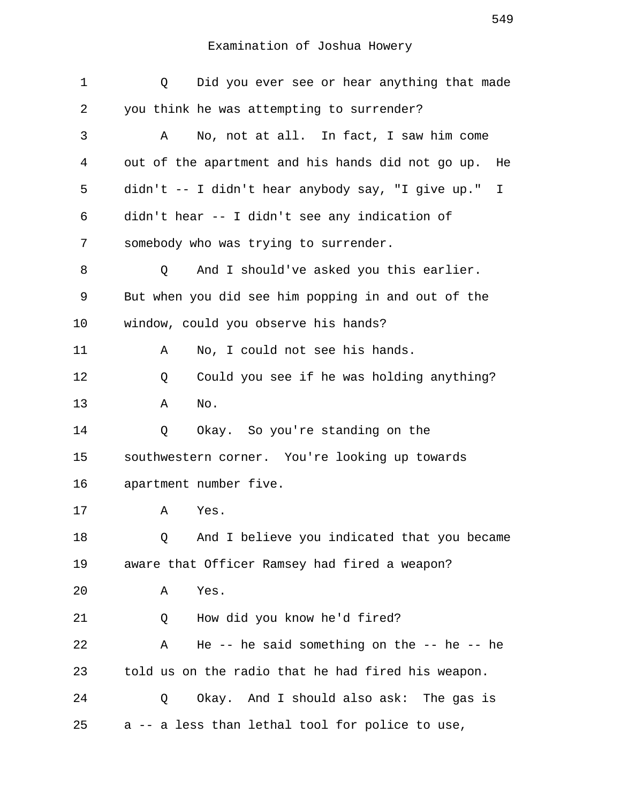| $\mathbf 1$ | Did you ever see or hear anything that made<br>Q       |
|-------------|--------------------------------------------------------|
| 2           | you think he was attempting to surrender?              |
| 3           | No, not at all. In fact, I saw him come<br>Α           |
| 4           | out of the apartment and his hands did not go up. He   |
| 5           | didn't -- I didn't hear anybody say, "I give up."<br>I |
| 6           | didn't hear -- I didn't see any indication of          |
| 7           | somebody who was trying to surrender.                  |
| 8           | And I should've asked you this earlier.<br>Q           |
| 9           | But when you did see him popping in and out of the     |
| 10          | window, could you observe his hands?                   |
| 11          | No, I could not see his hands.<br>Α                    |
| 12          | Could you see if he was holding anything?<br>Q         |
| 13          | No.<br>Α                                               |
| 14          | Okay. So you're standing on the<br>Q                   |
| 15          | southwestern corner. You're looking up towards         |
| 16          | apartment number five.                                 |
| 17          | Α<br>Yes.                                              |
| 18          | And I believe you indicated that you became<br>Q       |
| 19          | aware that Officer Ramsey had fired a weapon?          |
| 20          | Yes.<br>Α                                              |
| 21          | How did you know he'd fired?<br>Q                      |
| 22          | He -- he said something on the -- he -- he<br>Α        |
| 23          | told us on the radio that he had fired his weapon.     |
| 24          | Okay. And I should also ask: The gas is<br>Q           |
| 25          | a -- a less than lethal tool for police to use,        |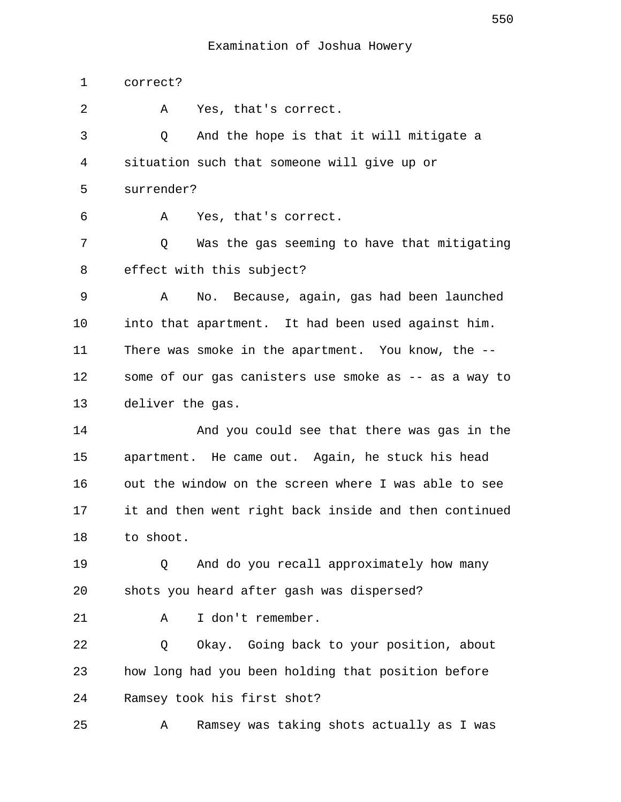1 correct? 2 A Yes, that's correct. 3 Q And the hope is that it will mitigate a 4 situation such that someone will give up or 5 surrender? 6 A Yes, that's correct. 7 Q Was the gas seeming to have that mitigating 8 effect with this subject? 9 A No. Because, again, gas had been launched 10 into that apartment. It had been used against him. 11 There was smoke in the apartment. You know, the -- 12 some of our gas canisters use smoke as -- as a way to 13 deliver the gas. 14 And you could see that there was gas in the 15 apartment. He came out. Again, he stuck his head 16 out the window on the screen where I was able to see 17 it and then went right back inside and then continued 18 to shoot. 19 0 And do you recall approximately how many 20 shots you heard after gash was dispersed? 21 A I don't remember. 22 Q Okay. Going back to your position, about 23 how long had you been holding that position before 24 Ramsey took his first shot? 25 A Ramsey was taking shots actually as I was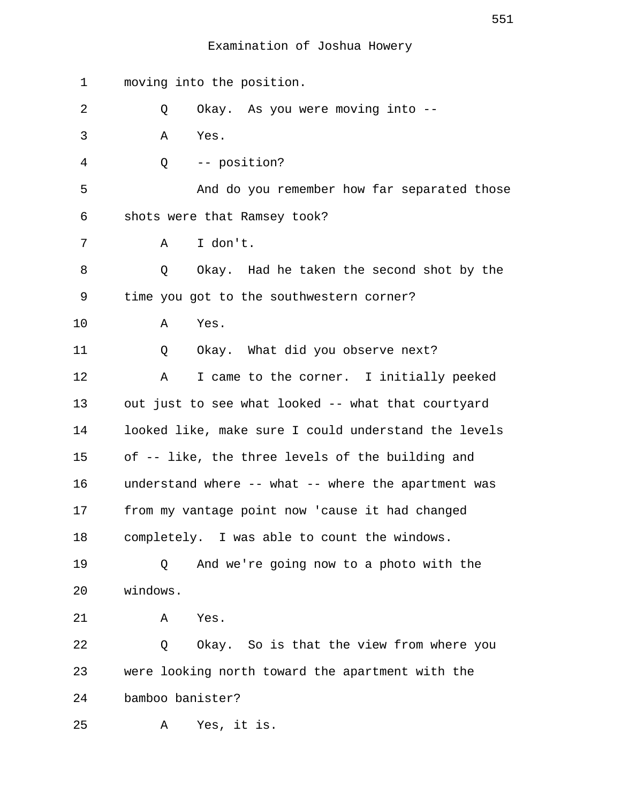1 moving into the position. 2 Q Okay. As you were moving into -- 3 A Yes. 4 Q -- position? 5 And do you remember how far separated those 6 shots were that Ramsey took? 7 A I don't. 8 Q Okay. Had he taken the second shot by the 9 time you got to the southwestern corner? 10 A Yes. 11 Q Okay. What did you observe next? 12 A I came to the corner. I initially peeked 13 out just to see what looked -- what that courtyard 14 looked like, make sure I could understand the levels 15 of -- like, the three levels of the building and 16 understand where -- what -- where the apartment was 17 from my vantage point now 'cause it had changed 18 completely. I was able to count the windows. 19 Q And we're going now to a photo with the 20 windows. 21 A Yes. 22 Q Okay. So is that the view from where you 23 were looking north toward the apartment with the 24 bamboo banister? 25 A Yes, it is.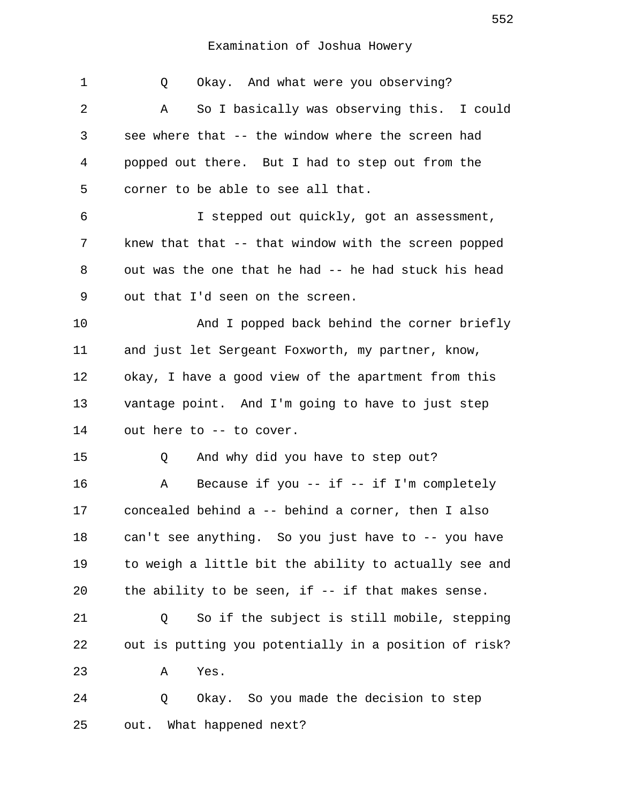1 Q Okay. And what were you observing? 2 A So I basically was observing this. I could 3 see where that -- the window where the screen had 4 popped out there. But I had to step out from the 5 corner to be able to see all that. 6 I stepped out quickly, got an assessment, 7 knew that that -- that window with the screen popped 8 out was the one that he had -- he had stuck his head 9 out that I'd seen on the screen. 10 And I popped back behind the corner briefly 11 and just let Sergeant Foxworth, my partner, know, 12 okay, I have a good view of the apartment from this 13 vantage point. And I'm going to have to just step 14 out here to -- to cover. 15 O And why did you have to step out? 16 A Because if you -- if -- if I'm completely 17 concealed behind a -- behind a corner, then I also 18 can't see anything. So you just have to -- you have 19 to weigh a little bit the ability to actually see and 20 the ability to be seen, if -- if that makes sense. 21 Q So if the subject is still mobile, stepping 22 out is putting you potentially in a position of risk? 23 A Yes. 24 Q Okay. So you made the decision to step 25 out. What happened next?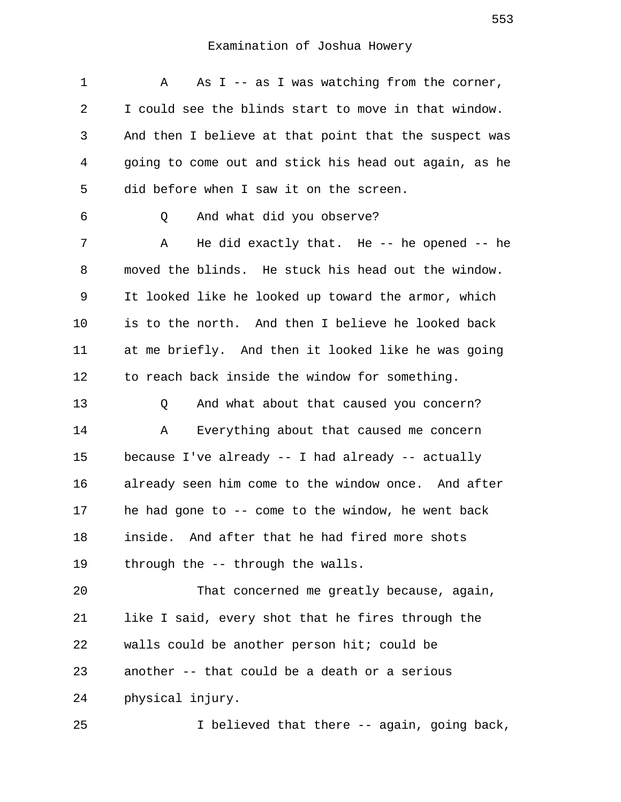| 1  | As $I$ -- as I was watching from the corner,<br>Α     |
|----|-------------------------------------------------------|
| 2  | I could see the blinds start to move in that window.  |
| 3  | And then I believe at that point that the suspect was |
| 4  | going to come out and stick his head out again, as he |
| 5  | did before when I saw it on the screen.               |
| 6  | And what did you observe?<br>Q                        |
| 7  | He did exactly that. He $-$ he opened $-$ he<br>Α     |
| 8  | moved the blinds. He stuck his head out the window.   |
| 9  | It looked like he looked up toward the armor, which   |
| 10 | is to the north. And then I believe he looked back    |
| 11 | at me briefly. And then it looked like he was going   |
| 12 | to reach back inside the window for something.        |
| 13 | And what about that caused you concern?<br>Q          |
| 14 | Everything about that caused me concern<br>Α          |
| 15 | because I've already -- I had already -- actually     |
| 16 | already seen him come to the window once. And after   |
| 17 | he had gone to $-$ come to the window, he went back   |
| 18 | inside. And after that he had fired more shots        |
| 19 | through the -- through the walls.                     |
| 20 | That concerned me greatly because, again,             |
| 21 | like I said, every shot that he fires through the     |
| 22 | walls could be another person hit; could be           |
| 23 | another -- that could be a death or a serious         |
| 24 | physical injury.                                      |
| 25 | I believed that there -- again, going back,           |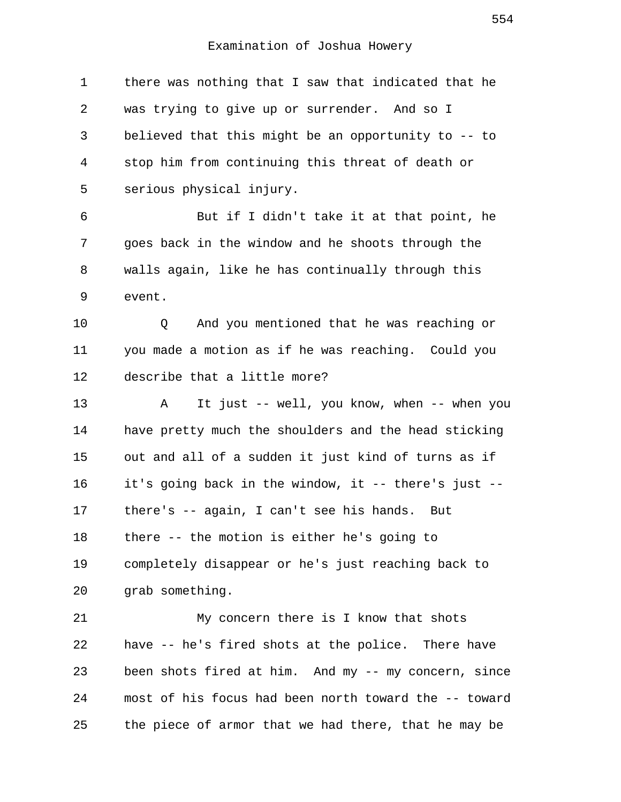1 there was nothing that I saw that indicated that he 2 was trying to give up or surrender. And so I 3 believed that this might be an opportunity to -- to 4 stop him from continuing this threat of death or 5 serious physical injury. 6 But if I didn't take it at that point, he 7 goes back in the window and he shoots through the 8 walls again, like he has continually through this 9 event. 10 Q And you mentioned that he was reaching or

11 you made a motion as if he was reaching. Could you 12 describe that a little more?

13 A It just -- well, you know, when -- when you 14 have pretty much the shoulders and the head sticking 15 out and all of a sudden it just kind of turns as if 16 it's going back in the window, it -- there's just -- 17 there's -- again, I can't see his hands. But 18 there -- the motion is either he's going to 19 completely disappear or he's just reaching back to 20 grab something.

21 My concern there is I know that shots 22 have -- he's fired shots at the police. There have 23 been shots fired at him. And my -- my concern, since 24 most of his focus had been north toward the -- toward 25 the piece of armor that we had there, that he may be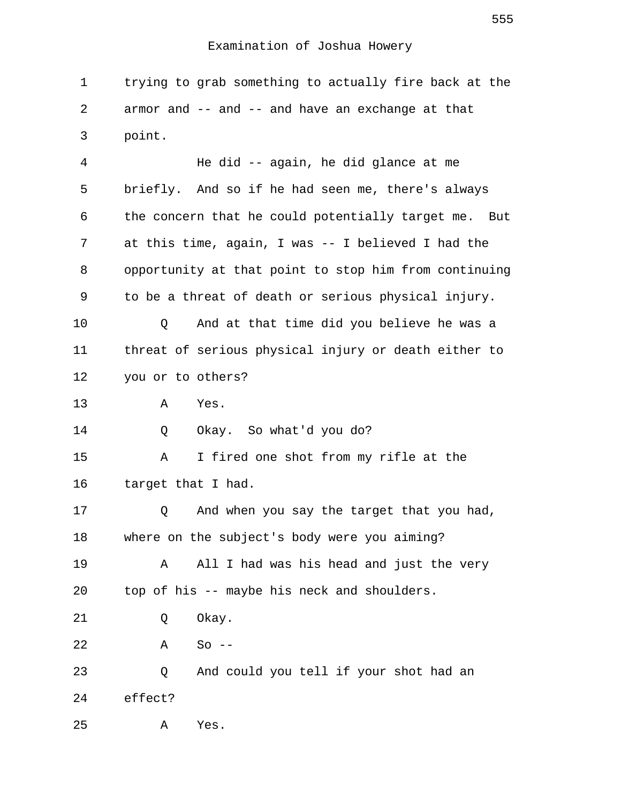1 trying to grab something to actually fire back at the 2 armor and -- and -- and have an exchange at that 3 point.

 4 He did -- again, he did glance at me 5 briefly. And so if he had seen me, there's always 6 the concern that he could potentially target me. But 7 at this time, again, I was -- I believed I had the 8 opportunity at that point to stop him from continuing 9 to be a threat of death or serious physical injury. 10 Q And at that time did you believe he was a 11 threat of serious physical injury or death either to 12 you or to others? 13 A Yes. 14 Q Okay. So what'd you do? 15 A I fired one shot from my rifle at the 16 target that I had. 17 Q And when you say the target that you had, 18 where on the subject's body were you aiming? 19 A All I had was his head and just the very 20 top of his -- maybe his neck and shoulders. 21 Q Okay. 22 A So -- 23 Q And could you tell if your shot had an 24 effect? 25 A Yes.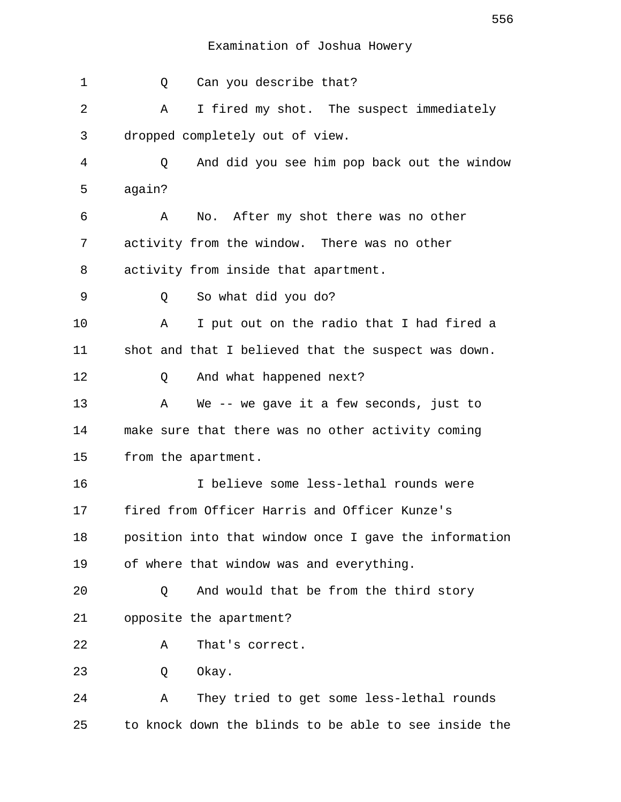1 0 Can you describe that? 2 A I fired my shot. The suspect immediately 3 dropped completely out of view. 4 Q And did you see him pop back out the window 5 again? 6 A No. After my shot there was no other 7 activity from the window. There was no other 8 activity from inside that apartment. 9 Q So what did you do? 10 A I put out on the radio that I had fired a 11 shot and that I believed that the suspect was down. 12 Q And what happened next? 13 A We -- we gave it a few seconds, just to 14 make sure that there was no other activity coming 15 from the apartment. 16 I believe some less-lethal rounds were 17 fired from Officer Harris and Officer Kunze's 18 position into that window once I gave the information 19 of where that window was and everything. 20 Q And would that be from the third story 21 opposite the apartment? 22 A That's correct. 23 O Okay. 24 A They tried to get some less-lethal rounds 25 to knock down the blinds to be able to see inside the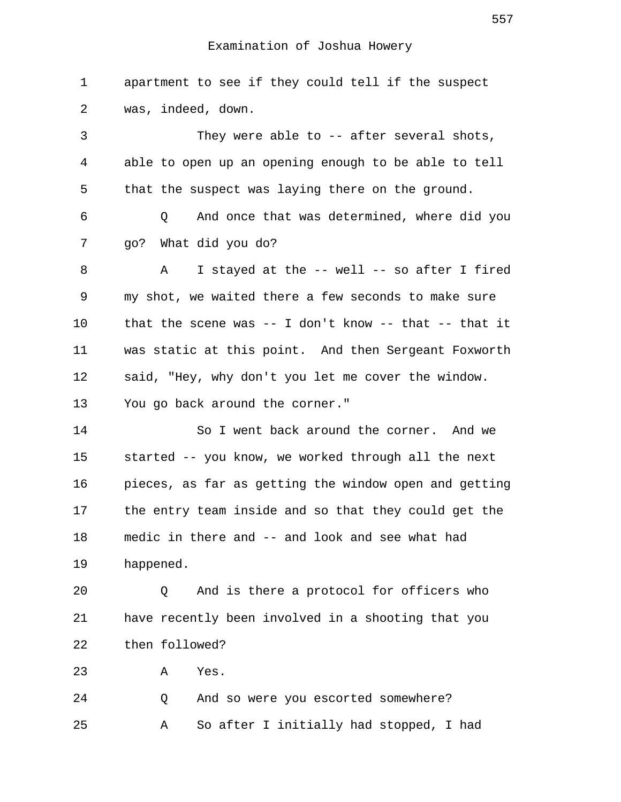1 apartment to see if they could tell if the suspect 2 was, indeed, down. 3 They were able to -- after several shots, 4 able to open up an opening enough to be able to tell 5 that the suspect was laying there on the ground. 6 Q And once that was determined, where did you 7 go? What did you do? 8 A I stayed at the -- well -- so after I fired 9 my shot, we waited there a few seconds to make sure 10 that the scene was -- I don't know -- that -- that it 11 was static at this point. And then Sergeant Foxworth 12 said, "Hey, why don't you let me cover the window. 13 You go back around the corner." 14 So I went back around the corner. And we 15 started -- you know, we worked through all the next 16 pieces, as far as getting the window open and getting 17 the entry team inside and so that they could get the 18 medic in there and -- and look and see what had 19 happened. 20 Q And is there a protocol for officers who 21 have recently been involved in a shooting that you 22 then followed? 23 A Yes. 24 Q And so were you escorted somewhere?

25 A So after I initially had stopped, I had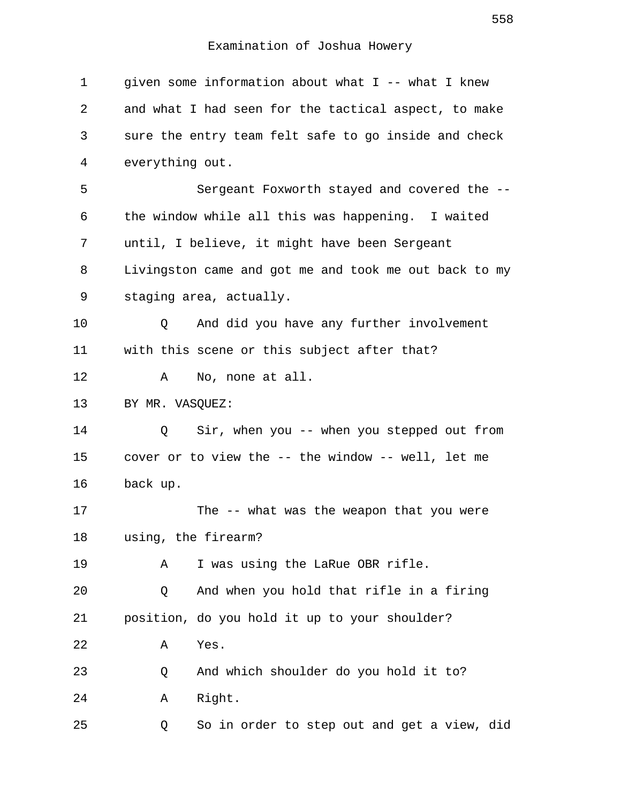| $\mathbf 1$ | given some information about what I -- what I knew    |
|-------------|-------------------------------------------------------|
| 2           | and what I had seen for the tactical aspect, to make  |
| 3           | sure the entry team felt safe to go inside and check  |
| 4           | everything out.                                       |
| 5           | Sergeant Foxworth stayed and covered the --           |
| 6           | the window while all this was happening. I waited     |
| 7           | until, I believe, it might have been Sergeant         |
| 8           | Livingston came and got me and took me out back to my |
| 9           | staging area, actually.                               |
| 10          | And did you have any further involvement<br>Q         |
| 11          | with this scene or this subject after that?           |
| 12          | No, none at all.<br>Α                                 |
| 13          | BY MR. VASQUEZ:                                       |
| 14          | Sir, when you -- when you stepped out from<br>Q       |
| 15          | cover or to view the -- the window -- well, let me    |
| 16          | back up.                                              |
| 17          | The -- what was the weapon that you were              |
| 18          | using, the firearm?                                   |
| 19          | I was using the LaRue OBR rifle.<br>Α                 |
| 20          | And when you hold that rifle in a firing<br>Q         |
| 21          | position, do you hold it up to your shoulder?         |
| 22          | Yes.<br>Α                                             |
| 23          | And which shoulder do you hold it to?<br>Q            |
| 24          | Right.<br>Α                                           |
| 25          | So in order to step out and get a view, did<br>Q      |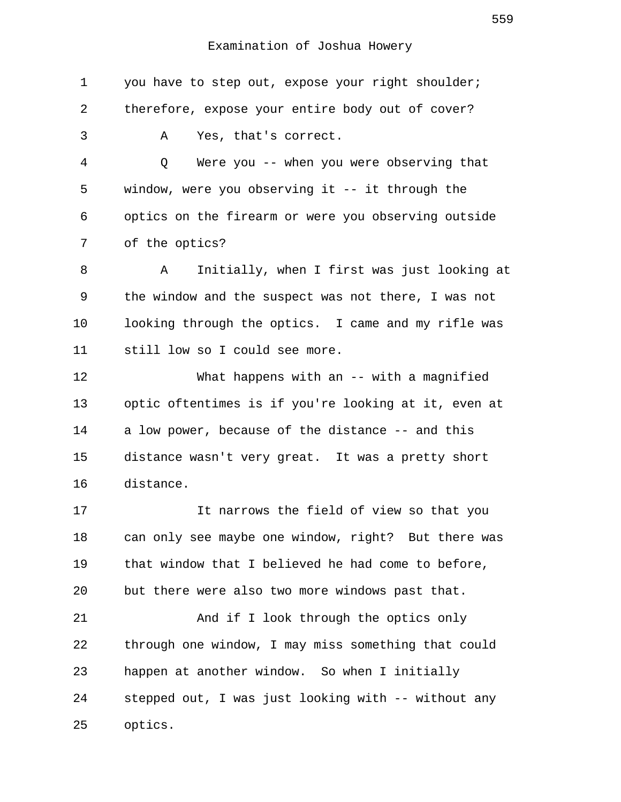| 1  | you have to step out, expose your right shoulder;    |
|----|------------------------------------------------------|
| 2  | therefore, expose your entire body out of cover?     |
| 3  | Yes, that's correct.<br>Α                            |
| 4  | Were you -- when you were observing that<br>Q        |
| 5  | window, were you observing it $--$ it through the    |
| 6  | optics on the firearm or were you observing outside  |
| 7  | of the optics?                                       |
| 8  | Initially, when I first was just looking at<br>Α     |
| 9  | the window and the suspect was not there, I was not  |
| 10 | looking through the optics. I came and my rifle was  |
| 11 | still low so I could see more.                       |
| 12 | What happens with an $--$ with a magnified           |
| 13 | optic oftentimes is if you're looking at it, even at |
| 14 | a low power, because of the distance -- and this     |
| 15 | distance wasn't very great. It was a pretty short    |
| 16 | distance.                                            |
| 17 | It narrows the field of view so that you             |
| 18 | can only see maybe one window, right? But there was  |
| 19 | that window that I believed he had come to before,   |
| 20 | but there were also two more windows past that.      |
| 21 | And if I look through the optics only                |
| 22 | through one window, I may miss something that could  |
| 23 | happen at another window. So when I initially        |
| 24 | stepped out, I was just looking with -- without any  |
| 25 | optics.                                              |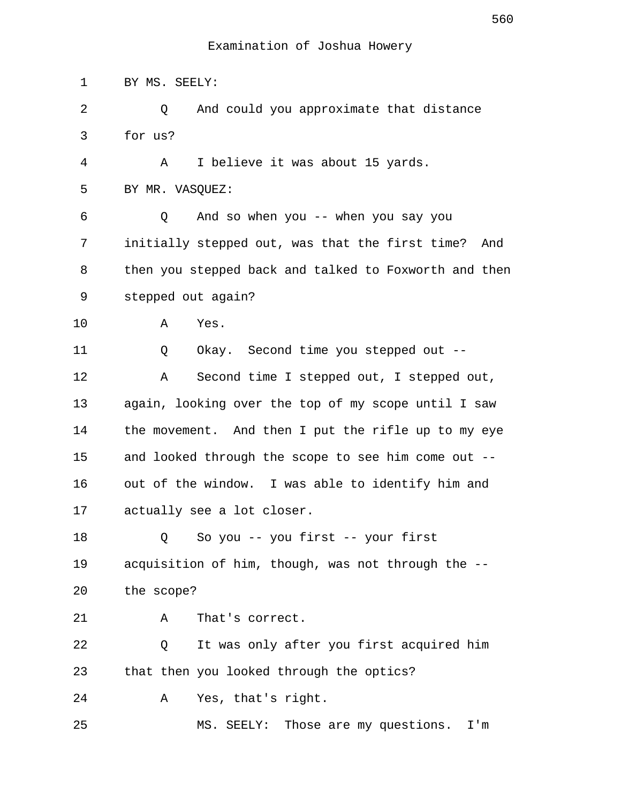1 BY MS. SEELY: 2 Q And could you approximate that distance 3 for us? 4 A I believe it was about 15 yards. 5 BY MR. VASQUEZ: 6 Q And so when you -- when you say you 7 initially stepped out, was that the first time? And 8 then you stepped back and talked to Foxworth and then 9 stepped out again? 10 A Yes. 11 Q Okay. Second time you stepped out -- 12 A Second time I stepped out, I stepped out, 13 again, looking over the top of my scope until I saw 14 the movement. And then I put the rifle up to my eye 15 and looked through the scope to see him come out -- 16 out of the window. I was able to identify him and 17 actually see a lot closer. 18 Q So you -- you first -- your first 19 acquisition of him, though, was not through the -- 20 the scope? 21 A That's correct. 22 Q It was only after you first acquired him 23 that then you looked through the optics? 24 A Yes, that's right. 25 MS. SEELY: Those are my questions. I'm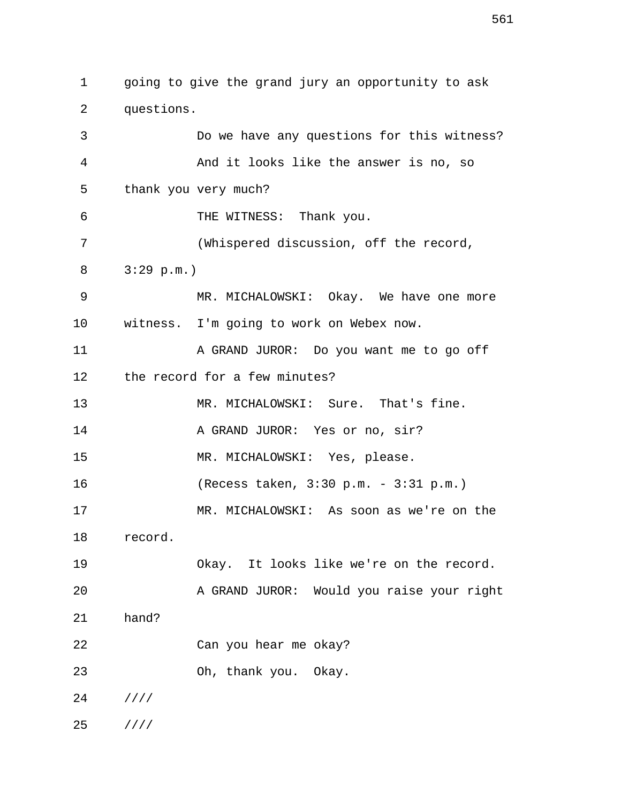1 going to give the grand jury an opportunity to ask 2 questions. 3 Do we have any questions for this witness? 4 And it looks like the answer is no, so 5 thank you very much? 6 THE WITNESS: Thank you. 7 (Whispered discussion, off the record, 8 3:29 p.m.) 9 MR. MICHALOWSKI: Okay. We have one more 10 witness. I'm going to work on Webex now. 11 A GRAND JUROR: Do you want me to go off 12 the record for a few minutes? 13 MR. MICHALOWSKI: Sure. That's fine. 14 A GRAND JUROR: Yes or no, sir? 15 MR. MICHALOWSKI: Yes, please. 16 (Recess taken, 3:30 p.m. - 3:31 p.m.) 17 MR. MICHALOWSKI: As soon as we're on the 18 record. 19 Okay. It looks like we're on the record. 20 A GRAND JUROR: Would you raise your right 21 hand? 22 Can you hear me okay? 23 Oh, thank you. Okay. 24 //// 25 ////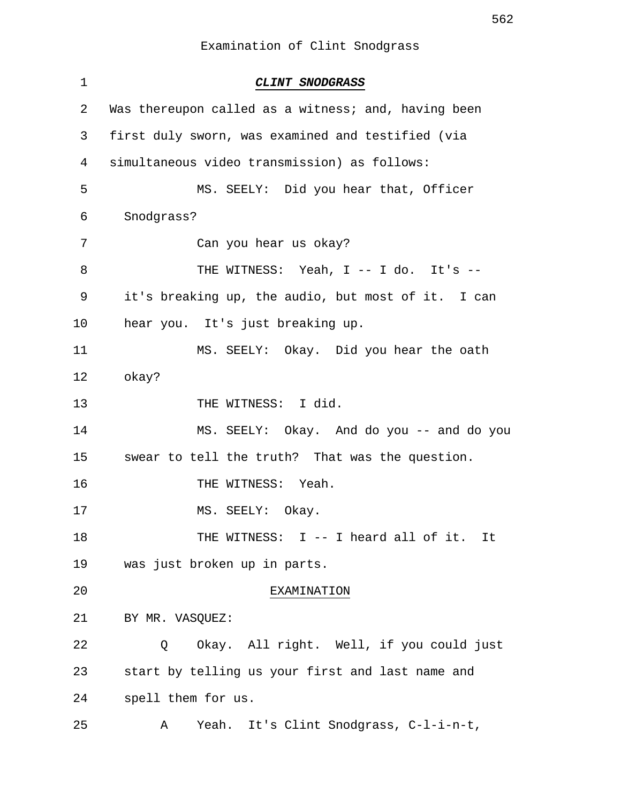1 **CLINT SNODGRASS** 2 Was thereupon called as a witness; and, having been 3 first duly sworn, was examined and testified (via 4 simultaneous video transmission) as follows: 5 MS. SEELY: Did you hear that, Officer 6 Snodgrass? 7 Can you hear us okay? 8 THE WITNESS: Yeah, I -- I do. It's -- 9 it's breaking up, the audio, but most of it. I can 10 hear you. It's just breaking up. 11 MS. SEELY: Okay. Did you hear the oath 12 okay? 13 THE WITNESS: I did. 14 MS. SEELY: Okay. And do you -- and do you 15 swear to tell the truth? That was the question. 16 THE WITNESS: Yeah. 17 MS. SEELY: Okay. 18 THE WITNESS: I -- I heard all of it. It 19 was just broken up in parts. 20 EXAMINATION 21 BY MR. VASQUEZ: 22 Q Okay. All right. Well, if you could just 23 start by telling us your first and last name and 24 spell them for us. 25 A Yeah. It's Clint Snodgrass, C-l-i-n-t,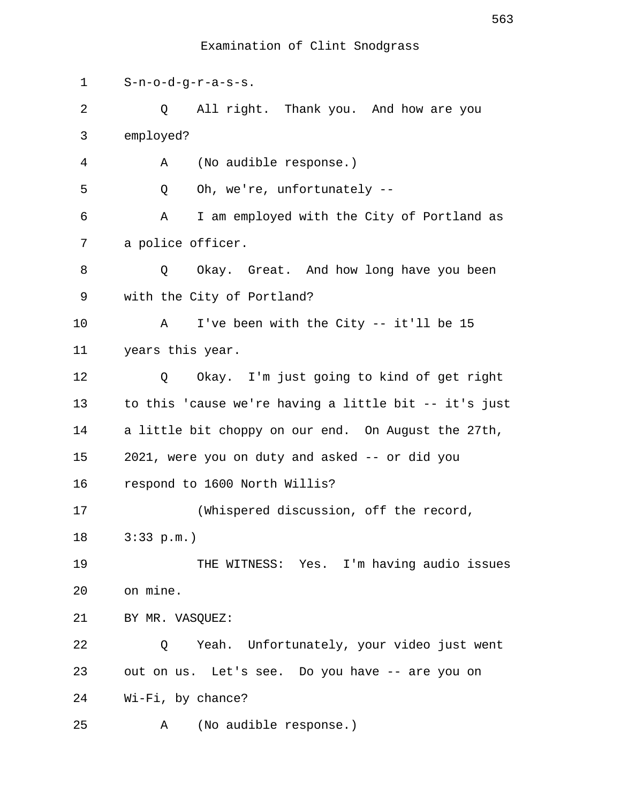1 S-n-o-d-g-r-a-s-s. 2 Q All right. Thank you. And how are you 3 employed? 4 A (No audible response.) 5 Q Oh, we're, unfortunately -- 6 A I am employed with the City of Portland as 7 a police officer. 8 Q Okay. Great. And how long have you been 9 with the City of Portland? 10 A I've been with the City -- it'll be 15 11 years this year. 12 Q Okay. I'm just going to kind of get right 13 to this 'cause we're having a little bit -- it's just 14 a little bit choppy on our end. On August the 27th, 15 2021, were you on duty and asked -- or did you 16 respond to 1600 North Willis? 17 (Whispered discussion, off the record, 18 3:33 p.m.) 19 THE WITNESS: Yes. I'm having audio issues 20 on mine. 21 BY MR. VASQUEZ: 22 Q Yeah. Unfortunately, your video just went 23 out on us. Let's see. Do you have -- are you on 24 Wi-Fi, by chance? 25 A (No audible response.)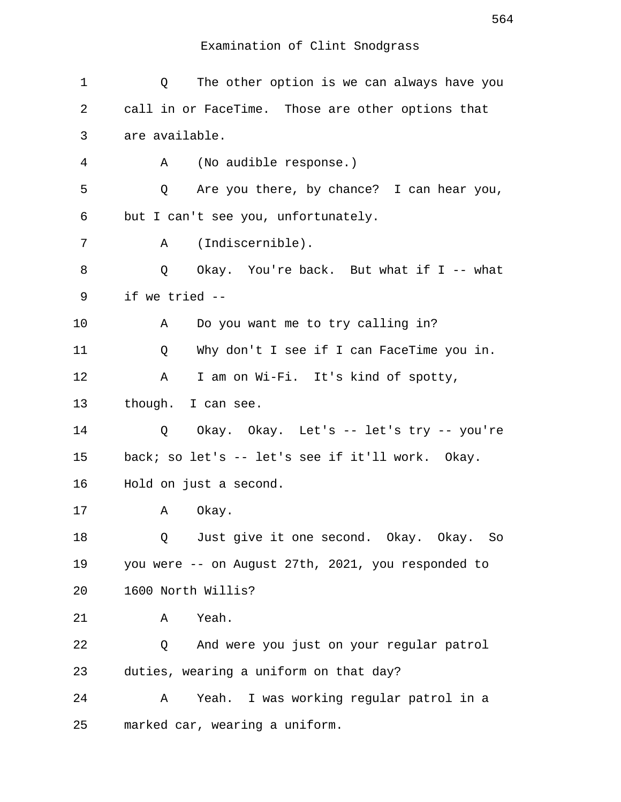| 1  | The other option is we can always have you<br>Q    |
|----|----------------------------------------------------|
| 2  | call in or FaceTime. Those are other options that  |
| 3  | are available.                                     |
| 4  | (No audible response.)<br>Α                        |
| 5  | Are you there, by chance? I can hear you,<br>Q     |
| 6  | but I can't see you, unfortunately.                |
| 7  | (Indiscernible).<br>Α                              |
| 8  | Okay. You're back. But what if I -- what<br>Q      |
| 9  | if we tried --                                     |
| 10 | Do you want me to try calling in?<br>Α             |
| 11 | Why don't I see if I can FaceTime you in.<br>Q     |
| 12 | I am on Wi-Fi. It's kind of spotty,<br>Α           |
| 13 | though. I can see.                                 |
| 14 | Okay. Okay. Let's -- let's try -- you're<br>Q      |
| 15 | back; so let's -- let's see if it'll work. Okay.   |
| 16 | Hold on just a second.                             |
| 17 | Okay.<br>Α                                         |
| 18 | Just give it one second. Okay. Okay. So<br>Q       |
| 19 | you were -- on August 27th, 2021, you responded to |
| 20 | 1600 North Willis?                                 |
| 21 | Yeah.<br>Α                                         |
| 22 | And were you just on your regular patrol<br>Q      |
| 23 | duties, wearing a uniform on that day?             |
| 24 | Yeah. I was working regular patrol in a<br>Α       |
| 25 | marked car, wearing a uniform.                     |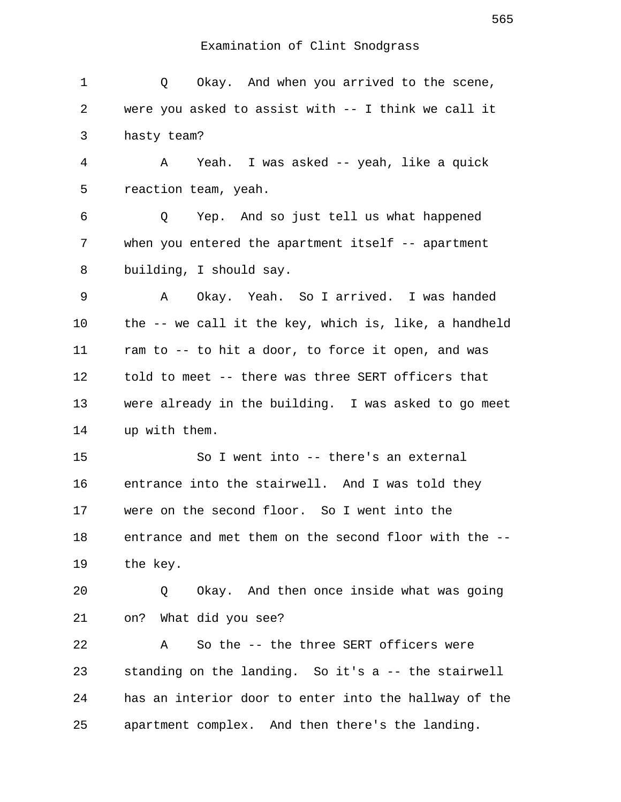| 1  | Q Okay. And when you arrived to the scene,            |
|----|-------------------------------------------------------|
| 2  | were you asked to assist with -- I think we call it   |
| 3  | hasty team?                                           |
| 4  | A Yeah. I was asked -- yeah, like a quick             |
| 5  | reaction team, yeah.                                  |
| 6  | Q Yep. And so just tell us what happened              |
| 7  | when you entered the apartment itself $-$ apartment   |
| 8  | building, I should say.                               |
| 9  | Okay. Yeah. So I arrived. I was handed<br>A           |
| 10 | the -- we call it the key, which is, like, a handheld |
| 11 | ram to -- to hit a door, to force it open, and was    |
| 12 | told to meet -- there was three SERT officers that    |
| 13 | were already in the building. I was asked to go meet  |
|    |                                                       |
| 14 | up with them.                                         |
| 15 | So I went into -- there's an external                 |
| 16 | entrance into the stairwell. And I was told they      |
| 17 | were on the second floor. So I went into the          |
| 18 | entrance and met them on the second floor with the -- |
| 19 | the key.                                              |
| 20 | Okay. And then once inside what was going<br>Q        |
| 21 | on? What did you see?                                 |
| 22 | So the -- the three SERT officers were<br>A           |
| 23 | standing on the landing. So it's a -- the stairwell   |
| 24 | has an interior door to enter into the hallway of the |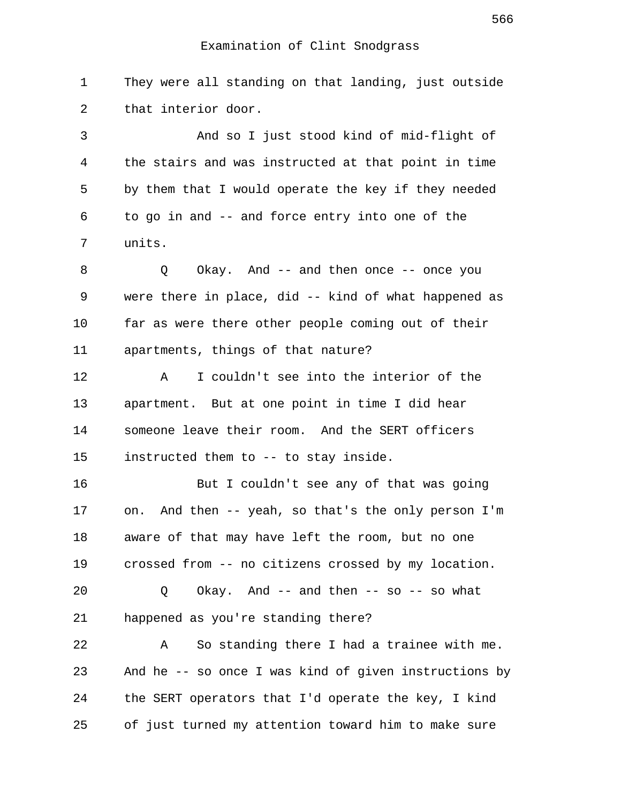1 They were all standing on that landing, just outside 2 that interior door.

 3 And so I just stood kind of mid-flight of 4 the stairs and was instructed at that point in time 5 by them that I would operate the key if they needed 6 to go in and -- and force entry into one of the 7 units.

 8 Q Okay. And -- and then once -- once you 9 were there in place, did -- kind of what happened as 10 far as were there other people coming out of their 11 apartments, things of that nature?

12 A I couldn't see into the interior of the 13 apartment. But at one point in time I did hear 14 someone leave their room. And the SERT officers 15 instructed them to -- to stay inside.

16 But I couldn't see any of that was going 17 on. And then -- yeah, so that's the only person I'm 18 aware of that may have left the room, but no one 19 crossed from -- no citizens crossed by my location.

20 Q Okay. And -- and then -- so -- so what 21 happened as you're standing there?

22 A So standing there I had a trainee with me. 23 And he -- so once I was kind of given instructions by 24 the SERT operators that I'd operate the key, I kind 25 of just turned my attention toward him to make sure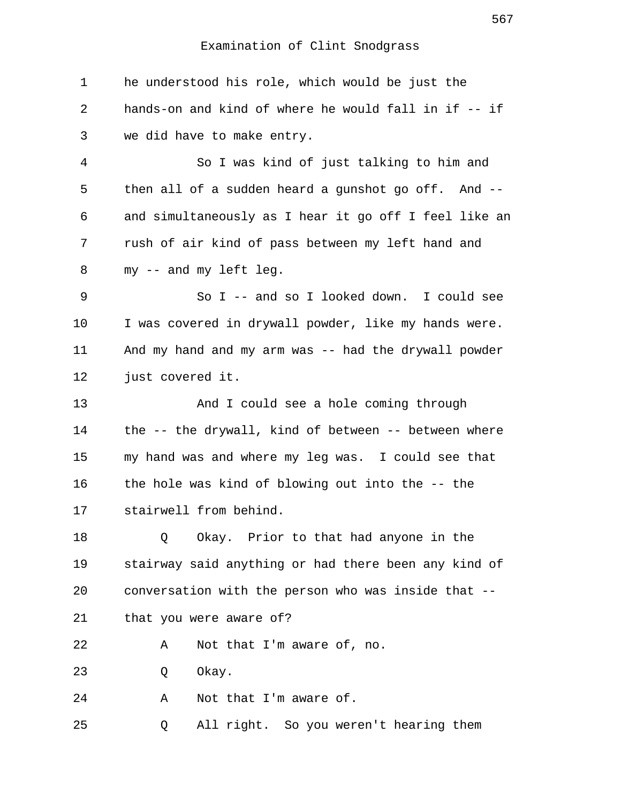1 he understood his role, which would be just the 2 hands-on and kind of where he would fall in if -- if 3 we did have to make entry. 4 So I was kind of just talking to him and 5 then all of a sudden heard a gunshot go off. And -- 6 and simultaneously as I hear it go off I feel like an 7 rush of air kind of pass between my left hand and 8 my -- and my left leg. 9 So I -- and so I looked down. I could see 10 I was covered in drywall powder, like my hands were. 11 And my hand and my arm was -- had the drywall powder 12 just covered it. 13 And I could see a hole coming through 14 the -- the drywall, kind of between -- between where 15 my hand was and where my leg was. I could see that 16 the hole was kind of blowing out into the -- the 17 stairwell from behind. 18 Q Okay. Prior to that had anyone in the 19 stairway said anything or had there been any kind of 20 conversation with the person who was inside that -- 21 that you were aware of? 22 A Not that I'm aware of, no. 23 O Okay. 24 A Not that I'm aware of. 25 Q All right. So you weren't hearing them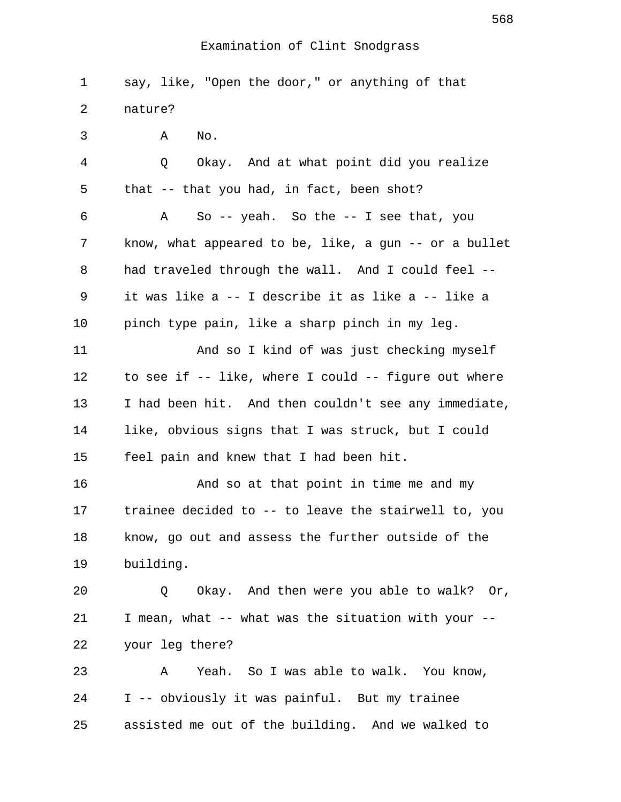1 say, like, "Open the door," or anything of that 2 nature? 3 A No. 4 Q Okay. And at what point did you realize 5 that -- that you had, in fact, been shot? 6 A So -- yeah. So the -- I see that, you 7 know, what appeared to be, like, a gun -- or a bullet 8 had traveled through the wall. And I could feel -- 9 it was like a -- I describe it as like a -- like a 10 pinch type pain, like a sharp pinch in my leg. 11 And so I kind of was just checking myself 12 to see if -- like, where I could -- figure out where 13 I had been hit. And then couldn't see any immediate, 14 like, obvious signs that I was struck, but I could 15 feel pain and knew that I had been hit. 16 And so at that point in time me and my 17 trainee decided to -- to leave the stairwell to, you 18 know, go out and assess the further outside of the 19 building. 20 Q Okay. And then were you able to walk? Or, 21 I mean, what -- what was the situation with your -- 22 your leg there? 23 A Yeah. So I was able to walk. You know, 24 I -- obviously it was painful. But my trainee 25 assisted me out of the building. And we walked to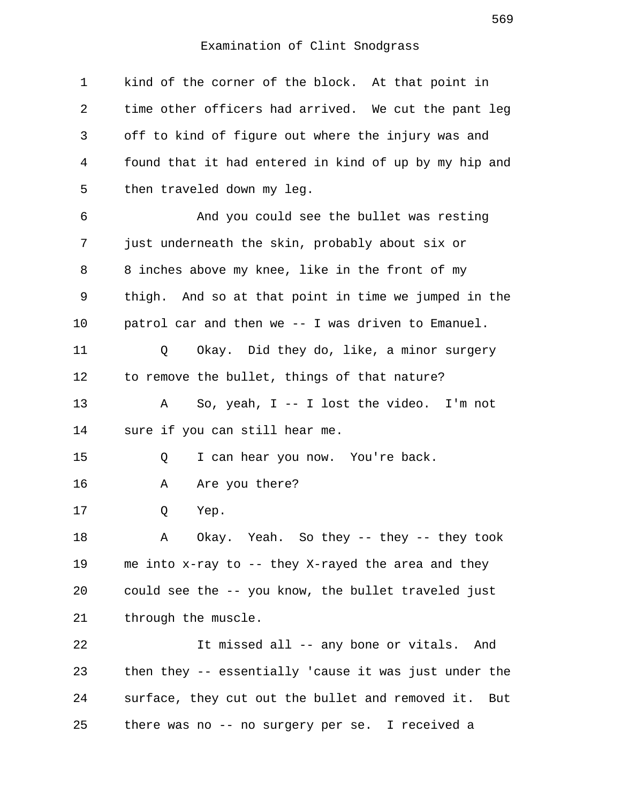1 kind of the corner of the block. At that point in 2 time other officers had arrived. We cut the pant leg 3 off to kind of figure out where the injury was and 4 found that it had entered in kind of up by my hip and 5 then traveled down my leg. 6 And you could see the bullet was resting 7 just underneath the skin, probably about six or 8 8 inches above my knee, like in the front of my 9 thigh. And so at that point in time we jumped in the 10 patrol car and then we -- I was driven to Emanuel. 11 Q Okay. Did they do, like, a minor surgery 12 to remove the bullet, things of that nature? 13 A So, yeah, I -- I lost the video. I'm not 14 sure if you can still hear me. 15 Q I can hear you now. You're back. 16 A Are you there? 17 Q Yep. 18 A Okay. Yeah. So they -- they -- they took 19 me into x-ray to -- they X-rayed the area and they 20 could see the -- you know, the bullet traveled just 21 through the muscle. 22 It missed all -- any bone or vitals. And 23 then they -- essentially 'cause it was just under the 24 surface, they cut out the bullet and removed it. But 25 there was no -- no surgery per se. I received a

569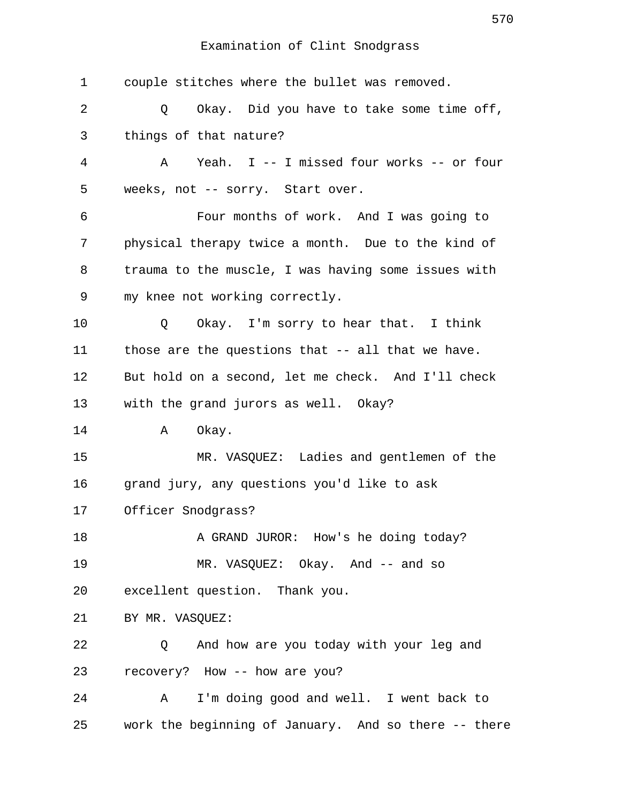| 1  | couple stitches where the bullet was removed.                  |
|----|----------------------------------------------------------------|
| 2  | $Q \qquad \qquad$<br>Okay. Did you have to take some time off, |
| 3  | things of that nature?                                         |
| 4  | Yeah. I -- I missed four works -- or four<br>A                 |
| 5  | weeks, not -- sorry. Start over.                               |
| 6  | Four months of work. And I was going to                        |
| 7  | physical therapy twice a month. Due to the kind of             |
| 8  | trauma to the muscle, I was having some issues with            |
| 9  | my knee not working correctly.                                 |
| 10 | Okay. I'm sorry to hear that. I think<br>Q                     |
| 11 | those are the questions that -- all that we have.              |
| 12 | But hold on a second, let me check. And I'll check             |
| 13 | with the grand jurors as well. Okay?                           |
| 14 | Okay.<br>A                                                     |
| 15 | MR. VASQUEZ: Ladies and gentlemen of the                       |
| 16 | grand jury, any questions you'd like to ask                    |
| 17 | Officer Snodgrass?                                             |
| 18 | A GRAND JUROR: How's he doing today?                           |
| 19 | MR. VASQUEZ: Okay. And -- and so                               |
| 20 | excellent question. Thank you.                                 |
| 21 | BY MR. VASQUEZ:                                                |
| 22 | And how are you today with your leg and<br>Q                   |
| 23 | recovery? How -- how are you?                                  |
| 24 | I'm doing good and well. I went back to<br>A                   |
| 25 | work the beginning of January. And so there -- there           |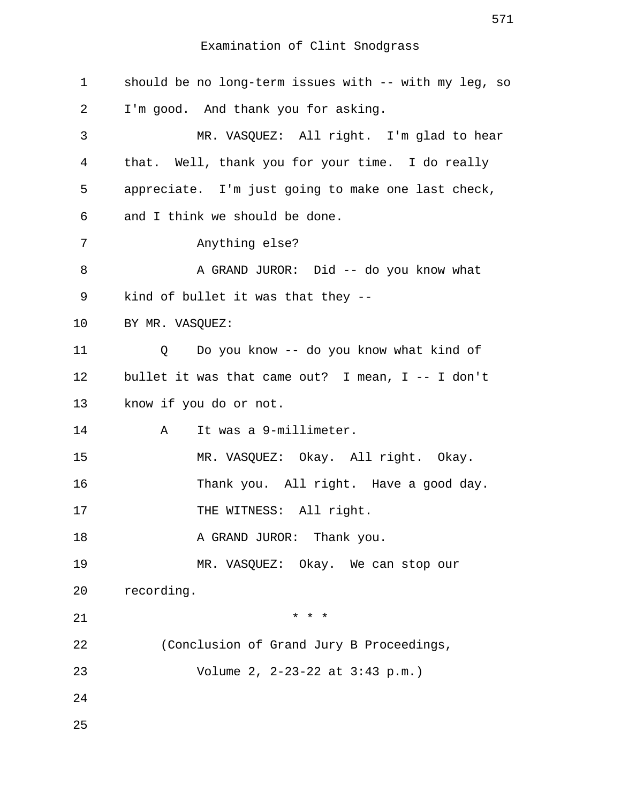| $\mathbf 1$    | should be no long-term issues with -- with my leg, so |
|----------------|-------------------------------------------------------|
| 2              | I'm good. And thank you for asking.                   |
| $\mathfrak{Z}$ | MR. VASQUEZ: All right. I'm glad to hear              |
| 4              | that. Well, thank you for your time. I do really      |
| 5              | appreciate. I'm just going to make one last check,    |
| 6              | and I think we should be done.                        |
| 7              | Anything else?                                        |
| 8              | A GRAND JUROR: Did -- do you know what                |
| 9              | kind of bullet it was that they --                    |
| 10             | BY MR. VASQUEZ:                                       |
| 11             | Do you know -- do you know what kind of<br>Q          |
| 12             | bullet it was that came out? I mean, $I - - I$ don't  |
| 13             | know if you do or not.                                |
| 14             | It was a 9-millimeter.<br>Α                           |
| 15             | MR. VASQUEZ: Okay. All right. Okay.                   |
| 16             | Thank you. All right. Have a good day.                |
| 17             | THE WITNESS: All right.                               |
| 18             | A GRAND JUROR: Thank you.                             |
| 19             | MR. VASQUEZ: Okay. We can stop our                    |
| 20             | recording.                                            |
| 21             | $* * *$                                               |
| 22             | (Conclusion of Grand Jury B Proceedings,              |
| 23             | Volume 2, 2-23-22 at 3:43 p.m.)                       |
| 24             |                                                       |
| 25             |                                                       |

571